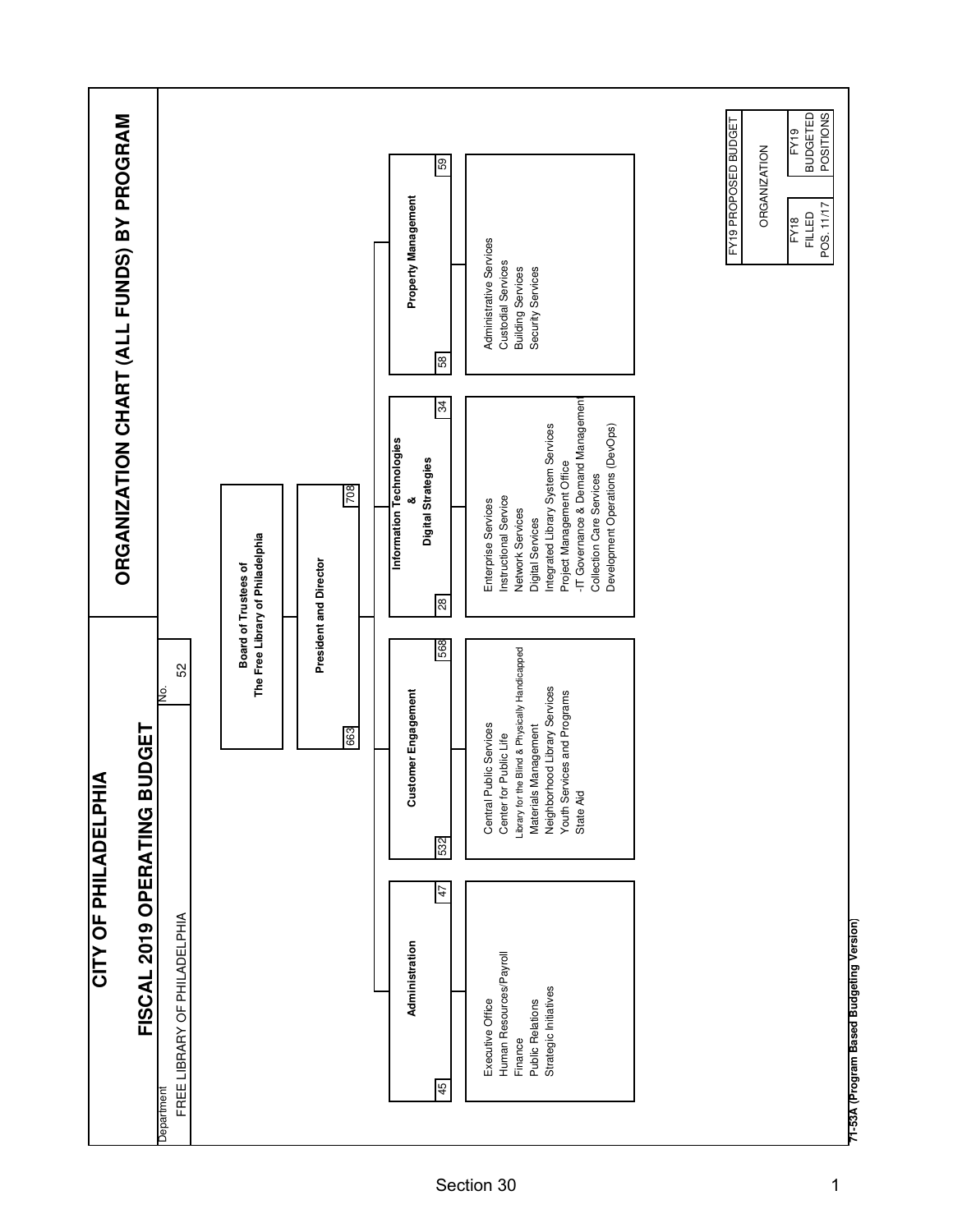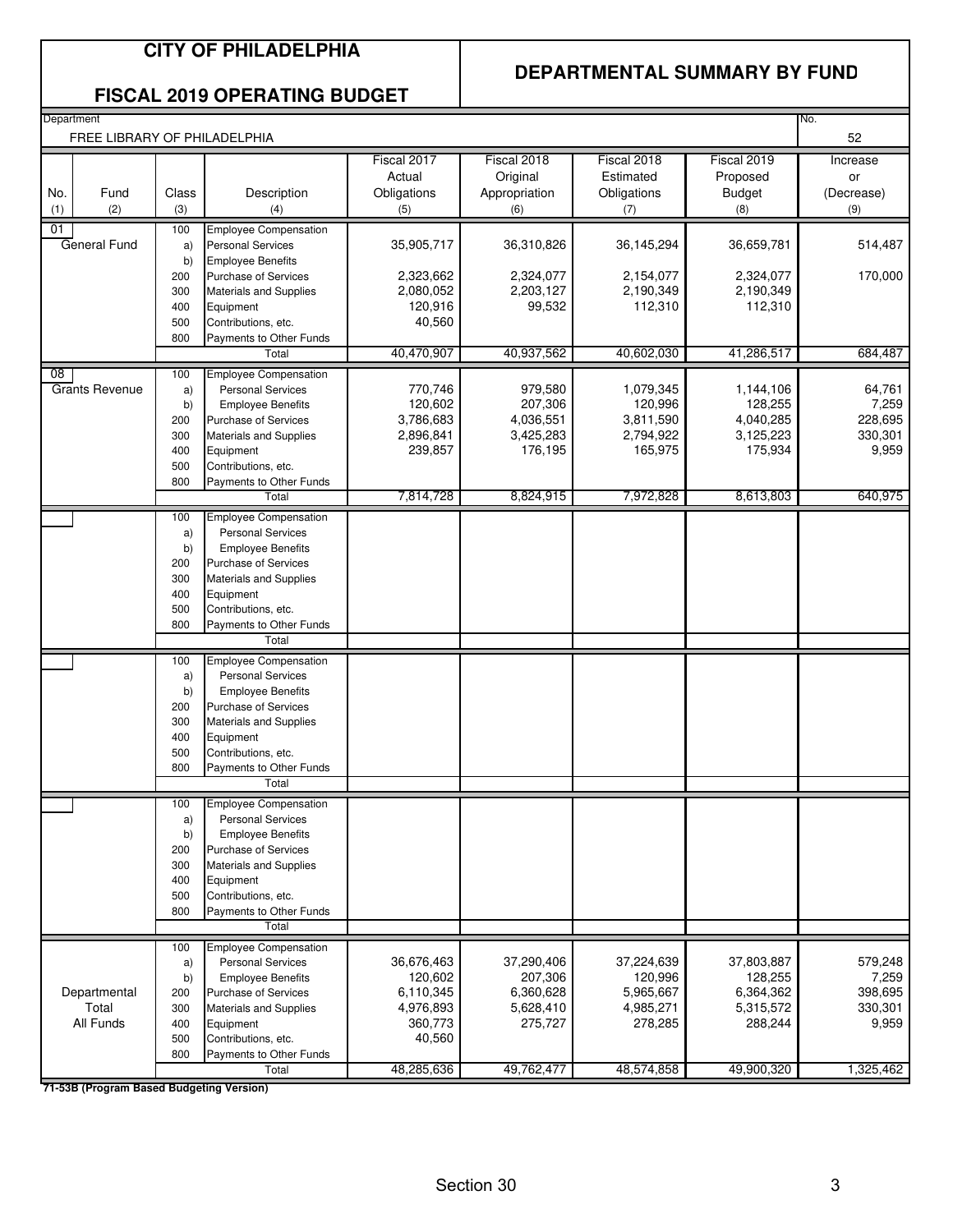### **CITY OF PHILADELPHIA**

#### **DEPARTMENTAL SUMMARY BY FUND**

#### **FISCAL 2019 OPERATING BUDGET**

| Department                   |              |                                                          |                                             |                                                 |                                                |                                                 | No.                                 |
|------------------------------|--------------|----------------------------------------------------------|---------------------------------------------|-------------------------------------------------|------------------------------------------------|-------------------------------------------------|-------------------------------------|
| FREE LIBRARY OF PHILADELPHIA |              |                                                          |                                             |                                                 |                                                |                                                 | 52                                  |
| No.<br>Fund<br>(2)<br>(1)    | Class<br>(3) | Description<br>(4)                                       | Fiscal 2017<br>Actual<br>Obligations<br>(5) | Fiscal 2018<br>Original<br>Appropriation<br>(6) | Fiscal 2018<br>Estimated<br>Obligations<br>(7) | Fiscal 2019<br>Proposed<br><b>Budget</b><br>(8) | Increase<br>or<br>(Decrease)<br>(9) |
|                              |              |                                                          |                                             |                                                 |                                                |                                                 |                                     |
| 01<br>General Fund           | 100          | Employee Compensation<br><b>Personal Services</b>        | 35,905,717                                  | 36,310,826                                      | 36,145,294                                     | 36,659,781                                      | 514,487                             |
|                              | a)<br>b)     | <b>Employee Benefits</b>                                 |                                             |                                                 |                                                |                                                 |                                     |
|                              | 200          | Purchase of Services                                     | 2,323,662                                   | 2,324,077                                       | 2,154,077                                      | 2,324,077                                       | 170,000                             |
|                              | 300          | <b>Materials and Supplies</b>                            | 2,080,052                                   | 2,203,127                                       | 2,190,349                                      | 2,190,349                                       |                                     |
|                              | 400          | Equipment                                                | 120,916                                     | 99,532                                          | 112,310                                        | 112,310                                         |                                     |
|                              | 500          | Contributions, etc.                                      | 40.560                                      |                                                 |                                                |                                                 |                                     |
|                              | 800          | Payments to Other Funds                                  |                                             |                                                 |                                                |                                                 |                                     |
|                              |              | Total                                                    | 40,470,907                                  | 40,937,562                                      | 40,602,030                                     | 41,286,517                                      | 684,487                             |
| 08                           | 100          | <b>Employee Compensation</b>                             |                                             |                                                 |                                                |                                                 |                                     |
| <b>Grants Revenue</b>        | a)           | <b>Personal Services</b>                                 | 770,746<br>120,602                          | 979,580<br>207,306                              | 1,079,345<br>120,996                           | 1,144,106<br>128,255                            | 64,761<br>7,259                     |
|                              | b)<br>200    | <b>Employee Benefits</b><br>Purchase of Services         | 3,786,683                                   | 4,036,551                                       | 3,811,590                                      | 4,040,285                                       | 228,695                             |
|                              | 300          | <b>Materials and Supplies</b>                            | 2,896,841                                   | 3,425,283                                       | 2,794,922                                      | 3,125,223                                       | 330,301                             |
|                              | 400          | Equipment                                                | 239,857                                     | 176,195                                         | 165,975                                        | 175,934                                         | 9,959                               |
|                              | 500          | Contributions, etc.                                      |                                             |                                                 |                                                |                                                 |                                     |
|                              | 800          | Payments to Other Funds                                  |                                             |                                                 |                                                |                                                 |                                     |
|                              |              | Total                                                    | 7,814,728                                   | 8,824,915                                       | 7,972,828                                      | 8,613,803                                       | 640,975                             |
|                              | 100          | <b>Employee Compensation</b>                             |                                             |                                                 |                                                |                                                 |                                     |
|                              | a)<br>b)     | <b>Personal Services</b><br><b>Employee Benefits</b>     |                                             |                                                 |                                                |                                                 |                                     |
|                              | 200          | Purchase of Services                                     |                                             |                                                 |                                                |                                                 |                                     |
|                              | 300          | <b>Materials and Supplies</b>                            |                                             |                                                 |                                                |                                                 |                                     |
|                              | 400          | Equipment                                                |                                             |                                                 |                                                |                                                 |                                     |
|                              | 500          | Contributions, etc.                                      |                                             |                                                 |                                                |                                                 |                                     |
|                              | 800          | Payments to Other Funds                                  |                                             |                                                 |                                                |                                                 |                                     |
|                              |              | Total                                                    |                                             |                                                 |                                                |                                                 |                                     |
|                              | 100          | <b>Employee Compensation</b><br><b>Personal Services</b> |                                             |                                                 |                                                |                                                 |                                     |
|                              | a)<br>b)     | <b>Employee Benefits</b>                                 |                                             |                                                 |                                                |                                                 |                                     |
|                              | 200          | <b>Purchase of Services</b>                              |                                             |                                                 |                                                |                                                 |                                     |
|                              | 300          | <b>Materials and Supplies</b>                            |                                             |                                                 |                                                |                                                 |                                     |
|                              | 400          | Equipment                                                |                                             |                                                 |                                                |                                                 |                                     |
|                              | 500          | Contributions, etc.                                      |                                             |                                                 |                                                |                                                 |                                     |
|                              | 800          | Payments to Other Funds<br>Total                         |                                             |                                                 |                                                |                                                 |                                     |
|                              | 100          | <b>Employee Compensation</b>                             |                                             |                                                 |                                                |                                                 |                                     |
|                              | a)           | <b>Personal Services</b>                                 |                                             |                                                 |                                                |                                                 |                                     |
|                              | b)           | <b>Employee Benefits</b>                                 |                                             |                                                 |                                                |                                                 |                                     |
|                              | 200          | <b>Purchase of Services</b>                              |                                             |                                                 |                                                |                                                 |                                     |
|                              | 300          | <b>Materials and Supplies</b>                            |                                             |                                                 |                                                |                                                 |                                     |
|                              | 400          | Equipment                                                |                                             |                                                 |                                                |                                                 |                                     |
|                              | 500<br>800   | Contributions, etc.<br>Payments to Other Funds           |                                             |                                                 |                                                |                                                 |                                     |
|                              |              | Total                                                    |                                             |                                                 |                                                |                                                 |                                     |
|                              | 100          | <b>Employee Compensation</b>                             |                                             |                                                 |                                                |                                                 |                                     |
|                              | a)           | <b>Personal Services</b>                                 | 36,676,463                                  | 37,290,406                                      | 37,224,639                                     | 37,803,887                                      | 579,248                             |
|                              | b)           | <b>Employee Benefits</b>                                 | 120,602                                     | 207,306                                         | 120,996                                        | 128,255                                         | 7,259                               |
| Departmental                 | 200          | Purchase of Services                                     | 6,110,345                                   | 6,360,628                                       | 5,965,667                                      | 6,364,362                                       | 398,695                             |
| Total                        | 300          | <b>Materials and Supplies</b>                            | 4,976,893                                   | 5,628,410                                       | 4,985,271                                      | 5,315,572                                       | 330,301                             |
| All Funds                    | 400          | Equipment                                                | 360,773                                     | 275,727                                         | 278,285                                        | 288,244                                         | 9,959                               |
|                              | 500<br>800   | Contributions, etc.<br>Payments to Other Funds           | 40,560                                      |                                                 |                                                |                                                 |                                     |
|                              |              | Total                                                    | 48,285,636                                  | 49,762,477                                      | 48,574,858                                     | 49,900,320                                      | 1,325,462                           |
|                              |              |                                                          |                                             |                                                 |                                                |                                                 |                                     |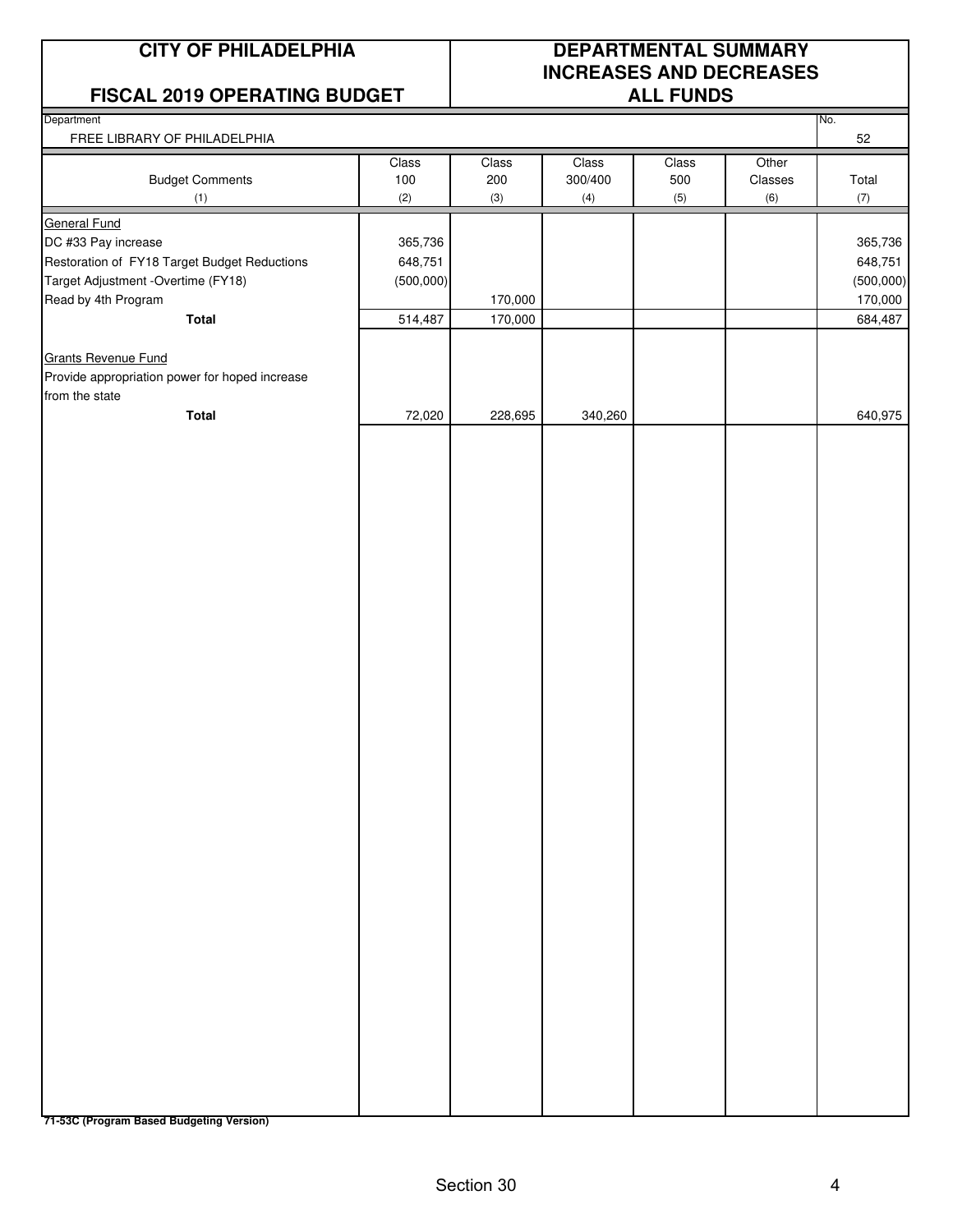#### **FISCAL 2019 OPERATING BUDGET**

## **CITY OF PHILADELPHIA DEPARTMENTAL SUMMARY INCREASES AND DECREASES**

| <b>I ISOAL ZUIS OF LITATING BOBGLI</b>         |            |            |                | <b>ALLI VIIDU</b> |                |              |
|------------------------------------------------|------------|------------|----------------|-------------------|----------------|--------------|
| Department<br>FREE LIBRARY OF PHILADELPHIA     |            |            |                |                   |                | No.<br>52    |
|                                                | Class      | Class      | Class          | Class             | Other          |              |
| <b>Budget Comments</b><br>(1)                  | 100<br>(2) | 200<br>(3) | 300/400<br>(4) | 500<br>(5)        | Classes<br>(6) | Total<br>(7) |
| <b>General Fund</b>                            |            |            |                |                   |                |              |
| DC #33 Pay increase                            | 365,736    |            |                |                   |                | 365,736      |
| Restoration of FY18 Target Budget Reductions   | 648,751    |            |                |                   |                | 648,751      |
| Target Adjustment - Overtime (FY18)            | (500,000)  |            |                |                   |                | (500,000)    |
| Read by 4th Program                            |            | 170,000    |                |                   |                | 170,000      |
| <b>Total</b>                                   | 514,487    | 170,000    |                |                   |                | 684,487      |
|                                                |            |            |                |                   |                |              |
| <b>Grants Revenue Fund</b>                     |            |            |                |                   |                |              |
| Provide appropriation power for hoped increase |            |            |                |                   |                |              |
| from the state                                 |            |            |                |                   |                |              |
| <b>Total</b>                                   | 72,020     | 228,695    | 340,260        |                   |                | 640,975      |
|                                                |            |            |                |                   |                |              |
|                                                |            |            |                |                   |                |              |
|                                                |            |            |                |                   |                |              |
|                                                |            |            |                |                   |                |              |
|                                                |            |            |                |                   |                |              |
|                                                |            |            |                |                   |                |              |
|                                                |            |            |                |                   |                |              |
|                                                |            |            |                |                   |                |              |
|                                                |            |            |                |                   |                |              |
|                                                |            |            |                |                   |                |              |
|                                                |            |            |                |                   |                |              |
|                                                |            |            |                |                   |                |              |
|                                                |            |            |                |                   |                |              |
|                                                |            |            |                |                   |                |              |
|                                                |            |            |                |                   |                |              |
|                                                |            |            |                |                   |                |              |
|                                                |            |            |                |                   |                |              |
|                                                |            |            |                |                   |                |              |
|                                                |            |            |                |                   |                |              |
|                                                |            |            |                |                   |                |              |
|                                                |            |            |                |                   |                |              |
|                                                |            |            |                |                   |                |              |
|                                                |            |            |                |                   |                |              |
|                                                |            |            |                |                   |                |              |
|                                                |            |            |                |                   |                |              |
|                                                |            |            |                |                   |                |              |
|                                                |            |            |                |                   |                |              |
|                                                |            |            |                |                   |                |              |
|                                                |            |            |                |                   |                |              |
|                                                |            |            |                |                   |                |              |
|                                                |            |            |                |                   |                |              |
|                                                |            |            |                |                   |                |              |
|                                                |            |            |                |                   |                |              |
|                                                |            |            |                |                   |                |              |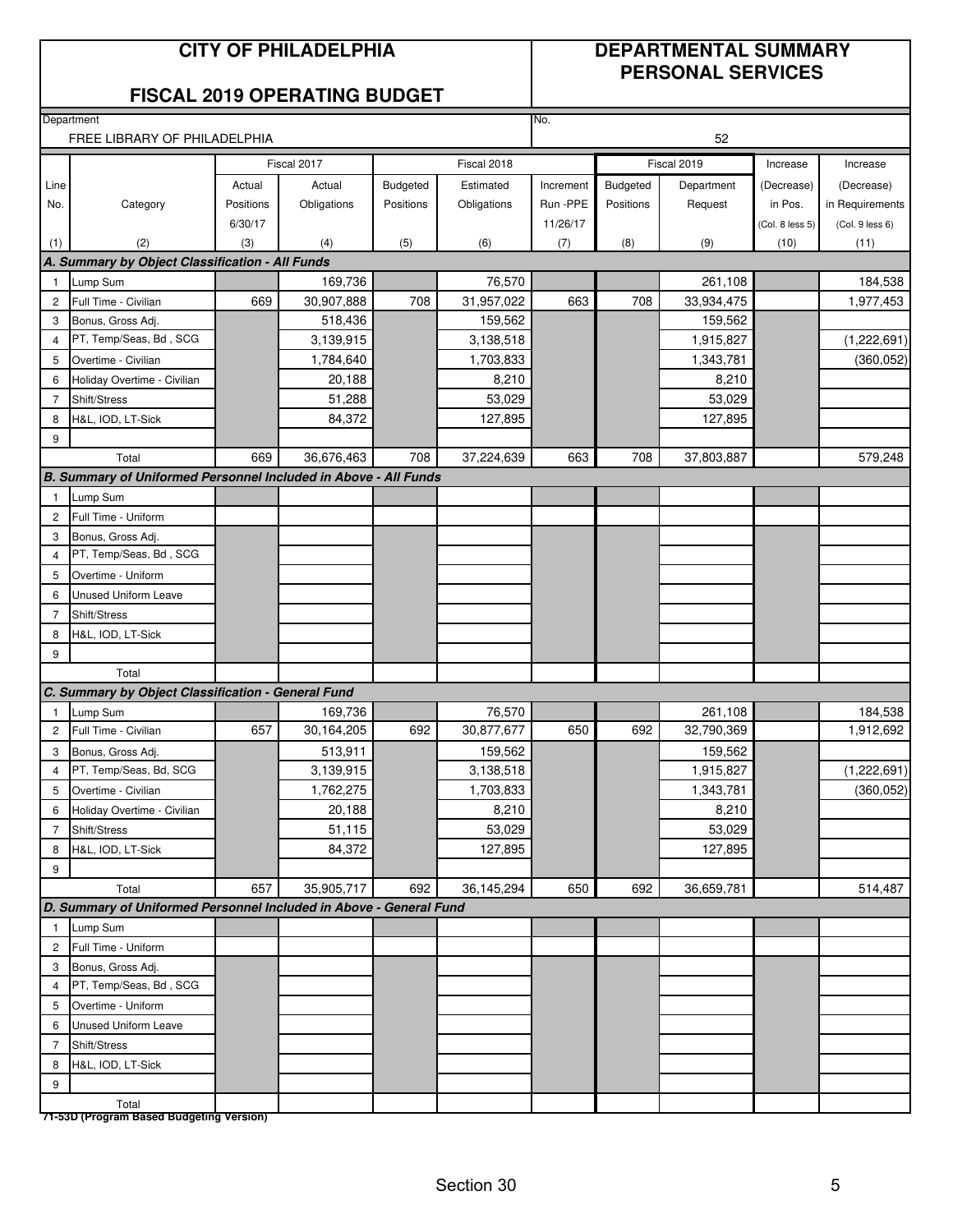#### **CITY OF PHILADELPHIA DEPARTMENTAL SUMMARY**

# **PERSONAL SERVICES**

#### **FISCAL 2019 OPERATING BUDGET**

**Department** 

|                       | FREE LIBRARY OF PHILADELPHIA                                       |           |                      |           |                      | 52        |           |                    |                 |                 |
|-----------------------|--------------------------------------------------------------------|-----------|----------------------|-----------|----------------------|-----------|-----------|--------------------|-----------------|-----------------|
|                       |                                                                    |           | Fiscal 2017          |           | Fiscal 2018          |           |           | Fiscal 2019        | Increase        | Increase        |
| Line                  |                                                                    | Actual    | Actual               | Budgeted  | Estimated            | Increment | Budgeted  | Department         | (Decrease)      | (Decrease)      |
| No.                   | Category                                                           | Positions | Obligations          | Positions | Obligations          | Run - PPE | Positions | Request            | in Pos.         | in Requirements |
|                       |                                                                    | 6/30/17   |                      |           |                      | 11/26/17  |           |                    | (Col. 8 less 5) | (Col. 9 less 6) |
| (1)                   | (2)                                                                | (3)       | (4)                  | (5)       | (6)                  | (7)       | (8)       | (9)                | (10)            | (11)            |
|                       | A. Summary by Object Classification - All Funds                    |           |                      |           |                      |           |           |                    |                 |                 |
| $\overline{1}$        | Lump Sum                                                           |           | 169,736              |           | 76,570               |           |           | 261,108            |                 | 184,538         |
| $\overline{c}$        | Full Time - Civilian                                               | 669       | 30,907,888           | 708       | 31,957,022           | 663       | 708       | 33,934,475         |                 | 1,977,453       |
| 3                     | Bonus, Gross Adj.                                                  |           | 518,436              |           | 159,562              |           |           | 159,562            |                 |                 |
| $\overline{4}$        | PT, Temp/Seas, Bd, SCG                                             |           | 3,139,915            |           | 3,138,518            |           |           | 1,915,827          |                 | (1,222,691)     |
| 5                     | Overtime - Civilian                                                |           | 1,784,640            |           | 1,703,833            |           |           | 1,343,781          |                 | (360, 052)      |
| 6                     | Holiday Overtime - Civilian                                        |           | 20,188               |           | 8,210                |           |           | 8,210              |                 |                 |
| $\overline{7}$        | Shift/Stress                                                       |           | 51,288               |           | 53,029               |           |           | 53,029             |                 |                 |
| 8                     | H&L, IOD, LT-Sick                                                  |           | 84,372               |           | 127,895              |           |           | 127,895            |                 |                 |
| 9                     |                                                                    |           |                      |           |                      |           |           |                    |                 |                 |
|                       | Total                                                              | 669       | 36,676,463           | 708       | 37,224,639           | 663       | 708       | 37,803,887         |                 | 579,248         |
|                       | B. Summary of Uniformed Personnel Included in Above - All Funds    |           |                      |           |                      |           |           |                    |                 |                 |
| $\overline{1}$        | Lump Sum                                                           |           |                      |           |                      |           |           |                    |                 |                 |
| $\mathbf{2}^{\prime}$ | Full Time - Uniform                                                |           |                      |           |                      |           |           |                    |                 |                 |
| 3                     | Bonus, Gross Adj.                                                  |           |                      |           |                      |           |           |                    |                 |                 |
| $\overline{4}$        | PT, Temp/Seas, Bd, SCG                                             |           |                      |           |                      |           |           |                    |                 |                 |
| 5                     | Overtime - Uniform                                                 |           |                      |           |                      |           |           |                    |                 |                 |
| 6                     | <b>Unused Uniform Leave</b>                                        |           |                      |           |                      |           |           |                    |                 |                 |
| $\overline{7}$        | Shift/Stress                                                       |           |                      |           |                      |           |           |                    |                 |                 |
| 8                     | H&L, IOD, LT-Sick                                                  |           |                      |           |                      |           |           |                    |                 |                 |
| 9                     |                                                                    |           |                      |           |                      |           |           |                    |                 |                 |
|                       | Total                                                              |           |                      |           |                      |           |           |                    |                 |                 |
|                       | C. Summary by Object Classification - General Fund                 |           |                      |           |                      |           |           |                    |                 |                 |
| $\overline{1}$        | Lump Sum<br>Full Time - Civilian                                   | 657       | 169,736              | 692       | 76,570<br>30,877,677 | 650       | 692       | 261,108            |                 | 184,538         |
| $\overline{c}$        |                                                                    |           | 30,164,205           |           |                      |           |           | 32,790,369         |                 | 1,912,692       |
| 3                     | Bonus, Gross Adj.<br>PT, Temp/Seas, Bd, SCG                        |           | 513,911<br>3,139,915 |           | 159,562              |           |           | 159,562            |                 |                 |
| 4                     |                                                                    |           | 1,762,275            |           | 3,138,518            |           |           | 1,915,827          |                 | (1,222,691)     |
| 5                     | Overtime - Civilian                                                |           |                      |           | 1,703,833<br>8,210   |           |           | 1,343,781<br>8,210 |                 | (360, 052)      |
| 6                     | Holiday Overtime - Civilian                                        |           | 20,188<br>51,115     |           | 53,029               |           |           | 53,029             |                 |                 |
| 7<br>8                | Shift/Stress<br>H&L, IOD, LT-Sick                                  |           | 84,372               |           | 127,895              |           |           | 127,895            |                 |                 |
| $\boldsymbol{9}$      |                                                                    |           |                      |           |                      |           |           |                    |                 |                 |
|                       | Total                                                              | 657       | 35,905,717           | 692       | 36,145,294           | 650       | 692       | 36,659,781         |                 | 514,487         |
|                       | D. Summary of Uniformed Personnel Included in Above - General Fund |           |                      |           |                      |           |           |                    |                 |                 |
| $\mathbf{1}$          | Lump Sum                                                           |           |                      |           |                      |           |           |                    |                 |                 |
| $\overline{c}$        | Full Time - Uniform                                                |           |                      |           |                      |           |           |                    |                 |                 |
| 3                     | Bonus, Gross Adj.                                                  |           |                      |           |                      |           |           |                    |                 |                 |
| 4                     | PT, Temp/Seas, Bd, SCG                                             |           |                      |           |                      |           |           |                    |                 |                 |
| 5                     | Overtime - Uniform                                                 |           |                      |           |                      |           |           |                    |                 |                 |
| 6                     | <b>Unused Uniform Leave</b>                                        |           |                      |           |                      |           |           |                    |                 |                 |
| 7                     | Shift/Stress                                                       |           |                      |           |                      |           |           |                    |                 |                 |
| 8                     | H&L, IOD, LT-Sick                                                  |           |                      |           |                      |           |           |                    |                 |                 |
| 9                     |                                                                    |           |                      |           |                      |           |           |                    |                 |                 |
|                       | Total                                                              |           |                      |           |                      |           |           |                    |                 |                 |
|                       | 71-53D (Program Based Budgeting Version)                           |           |                      |           |                      |           |           |                    |                 |                 |

No.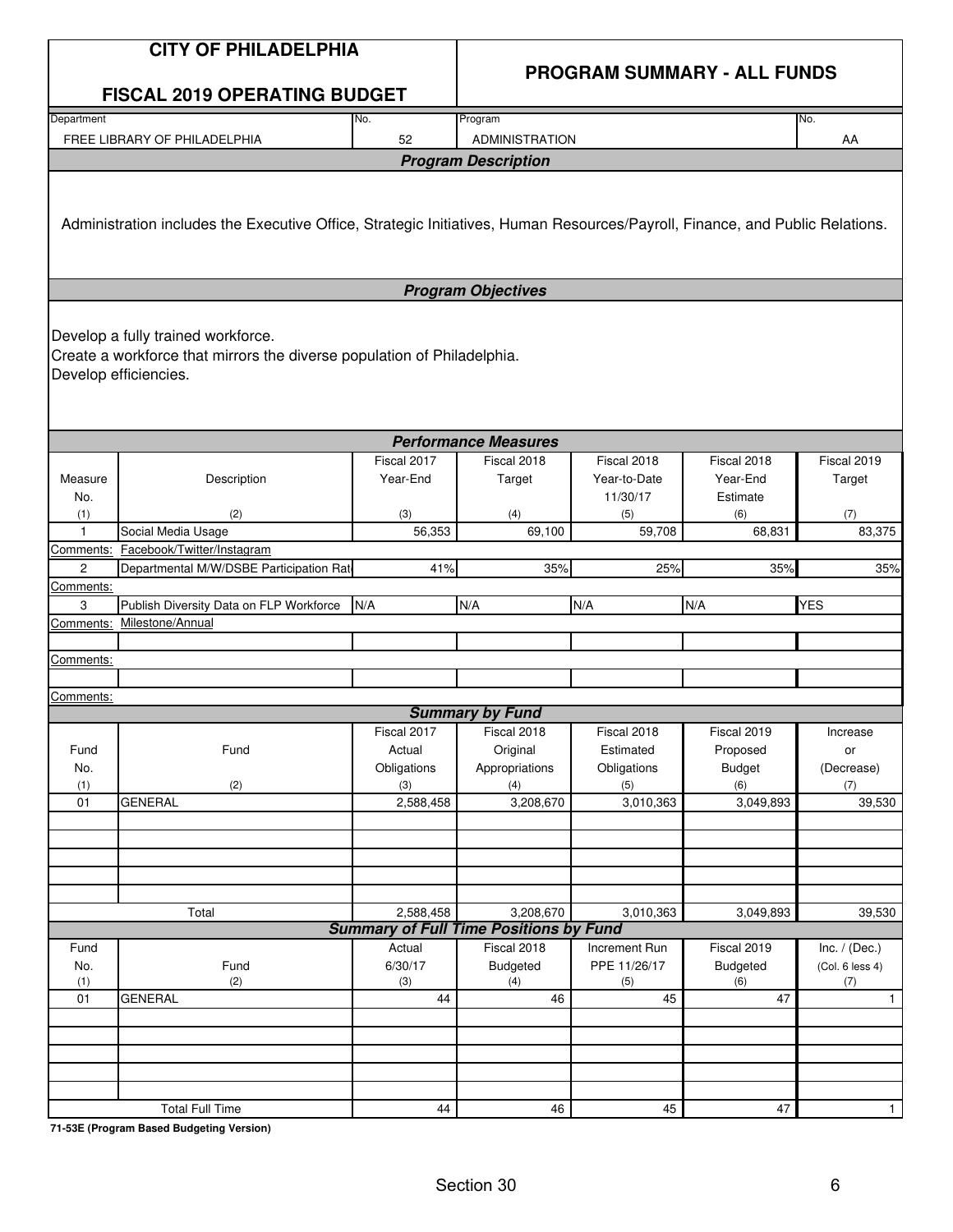|              | <b>CITY OF PHILADELPHIA</b>                                                                                                            |                       |                                               |                          |                                    |                     |
|--------------|----------------------------------------------------------------------------------------------------------------------------------------|-----------------------|-----------------------------------------------|--------------------------|------------------------------------|---------------------|
|              | <b>FISCAL 2019 OPERATING BUDGET</b>                                                                                                    |                       |                                               |                          | <b>PROGRAM SUMMARY - ALL FUNDS</b> |                     |
| Department   |                                                                                                                                        | No.                   | Program                                       |                          |                                    | No.                 |
|              | FREE LIBRARY OF PHILADELPHIA                                                                                                           | 52                    | <b>ADMINISTRATION</b>                         |                          |                                    | AA                  |
|              |                                                                                                                                        |                       | <b>Program Description</b>                    |                          |                                    |                     |
|              | Administration includes the Executive Office, Strategic Initiatives, Human Resources/Payroll, Finance, and Public Relations.           |                       |                                               |                          |                                    |                     |
|              |                                                                                                                                        |                       | <b>Program Objectives</b>                     |                          |                                    |                     |
|              | Develop a fully trained workforce.<br>Create a workforce that mirrors the diverse population of Philadelphia.<br>Develop efficiencies. |                       |                                               |                          |                                    |                     |
|              |                                                                                                                                        |                       | <b>Performance Measures</b>                   |                          |                                    |                     |
|              |                                                                                                                                        | Fiscal 2017           | Fiscal 2018                                   | Fiscal 2018              | Fiscal 2018                        | Fiscal 2019         |
| Measure      | Description                                                                                                                            | Year-End              | Target                                        | Year-to-Date             | Year-End                           | Target              |
| No.<br>(1)   | (2)                                                                                                                                    | (3)                   | (4)                                           | 11/30/17<br>(5)          | Estimate<br>(6)                    | (7)                 |
| $\mathbf{1}$ | Social Media Usage                                                                                                                     | 56,353                | 69,100                                        | 59,708                   | 68,831                             | 83,375              |
| Comments:    | Facebook/Twitter/Instagram                                                                                                             |                       |                                               |                          |                                    |                     |
| 2            | Departmental M/W/DSBE Participation Rate                                                                                               | 41%                   | 35%                                           | 25%                      | 35%                                | 35%                 |
| Comments:    |                                                                                                                                        |                       |                                               |                          |                                    |                     |
| 3            | Publish Diversity Data on FLP Workforce                                                                                                | N/A                   | N/A                                           | N/A                      | N/A                                | <b>YES</b>          |
| Comments:    | Milestone/Annual                                                                                                                       |                       |                                               |                          |                                    |                     |
| Comments:    |                                                                                                                                        |                       |                                               |                          |                                    |                     |
|              |                                                                                                                                        |                       |                                               |                          |                                    |                     |
| Comments:    |                                                                                                                                        |                       |                                               |                          |                                    |                     |
|              |                                                                                                                                        |                       | <b>Summary by Fund</b>                        |                          |                                    |                     |
|              |                                                                                                                                        | Fiscal 2017           | Fiscal 2018                                   | Fiscal 2018              | Fiscal 2019                        | Increase            |
| Fund<br>No.  | Fund                                                                                                                                   | Actual<br>Obligations | Original<br>Appropriations                    | Estimated<br>Obligations | Proposed<br>Budget                 | or<br>(Decrease)    |
| (1)          | (2)                                                                                                                                    | (3)                   | (4)                                           | (5)                      | (6)                                | (7)                 |
| 01           | <b>GENERAL</b>                                                                                                                         | 2,588,458             | 3,208,670                                     | 3,010,363                | 3,049,893                          | 39,530              |
|              |                                                                                                                                        |                       |                                               |                          |                                    |                     |
|              |                                                                                                                                        |                       |                                               |                          |                                    |                     |
|              |                                                                                                                                        |                       |                                               |                          |                                    |                     |
|              |                                                                                                                                        |                       |                                               |                          |                                    |                     |
|              | Total                                                                                                                                  | 2,588,458             | 3,208,670                                     | 3,010,363                | 3,049,893                          | 39,530              |
|              |                                                                                                                                        |                       | <b>Summary of Full Time Positions by Fund</b> |                          |                                    |                     |
| Fund         |                                                                                                                                        | Actual                | Fiscal 2018                                   | Increment Run            | Fiscal 2019                        | Inc. $/$ (Dec.)     |
| No.          | Fund                                                                                                                                   | 6/30/17               | Budgeted                                      | PPE 11/26/17             | Budgeted                           | (Col. 6 less 4)     |
| (1)<br>01    | (2)<br><b>GENERAL</b>                                                                                                                  | (3)<br>44             | (4)<br>46                                     | (5)<br>45                | (6)<br>47                          | (7)<br>$\mathbf{1}$ |
|              |                                                                                                                                        |                       |                                               |                          |                                    |                     |
|              |                                                                                                                                        |                       |                                               |                          |                                    |                     |
|              |                                                                                                                                        |                       |                                               |                          |                                    |                     |
|              |                                                                                                                                        |                       |                                               |                          |                                    |                     |
|              |                                                                                                                                        |                       |                                               |                          |                                    |                     |
|              | <b>Total Full Time</b>                                                                                                                 | 44                    | 46                                            | 45                       | 47                                 | 1                   |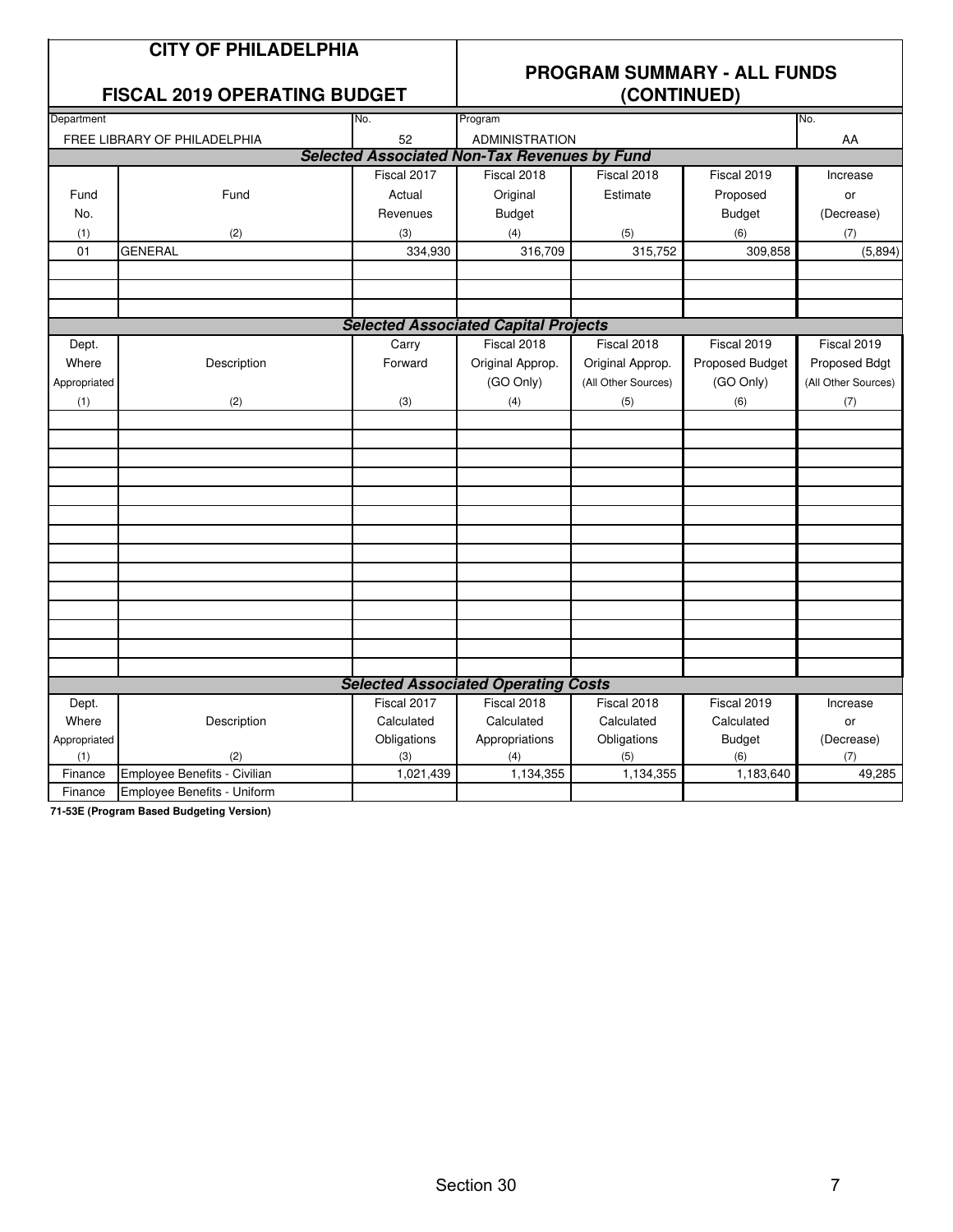|              | <b>CITY OF PHILADELPHIA</b><br><b>FISCAL 2019 OPERATING BUDGET</b> |             |                                                     | (CONTINUED)         | <b>PROGRAM SUMMARY - ALL FUNDS</b> |                     |
|--------------|--------------------------------------------------------------------|-------------|-----------------------------------------------------|---------------------|------------------------------------|---------------------|
| Department   |                                                                    | No.         | Program                                             |                     |                                    | No.                 |
|              | FREE LIBRARY OF PHILADELPHIA                                       | 52          | <b>ADMINISTRATION</b>                               |                     |                                    | AA                  |
|              |                                                                    |             | <b>Selected Associated Non-Tax Revenues by Fund</b> |                     |                                    |                     |
|              |                                                                    | Fiscal 2017 | Fiscal 2018                                         | Fiscal 2018         | Fiscal 2019                        | Increase            |
| Fund         | Fund                                                               | Actual      | Original                                            | Estimate            | Proposed                           | or                  |
| No.          |                                                                    | Revenues    | <b>Budget</b>                                       |                     | <b>Budget</b>                      | (Decrease)          |
| (1)          | (2)                                                                | (3)         | (4)                                                 | (5)                 | (6)                                | (7)                 |
| 01           | <b>GENERAL</b>                                                     | 334,930     | 316,709                                             | 315,752             | 309,858                            | (5,894)             |
|              |                                                                    |             |                                                     |                     |                                    |                     |
|              |                                                                    |             |                                                     |                     |                                    |                     |
|              |                                                                    |             |                                                     |                     |                                    |                     |
|              |                                                                    |             | <b>Selected Associated Capital Projects</b>         |                     |                                    |                     |
| Dept.        |                                                                    | Carry       | Fiscal 2018                                         | Fiscal 2018         | Fiscal 2019                        | Fiscal 2019         |
| Where        | Description                                                        | Forward     | Original Approp.                                    | Original Approp.    | Proposed Budget                    | Proposed Bdgt       |
| Appropriated |                                                                    |             | (GO Only)                                           | (All Other Sources) | (GO Only)                          | (All Other Sources) |
| (1)          | (2)                                                                | (3)         | (4)                                                 | (5)                 | (6)                                | (7)                 |
|              |                                                                    |             |                                                     |                     |                                    |                     |
|              |                                                                    |             |                                                     |                     |                                    |                     |
|              |                                                                    |             |                                                     |                     |                                    |                     |
|              |                                                                    |             |                                                     |                     |                                    |                     |
|              |                                                                    |             |                                                     |                     |                                    |                     |
|              |                                                                    |             |                                                     |                     |                                    |                     |
|              |                                                                    |             |                                                     |                     |                                    |                     |
|              |                                                                    |             |                                                     |                     |                                    |                     |
|              |                                                                    |             |                                                     |                     |                                    |                     |
|              |                                                                    |             |                                                     |                     |                                    |                     |
|              |                                                                    |             |                                                     |                     |                                    |                     |
|              |                                                                    |             |                                                     |                     |                                    |                     |
|              |                                                                    |             |                                                     |                     |                                    |                     |
|              |                                                                    |             |                                                     |                     |                                    |                     |
|              |                                                                    |             | <b>Selected Associated Operating Costs</b>          |                     |                                    |                     |
| Dept.        |                                                                    | Fiscal 2017 | Fiscal 2018                                         | Fiscal 2018         | Fiscal 2019                        | Increase            |
| Where        | Description                                                        | Calculated  | Calculated                                          | Calculated          | Calculated                         | or                  |
| Appropriated |                                                                    | Obligations | Appropriations                                      | Obligations         | <b>Budget</b>                      | (Decrease)          |
| (1)          | (2)                                                                | (3)         | (4)                                                 | (5)                 | (6)                                | (7)                 |
| Finance      | Employee Benefits - Civilian                                       | 1,021,439   | 1,134,355                                           | 1,134,355           | 1,183,640                          | 49,285              |
| Finance      | Employee Benefits - Uniform                                        |             |                                                     |                     |                                    |                     |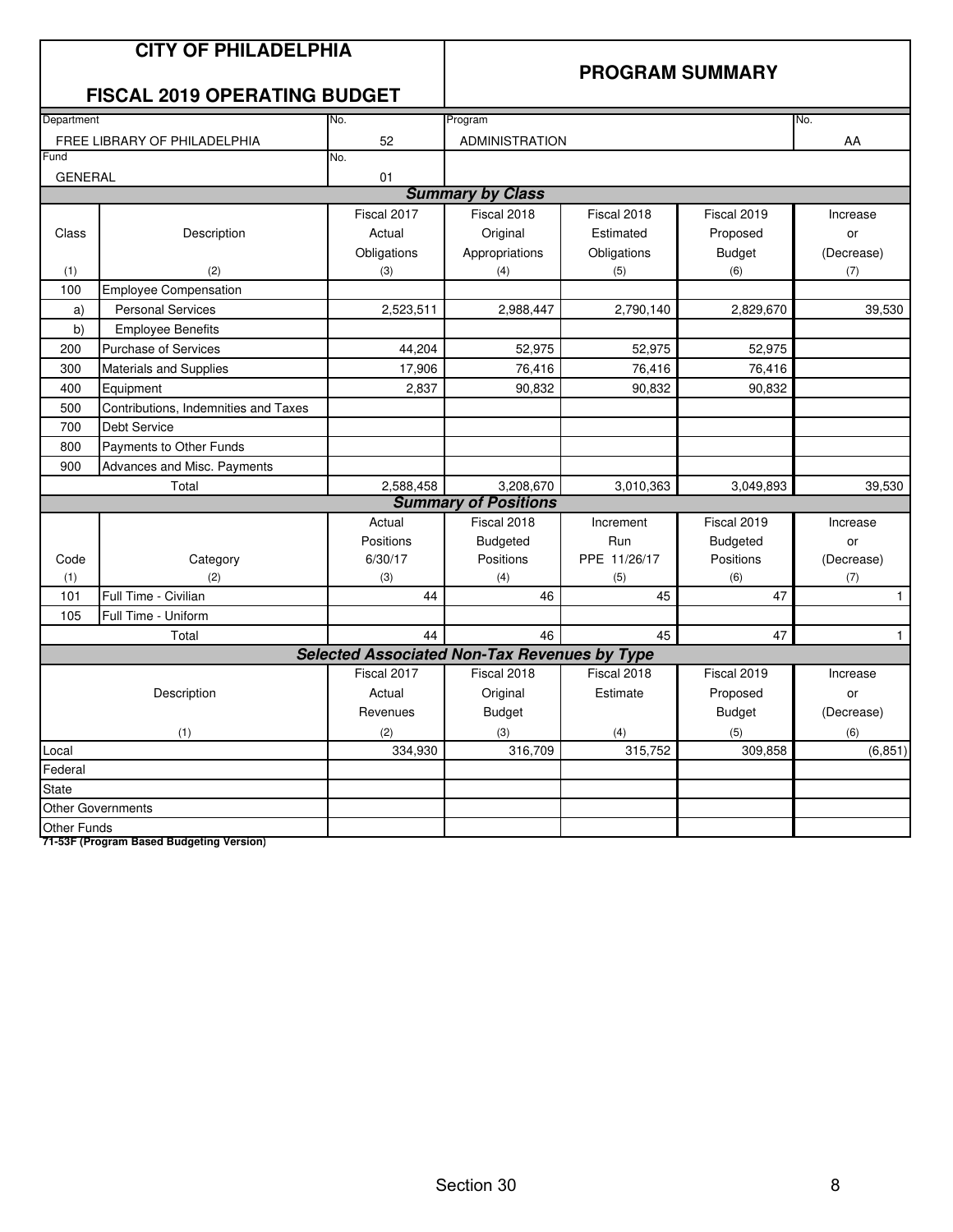|                    | <b>CITY OF PHILADELPHIA</b><br><b>FISCAL 2019 OPERATING BUDGET</b> |                                                     | <b>PROGRAM SUMMARY</b>      |              |                 |              |  |
|--------------------|--------------------------------------------------------------------|-----------------------------------------------------|-----------------------------|--------------|-----------------|--------------|--|
| Department         |                                                                    | No.                                                 | Program                     |              |                 | No.          |  |
|                    | FREE LIBRARY OF PHILADELPHIA                                       | 52                                                  | <b>ADMINISTRATION</b>       |              |                 | AA           |  |
| Fund               |                                                                    | No.                                                 |                             |              |                 |              |  |
| <b>GENERAL</b>     |                                                                    | 01                                                  |                             |              |                 |              |  |
|                    |                                                                    |                                                     | <b>Summary by Class</b>     |              |                 |              |  |
|                    |                                                                    | Fiscal 2017                                         | Fiscal 2018                 | Fiscal 2018  | Fiscal 2019     | Increase     |  |
| Class              | Description                                                        | Actual                                              | Original                    | Estimated    | Proposed        | or           |  |
|                    |                                                                    | Obligations                                         | Appropriations              | Obligations  | <b>Budget</b>   | (Decrease)   |  |
| (1)                | (2)                                                                | (3)                                                 | (4)                         | (5)          | (6)             | (7)          |  |
| 100                | <b>Employee Compensation</b>                                       |                                                     |                             |              |                 |              |  |
| a)                 | <b>Personal Services</b>                                           | 2,523,511                                           | 2,988,447                   | 2,790,140    | 2,829,670       | 39,530       |  |
| b)                 | <b>Employee Benefits</b>                                           |                                                     |                             |              |                 |              |  |
| 200                | <b>Purchase of Services</b>                                        | 44,204                                              | 52,975                      | 52,975       | 52,975          |              |  |
| 300                | Materials and Supplies                                             | 17,906                                              | 76,416                      | 76,416       | 76,416          |              |  |
| 400                | Equipment                                                          | 2.837                                               | 90.832                      | 90.832       | 90.832          |              |  |
| 500                | Contributions, Indemnities and Taxes                               |                                                     |                             |              |                 |              |  |
| 700                | Debt Service                                                       |                                                     |                             |              |                 |              |  |
| 800                | Payments to Other Funds                                            |                                                     |                             |              |                 |              |  |
| 900                | Advances and Misc. Payments                                        |                                                     |                             |              |                 |              |  |
|                    | Total                                                              | 2,588,458                                           | 3,208,670                   | 3,010,363    | 3,049,893       | 39,530       |  |
|                    |                                                                    |                                                     | <b>Summary of Positions</b> |              |                 |              |  |
|                    |                                                                    | Actual                                              | Fiscal 2018                 | Increment    | Fiscal 2019     | Increase     |  |
|                    |                                                                    | Positions                                           | <b>Budgeted</b>             | Run          | <b>Budgeted</b> | or           |  |
| Code               | Category                                                           | 6/30/17                                             | Positions                   | PPE 11/26/17 | Positions       | (Decrease)   |  |
| (1)                | (2)                                                                | (3)                                                 | (4)                         | (5)          | (6)             | (7)          |  |
| 101                | Full Time - Civilian                                               | 44                                                  | 46                          | 45           | 47              | $\mathbf{1}$ |  |
| 105                | Full Time - Uniform                                                |                                                     |                             |              |                 |              |  |
|                    | Total                                                              | 44                                                  | 46                          | 45           | 47              | $\mathbf{1}$ |  |
|                    |                                                                    | <b>Selected Associated Non-Tax Revenues by Type</b> |                             |              |                 |              |  |
|                    |                                                                    | Fiscal 2017                                         | Fiscal 2018                 | Fiscal 2018  | Fiscal 2019     | Increase     |  |
|                    | Description                                                        | Actual                                              | Original                    | Estimate     | Proposed        | or           |  |
|                    |                                                                    | Revenues                                            | <b>Budget</b>               |              | <b>Budget</b>   | (Decrease)   |  |
|                    | (1)                                                                | (2)                                                 | (3)                         | (4)          | (5)             | (6)          |  |
| Local              |                                                                    | 334,930                                             | 316,709                     | 315,752      | 309,858         | (6, 851)     |  |
| Federal            |                                                                    |                                                     |                             |              |                 |              |  |
| <b>State</b>       |                                                                    |                                                     |                             |              |                 |              |  |
|                    | <b>Other Governments</b>                                           |                                                     |                             |              |                 |              |  |
| <b>Other Funds</b> |                                                                    |                                                     |                             |              |                 |              |  |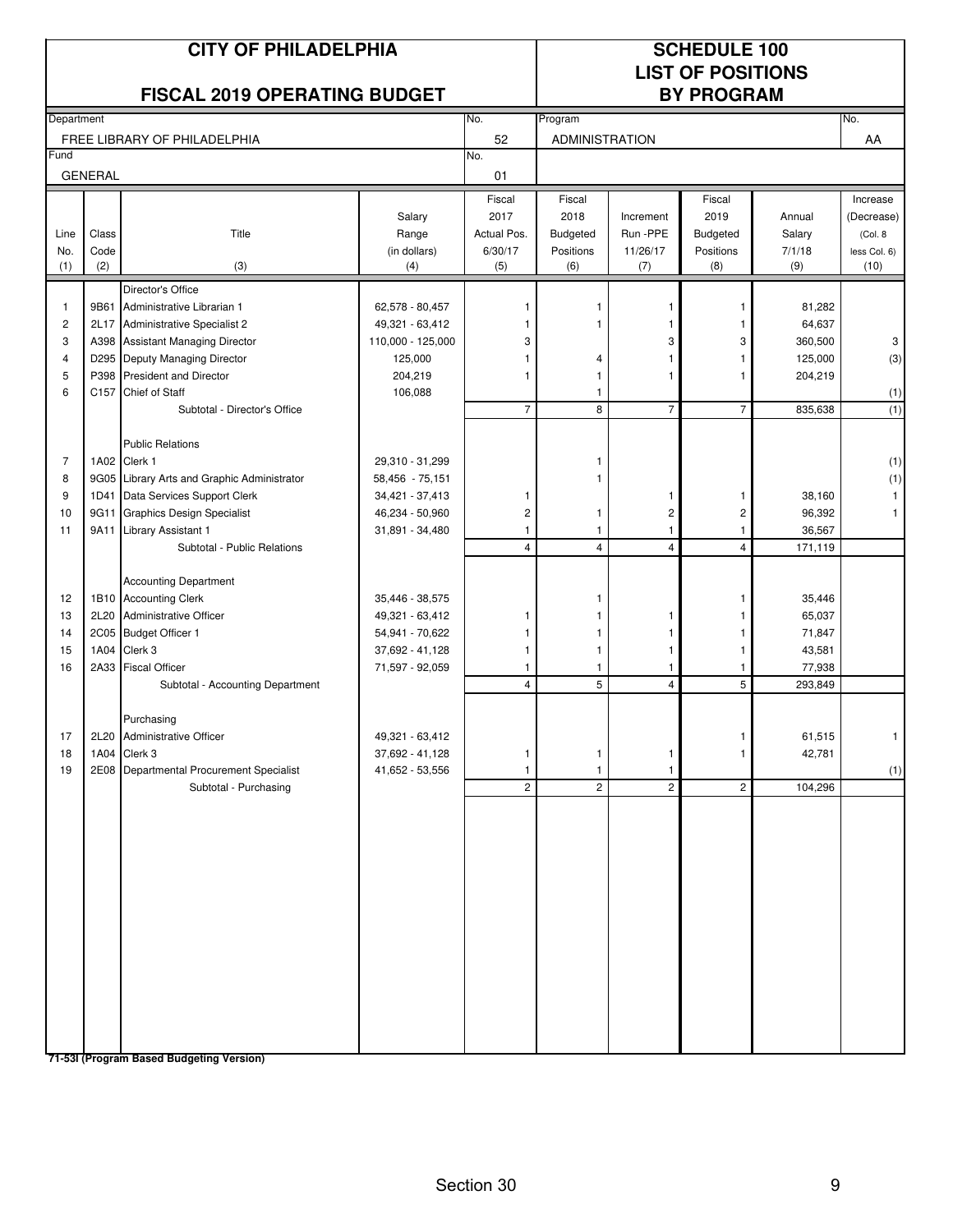| <b>CITY OF PHILADELPHIA</b><br><b>FISCAL 2019 OPERATING BUDGET</b>       |                |                                                                                                                                                                                                                                                  |                                                                                             |                                            | <b>SCHEDULE 100</b><br><b>LIST OF POSITIONS</b><br><b>BY PROGRAM</b> |                                                       |                                                                  |                                                              |                                                   |  |
|--------------------------------------------------------------------------|----------------|--------------------------------------------------------------------------------------------------------------------------------------------------------------------------------------------------------------------------------------------------|---------------------------------------------------------------------------------------------|--------------------------------------------|----------------------------------------------------------------------|-------------------------------------------------------|------------------------------------------------------------------|--------------------------------------------------------------|---------------------------------------------------|--|
| Department                                                               |                |                                                                                                                                                                                                                                                  |                                                                                             | No.                                        | Program                                                              |                                                       |                                                                  |                                                              | No.                                               |  |
|                                                                          |                | FREE LIBRARY OF PHILADELPHIA                                                                                                                                                                                                                     |                                                                                             | 52                                         | ADMINISTRATION                                                       |                                                       |                                                                  |                                                              | AA                                                |  |
| Fund                                                                     | <b>GENERAL</b> |                                                                                                                                                                                                                                                  |                                                                                             | No.<br>01                                  |                                                                      |                                                       |                                                                  |                                                              |                                                   |  |
| Line<br>No.                                                              | Class<br>Code  | Title                                                                                                                                                                                                                                            | Salary<br>Range<br>(in dollars)                                                             | Fiscal<br>2017<br>Actual Pos.<br>6/30/17   | Fiscal<br>2018<br><b>Budgeted</b><br>Positions                       | Increment<br>Run -PPE<br>11/26/17                     | Fiscal<br>2019<br><b>Budgeted</b><br>Positions                   | Annual<br>Salary<br>7/1/18                                   | Increase<br>(Decrease)<br>(Col. 8<br>less Col. 6) |  |
| (1)                                                                      | (2)            | (3)                                                                                                                                                                                                                                              | (4)                                                                                         | (5)                                        | (6)                                                                  | (7)                                                   | (8)                                                              | (9)                                                          | (10)                                              |  |
| $\mathbf{1}$<br>$\overline{c}$<br>3<br>$\overline{\mathbf{4}}$<br>5<br>6 | 9B61<br>P398   | Director's Office<br>Administrative Librarian 1<br>2L17 Administrative Specialist 2<br>A398 Assistant Managing Director<br>D295 Deputy Managing Director<br><b>President and Director</b><br>C157 Chief of Staff<br>Subtotal - Director's Office | 62,578 - 80,457<br>49,321 - 63,412<br>110,000 - 125,000<br>125,000<br>204,219<br>106,088    | -1<br>3<br>1<br>1<br>$\overline{7}$        | 1<br>4<br>1<br>1<br>8                                                | -1<br>3<br>1<br>1<br>$\overline{7}$                   | $\mathbf{1}$<br>1<br>3<br>1<br>1<br>$\overline{7}$               | 81,282<br>64,637<br>360,500<br>125,000<br>204,219<br>835,638 | 3<br>(3)<br>(1)<br>(1)                            |  |
| 7<br>8<br>9<br>10<br>11                                                  |                | <b>Public Relations</b><br>1A02 Clerk 1<br>9G05 Library Arts and Graphic Administrator<br>1D41 Data Services Support Clerk<br>9G11 Graphics Design Specialist<br>9A11 Library Assistant 1<br>Subtotal - Public Relations                         | 29,310 - 31,299<br>58,456 - 75,151<br>34,421 - 37,413<br>46,234 - 50,960<br>31,891 - 34,480 | 1<br>$\overline{c}$<br>1<br>$\overline{4}$ | 1<br>1<br>1<br>$\overline{4}$                                        | 1<br>$\overline{c}$<br>$\mathbf{1}$<br>$\overline{4}$ | $\mathbf{1}$<br>$\overline{c}$<br>$\mathbf{1}$<br>$\overline{4}$ | 38,160<br>96,392<br>36,567<br>171,119                        | (1)<br>(1)                                        |  |
| 12<br>13<br>14<br>15<br>16                                               |                | <b>Accounting Department</b><br>1B10 Accounting Clerk<br>2L20 Administrative Officer<br>2C05 Budget Officer 1<br>1A04 Clerk 3<br>2A33 Fiscal Officer<br>Subtotal - Accounting Department                                                         | 35,446 - 38,575<br>49,321 - 63,412<br>54,941 - 70,622<br>37,692 - 41,128<br>71,597 - 92,059 | 1<br>1<br>1<br>1<br>$\overline{4}$         | 1<br>1<br>1<br>5                                                     | 1<br>1<br>1<br>-1<br>$\overline{4}$                   | 1<br>1<br>1<br>$\mathbf{1}$<br>$\mathbf{1}$<br>5                 | 35,446<br>65,037<br>71,847<br>43,581<br>77,938<br>293,849    |                                                   |  |
| 17<br>18<br>19                                                           |                | Purchasing<br>2L20 Administrative Officer<br>1A04 Clerk 3<br>2E08 Departmental Procurement Specialist<br>Subtotal - Purchasing                                                                                                                   | 49,321 - 63,412<br>37,692 - 41,128<br>41,652 - 53,556                                       | 1<br>1<br>$\overline{c}$                   | 1<br>1<br>$\overline{2}$                                             | $\mathbf{1}$<br>$\mathbf{1}$<br>$\overline{c}$        | 1<br>$\overline{2}$                                              | 61,515<br>42,781<br>104,296                                  | (1)                                               |  |

Section 30 9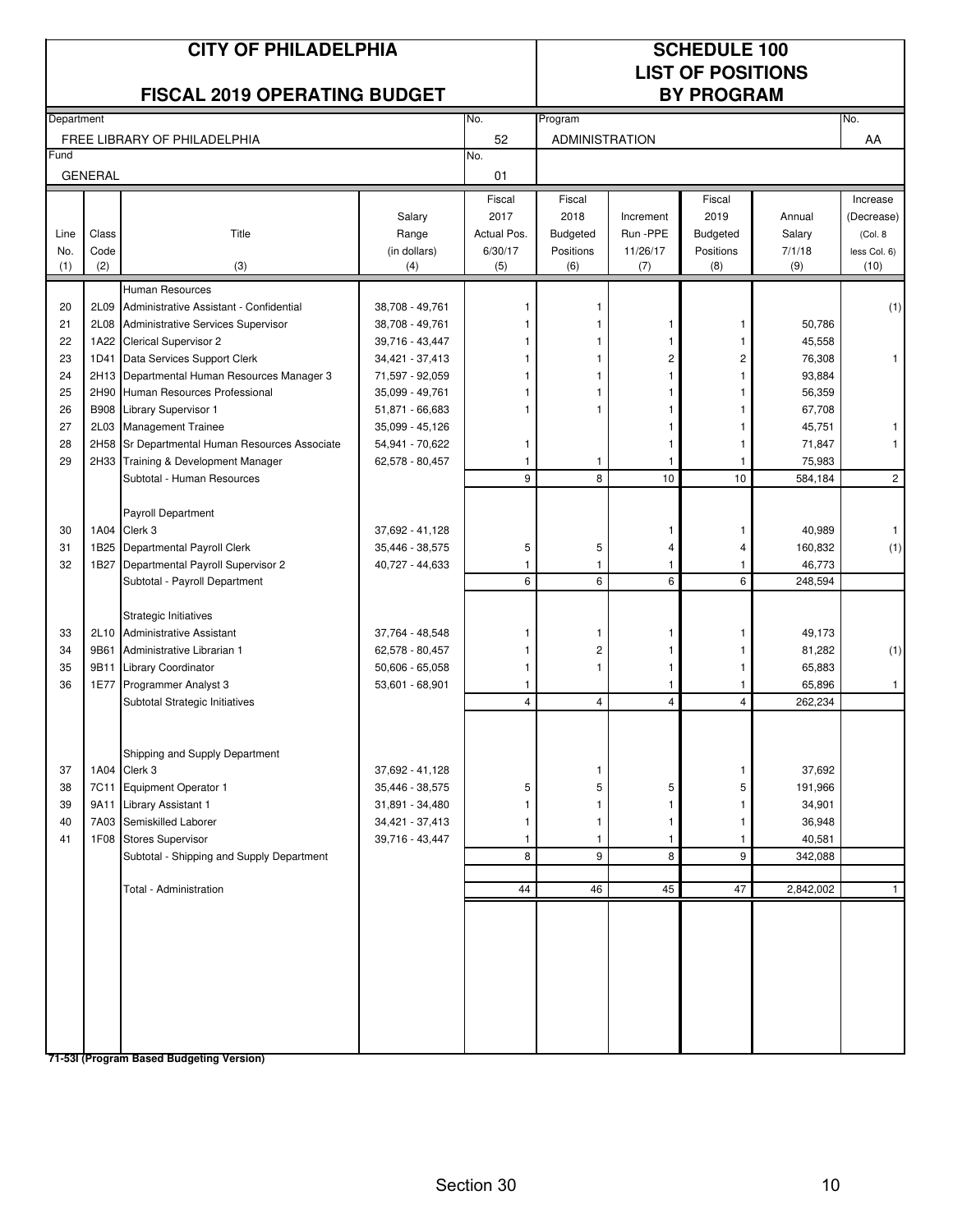| <b>CITY OF PHILADELPHIA</b><br><b>FISCAL 2019 OPERATING BUDGET</b> |                |                                                |                                    |                |                       |                 | <b>SCHEDULE 100</b><br><b>LIST OF POSITIONS</b><br><b>BY PROGRAM</b> |                   |                      |
|--------------------------------------------------------------------|----------------|------------------------------------------------|------------------------------------|----------------|-----------------------|-----------------|----------------------------------------------------------------------|-------------------|----------------------|
| Department                                                         |                |                                                |                                    | No.            | Program               |                 |                                                                      |                   | No.                  |
|                                                                    |                | FREE LIBRARY OF PHILADELPHIA                   |                                    | 52             | <b>ADMINISTRATION</b> |                 |                                                                      |                   | AA                   |
| Fund                                                               | <b>GENERAL</b> |                                                |                                    | No.<br>01      |                       |                 |                                                                      |                   |                      |
|                                                                    |                |                                                |                                    | Fiscal         | Fiscal                |                 | Fiscal                                                               |                   | Increase             |
|                                                                    |                |                                                | Salary                             | 2017           | 2018                  | Increment       | 2019                                                                 | Annual            | (Decrease)           |
| Line                                                               | Class          | Title                                          | Range                              | Actual Pos.    | <b>Budgeted</b>       | Run -PPE        | Budgeted                                                             | Salary            | (Col. 8              |
| No.<br>(1)                                                         | Code<br>(2)    | (3)                                            | (in dollars)<br>(4)                | 6/30/17<br>(5) | Positions<br>(6)      | 11/26/17<br>(7) | Positions<br>(8)                                                     | 7/1/18<br>(9)     | less Col. 6)<br>(10) |
|                                                                    |                | <b>Human Resources</b>                         |                                    |                |                       |                 |                                                                      |                   |                      |
| 20                                                                 | 2L09           | Administrative Assistant - Confidential        | 38,708 - 49,761                    |                | 1                     |                 |                                                                      |                   | (1)                  |
| 21                                                                 | 2L08           | Administrative Services Supervisor             | 38,708 - 49,761                    |                |                       | 1               | 1                                                                    | 50,786            |                      |
| 22                                                                 |                | 1A22 Clerical Supervisor 2                     | 39,716 - 43,447                    |                |                       |                 |                                                                      | 45,558            |                      |
| 23                                                                 | 1D41           | Data Services Support Clerk                    | 34,421 - 37,413                    |                | 1                     | 2               | $\overline{\mathbf{c}}$                                              | 76,308            | 1                    |
| 24                                                                 | 2H13           | Departmental Human Resources Manager 3         | 71,597 - 92,059                    |                | 1                     | 1               |                                                                      | 93,884            |                      |
| 25                                                                 | 2H90           | Human Resources Professional                   | 35,099 - 49,761                    |                |                       |                 |                                                                      | 56,359            |                      |
| 26                                                                 |                | B908 Library Supervisor 1                      | 51,871 - 66,683                    |                | 1                     |                 |                                                                      | 67,708            |                      |
| 27                                                                 | 2L03           | <b>Management Trainee</b>                      | 35,099 - 45,126                    |                |                       |                 |                                                                      | 45,751            |                      |
| 28                                                                 |                | 2H58 Sr Departmental Human Resources Associate | 54,941 - 70,622                    | 1              |                       | 1               | 1                                                                    | 71,847            | $\mathbf{1}$         |
| 29                                                                 |                | 2H33 Training & Development Manager            | 62,578 - 80,457                    | 1              | 1                     | $\overline{1}$  | $\mathbf{1}$                                                         | 75,983            |                      |
|                                                                    |                | Subtotal - Human Resources                     |                                    | 9              | 8                     | 10              | 10                                                                   | 584,184           | $\overline{2}$       |
|                                                                    |                | <b>Payroll Department</b>                      |                                    |                |                       |                 |                                                                      |                   |                      |
| 30                                                                 | 1A04           | Clerk 3                                        | 37,692 - 41,128                    |                |                       | -1              | 1                                                                    | 40,989            | $\mathbf{1}$         |
| 31                                                                 |                | 1B25 Departmental Payroll Clerk                | 35,446 - 38,575                    | 5              | 5                     | 4               | 4                                                                    | 160,832           | (1)                  |
| 32                                                                 |                | 1B27 Departmental Payroll Supervisor 2         | 40,727 - 44,633                    | 1              | 1                     | $\mathbf{1}$    | $\mathbf{1}$                                                         | 46,773            |                      |
|                                                                    |                | Subtotal - Payroll Department                  |                                    | 6              | 6                     | 6               | 6                                                                    | 248,594           |                      |
|                                                                    |                | Strategic Initiatives                          |                                    |                |                       |                 |                                                                      |                   |                      |
| 33                                                                 | 2L10           | <b>Administrative Assistant</b>                | 37,764 - 48,548                    | 1              | 1                     |                 | 1                                                                    | 49,173            |                      |
| 34                                                                 | 9B61           | Administrative Librarian 1                     | 62,578 - 80,457                    | 1              | 2                     | 1               |                                                                      | 81,282            | (1)                  |
| 35                                                                 | 9B11           | <b>Library Coordinator</b>                     | $50,606 - 65,058$                  | 1              | 1                     | 1               | 1                                                                    | 65,883            |                      |
| 36                                                                 | 1E77           | Programmer Analyst 3                           | 53,601 - 68,901                    | 1              |                       | 1               | 1                                                                    | 65,896            | $\mathbf{1}$         |
|                                                                    |                | Subtotal Strategic Initiatives                 |                                    | 4              | 4                     | $\overline{4}$  | $\overline{4}$                                                       | 262,234           |                      |
|                                                                    |                |                                                |                                    |                |                       |                 |                                                                      |                   |                      |
|                                                                    |                | Shipping and Supply Department<br>1A04 Clerk 3 |                                    |                |                       |                 |                                                                      |                   |                      |
| 37<br>38                                                           |                | 7C11 Equipment Operator 1                      | 37,692 - 41,128<br>35,446 - 38,575 | 5              | 1<br>5                | 5               | 1<br>5                                                               | 37,692<br>191,966 |                      |
| 39                                                                 | 9A11           | <b>Library Assistant 1</b>                     | 31,891 - 34,480                    |                |                       | 1               | 1                                                                    | 34,901            |                      |
| 40                                                                 |                | 7A03 Semiskilled Laborer                       | 34,421 - 37,413                    |                | 1                     | 1               | $\mathbf{1}$                                                         | 36,948            |                      |
| 41                                                                 |                | 1F08 Stores Supervisor                         | 39,716 - 43,447                    | 1              | 1                     | $\mathbf{1}$    | $\mathbf{1}$                                                         | 40,581            |                      |
|                                                                    |                | Subtotal - Shipping and Supply Department      |                                    | 8              | 9                     | 8               | 9                                                                    | 342,088           |                      |
|                                                                    |                |                                                |                                    |                |                       |                 |                                                                      |                   |                      |
|                                                                    |                | Total - Administration                         |                                    | 44             | 46                    | 45              | 47                                                                   | 2,842,002         | $\mathbf{1}$         |
|                                                                    |                |                                                |                                    |                |                       |                 |                                                                      |                   |                      |
|                                                                    |                |                                                |                                    |                |                       |                 |                                                                      |                   |                      |
|                                                                    |                |                                                |                                    |                |                       |                 |                                                                      |                   |                      |
|                                                                    |                | 71-53I (Program Based Budgeting Version)       |                                    |                |                       |                 |                                                                      |                   |                      |

Section 30 10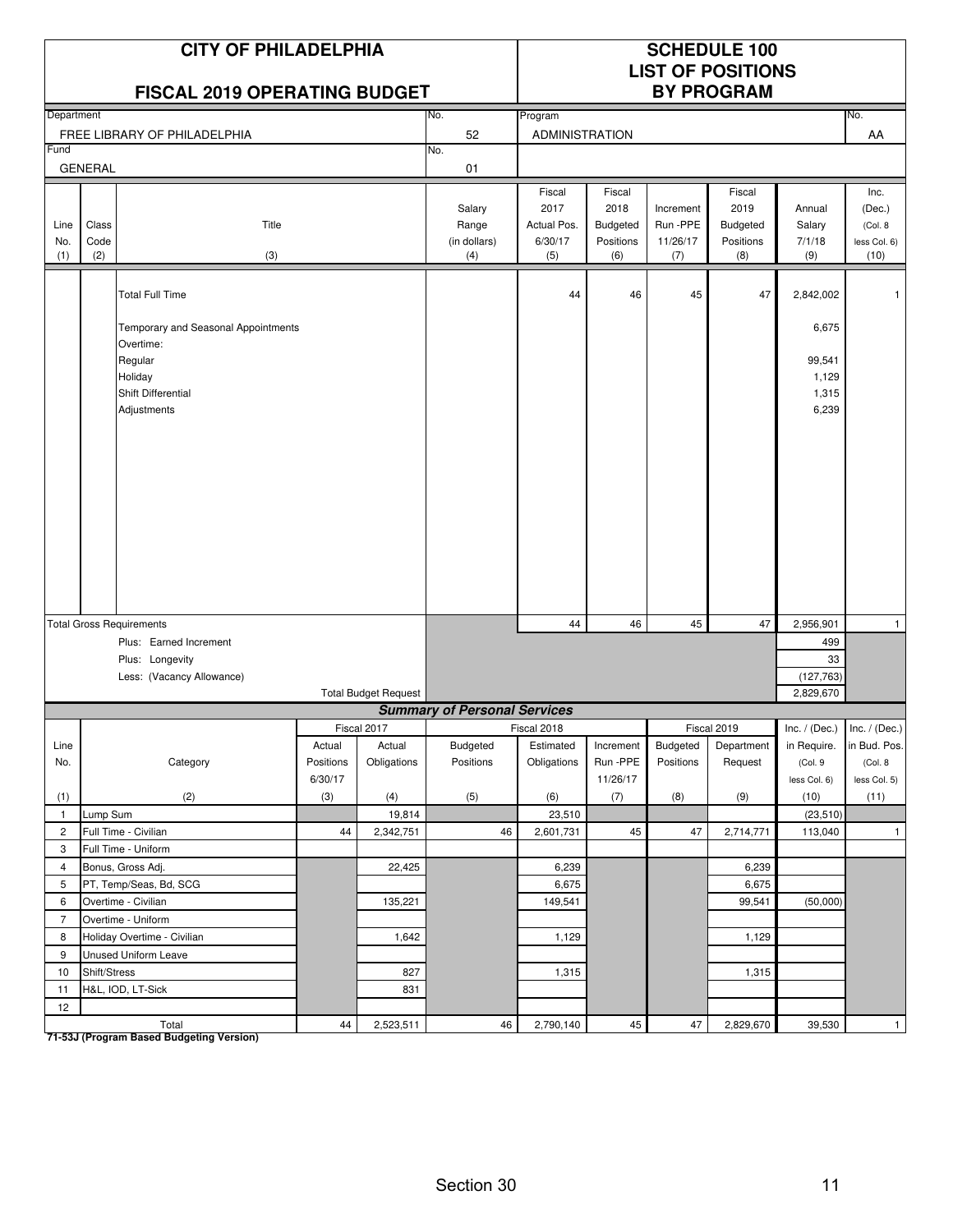|                    |                      | <b>CITY OF PHILADELPHIA</b><br>FISCAL 2019 OPERATING BUDGET                                                                           |                                |                             |                                        |                                                 |                                                       | <b>SCHEDULE 100</b><br><b>LIST OF POSITIONS</b><br><b>BY PROGRAM</b> |                                                       |                                                         |                                                   |
|--------------------|----------------------|---------------------------------------------------------------------------------------------------------------------------------------|--------------------------------|-----------------------------|----------------------------------------|-------------------------------------------------|-------------------------------------------------------|----------------------------------------------------------------------|-------------------------------------------------------|---------------------------------------------------------|---------------------------------------------------|
| Department         |                      |                                                                                                                                       |                                |                             | No.                                    | Program                                         |                                                       |                                                                      |                                                       |                                                         | No.                                               |
|                    |                      | FREE LIBRARY OF PHILADELPHIA                                                                                                          |                                |                             | 52                                     | <b>ADMINISTRATION</b>                           |                                                       |                                                                      |                                                       |                                                         | AA                                                |
| Fund               |                      |                                                                                                                                       |                                |                             | No.                                    |                                                 |                                                       |                                                                      |                                                       |                                                         |                                                   |
|                    | <b>GENERAL</b>       |                                                                                                                                       |                                |                             | 01                                     |                                                 |                                                       |                                                                      |                                                       |                                                         |                                                   |
| Line<br>No.<br>(1) | Class<br>Code<br>(2) | Title<br>(3)                                                                                                                          |                                |                             | Salary<br>Range<br>(in dollars)<br>(4) | Fiscal<br>2017<br>Actual Pos.<br>6/30/17<br>(5) | Fiscal<br>2018<br><b>Budgeted</b><br>Positions<br>(6) | Increment<br>Run -PPE<br>11/26/17<br>(7)                             | Fiscal<br>2019<br><b>Budgeted</b><br>Positions<br>(8) | Annual<br>Salary<br>7/1/18<br>(9)                       | Inc.<br>(Dec.)<br>(Col. 8<br>less Col. 6)<br>(10) |
|                    |                      | <b>Total Full Time</b><br>Temporary and Seasonal Appointments<br>Overtime:<br>Regular<br>Holiday<br>Shift Differential<br>Adjustments |                                |                             |                                        | 44                                              | 46                                                    | 45                                                                   | 47                                                    | 2,842,002<br>6,675<br>99,541<br>1,129<br>1,315<br>6,239 |                                                   |
|                    |                      | <b>Total Gross Requirements</b><br>Plus: Earned Increment<br>Plus: Longevity<br>Less: (Vacancy Allowance)                             |                                | <b>Total Budget Request</b> |                                        | 44                                              | 46                                                    | 45                                                                   | 47                                                    | 2,956,901<br>499<br>33<br>(127, 763)<br>2,829,670       | $\mathbf{1}$                                      |
|                    |                      |                                                                                                                                       |                                |                             | <b>Summary of Personal Services</b>    |                                                 |                                                       |                                                                      |                                                       |                                                         |                                                   |
|                    |                      |                                                                                                                                       |                                | Fiscal 2017                 |                                        | Fiscal 2018                                     |                                                       |                                                                      | Fiscal 2019                                           |                                                         | Inc. / (Dec.) Inc. / (Dec.)                       |
| Line<br>No.        |                      | Category                                                                                                                              | Actual<br>Positions<br>6/30/17 | Actual<br>Obligations       | Budgeted<br>Positions                  | Estimated<br>Obligations                        | Increment<br>Run -PPE<br>11/26/17                     | Budgeted<br>Positions                                                | Department<br>Request                                 | in Require.<br>(Col. 9<br>less Col. 6)                  | in Bud. Pos.<br>(Col. 8<br>less Col. 5)           |
| (1)                |                      | (2)                                                                                                                                   | (3)                            | (4)                         | (5)                                    | (6)                                             | (7)                                                   | (8)                                                                  | (9)                                                   | (10)                                                    | (11)                                              |
| $\mathbf{1}$       | Lump Sum             |                                                                                                                                       |                                | 19,814                      |                                        | 23,510                                          |                                                       |                                                                      |                                                       | (23, 510)                                               |                                                   |
| $\overline{2}$     |                      | Full Time - Civilian                                                                                                                  | 44                             | 2,342,751                   | 46                                     | 2,601,731                                       | 45                                                    | 47                                                                   | 2,714,771                                             | 113,040                                                 | $\overline{1}$                                    |
| 3                  |                      | Full Time - Uniform                                                                                                                   |                                |                             |                                        |                                                 |                                                       |                                                                      |                                                       |                                                         |                                                   |
| $\overline{4}$     |                      | Bonus, Gross Adj.                                                                                                                     |                                | 22,425                      |                                        | 6,239                                           |                                                       |                                                                      | 6,239                                                 |                                                         |                                                   |
| 5                  |                      | PT, Temp/Seas, Bd, SCG                                                                                                                |                                |                             |                                        | 6,675                                           |                                                       |                                                                      | 6,675                                                 |                                                         |                                                   |
| 6                  |                      | Overtime - Civilian                                                                                                                   |                                | 135,221                     |                                        | 149,541                                         |                                                       |                                                                      | 99,541                                                | (50,000)                                                |                                                   |
| $\overline{7}$     |                      | Overtime - Uniform                                                                                                                    |                                |                             |                                        |                                                 |                                                       |                                                                      |                                                       |                                                         |                                                   |
| 8                  |                      | Holiday Overtime - Civilian                                                                                                           |                                | 1,642                       |                                        | 1,129                                           |                                                       |                                                                      | 1,129                                                 |                                                         |                                                   |
| 9                  |                      | Unused Uniform Leave                                                                                                                  |                                |                             |                                        |                                                 |                                                       |                                                                      |                                                       |                                                         |                                                   |
| 10                 | Shift/Stress         |                                                                                                                                       |                                | 827                         |                                        | 1,315                                           |                                                       |                                                                      | 1,315                                                 |                                                         |                                                   |
| 11                 |                      | H&L, IOD, LT-Sick                                                                                                                     |                                | 831                         |                                        |                                                 |                                                       |                                                                      |                                                       |                                                         |                                                   |
| 12                 |                      |                                                                                                                                       |                                |                             |                                        |                                                 |                                                       |                                                                      |                                                       |                                                         |                                                   |
|                    |                      | Total                                                                                                                                 | 44                             | 2,523,511                   | 46                                     | 2,790,140                                       | $45\,$                                                | 47                                                                   | 2,829,670                                             | 39,530                                                  | $\mathbf{1}$                                      |

Total<br>T1-53J (Program Based Budgeting Version)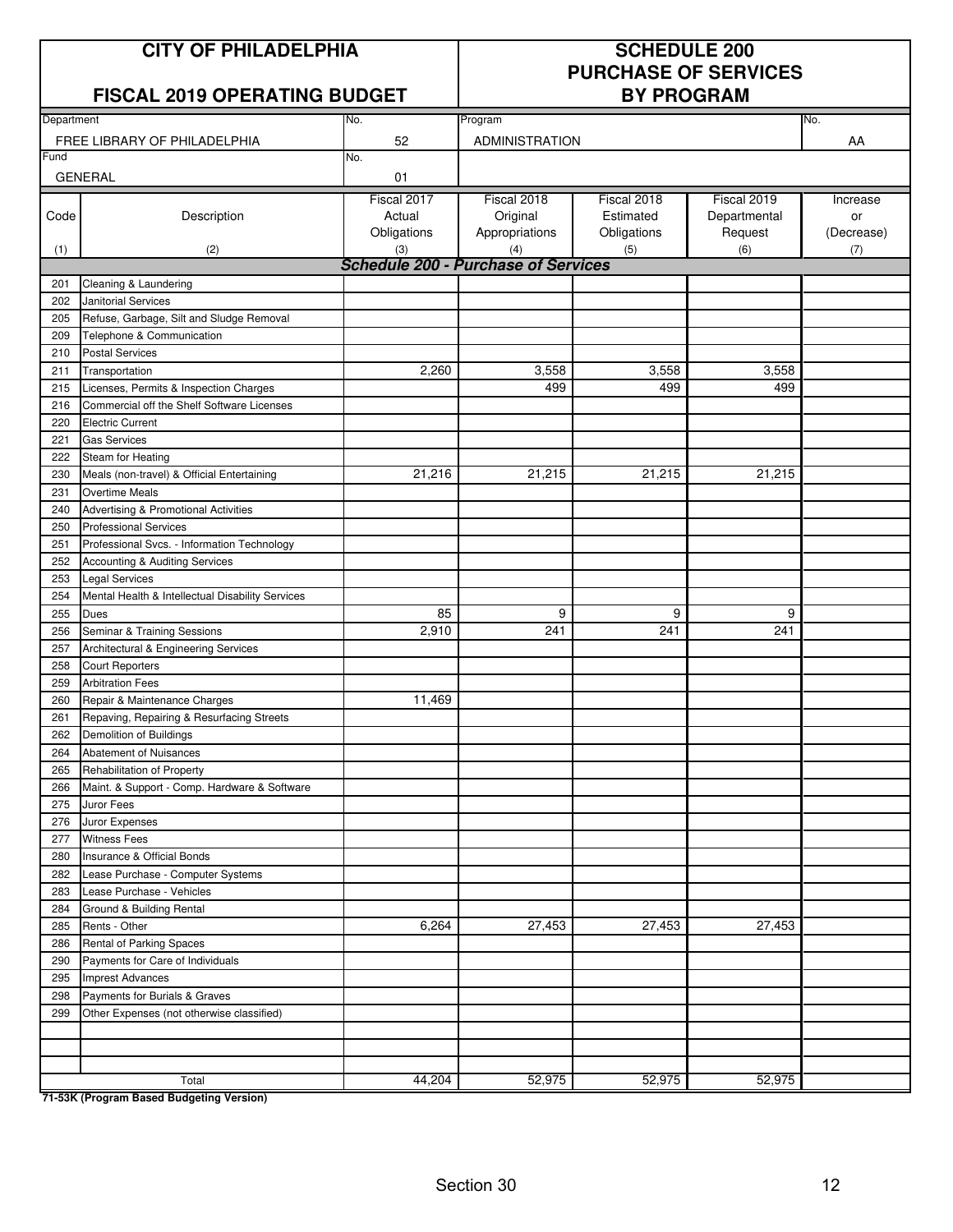## **CITY OF PHILADELPHIA SCHEDULE 200**

### **FISCAL 2019 OPERATING BUDGET**

# **PURCHASE OF SERVICES**

| Department |                                                  | No.                                        | Program               |             |              | No.        |
|------------|--------------------------------------------------|--------------------------------------------|-----------------------|-------------|--------------|------------|
|            | FREE LIBRARY OF PHILADELPHIA                     | 52                                         | <b>ADMINISTRATION</b> |             |              | AA         |
| Fund       |                                                  | No.                                        |                       |             |              |            |
|            | <b>GENERAL</b>                                   | 01                                         |                       |             |              |            |
|            |                                                  | Fiscal 2017                                | Fiscal 2018           | Fiscal 2018 | Fiscal 2019  | Increase   |
| Code       | Description                                      | Actual                                     | Original              | Estimated   | Departmental | or         |
|            |                                                  | Obligations                                | Appropriations        | Obligations | Request      | (Decrease) |
| (1)        | (2)                                              | (3)                                        | (4)                   | (5)         | (6)          | (7)        |
|            |                                                  | <b>Schedule 200 - Purchase of Services</b> |                       |             |              |            |
| 201        | Cleaning & Laundering                            |                                            |                       |             |              |            |
| 202        | Janitorial Services                              |                                            |                       |             |              |            |
| 205        | Refuse, Garbage, Silt and Sludge Removal         |                                            |                       |             |              |            |
| 209        | Telephone & Communication                        |                                            |                       |             |              |            |
| 210        | <b>Postal Services</b>                           |                                            |                       |             |              |            |
| 211        | Transportation                                   | 2,260                                      | 3,558                 | 3,558       | 3,558        |            |
| 215        | Licenses, Permits & Inspection Charges           |                                            | 499                   | 499         | 499          |            |
| 216        | Commercial off the Shelf Software Licenses       |                                            |                       |             |              |            |
| 220        | <b>Electric Current</b>                          |                                            |                       |             |              |            |
| 221        | <b>Gas Services</b>                              |                                            |                       |             |              |            |
| 222        | Steam for Heating                                |                                            |                       |             |              |            |
| 230        | Meals (non-travel) & Official Entertaining       | 21,216                                     | 21,215                | 21,215      | 21,215       |            |
| 231        | <b>Overtime Meals</b>                            |                                            |                       |             |              |            |
| 240        | Advertising & Promotional Activities             |                                            |                       |             |              |            |
| 250        | <b>Professional Services</b>                     |                                            |                       |             |              |            |
| 251        | Professional Svcs. - Information Technology      |                                            |                       |             |              |            |
| 252        | Accounting & Auditing Services                   |                                            |                       |             |              |            |
| 253        | <b>Legal Services</b>                            |                                            |                       |             |              |            |
| 254        | Mental Health & Intellectual Disability Services |                                            |                       |             |              |            |
| 255        | Dues                                             | 85                                         | 9                     | 9           | 9            |            |
| 256        | Seminar & Training Sessions                      | 2,910                                      | 241                   | 241         | 241          |            |
| 257        | Architectural & Engineering Services             |                                            |                       |             |              |            |
| 258        | <b>Court Reporters</b>                           |                                            |                       |             |              |            |
| 259        | <b>Arbitration Fees</b>                          |                                            |                       |             |              |            |
| 260        | Repair & Maintenance Charges                     | 11,469                                     |                       |             |              |            |
| 261        | Repaving, Repairing & Resurfacing Streets        |                                            |                       |             |              |            |
| 262        | Demolition of Buildings                          |                                            |                       |             |              |            |
| 264        | Abatement of Nuisances                           |                                            |                       |             |              |            |
| 265        | Rehabilitation of Property                       |                                            |                       |             |              |            |
| 266        | Maint. & Support - Comp. Hardware & Software     |                                            |                       |             |              |            |
| 275        | Juror Fees                                       |                                            |                       |             |              |            |
| 276        | Juror Expenses                                   |                                            |                       |             |              |            |
| 277        | <b>Witness Fees</b>                              |                                            |                       |             |              |            |
| 280        | Insurance & Official Bonds                       |                                            |                       |             |              |            |
| 282        | Lease Purchase - Computer Systems                |                                            |                       |             |              |            |
| 283        | Lease Purchase - Vehicles                        |                                            |                       |             |              |            |
| 284        | Ground & Building Rental                         |                                            |                       |             |              |            |
| 285        | Rents - Other                                    | 6,264                                      | 27,453                | 27,453      | 27,453       |            |
| 286        | Rental of Parking Spaces                         |                                            |                       |             |              |            |
| 290        | Payments for Care of Individuals                 |                                            |                       |             |              |            |
| 295        | <b>Imprest Advances</b>                          |                                            |                       |             |              |            |
| 298<br>299 | Payments for Burials & Graves                    |                                            |                       |             |              |            |
|            | Other Expenses (not otherwise classified)        |                                            |                       |             |              |            |
|            |                                                  |                                            |                       |             |              |            |
|            |                                                  |                                            |                       |             |              |            |
|            | Total                                            | 44,204                                     | 52,975                | 52,975      | 52,975       |            |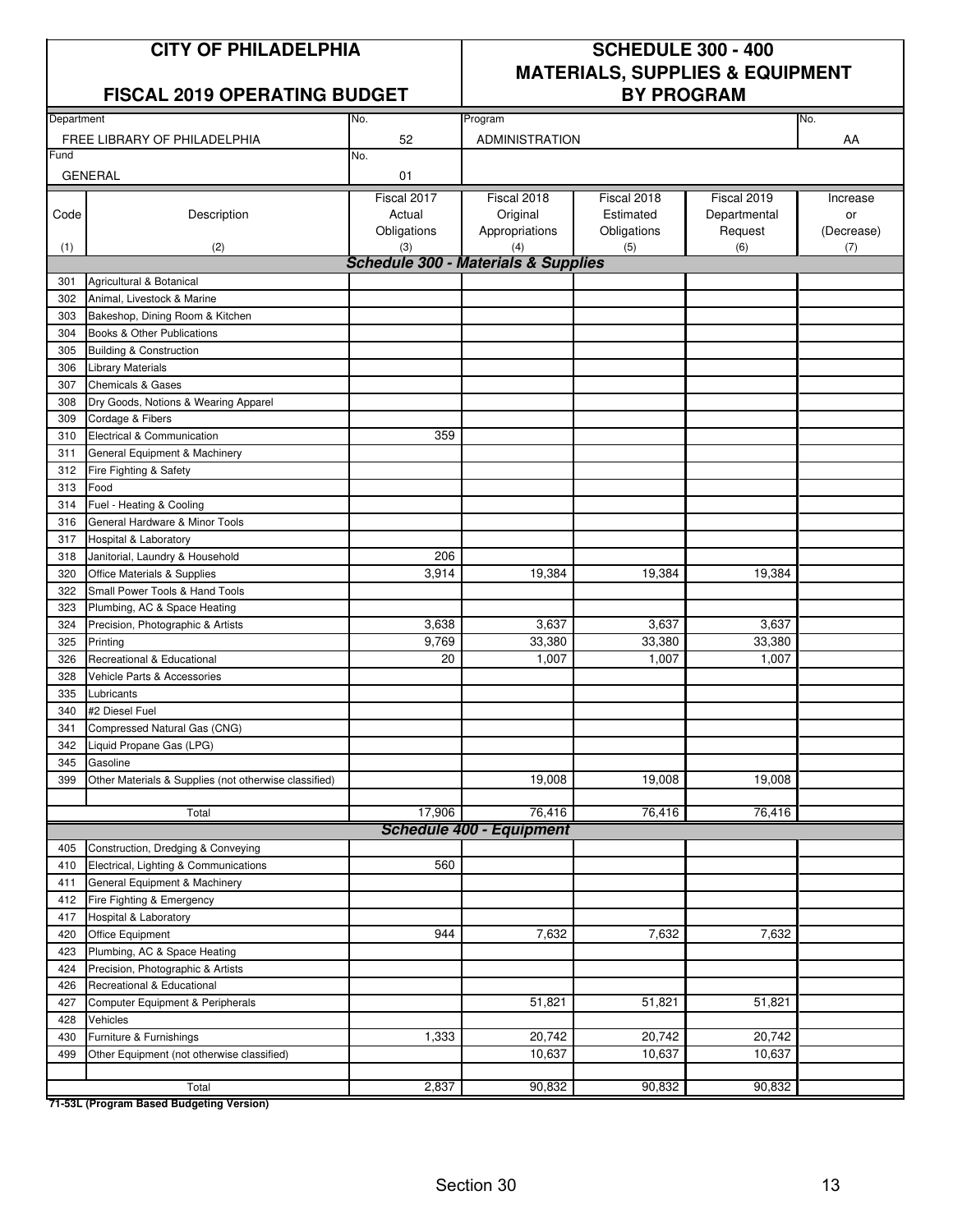#### **FISCAL 2019 OPERATING BUDGET**

# **CITY OF PHILADELPHIA SCHEDULE 300 - 400 MATERIALS, SUPPLIES & EQUIPMENT**

| Department |                                                       | No.                                            | Program                         |             |              | No.        |
|------------|-------------------------------------------------------|------------------------------------------------|---------------------------------|-------------|--------------|------------|
|            | FREE LIBRARY OF PHILADELPHIA                          | 52                                             | <b>ADMINISTRATION</b>           |             |              | AA         |
| Fund       |                                                       | No.                                            |                                 |             |              |            |
|            | <b>GENERAL</b>                                        | 01                                             |                                 |             |              |            |
|            |                                                       |                                                |                                 |             |              |            |
|            |                                                       | Fiscal 2017                                    | Fiscal 2018                     | Fiscal 2018 | Fiscal 2019  | Increase   |
| Code       | Description                                           | Actual                                         | Original                        | Estimated   | Departmental | or         |
|            |                                                       | Obligations                                    | Appropriations                  | Obligations | Request      | (Decrease) |
| (1)        | (2)                                                   | (3)                                            | (4)                             | (5)         | (6)          | (7)        |
|            |                                                       | <b>Schedule 300 - Materials &amp; Supplies</b> |                                 |             |              |            |
| 301        | Agricultural & Botanical                              |                                                |                                 |             |              |            |
| 302        | Animal, Livestock & Marine                            |                                                |                                 |             |              |            |
| 303        | Bakeshop, Dining Room & Kitchen                       |                                                |                                 |             |              |            |
| 304        | Books & Other Publications                            |                                                |                                 |             |              |            |
| 305        | <b>Building &amp; Construction</b>                    |                                                |                                 |             |              |            |
| 306        | <b>Library Materials</b>                              |                                                |                                 |             |              |            |
| 307        | <b>Chemicals &amp; Gases</b>                          |                                                |                                 |             |              |            |
| 308        | Dry Goods, Notions & Wearing Apparel                  |                                                |                                 |             |              |            |
| 309        | Cordage & Fibers                                      |                                                |                                 |             |              |            |
| 310        | Electrical & Communication                            | 359                                            |                                 |             |              |            |
| 311        | General Equipment & Machinery                         |                                                |                                 |             |              |            |
| 312        | Fire Fighting & Safety                                |                                                |                                 |             |              |            |
| 313        | Food                                                  |                                                |                                 |             |              |            |
| 314        | Fuel - Heating & Cooling                              |                                                |                                 |             |              |            |
| 316        | General Hardware & Minor Tools                        |                                                |                                 |             |              |            |
| 317        | <b>Hospital &amp; Laboratory</b>                      |                                                |                                 |             |              |            |
| 318        | Janitorial, Laundry & Household                       | 206                                            |                                 |             |              |            |
| 320        | Office Materials & Supplies                           | 3,914                                          | 19,384                          | 19,384      | 19,384       |            |
| 322        | Small Power Tools & Hand Tools                        |                                                |                                 |             |              |            |
| 323        | Plumbing, AC & Space Heating                          |                                                |                                 |             |              |            |
| 324        | Precision, Photographic & Artists                     | 3,638                                          | 3,637                           | 3,637       | 3,637        |            |
| 325        | Printing                                              | 9,769                                          | 33,380                          | 33,380      | 33,380       |            |
| 326        | Recreational & Educational                            | 20                                             | 1,007                           | 1,007       | 1,007        |            |
| 328        | Vehicle Parts & Accessories                           |                                                |                                 |             |              |            |
| 335        | Lubricants                                            |                                                |                                 |             |              |            |
| 340        | #2 Diesel Fuel                                        |                                                |                                 |             |              |            |
| 341        | Compressed Natural Gas (CNG)                          |                                                |                                 |             |              |            |
| 342        | Liquid Propane Gas (LPG)                              |                                                |                                 |             |              |            |
| 345        | Gasoline                                              |                                                |                                 |             |              |            |
| 399        | Other Materials & Supplies (not otherwise classified) |                                                | 19,008                          | 19,008      | 19,008       |            |
|            |                                                       |                                                |                                 |             |              |            |
|            | Total                                                 | 17,906                                         | 76,416                          | 76,416      | 76,416       |            |
|            |                                                       |                                                | <b>Schedule 400 - Equipment</b> |             |              |            |
| 405        | Construction, Dredging & Conveying                    |                                                |                                 |             |              |            |
| 410        | Electrical, Lighting & Communications                 | 560                                            |                                 |             |              |            |
| 411        | General Equipment & Machinery                         |                                                |                                 |             |              |            |
| 412        | Fire Fighting & Emergency                             |                                                |                                 |             |              |            |
| 417        | <b>Hospital &amp; Laboratory</b>                      |                                                |                                 |             |              |            |
| 420        | Office Equipment                                      | 944                                            | 7,632                           | 7,632       | 7,632        |            |
|            |                                                       |                                                |                                 |             |              |            |
| 423        | Plumbing, AC & Space Heating                          |                                                |                                 |             |              |            |
| 424        | Precision, Photographic & Artists                     |                                                |                                 |             |              |            |
| 426        | Recreational & Educational                            |                                                |                                 |             |              |            |
| 427        | Computer Equipment & Peripherals                      |                                                | 51,821                          | 51,821      | 51,821       |            |
| 428        | Vehicles                                              |                                                |                                 |             |              |            |
| 430        | Furniture & Furnishings                               | 1,333                                          | 20,742                          | 20,742      | 20,742       |            |
| 499        | Other Equipment (not otherwise classified)            |                                                | 10,637                          | 10,637      | 10,637       |            |
|            |                                                       |                                                |                                 |             |              |            |
|            | Total                                                 | 2,837                                          | 90,832                          | 90,832      | 90,832       |            |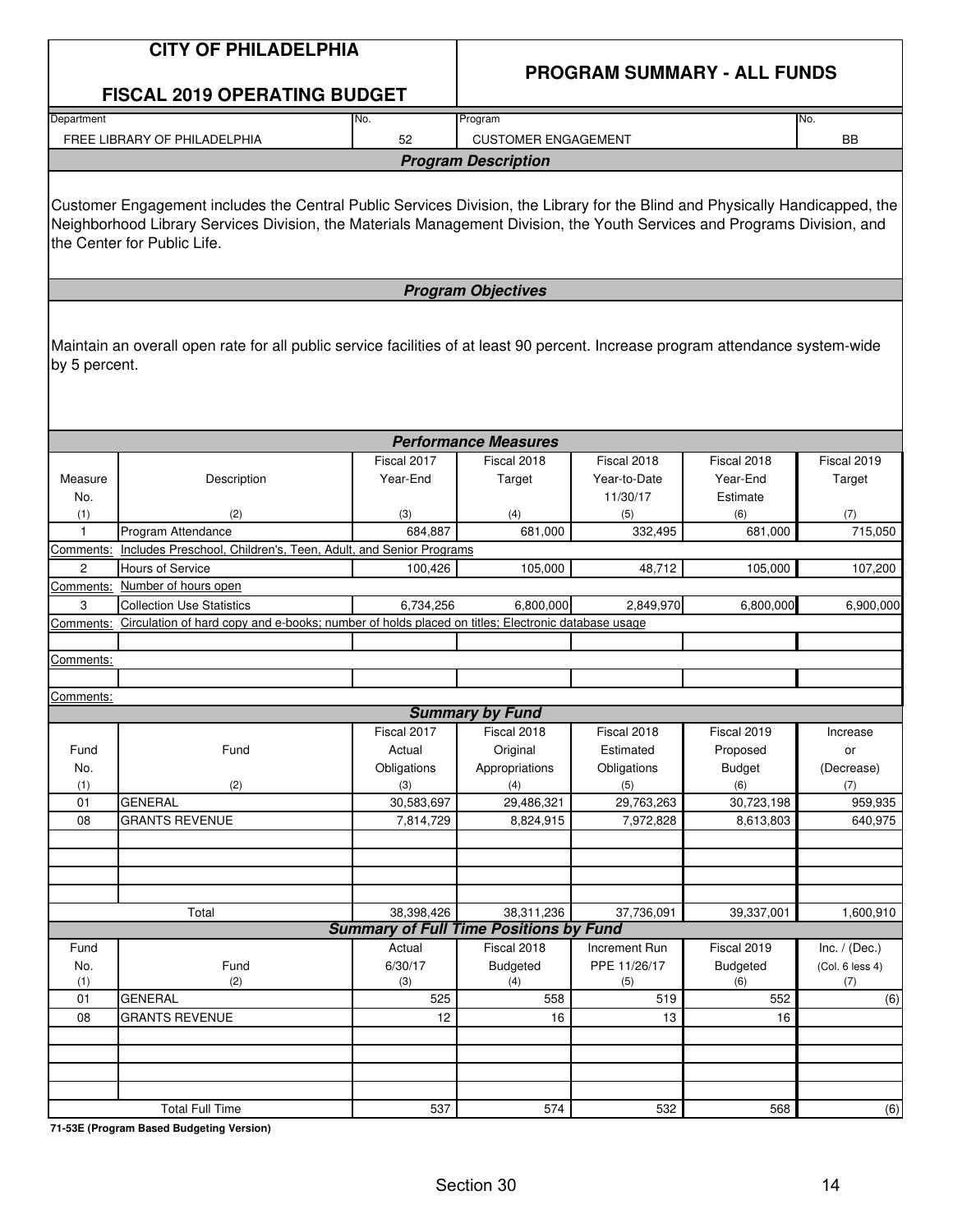|                     | <b>CITY OF PHILADELPHIA</b>                                                                                                                                                                                                                                                             |                   | <b>PROGRAM SUMMARY - ALL FUNDS</b>                          |                   |                   |                 |  |  |
|---------------------|-----------------------------------------------------------------------------------------------------------------------------------------------------------------------------------------------------------------------------------------------------------------------------------------|-------------------|-------------------------------------------------------------|-------------------|-------------------|-----------------|--|--|
|                     | <b>FISCAL 2019 OPERATING BUDGET</b>                                                                                                                                                                                                                                                     |                   |                                                             |                   |                   |                 |  |  |
| Department          |                                                                                                                                                                                                                                                                                         | No.               | Program                                                     |                   |                   | No.             |  |  |
|                     | FREE LIBRARY OF PHILADELPHIA                                                                                                                                                                                                                                                            | 52                | <b>CUSTOMER ENGAGEMENT</b>                                  |                   |                   | <b>BB</b>       |  |  |
|                     |                                                                                                                                                                                                                                                                                         |                   | <b>Program Description</b>                                  |                   |                   |                 |  |  |
|                     | Customer Engagement includes the Central Public Services Division, the Library for the Blind and Physically Handicapped, the<br>Neighborhood Library Services Division, the Materials Management Division, the Youth Services and Programs Division, and<br>the Center for Public Life. |                   |                                                             |                   |                   |                 |  |  |
|                     |                                                                                                                                                                                                                                                                                         |                   | <b>Program Objectives</b>                                   |                   |                   |                 |  |  |
| by 5 percent.       | Maintain an overall open rate for all public service facilities of at least 90 percent. Increase program attendance system-wide                                                                                                                                                         |                   |                                                             |                   |                   |                 |  |  |
|                     |                                                                                                                                                                                                                                                                                         |                   | <b>Performance Measures</b>                                 |                   |                   |                 |  |  |
|                     |                                                                                                                                                                                                                                                                                         | Fiscal 2017       | Fiscal 2018                                                 | Fiscal 2018       | Fiscal 2018       | Fiscal 2019     |  |  |
| Measure             | Description                                                                                                                                                                                                                                                                             | Year-End          | Target                                                      | Year-to-Date      | Year-End          | Target          |  |  |
| No.                 |                                                                                                                                                                                                                                                                                         |                   |                                                             | 11/30/17          | Estimate          |                 |  |  |
| (1)<br>$\mathbf{1}$ | (2)<br>Program Attendance                                                                                                                                                                                                                                                               | (3)<br>684,887    | (4)<br>681,000                                              | (5)<br>332,495    | (6)<br>681,000    | (7)<br>715,050  |  |  |
| Comments:           | Includes Preschool, Children's, Teen, Adult, and Senior Programs                                                                                                                                                                                                                        |                   |                                                             |                   |                   |                 |  |  |
| $\overline{2}$      | <b>Hours of Service</b>                                                                                                                                                                                                                                                                 | 100,426           | 105,000                                                     | 48,712            | 105,000           | 107,200         |  |  |
| Comments:           | Number of hours open                                                                                                                                                                                                                                                                    |                   |                                                             |                   |                   |                 |  |  |
| 3                   | <b>Collection Use Statistics</b>                                                                                                                                                                                                                                                        | 6,734,256         | 6,800,000                                                   | 2,849,970         | 6,800,000         | 6,900,000       |  |  |
| Comments:           | Circulation of hard copy and e-books; number of holds placed on titles; Electronic database usage                                                                                                                                                                                       |                   |                                                             |                   |                   |                 |  |  |
|                     |                                                                                                                                                                                                                                                                                         |                   |                                                             |                   |                   |                 |  |  |
| Comments:           |                                                                                                                                                                                                                                                                                         |                   |                                                             |                   |                   |                 |  |  |
| Comments:           |                                                                                                                                                                                                                                                                                         |                   |                                                             |                   |                   |                 |  |  |
|                     |                                                                                                                                                                                                                                                                                         |                   | <b>Summary by Fund</b>                                      |                   |                   |                 |  |  |
|                     |                                                                                                                                                                                                                                                                                         | Fiscal 2017       | Fiscal 2018                                                 | Fiscal 2018       | Fiscal 2019       | Increase        |  |  |
| Fund                | Fund                                                                                                                                                                                                                                                                                    | Actual            | Original                                                    | Estimated         | Proposed          | or              |  |  |
| No.                 |                                                                                                                                                                                                                                                                                         | Obligations       | Appropriations                                              | Obligations       | <b>Budget</b>     | (Decrease)      |  |  |
| (1)<br>01           | (2)<br><b>GENERAL</b>                                                                                                                                                                                                                                                                   | (3)<br>30,583,697 | (4)<br>29,486,321                                           | (5)<br>29,763,263 | (6)<br>30,723,198 | (7)<br>959,935  |  |  |
| 08                  | <b>GRANTS REVENUE</b>                                                                                                                                                                                                                                                                   | 7,814,729         | 8,824,915                                                   | 7,972,828         | 8,613,803         | 640,975         |  |  |
|                     |                                                                                                                                                                                                                                                                                         |                   |                                                             |                   |                   |                 |  |  |
|                     |                                                                                                                                                                                                                                                                                         |                   |                                                             |                   |                   |                 |  |  |
|                     |                                                                                                                                                                                                                                                                                         |                   |                                                             |                   |                   |                 |  |  |
|                     |                                                                                                                                                                                                                                                                                         |                   |                                                             |                   |                   |                 |  |  |
|                     | Total                                                                                                                                                                                                                                                                                   | 38,398,426        | 38,311,236<br><b>Summary of Full Time Positions by Fund</b> | 37,736,091        | 39,337,001        | 1,600,910       |  |  |
| Fund                |                                                                                                                                                                                                                                                                                         | Actual            | Fiscal 2018                                                 | Increment Run     | Fiscal 2019       | Inc. $/$ (Dec.) |  |  |
| No.                 | Fund                                                                                                                                                                                                                                                                                    | 6/30/17           | <b>Budgeted</b>                                             | PPE 11/26/17      | Budgeted          | (Col. 6 less 4) |  |  |
| (1)                 | (2)                                                                                                                                                                                                                                                                                     | (3)               | (4)                                                         | (5)               | (6)               | (7)             |  |  |
| 01                  | <b>GENERAL</b>                                                                                                                                                                                                                                                                          | 525               | 558                                                         | 519               | 552               | (6)             |  |  |
| 08                  | <b>GRANTS REVENUE</b>                                                                                                                                                                                                                                                                   | 12                | 16                                                          | 13                | 16                |                 |  |  |
|                     |                                                                                                                                                                                                                                                                                         |                   |                                                             |                   |                   |                 |  |  |
|                     |                                                                                                                                                                                                                                                                                         |                   |                                                             |                   |                   |                 |  |  |
|                     |                                                                                                                                                                                                                                                                                         |                   |                                                             |                   |                   |                 |  |  |
|                     | <b>Total Full Time</b>                                                                                                                                                                                                                                                                  | 537               | 574                                                         | 532               | 568               | (6)             |  |  |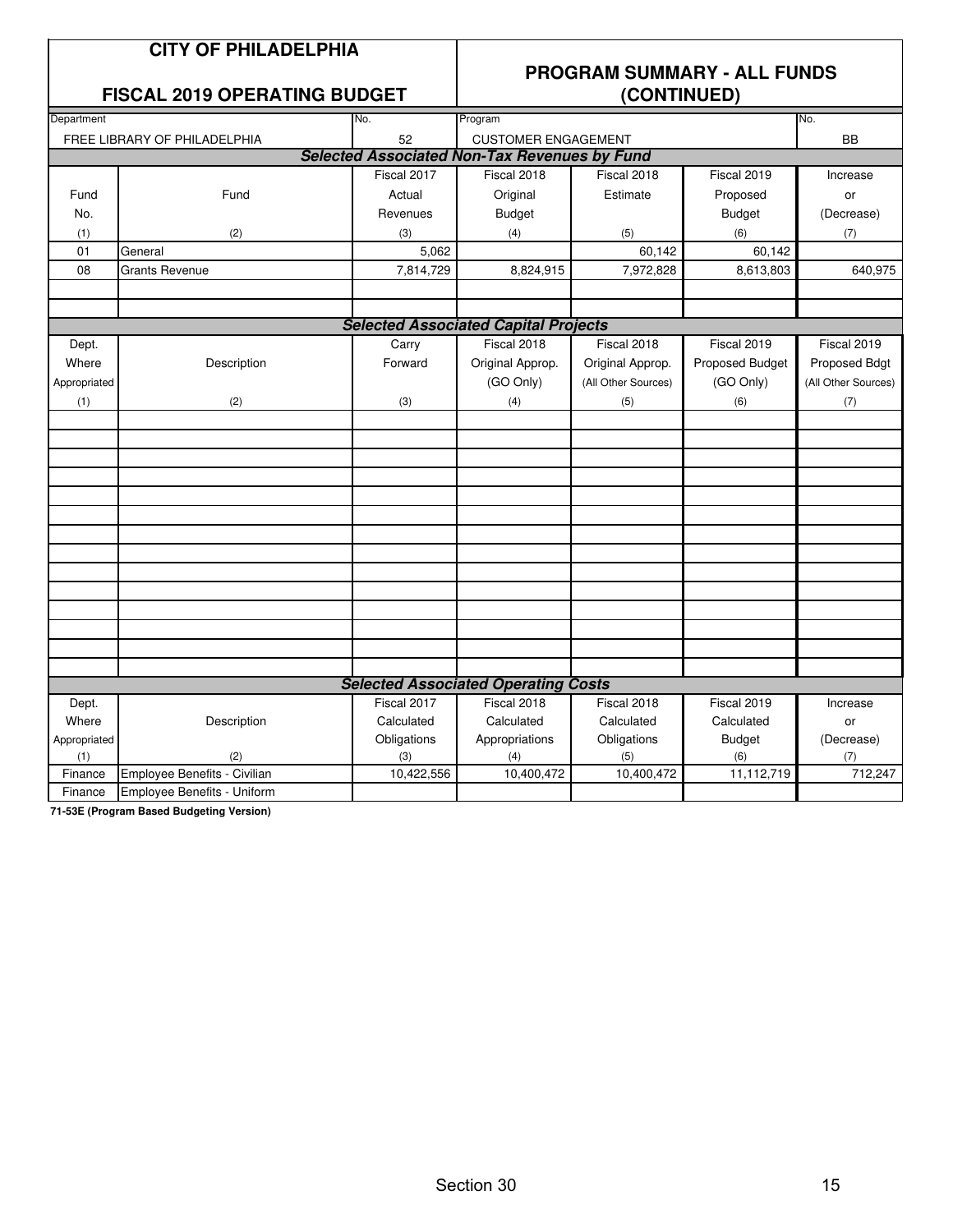|              | <b>CITY OF PHILADELPHIA</b><br><b>FISCAL 2019 OPERATING BUDGET</b> |             |                                                     | (CONTINUED)         | <b>PROGRAM SUMMARY - ALL FUNDS</b> |                     |
|--------------|--------------------------------------------------------------------|-------------|-----------------------------------------------------|---------------------|------------------------------------|---------------------|
| Department   |                                                                    | No.         | Program                                             |                     |                                    | No.                 |
|              | FREE LIBRARY OF PHILADELPHIA                                       | 52          | <b>CUSTOMER ENGAGEMENT</b>                          |                     |                                    | <b>BB</b>           |
|              |                                                                    |             | <b>Selected Associated Non-Tax Revenues by Fund</b> |                     |                                    |                     |
|              |                                                                    | Fiscal 2017 | Fiscal 2018                                         | Fiscal 2018         | Fiscal 2019                        | Increase            |
| Fund         | Fund                                                               | Actual      | Original                                            | Estimate            | Proposed                           | or                  |
| No.          |                                                                    | Revenues    | <b>Budget</b>                                       |                     | <b>Budget</b>                      | (Decrease)          |
| (1)          | (2)                                                                | (3)         | (4)                                                 | (5)                 | (6)                                | (7)                 |
| 01           | General                                                            | 5,062       |                                                     | 60,142              | 60,142                             |                     |
| 08           | <b>Grants Revenue</b>                                              | 7,814,729   | 8,824,915                                           | 7,972,828           | 8,613,803                          | 640,975             |
|              |                                                                    |             |                                                     |                     |                                    |                     |
|              |                                                                    |             | <b>Selected Associated Capital Projects</b>         |                     |                                    |                     |
| Dept.        |                                                                    | Carry       | Fiscal 2018                                         | Fiscal 2018         | Fiscal 2019                        | Fiscal 2019         |
| Where        | Description                                                        | Forward     | Original Approp.                                    | Original Approp.    | Proposed Budget                    | Proposed Bdgt       |
| Appropriated |                                                                    |             | (GO Only)                                           | (All Other Sources) | (GO Only)                          | (All Other Sources) |
| (1)          | (2)                                                                | (3)         | (4)                                                 | (5)                 | (6)                                | (7)                 |
|              |                                                                    |             |                                                     |                     |                                    |                     |
|              |                                                                    |             |                                                     |                     |                                    |                     |
|              |                                                                    |             |                                                     |                     |                                    |                     |
|              |                                                                    |             |                                                     |                     |                                    |                     |
|              |                                                                    |             |                                                     |                     |                                    |                     |
|              |                                                                    |             |                                                     |                     |                                    |                     |
|              |                                                                    |             |                                                     |                     |                                    |                     |
|              |                                                                    |             |                                                     |                     |                                    |                     |
|              |                                                                    |             |                                                     |                     |                                    |                     |
|              |                                                                    |             |                                                     |                     |                                    |                     |
|              |                                                                    |             |                                                     |                     |                                    |                     |
|              |                                                                    |             |                                                     |                     |                                    |                     |
|              |                                                                    |             |                                                     |                     |                                    |                     |
|              |                                                                    |             |                                                     |                     |                                    |                     |
|              |                                                                    |             | <b>Selected Associated Operating Costs</b>          |                     |                                    |                     |
| Dept.        |                                                                    | Fiscal 2017 | Fiscal 2018                                         | Fiscal 2018         | Fiscal 2019                        | Increase            |
| Where        | Description                                                        | Calculated  | Calculated                                          | Calculated          | Calculated                         | or                  |
| Appropriated |                                                                    | Obligations | Appropriations                                      | Obligations         | <b>Budget</b>                      | (Decrease)          |
| (1)          | (2)                                                                | (3)         | (4)                                                 | (5)                 | (6)                                | (7)                 |
| Finance      | Employee Benefits - Civilian                                       | 10,422,556  | 10,400,472                                          | 10,400,472          | 11,112,719                         | 712,247             |
| Finance      | <b>Employee Benefits - Uniform</b>                                 |             |                                                     |                     |                                    |                     |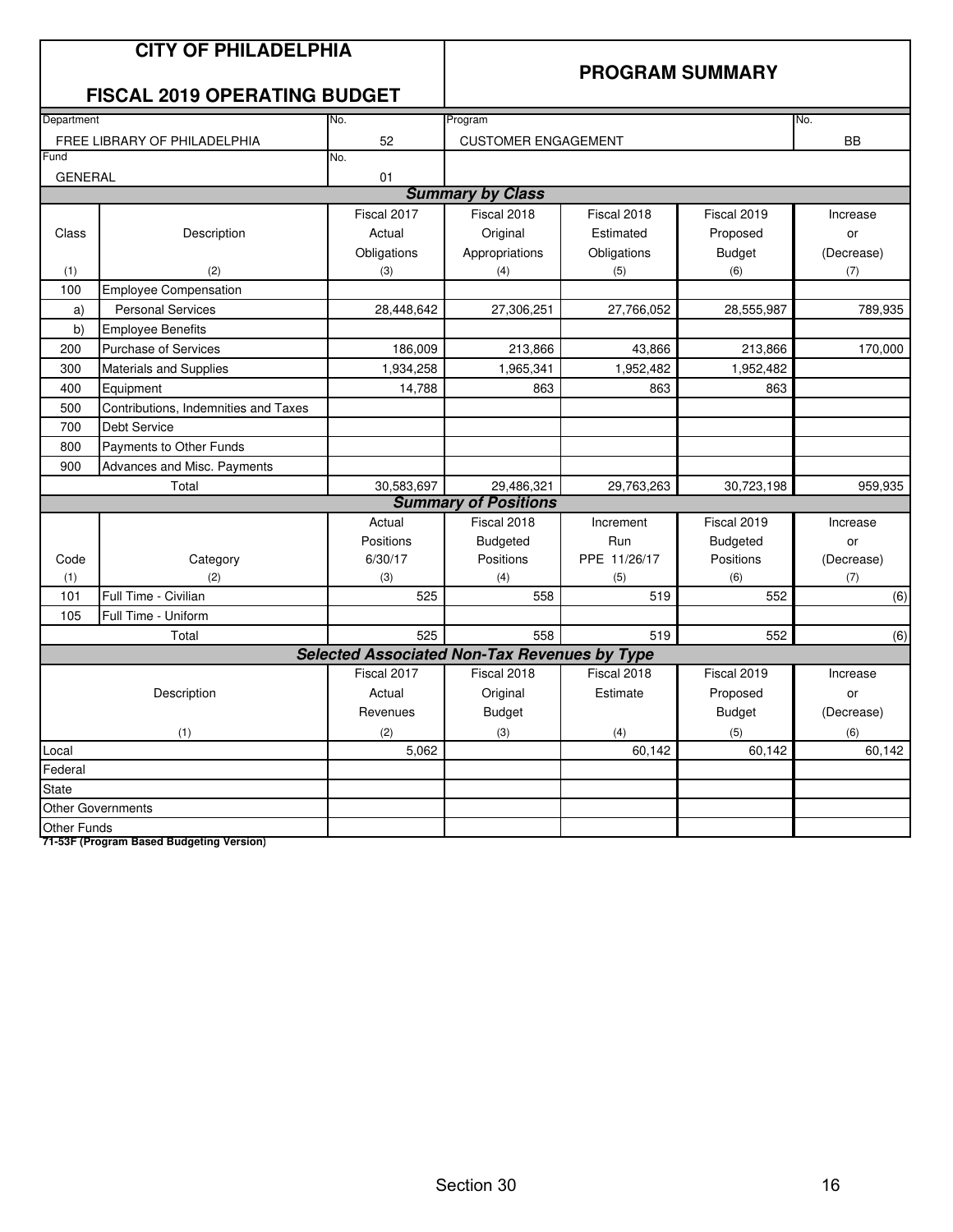|                    | <b>CITY OF PHILADELPHIA</b><br><b>FISCAL 2019 OPERATING BUDGET</b> |                                                     | <b>PROGRAM SUMMARY</b>      |              |                 |            |  |
|--------------------|--------------------------------------------------------------------|-----------------------------------------------------|-----------------------------|--------------|-----------------|------------|--|
| Department         |                                                                    | No.                                                 | Program                     |              |                 | No.        |  |
|                    | FREE LIBRARY OF PHILADELPHIA                                       | 52                                                  | <b>CUSTOMER ENGAGEMENT</b>  |              |                 | <b>BB</b>  |  |
| Fund               |                                                                    | No.                                                 |                             |              |                 |            |  |
| <b>GENERAL</b>     |                                                                    | 01                                                  | <b>Summary by Class</b>     |              |                 |            |  |
|                    |                                                                    | Fiscal 2017                                         | Fiscal 2018                 | Fiscal 2018  | Fiscal 2019     | Increase   |  |
|                    |                                                                    |                                                     |                             |              |                 |            |  |
| Class              | Description                                                        | Actual                                              | Original                    | Estimated    | Proposed        | or         |  |
|                    |                                                                    | Obligations                                         | Appropriations              | Obligations  | <b>Budget</b>   | (Decrease) |  |
| (1)<br>100         | (2)<br><b>Employee Compensation</b>                                | (3)                                                 | (4)                         | (5)          | (6)             | (7)        |  |
| a)                 | <b>Personal Services</b>                                           | 28,448,642                                          | 27,306,251                  | 27,766,052   | 28,555,987      | 789,935    |  |
| b)                 | <b>Employee Benefits</b>                                           |                                                     |                             |              |                 |            |  |
| 200                | <b>Purchase of Services</b>                                        | 186,009                                             | 213,866                     | 43,866       | 213,866         | 170,000    |  |
| 300                | <b>Materials and Supplies</b>                                      | 1,934,258                                           | 1,965,341                   | 1,952,482    | 1,952,482       |            |  |
| 400                | Equipment                                                          | 14,788                                              | 863                         | 863          | 863             |            |  |
| 500                | Contributions, Indemnities and Taxes                               |                                                     |                             |              |                 |            |  |
| 700                | <b>Debt Service</b>                                                |                                                     |                             |              |                 |            |  |
| 800                | Payments to Other Funds                                            |                                                     |                             |              |                 |            |  |
| 900                | Advances and Misc. Payments                                        |                                                     |                             |              |                 |            |  |
|                    | Total                                                              | 30,583,697                                          | 29,486,321                  | 29,763,263   | 30,723,198      | 959,935    |  |
|                    |                                                                    |                                                     | <b>Summary of Positions</b> |              |                 |            |  |
|                    |                                                                    | Actual                                              | Fiscal 2018                 | Increment    | Fiscal 2019     | Increase   |  |
|                    |                                                                    | Positions                                           | <b>Budgeted</b>             | Run          | <b>Budgeted</b> | or         |  |
| Code               | Category                                                           | 6/30/17                                             | Positions                   | PPE 11/26/17 | Positions       | (Decrease) |  |
| (1)                | (2)                                                                | (3)                                                 | (4)                         | (5)          | (6)             | (7)        |  |
| 101                | Full Time - Civilian                                               | 525                                                 | 558                         | 519          | 552             | (6)        |  |
| 105                | Full Time - Uniform                                                |                                                     |                             |              |                 |            |  |
|                    | Total                                                              | 525                                                 | 558                         | 519          | 552             | (6)        |  |
|                    |                                                                    | <b>Selected Associated Non-Tax Revenues by Type</b> |                             |              |                 |            |  |
|                    |                                                                    | Fiscal 2017                                         | Fiscal 2018                 | Fiscal 2018  | Fiscal 2019     | Increase   |  |
|                    | Description                                                        | Actual                                              | Original                    | Estimate     | Proposed        | or         |  |
|                    |                                                                    | Revenues                                            | <b>Budget</b>               |              | <b>Budget</b>   | (Decrease) |  |
|                    | (1)                                                                | (2)                                                 | (3)                         | (4)          | (5)             | (6)        |  |
| Local              |                                                                    | 5,062                                               |                             | 60,142       | 60,142          | 60,142     |  |
| Federal            |                                                                    |                                                     |                             |              |                 |            |  |
| <b>State</b>       |                                                                    |                                                     |                             |              |                 |            |  |
|                    | <b>Other Governments</b>                                           |                                                     |                             |              |                 |            |  |
| <b>Other Funds</b> |                                                                    |                                                     |                             |              |                 |            |  |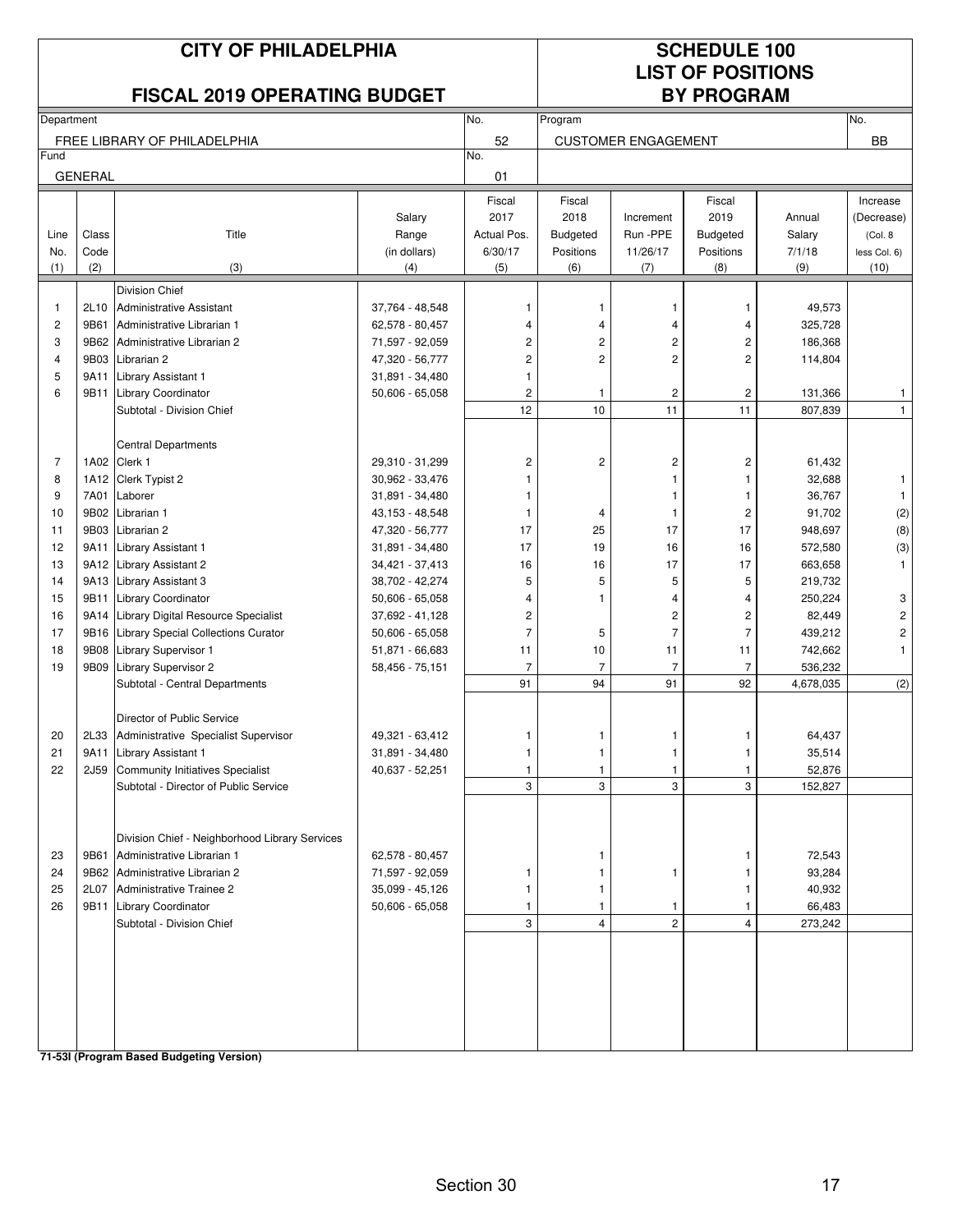|                |                | <b>CITY OF PHILADELPHIA</b><br><b>FISCAL 2019 OPERATING BUDGET</b>               |                   |                         |                 |                            | <b>SCHEDULE 100</b><br><b>LIST OF POSITIONS</b><br><b>BY PROGRAM</b> |                   |                         |
|----------------|----------------|----------------------------------------------------------------------------------|-------------------|-------------------------|-----------------|----------------------------|----------------------------------------------------------------------|-------------------|-------------------------|
| Department     |                |                                                                                  |                   | No.                     | Program         |                            |                                                                      |                   | No.                     |
|                |                | FREE LIBRARY OF PHILADELPHIA                                                     |                   | 52                      |                 | <b>CUSTOMER ENGAGEMENT</b> |                                                                      |                   | <b>BB</b>               |
| Fund           |                |                                                                                  |                   | No.                     |                 |                            |                                                                      |                   |                         |
|                | <b>GENERAL</b> |                                                                                  |                   | 01                      |                 |                            |                                                                      |                   |                         |
|                |                |                                                                                  |                   | Fiscal                  | Fiscal          |                            | Fiscal                                                               |                   | Increase                |
|                |                |                                                                                  | Salary            | 2017                    | 2018            | Increment                  | 2019                                                                 | Annual            | (Decrease)              |
| Line           | Class          | Title                                                                            | Range             | Actual Pos.             | <b>Budgeted</b> | Run -PPE                   | <b>Budgeted</b>                                                      | Salary            | (Col. 8                 |
| No.            | Code           |                                                                                  | (in dollars)      | 6/30/17                 | Positions       | 11/26/17                   | Positions                                                            | 7/1/18            | less Col. 6)            |
| (1)            | (2)            | (3)                                                                              | (4)               | (5)                     | (6)             | (7)                        | (8)                                                                  | (9)               | (10)                    |
|                |                | <b>Division Chief</b>                                                            |                   |                         |                 |                            |                                                                      |                   |                         |
| $\mathbf{1}$   | 2L10           | Administrative Assistant                                                         | 37,764 - 48,548   | 1                       | 1               | 1                          | 1                                                                    | 49,573            |                         |
| $\overline{c}$ | 9B61           | Administrative Librarian 1                                                       | 62,578 - 80,457   | $\overline{4}$          | 4               | 4                          | 4                                                                    | 325,728           |                         |
| 3              | 9B62           | Administrative Librarian 2                                                       | 71,597 - 92,059   | $\overline{\mathbf{c}}$ | 2               | 2                          | 2                                                                    | 186,368           |                         |
| 4              | 9B03           | Librarian 2                                                                      | 47,320 - 56,777   | $\overline{c}$          | $\overline{c}$  | $\overline{c}$             | 2                                                                    | 114,804           |                         |
| 5              | 9A11           | Library Assistant 1                                                              | 31,891 - 34,480   | 1                       |                 |                            |                                                                      |                   |                         |
| 6              | 9B11           | <b>Library Coordinator</b>                                                       | $50,606 - 65,058$ | $\overline{\mathbf{c}}$ | 1               | $\overline{\mathbf{c}}$    | $\overline{\mathbf{c}}$                                              | 131,366           | 1                       |
|                |                | Subtotal - Division Chief                                                        |                   | 12                      | 10              | 11                         | 11                                                                   | 807,839           | $\mathbf{1}$            |
|                |                |                                                                                  |                   |                         |                 |                            |                                                                      |                   |                         |
| 7              | 1A02           | <b>Central Departments</b><br>Clerk 1                                            | 29,310 - 31,299   | $\overline{\mathbf{c}}$ | 2               | 2                          | $\overline{c}$                                                       | 61,432            |                         |
| 8              |                | 1A12 Clerk Typist 2                                                              | 30,962 - 33,476   | 1                       |                 | 1                          | 1                                                                    | 32,688            | $\mathbf{1}$            |
| 9              | 7A01           | Laborer                                                                          | 31,891 - 34,480   | 1                       |                 | 1                          | 1                                                                    | 36,767            | $\mathbf{1}$            |
| 10             | 9B02           | Librarian 1                                                                      | 43,153 - 48,548   | 1                       | 4               | 1                          | $\overline{c}$                                                       | 91,702            | $\left( 2\right)$       |
| 11             | 9B03           | Librarian 2                                                                      | 47,320 - 56,777   | 17                      | 25              | 17                         | 17                                                                   | 948,697           | (8)                     |
| 12             | 9A11           | Library Assistant 1                                                              | 31,891 - 34,480   | 17                      | 19              | 16                         | 16                                                                   | 572,580           | (3)                     |
| 13             |                | 9A12 Library Assistant 2                                                         | 34,421 - 37,413   | 16                      | 16              | 17                         | 17                                                                   | 663,658           | $\mathbf{1}$            |
| 14             | 9A13           | <b>Library Assistant 3</b>                                                       | 38,702 - 42,274   | 5                       | 5               | 5                          | 5                                                                    | 219,732           |                         |
| 15             | 9B11           | <b>Library Coordinator</b>                                                       | $50,606 - 65,058$ | 4                       | 1               | 4                          | 4                                                                    | 250,224           | 3                       |
| 16             | 9A14           | Library Digital Resource Specialist                                              | 37,692 - 41,128   | $\overline{\mathbf{c}}$ |                 | 2                          | 2                                                                    | 82,449            | $\overline{\mathbf{c}}$ |
| 17             | 9B16           | <b>Library Special Collections Curator</b>                                       | $50,606 - 65,058$ | $\overline{7}$          | 5               | $\overline{7}$             | $\overline{7}$                                                       | 439,212           | $\overline{\mathbf{c}}$ |
| 18             | 9B08           | Library Supervisor 1                                                             | 51,871 - 66,683   | 11                      | 10              | 11                         | 11                                                                   | 742,662           | $\mathbf{1}$            |
| 19             |                | 9B09 Library Supervisor 2                                                        | 58,456 - 75,151   | $\overline{7}$          | $\overline{7}$  | $\overline{7}$             | $\overline{7}$                                                       | 536,232           |                         |
|                |                | Subtotal - Central Departments                                                   |                   | 91                      | 94              | 91                         | 92                                                                   | 4,678,035         | (2)                     |
|                |                |                                                                                  |                   |                         |                 |                            |                                                                      |                   |                         |
|                |                | Director of Public Service                                                       |                   |                         |                 |                            |                                                                      |                   |                         |
| 20             |                | 2L33 Administrative Specialist Supervisor                                        | 49,321 - 63,412   | 1                       | 1               | 1                          | 1                                                                    | 64,437            |                         |
| 21<br>22       | 9A11<br>2J59   | Library Assistant 1                                                              | 31,891 - 34,480   | 1                       | 1               | 1                          |                                                                      | 35,514            |                         |
|                |                | <b>Community Initiatives Specialist</b><br>Subtotal - Director of Public Service | 40,637 - 52,251   | 3                       | 1<br>3          | 1<br>3                     | 3                                                                    | 52,876<br>152,827 |                         |
|                |                |                                                                                  |                   |                         |                 |                            |                                                                      |                   |                         |
|                |                |                                                                                  |                   |                         |                 |                            |                                                                      |                   |                         |
|                |                | Division Chief - Neighborhood Library Services                                   |                   |                         |                 |                            |                                                                      |                   |                         |
| 23             | 9B61           | Administrative Librarian 1                                                       | 62,578 - 80,457   |                         | 1               |                            |                                                                      | 72,543            |                         |
| 24             |                | 9B62 Administrative Librarian 2                                                  | 71,597 - 92,059   | 1                       | 1               | 1                          |                                                                      | 93,284            |                         |
| 25             | 2L07           | Administrative Trainee 2                                                         | 35,099 - 45,126   | 1                       | 1               |                            |                                                                      | 40,932            |                         |
| 26             |                | 9B11 Library Coordinator                                                         | $50,606 - 65,058$ | 1                       | 1               | 1                          | -1                                                                   | 66,483            |                         |
|                |                | Subtotal - Division Chief                                                        |                   | 3                       | 4               | $\mathbf 2$                | $\overline{4}$                                                       | 273,242           |                         |
|                |                |                                                                                  |                   |                         |                 |                            |                                                                      |                   |                         |
|                |                |                                                                                  |                   |                         |                 |                            |                                                                      |                   |                         |
|                |                |                                                                                  |                   |                         |                 |                            |                                                                      |                   |                         |
|                |                |                                                                                  |                   |                         |                 |                            |                                                                      |                   |                         |
|                |                |                                                                                  |                   |                         |                 |                            |                                                                      |                   |                         |
|                |                |                                                                                  |                   |                         |                 |                            |                                                                      |                   |                         |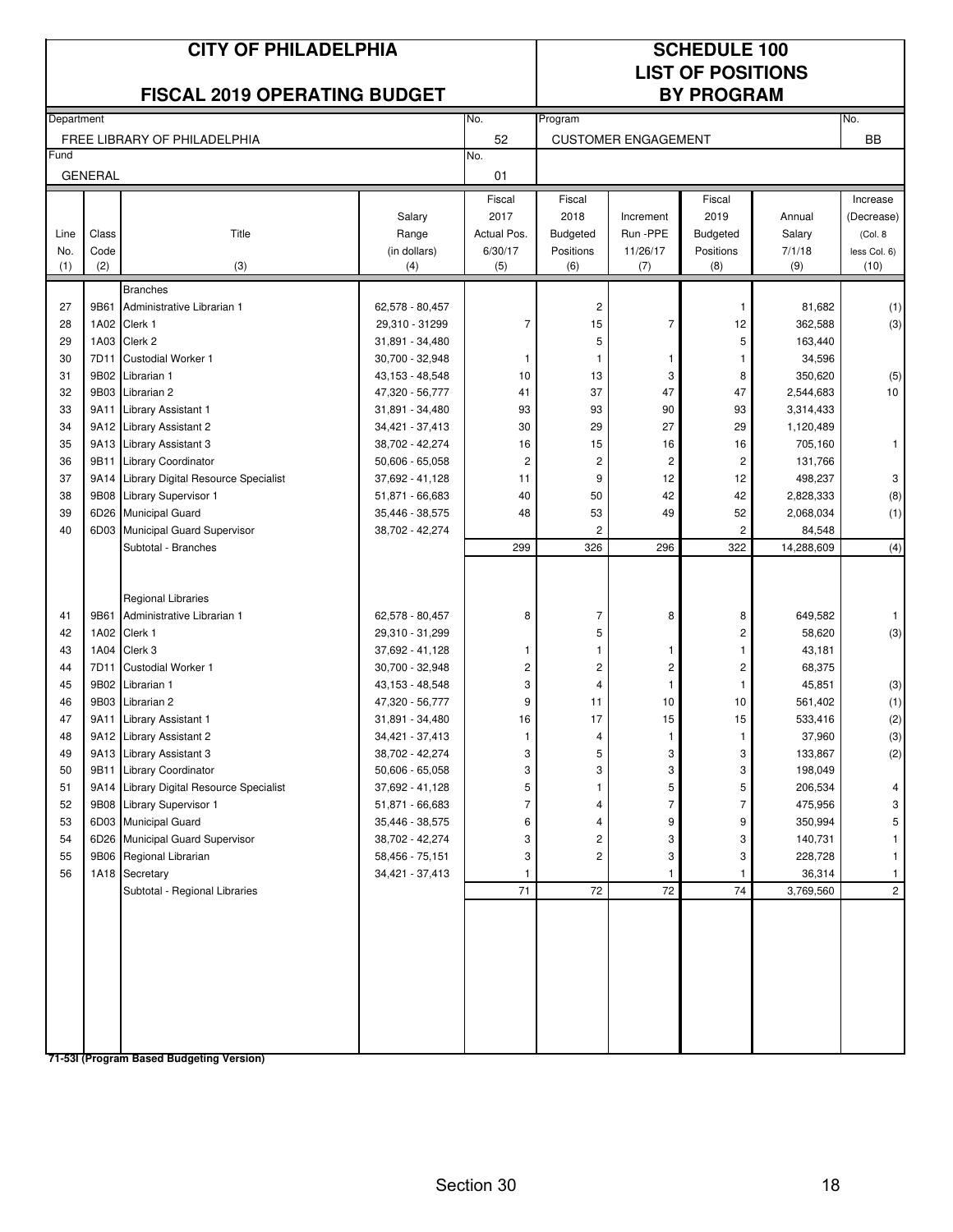|            |                | <b>CITY OF PHILADELPHIA</b><br><b>FISCAL 2019 OPERATING BUDGET</b> |                                    |                         |                         |                            | <b>SCHEDULE 100</b><br><b>LIST OF POSITIONS</b><br><b>BY PROGRAM</b> |                   |                      |
|------------|----------------|--------------------------------------------------------------------|------------------------------------|-------------------------|-------------------------|----------------------------|----------------------------------------------------------------------|-------------------|----------------------|
| Department |                |                                                                    |                                    | No.                     | Program                 |                            |                                                                      |                   | No.                  |
|            |                | FREE LIBRARY OF PHILADELPHIA                                       |                                    | 52                      |                         | <b>CUSTOMER ENGAGEMENT</b> |                                                                      |                   | <b>BB</b>            |
| Fund       | <b>GENERAL</b> |                                                                    |                                    | No.<br>01               |                         |                            |                                                                      |                   |                      |
|            |                |                                                                    |                                    | Fiscal                  | Fiscal                  |                            | Fiscal                                                               |                   | Increase             |
|            |                |                                                                    | Salary                             | 2017                    | 2018                    | Increment                  | 2019                                                                 | Annual            | (Decrease)           |
| Line       | Class          | Title                                                              | Range                              | Actual Pos.             | <b>Budgeted</b>         | Run -PPE                   | <b>Budgeted</b>                                                      | Salary            | (Col. 8              |
| No.<br>(1) | Code<br>(2)    | (3)                                                                | (in dollars)<br>(4)                | 6/30/17<br>(5)          | Positions<br>(6)        | 11/26/17<br>(7)            | Positions<br>(8)                                                     | 7/1/18<br>(9)     | less Col. 6)<br>(10) |
|            |                |                                                                    |                                    |                         |                         |                            |                                                                      |                   |                      |
| 27         | 9B61           | <b>Branches</b><br>Administrative Librarian 1                      | 62,578 - 80,457                    |                         | $\overline{\mathbf{c}}$ |                            | 1                                                                    | 81,682            | (1)                  |
| 28         |                | 1A02 Clerk 1                                                       | 29,310 - 31299                     | $\overline{7}$          | 15                      | $\overline{7}$             | 12                                                                   | 362,588           | (3)                  |
| 29         |                | 1A03 Clerk 2                                                       | 31,891 - 34,480                    |                         | 5                       |                            | 5                                                                    | 163,440           |                      |
| 30         | 7D11           | <b>Custodial Worker 1</b>                                          | 30,700 - 32,948                    | 1                       | $\mathbf{1}$            | $\mathbf{1}$               | 1                                                                    | 34,596            |                      |
| 31         | 9B02           | Librarian 1                                                        | 43,153 - 48,548                    | 10                      | 13                      | 3                          | 8                                                                    | 350,620           | (5)                  |
| 32         | 9B03           | Librarian 2                                                        | 47,320 - 56,777                    | 41                      | 37                      | 47                         | 47                                                                   | 2,544,683         | 10                   |
| 33         | 9A11           | Library Assistant 1                                                | 31,891 - 34,480                    | 93                      | 93                      | 90                         | 93                                                                   | 3,314,433         |                      |
| 34         |                | 9A12 Library Assistant 2                                           | 34,421 - 37,413                    | 30                      | 29                      | 27                         | 29                                                                   | 1,120,489         |                      |
| 35         |                | 9A13 Library Assistant 3                                           | 38,702 - 42,274                    | 16                      | 15                      | 16                         | 16                                                                   | 705,160           | $\mathbf{1}$         |
| 36         |                | 9B11 Library Coordinator                                           | $50,606 - 65,058$                  | $\overline{\mathbf{c}}$ | 2                       | $\overline{c}$             | 2                                                                    | 131,766           |                      |
| 37         |                | 9A14 Library Digital Resource Specialist                           | 37,692 - 41,128                    | 11                      | 9                       | 12                         | 12                                                                   | 498,237           | 3                    |
| 38         |                | 9B08 Library Supervisor 1                                          | 51,871 - 66,683                    | 40                      | 50                      | 42                         | 42                                                                   | 2,828,333         | (8)                  |
| 39         |                | 6D26 Municipal Guard                                               | 35,446 - 38,575                    | 48                      | 53                      | 49                         | 52                                                                   | 2,068,034         | (1)                  |
| 40         |                | 6D03 Municipal Guard Supervisor                                    | 38,702 - 42,274                    |                         | 2                       |                            | 2                                                                    | 84,548            |                      |
|            |                | Subtotal - Branches                                                |                                    | 299                     | 326                     | 296                        | 322                                                                  | 14,288,609        | (4)                  |
|            |                | <b>Regional Libraries</b>                                          |                                    |                         |                         |                            |                                                                      |                   |                      |
| 41         | 9B61           | Administrative Librarian 1                                         | 62,578 - 80,457                    | 8                       | 7                       | 8                          | 8                                                                    | 649,582           | -1                   |
| 42         |                | 1A02 Clerk 1                                                       | 29,310 - 31,299                    |                         | 5                       |                            | $\overline{c}$                                                       | 58,620            | (3)                  |
| 43         |                | 1A04 Clerk 3                                                       | 37,692 - 41,128                    | 1                       | $\mathbf{1}$            | $\mathbf{1}$               | 1                                                                    | 43,181            |                      |
| 44         | 7D11           | <b>Custodial Worker 1</b>                                          | 30,700 - 32,948                    | $\overline{\mathbf{c}}$ | 2                       | $\sqrt{2}$                 | $\overline{\mathbf{c}}$                                              | 68,375            |                      |
| 45         |                | 9B02 Librarian 1                                                   | 43,153 - 48,548                    | 3                       | 4                       | $\mathbf{1}$               | 1                                                                    | 45,851            | (3)                  |
| 46<br>47   | 9B03           | Librarian 2                                                        | 47,320 - 56,777                    | 9                       | 11<br>17                | 10<br>15                   | 10<br>15                                                             | 561,402           | (1)                  |
|            | 9A11           | Library Assistant 1                                                | 31,891 - 34,480                    | 16                      |                         |                            |                                                                      | 533,416           | (2)                  |
| 48<br>49   |                | 9A12 Library Assistant 2<br>9A13 Library Assistant 3               | 34,421 - 37,413<br>38,702 - 42,274 | 3                       | 4<br>5                  | 3                          | 3                                                                    | 37,960<br>133,867 | (3)<br>(2)           |
| 50         |                | 9B11 Library Coordinator                                           | $50,606 - 65,058$                  | 3                       | 3                       | 3                          | 3                                                                    | 198,049           |                      |
| 51         |                | 9A14 Library Digital Resource Specialist                           | 37,692 - 41,128                    | 5                       |                         | 5                          | 5                                                                    | 206,534           | 4                    |
| 52         |                | 9B08 Library Supervisor 1                                          | 51,871 - 66,683                    | 7                       | 4                       | $\overline{7}$             | 7                                                                    | 475,956           | 3                    |
| 53         |                | 6D03 Municipal Guard                                               | 35,446 - 38,575                    | 6                       | 4                       | 9                          | 9                                                                    | 350,994           | 5                    |
| 54         |                | 6D26 Municipal Guard Supervisor                                    | 38,702 - 42,274                    | 3                       | 2                       | 3                          | 3                                                                    | 140,731           |                      |
| 55         |                | 9B06 Regional Librarian                                            | 58,456 - 75,151                    | 3                       | 2                       | 3                          | 3                                                                    | 228,728           |                      |
| 56         |                | 1A18 Secretary                                                     | 34,421 - 37,413                    |                         |                         |                            | 1                                                                    | 36,314            |                      |
|            |                | Subtotal - Regional Libraries                                      |                                    | 71                      | 72                      | 72                         | 74                                                                   | 3,769,560         | $\overline{c}$       |
|            |                |                                                                    |                                    |                         |                         |                            |                                                                      |                   |                      |
|            |                | 71-53I (Program Based Budgeting Version)                           |                                    |                         |                         |                            |                                                                      |                   |                      |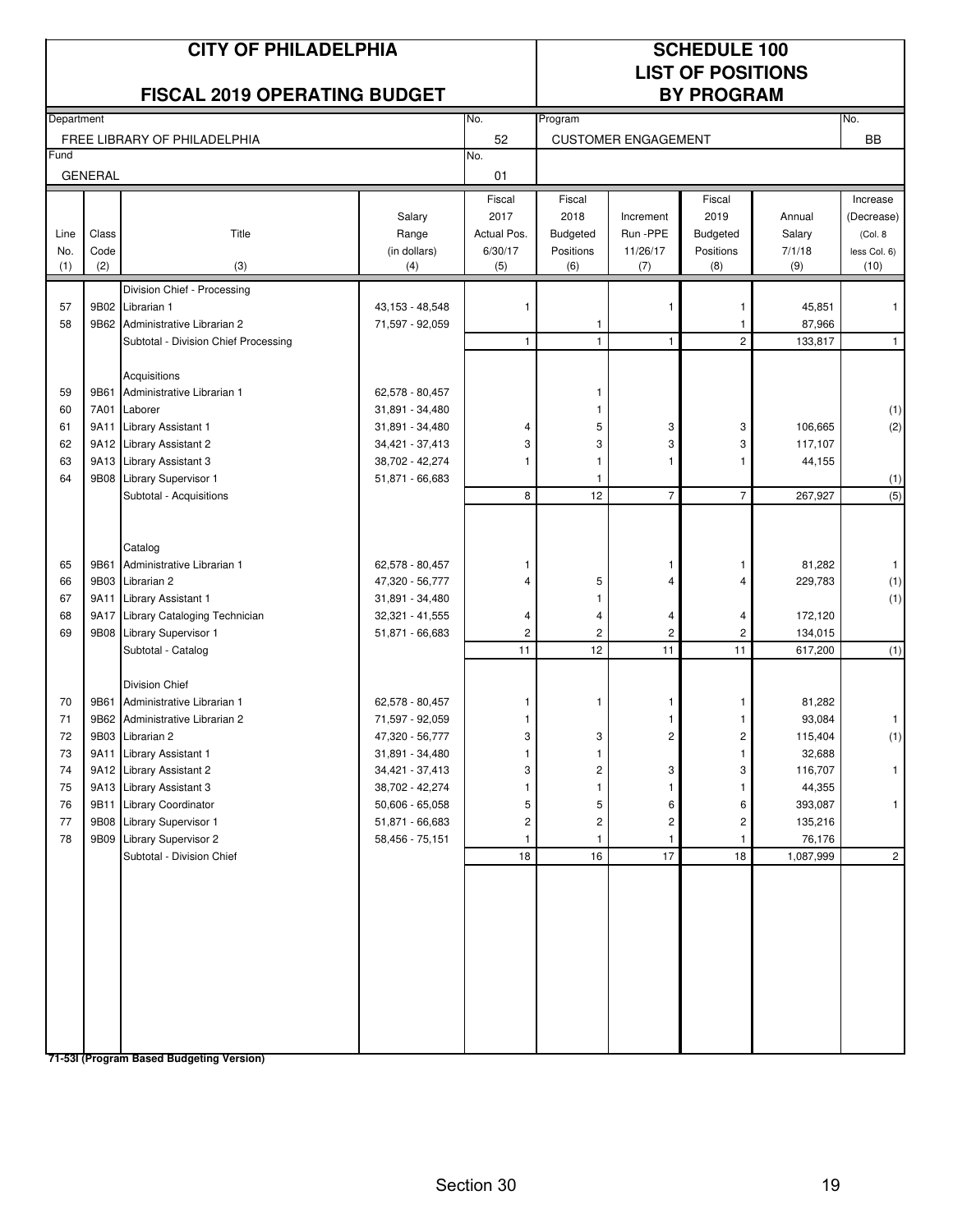|             |                | <b>CITY OF PHILADELPHIA</b><br><b>FISCAL 2019 OPERATING BUDGET</b> |                                    |                        |                              |                            | <b>SCHEDULE 100</b><br><b>LIST OF POSITIONS</b><br><b>BY PROGRAM</b> |                   |                         |
|-------------|----------------|--------------------------------------------------------------------|------------------------------------|------------------------|------------------------------|----------------------------|----------------------------------------------------------------------|-------------------|-------------------------|
| Department  |                |                                                                    |                                    | No.<br>52              | Program                      |                            |                                                                      |                   | No.<br><b>BB</b>        |
| Fund        |                | FREE LIBRARY OF PHILADELPHIA                                       |                                    | No.                    |                              | <b>CUSTOMER ENGAGEMENT</b> |                                                                      |                   |                         |
|             | <b>GENERAL</b> |                                                                    |                                    | 01                     |                              |                            |                                                                      |                   |                         |
|             |                |                                                                    | Salary                             | Fiscal<br>2017         | Fiscal<br>2018               | Increment                  | Fiscal<br>2019                                                       | Annual            | Increase<br>(Decrease)  |
| Line<br>No. | Class<br>Code  | Title                                                              | Range<br>(in dollars)              | Actual Pos.<br>6/30/17 | <b>Budgeted</b><br>Positions | Run -PPE<br>11/26/17       | <b>Budgeted</b><br>Positions                                         | Salary<br>7/1/18  | (Col. 8<br>less Col. 6) |
| (1)         | (2)            | (3)                                                                | (4)                                | (5)                    | (6)                          | (7)                        | (8)                                                                  | (9)               | (10)                    |
|             |                | Division Chief - Processing                                        |                                    |                        |                              |                            |                                                                      |                   |                         |
| 57          | 9B02           | Librarian 1                                                        | 43,153 - 48,548                    | -1                     |                              | 1                          | -1                                                                   | 45,851            | 1                       |
| 58          |                | 9B62 Administrative Librarian 2                                    | 71,597 - 92,059                    |                        | 1                            |                            |                                                                      | 87,966            |                         |
|             |                | Subtotal - Division Chief Processing                               |                                    | $\mathbf{1}$           | $\mathbf{1}$                 | $\mathbf{1}$               | $\overline{c}$                                                       | 133,817           | $\mathbf{1}$            |
|             |                | Acquisitions                                                       |                                    |                        |                              |                            |                                                                      |                   |                         |
| 59          | 9B61           | Administrative Librarian 1                                         | 62,578 - 80,457                    |                        | 1                            |                            |                                                                      |                   |                         |
| 60          | 7A01           | Laborer                                                            | 31,891 - 34,480                    |                        | 1                            |                            |                                                                      |                   | (1)                     |
| 61          | 9A11           | Library Assistant 1                                                | 31,891 - 34,480                    | 4                      | 5                            | 3                          | 3                                                                    | 106,665           | (2)                     |
| 62          |                | 9A12 Library Assistant 2                                           | 34,421 - 37,413                    | 3                      | 3                            | 3                          | 3                                                                    | 117,107           |                         |
| 63          |                | 9A13 Library Assistant 3                                           | 38,702 - 42,274                    | 1                      | $\mathbf{1}$                 | $\mathbf{1}$               | 1                                                                    | 44,155            |                         |
| 64          | 9B08           | Library Supervisor 1                                               | 51,871 - 66,683                    |                        | 1                            |                            |                                                                      |                   | (1)                     |
|             |                | Subtotal - Acquisitions                                            |                                    | 8                      | 12                           | $\overline{7}$             | $\overline{7}$                                                       | 267,927           | $\overline{(5)}$        |
|             |                |                                                                    |                                    |                        |                              |                            |                                                                      |                   |                         |
|             |                | Catalog                                                            |                                    |                        |                              |                            |                                                                      |                   |                         |
| 65          | 9B61           | Administrative Librarian 1                                         | 62,578 - 80,457                    | 1                      |                              |                            | 1                                                                    | 81,282            | $\mathbf{1}$            |
| 66          | 9B03           | Librarian 2                                                        | 47,320 - 56,777                    | 4                      | 5                            | Δ                          | 4                                                                    | 229,783           | (1)                     |
| 67          | 9A11           | Library Assistant 1                                                | 31,891 - 34,480                    |                        | 1                            |                            |                                                                      |                   | (1)                     |
| 68          | 9A17           | Library Cataloging Technician                                      | 32,321 - 41,555                    | 4                      | 4                            | 4                          | 4                                                                    | 172,120           |                         |
| 69          |                | 9B08 Library Supervisor 1                                          | 51,871 - 66,683                    | $\overline{c}$         | $\overline{c}$               | $\overline{c}$             | $\overline{c}$                                                       | 134,015           |                         |
|             |                | Subtotal - Catalog                                                 |                                    | 11                     | 12                           | 11                         | 11                                                                   | 617,200           | (1)                     |
|             |                | Division Chief                                                     |                                    |                        |                              |                            |                                                                      |                   |                         |
| 70          | 9B61           | Administrative Librarian 1                                         | 62,578 - 80,457                    | 1                      | 1                            |                            | 1                                                                    | 81,282            |                         |
| 71          |                | 9B62 Administrative Librarian 2                                    | 71,597 - 92,059                    | 1                      |                              | -1                         | 1                                                                    | 93,084            | $\mathbf{1}$            |
| 72          |                | 9B03 Librarian 2                                                   | 47,320 - 56,777                    | 3                      | З                            | $\mathbf{z}$               | $\mathbf{z}$                                                         | 115,404           | (1)                     |
| 73          |                | 9A11 Library Assistant 1                                           | 31,891 - 34,480                    |                        | 1                            |                            | $\mathbf{1}$                                                         | 32,688            |                         |
| 74          |                | 9A12 Library Assistant 2                                           | 34,421 - 37,413                    | 3                      | 2                            | 3                          | 3                                                                    | 116,707           | $\mathbf{1}$            |
| 75          |                | 9A13 Library Assistant 3                                           | 38,702 - 42,274                    |                        |                              |                            | 1                                                                    | 44,355            |                         |
| 76          | 9B11           | Library Coordinator                                                | 50,606 - 65,058                    | 5                      | 5                            | 6                          | 6                                                                    | 393,087           | 1                       |
| 77<br>78    |                | 9B08 Library Supervisor 1<br>9B09 Library Supervisor 2             | 51,871 - 66,683<br>58,456 - 75,151 | 2                      | 2                            | 2<br>$\mathbf{1}$          | 2<br>1.                                                              | 135,216<br>76,176 |                         |
|             |                | Subtotal - Division Chief                                          |                                    | $18\,$                 | 16                           | 17                         | 18                                                                   | 1,087,999         | $\overline{2}$          |
|             |                |                                                                    |                                    |                        |                              |                            |                                                                      |                   |                         |
|             |                |                                                                    |                                    |                        |                              |                            |                                                                      |                   |                         |
|             |                |                                                                    |                                    |                        |                              |                            |                                                                      |                   |                         |
|             |                |                                                                    |                                    |                        |                              |                            |                                                                      |                   |                         |
|             |                |                                                                    |                                    |                        |                              |                            |                                                                      |                   |                         |
|             |                |                                                                    |                                    |                        |                              |                            |                                                                      |                   |                         |
|             |                |                                                                    |                                    |                        |                              |                            |                                                                      |                   |                         |
|             |                |                                                                    |                                    |                        |                              |                            |                                                                      |                   |                         |
|             |                |                                                                    |                                    |                        |                              |                            |                                                                      |                   |                         |
|             |                |                                                                    |                                    |                        |                              |                            |                                                                      |                   |                         |
|             |                | 71-53I (Program Based Budgeting Version)                           |                                    |                        |                              |                            |                                                                      |                   |                         |

Section 30 19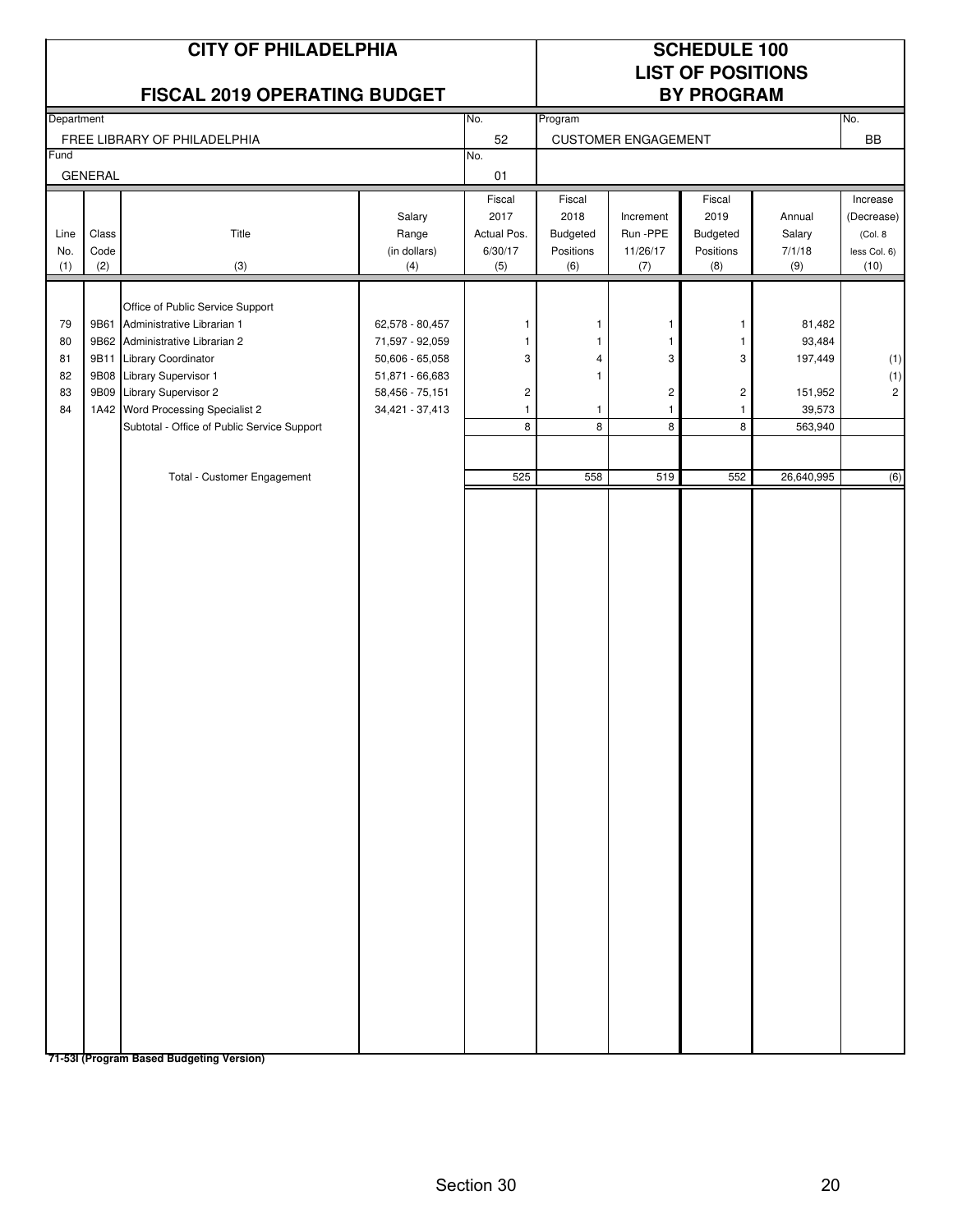|                                  |                              | <b>CITY OF PHILADELPHIA</b><br><b>FISCAL 2019 OPERATING BUDGET</b>                                                                                                                                                                                                                          |                                                                                                                |                                                 |                                                |                                                                   | <b>SCHEDULE 100</b><br><b>LIST OF POSITIONS</b><br><b>BY PROGRAM</b>                     |                                                                           |                                                           |
|----------------------------------|------------------------------|---------------------------------------------------------------------------------------------------------------------------------------------------------------------------------------------------------------------------------------------------------------------------------------------|----------------------------------------------------------------------------------------------------------------|-------------------------------------------------|------------------------------------------------|-------------------------------------------------------------------|------------------------------------------------------------------------------------------|---------------------------------------------------------------------------|-----------------------------------------------------------|
| Department                       |                              | FREE LIBRARY OF PHILADELPHIA                                                                                                                                                                                                                                                                |                                                                                                                | No.<br>52                                       | Program                                        | <b>CUSTOMER ENGAGEMENT</b>                                        |                                                                                          |                                                                           | No.<br>BB                                                 |
| Fund                             |                              |                                                                                                                                                                                                                                                                                             |                                                                                                                | No.                                             |                                                |                                                                   |                                                                                          |                                                                           |                                                           |
|                                  | <b>GENERAL</b>               |                                                                                                                                                                                                                                                                                             |                                                                                                                | 01                                              |                                                |                                                                   |                                                                                          |                                                                           |                                                           |
| Line<br>No.<br>(1)               | Class<br>Code<br>(2)         | Title<br>(3)                                                                                                                                                                                                                                                                                | Salary<br>Range<br>(in dollars)<br>(4)                                                                         | Fiscal<br>2017<br>Actual Pos.<br>6/30/17<br>(5) | Fiscal<br>2018<br>Budgeted<br>Positions<br>(6) | Increment<br>Run -PPE<br>11/26/17<br>(7)                          | Fiscal<br>2019<br>Budgeted<br>Positions<br>(8)                                           | Annual<br>Salary<br>7/1/18<br>(9)                                         | Increase<br>(Decrease)<br>(Col. 8<br>less Col. 6)<br>(10) |
| 79<br>80<br>81<br>82<br>83<br>84 | 9B61<br>9B11<br>9B08<br>9B09 | Office of Public Service Support<br>Administrative Librarian 1<br>9B62 Administrative Librarian 2<br>Library Coordinator<br>Library Supervisor 1<br>Library Supervisor 2<br>1A42 Word Processing Specialist 2<br>Subtotal - Office of Public Service Support<br>Total - Customer Engagement | 62,578 - 80,457<br>71,597 - 92,059<br>50,606 - 65,058<br>51,871 - 66,683<br>58,456 - 75,151<br>34,421 - 37,413 | 1<br>1<br>3<br>2<br>$\mathbf{1}$<br>8<br>525    | 1<br>1<br>4<br>$\mathbf{1}$<br>1<br>8<br>558   | -1<br>$\mathbf{1}$<br>3<br>$\sqrt{2}$<br>$\mathbf{1}$<br>8<br>519 | $\mathbf{1}$<br>$\mathbf{1}$<br>3<br>$\overline{\mathbf{c}}$<br>$\mathbf{1}$<br>8<br>552 | 81,482<br>93,484<br>197,449<br>151,952<br>39,573<br>563,940<br>26,640,995 | (1)<br>(1)<br>$\sqrt{2}$<br>(6)                           |
|                                  |                              | 71-531 (Program Based Budgeting Version)                                                                                                                                                                                                                                                    |                                                                                                                |                                                 |                                                |                                                                   |                                                                                          |                                                                           |                                                           |

Section 30 20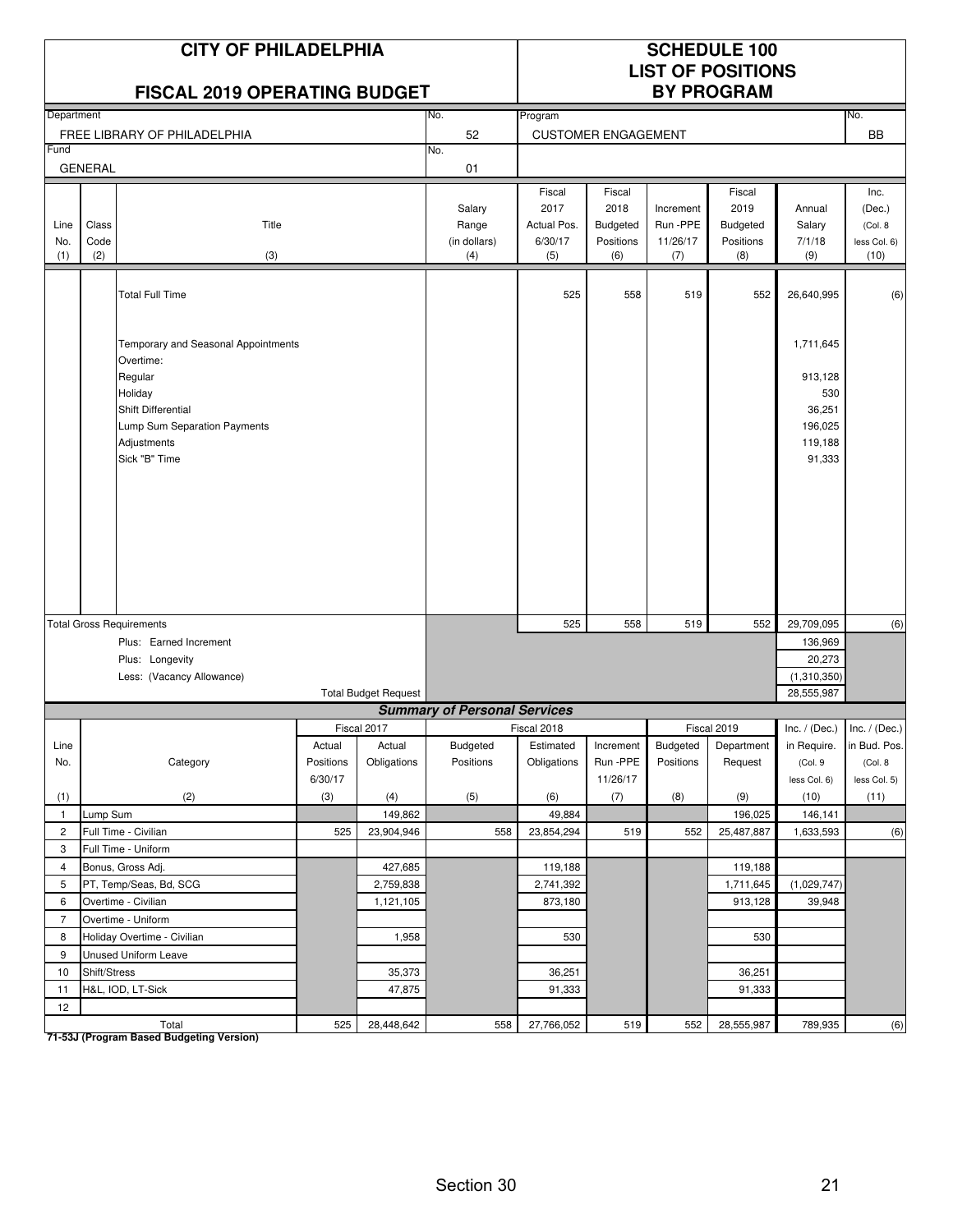|                    |                      | <b>CITY OF PHILADELPHIA</b><br><b>FISCAL 2019 OPERATING BUDGET</b>                                                                                           |                      |                             |                                        |                                                 |                                                       |                                          | <b>SCHEDULE 100</b><br><b>LIST OF POSITIONS</b><br><b>BY PROGRAM</b> |                                                                       |                                                    |
|--------------------|----------------------|--------------------------------------------------------------------------------------------------------------------------------------------------------------|----------------------|-----------------------------|----------------------------------------|-------------------------------------------------|-------------------------------------------------------|------------------------------------------|----------------------------------------------------------------------|-----------------------------------------------------------------------|----------------------------------------------------|
| Department         |                      |                                                                                                                                                              |                      |                             | No.                                    | Program                                         |                                                       |                                          |                                                                      |                                                                       | No.                                                |
|                    |                      | FREE LIBRARY OF PHILADELPHIA                                                                                                                                 |                      |                             | 52                                     |                                                 | <b>CUSTOMER ENGAGEMENT</b>                            |                                          |                                                                      |                                                                       | <b>BB</b>                                          |
| Fund               |                      |                                                                                                                                                              |                      |                             | No.                                    |                                                 |                                                       |                                          |                                                                      |                                                                       |                                                    |
|                    | <b>GENERAL</b>       |                                                                                                                                                              |                      |                             | 01                                     |                                                 |                                                       |                                          |                                                                      |                                                                       |                                                    |
| Line<br>No.<br>(1) | Class<br>Code<br>(2) | Title<br>(3)                                                                                                                                                 |                      |                             | Salary<br>Range<br>(in dollars)<br>(4) | Fiscal<br>2017<br>Actual Pos.<br>6/30/17<br>(5) | Fiscal<br>2018<br><b>Budgeted</b><br>Positions<br>(6) | Increment<br>Run -PPE<br>11/26/17<br>(7) | Fiscal<br>2019<br><b>Budgeted</b><br>Positions<br>(8)                | Annual<br>Salary<br>7/1/18<br>(9)                                     | Inc.<br>(Dec.)<br>(Col. 8)<br>less Col. 6)<br>(10) |
|                    |                      | <b>Total Full Time</b>                                                                                                                                       |                      |                             |                                        | 525                                             | 558                                                   | 519                                      | 552                                                                  | 26,640,995                                                            | (6)                                                |
|                    |                      | Temporary and Seasonal Appointments<br>Overtime:<br>Regular<br>Holiday<br>Shift Differential<br>Lump Sum Separation Payments<br>Adjustments<br>Sick "B" Time |                      |                             |                                        |                                                 |                                                       |                                          |                                                                      | 1,711,645<br>913,128<br>530<br>36,251<br>196,025<br>119,188<br>91,333 |                                                    |
|                    |                      | <b>Total Gross Requirements</b>                                                                                                                              |                      |                             |                                        | 525                                             | 558                                                   | 519                                      | 552                                                                  | 29,709,095                                                            | (6)                                                |
|                    |                      | Plus: Earned Increment                                                                                                                                       |                      |                             |                                        |                                                 |                                                       |                                          |                                                                      | 136,969                                                               |                                                    |
|                    |                      | Plus: Longevity                                                                                                                                              |                      |                             |                                        |                                                 |                                                       |                                          |                                                                      | 20,273                                                                |                                                    |
|                    |                      | Less: (Vacancy Allowance)                                                                                                                                    |                      |                             |                                        |                                                 |                                                       |                                          |                                                                      | (1,310,350)                                                           |                                                    |
|                    |                      |                                                                                                                                                              |                      | <b>Total Budget Request</b> |                                        |                                                 |                                                       |                                          |                                                                      | 28,555,987                                                            |                                                    |
|                    |                      |                                                                                                                                                              |                      |                             | <b>Summary of Personal Services</b>    |                                                 |                                                       |                                          |                                                                      |                                                                       |                                                    |
|                    |                      |                                                                                                                                                              |                      | Fiscal 2017                 |                                        | Fiscal 2018                                     |                                                       |                                          | Fiscal 2019                                                          |                                                                       | Inc. / (Dec.) Inc. / (Dec.)                        |
| Line               |                      |                                                                                                                                                              | Actual               | Actual                      | Budgeted                               | Estimated                                       | Increment                                             | Budgeted                                 | Department                                                           | in Require.                                                           | in Bud. Pos.                                       |
| No.                |                      | Category                                                                                                                                                     | Positions<br>6/30/17 | Obligations                 | Positions                              | Obligations                                     | Run -PPE<br>11/26/17                                  | Positions                                | Request                                                              | (Col. 9<br>less Col. 6)                                               | (Col. 8<br>less Col. 5)                            |
| (1)                |                      | (2)                                                                                                                                                          | (3)                  | (4)                         | (5)                                    | (6)                                             | (7)                                                   | (8)                                      | (9)                                                                  | (10)                                                                  | (11)                                               |
| $\mathbf{1}$       | Lump Sum             |                                                                                                                                                              |                      | 149,862                     |                                        | 49,884                                          |                                                       |                                          | 196,025                                                              | 146,141                                                               |                                                    |
| $\overline{2}$     |                      | Full Time - Civilian                                                                                                                                         | 525                  | 23,904,946                  | 558                                    | 23,854,294                                      | 519                                                   | 552                                      | 25,487,887                                                           | 1,633,593                                                             | (6)                                                |
| 3                  |                      | Full Time - Uniform                                                                                                                                          |                      |                             |                                        |                                                 |                                                       |                                          |                                                                      |                                                                       |                                                    |
| $\overline{4}$     |                      | Bonus, Gross Adj.                                                                                                                                            |                      | 427,685                     |                                        | 119,188                                         |                                                       |                                          | 119,188                                                              |                                                                       |                                                    |
| 5                  |                      | PT, Temp/Seas, Bd, SCG                                                                                                                                       |                      | 2,759,838                   |                                        | 2,741,392                                       |                                                       |                                          | 1,711,645                                                            | (1,029,747)                                                           |                                                    |
| 6                  |                      | Overtime - Civilian                                                                                                                                          |                      | 1,121,105                   |                                        | 873,180                                         |                                                       |                                          | 913,128                                                              | 39,948                                                                |                                                    |
| $\overline{7}$     |                      | Overtime - Uniform                                                                                                                                           |                      |                             |                                        |                                                 |                                                       |                                          |                                                                      |                                                                       |                                                    |
| 8                  |                      | Holiday Overtime - Civilian                                                                                                                                  |                      | 1,958                       |                                        | 530                                             |                                                       |                                          | 530                                                                  |                                                                       |                                                    |
| 9                  |                      | Unused Uniform Leave                                                                                                                                         |                      |                             |                                        |                                                 |                                                       |                                          |                                                                      |                                                                       |                                                    |
| 10                 | Shift/Stress         |                                                                                                                                                              |                      | 35,373                      |                                        | 36,251                                          |                                                       |                                          | 36,251                                                               |                                                                       |                                                    |
| 11                 |                      | H&L, IOD, LT-Sick                                                                                                                                            |                      | 47,875                      |                                        | 91,333                                          |                                                       |                                          | 91,333                                                               |                                                                       |                                                    |
| 12                 |                      |                                                                                                                                                              |                      |                             |                                        |                                                 |                                                       |                                          |                                                                      |                                                                       |                                                    |
|                    |                      | Total                                                                                                                                                        | 525                  | 28,448,642                  | 558                                    | 27,766,052                                      | 519                                                   | 552                                      | 28,555,987                                                           | 789,935                                                               | (6)                                                |

Total<br>T1-53J (Program Based Budgeting Version)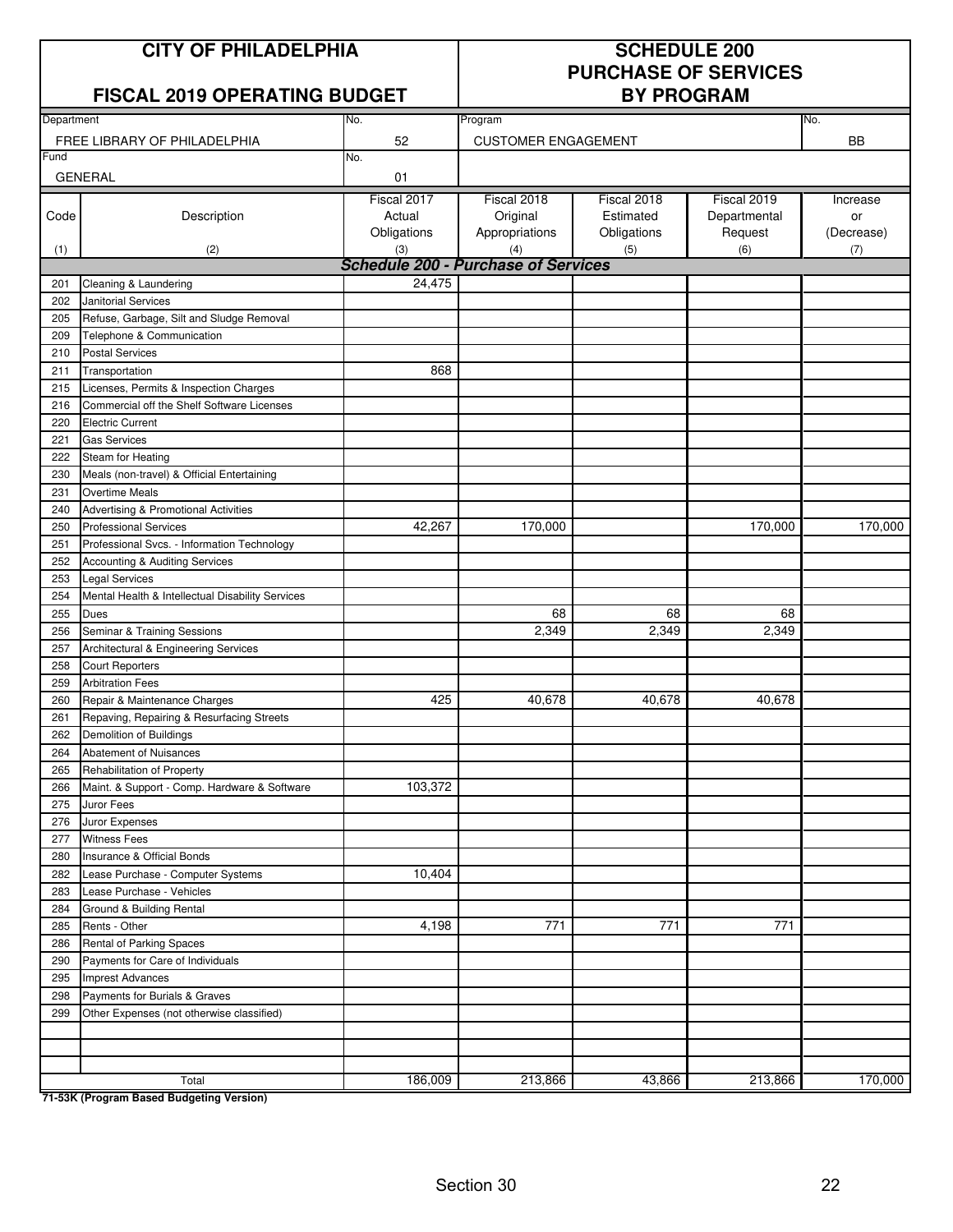## **CITY OF PHILADELPHIA SCHEDULE 200**

### **FISCAL 2019 OPERATING BUDGET BY PROGRAM**

# **PURCHASE OF SERVICES**

| Department |                                                  | No.                                        | Program                    |             |              | No.        |  |  |
|------------|--------------------------------------------------|--------------------------------------------|----------------------------|-------------|--------------|------------|--|--|
|            | FREE LIBRARY OF PHILADELPHIA                     | 52                                         | <b>CUSTOMER ENGAGEMENT</b> |             |              | BB         |  |  |
| Fund       |                                                  | No.                                        |                            |             |              |            |  |  |
|            | <b>GENERAL</b>                                   | 01                                         |                            |             |              |            |  |  |
|            |                                                  | Fiscal 2017                                | Fiscal 2018                | Fiscal 2018 | Fiscal 2019  | Increase   |  |  |
| Code       | Description                                      | Actual                                     | Original                   | Estimated   | Departmental | or         |  |  |
|            |                                                  | Obligations                                | Appropriations             | Obligations | Request      | (Decrease) |  |  |
| (1)        | (2)                                              | (3)                                        | (4)                        | (5)         | (6)          | (7)        |  |  |
|            |                                                  | <b>Schedule 200 - Purchase of Services</b> |                            |             |              |            |  |  |
| 201        | Cleaning & Laundering                            | 24,475                                     |                            |             |              |            |  |  |
| 202        | Janitorial Services                              |                                            |                            |             |              |            |  |  |
| 205        | Refuse, Garbage, Silt and Sludge Removal         |                                            |                            |             |              |            |  |  |
| 209        | Telephone & Communication                        |                                            |                            |             |              |            |  |  |
| 210        | <b>Postal Services</b>                           |                                            |                            |             |              |            |  |  |
| 211        | Transportation                                   | 868                                        |                            |             |              |            |  |  |
| 215        | Licenses, Permits & Inspection Charges           |                                            |                            |             |              |            |  |  |
| 216        | Commercial off the Shelf Software Licenses       |                                            |                            |             |              |            |  |  |
| 220        | <b>Electric Current</b>                          |                                            |                            |             |              |            |  |  |
| 221        | <b>Gas Services</b>                              |                                            |                            |             |              |            |  |  |
| 222        | Steam for Heating                                |                                            |                            |             |              |            |  |  |
| 230        | Meals (non-travel) & Official Entertaining       |                                            |                            |             |              |            |  |  |
| 231        | <b>Overtime Meals</b>                            |                                            |                            |             |              |            |  |  |
| 240        | Advertising & Promotional Activities             |                                            |                            |             |              |            |  |  |
| 250        | <b>Professional Services</b>                     | 42,267                                     | 170,000                    |             | 170,000      | 170,000    |  |  |
| 251        | Professional Svcs. - Information Technology      |                                            |                            |             |              |            |  |  |
| 252        | <b>Accounting &amp; Auditing Services</b>        |                                            |                            |             |              |            |  |  |
| 253        | <b>Legal Services</b>                            |                                            |                            |             |              |            |  |  |
| 254        | Mental Health & Intellectual Disability Services |                                            |                            |             |              |            |  |  |
| 255        | <b>Dues</b>                                      |                                            | 68                         | 68          | 68           |            |  |  |
| 256        | Seminar & Training Sessions                      |                                            | 2,349                      | 2,349       | 2,349        |            |  |  |
| 257        | Architectural & Engineering Services             |                                            |                            |             |              |            |  |  |
| 258        | <b>Court Reporters</b>                           |                                            |                            |             |              |            |  |  |
| 259        | <b>Arbitration Fees</b>                          |                                            |                            |             |              |            |  |  |
| 260        | Repair & Maintenance Charges                     | 425                                        | 40,678                     | 40,678      | 40,678       |            |  |  |
| 261        | Repaving, Repairing & Resurfacing Streets        |                                            |                            |             |              |            |  |  |
| 262        | Demolition of Buildings                          |                                            |                            |             |              |            |  |  |
| 264        | Abatement of Nuisances                           |                                            |                            |             |              |            |  |  |
| 265        | Rehabilitation of Property                       |                                            |                            |             |              |            |  |  |
| 266        | Maint. & Support - Comp. Hardware & Software     | 103,372                                    |                            |             |              |            |  |  |
| 275        | Juror Fees                                       |                                            |                            |             |              |            |  |  |
| 276        | Juror Expenses                                   |                                            |                            |             |              |            |  |  |
| 277        | <b>Witness Fees</b>                              |                                            |                            |             |              |            |  |  |
| 280        | Insurance & Official Bonds                       |                                            |                            |             |              |            |  |  |
| 282        | Lease Purchase - Computer Systems                | 10,404                                     |                            |             |              |            |  |  |
| 283        | Lease Purchase - Vehicles                        |                                            |                            |             |              |            |  |  |
| 284        | Ground & Building Rental                         |                                            |                            |             |              |            |  |  |
| 285        | Rents - Other                                    | 4,198                                      | 771                        | 771         | 771          |            |  |  |
| 286        | Rental of Parking Spaces                         |                                            |                            |             |              |            |  |  |
| 290        | Payments for Care of Individuals                 |                                            |                            |             |              |            |  |  |
| 295        | <b>Imprest Advances</b>                          |                                            |                            |             |              |            |  |  |
| 298        | Payments for Burials & Graves                    |                                            |                            |             |              |            |  |  |
| 299        | Other Expenses (not otherwise classified)        |                                            |                            |             |              |            |  |  |
|            |                                                  |                                            |                            |             |              |            |  |  |
|            |                                                  |                                            |                            |             |              |            |  |  |
|            |                                                  | 186,009                                    | 213,866                    | 43,866      | 213,866      | 170,000    |  |  |
|            | Total                                            |                                            |                            |             |              |            |  |  |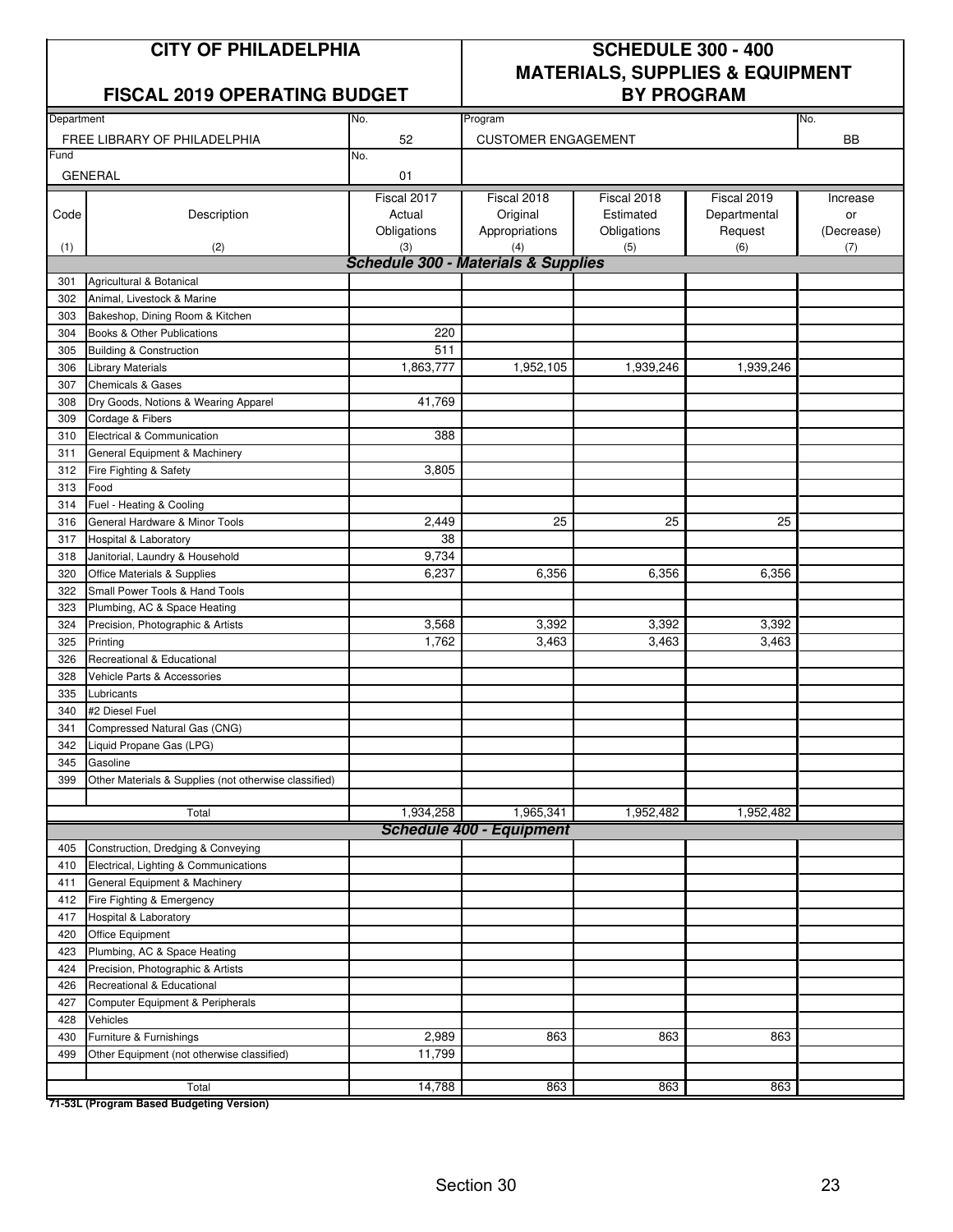#### **FISCAL 2019 OPERATING BUDGET**

# **CITY OF PHILADELPHIA SCHEDULE 300 - 400 MATERIALS, SUPPLIES & EQUIPMENT**

| Department |                                                       | No.                                            | Program                         |             |              | No.        |
|------------|-------------------------------------------------------|------------------------------------------------|---------------------------------|-------------|--------------|------------|
|            | FREE LIBRARY OF PHILADELPHIA                          | 52                                             | <b>CUSTOMER ENGAGEMENT</b>      |             |              | <b>BB</b>  |
| Fund       |                                                       | No.                                            |                                 |             |              |            |
|            | <b>GENERAL</b>                                        | 01                                             |                                 |             |              |            |
|            |                                                       | Fiscal 2017                                    | Fiscal 2018                     | Fiscal 2018 | Fiscal 2019  | Increase   |
| Code       | Description                                           | Actual                                         | Original                        | Estimated   | Departmental | or         |
|            |                                                       | Obligations                                    | Appropriations                  | Obligations | Request      | (Decrease) |
| (1)        | (2)                                                   | (3)                                            | (4)                             | (5)         | (6)          | (7)        |
|            |                                                       | <b>Schedule 300 - Materials &amp; Supplies</b> |                                 |             |              |            |
| 301        | Agricultural & Botanical                              |                                                |                                 |             |              |            |
| 302        | Animal, Livestock & Marine                            |                                                |                                 |             |              |            |
| 303        | Bakeshop, Dining Room & Kitchen                       |                                                |                                 |             |              |            |
| 304        | Books & Other Publications                            | 220                                            |                                 |             |              |            |
| 305        | <b>Building &amp; Construction</b>                    | 511                                            |                                 |             |              |            |
| 306        | <b>Library Materials</b>                              | 1,863,777                                      | 1,952,105                       | 1,939,246   | 1,939,246    |            |
| 307        | <b>Chemicals &amp; Gases</b>                          |                                                |                                 |             |              |            |
| 308        | Dry Goods, Notions & Wearing Apparel                  | 41,769                                         |                                 |             |              |            |
| 309        | Cordage & Fibers                                      |                                                |                                 |             |              |            |
| 310        | Electrical & Communication                            | 388                                            |                                 |             |              |            |
| 311        | General Equipment & Machinery                         |                                                |                                 |             |              |            |
| 312        | Fire Fighting & Safety                                | 3,805                                          |                                 |             |              |            |
| 313        | Food                                                  |                                                |                                 |             |              |            |
| 314        | Fuel - Heating & Cooling                              |                                                |                                 |             |              |            |
| 316        | General Hardware & Minor Tools                        | 2,449                                          | 25                              | 25          | 25           |            |
| 317        | <b>Hospital &amp; Laboratory</b>                      | 38                                             |                                 |             |              |            |
| 318        | Janitorial, Laundry & Household                       | 9,734                                          |                                 |             |              |            |
| 320        | Office Materials & Supplies                           | 6,237                                          | 6,356                           | 6,356       | 6,356        |            |
| 322        | Small Power Tools & Hand Tools                        |                                                |                                 |             |              |            |
| 323        | Plumbing, AC & Space Heating                          |                                                |                                 |             |              |            |
| 324        | Precision, Photographic & Artists                     | 3,568                                          | 3,392                           | 3,392       | 3,392        |            |
| 325        | Printing                                              | 1,762                                          | 3,463                           | 3,463       | 3,463        |            |
| 326        | Recreational & Educational                            |                                                |                                 |             |              |            |
| 328        | Vehicle Parts & Accessories                           |                                                |                                 |             |              |            |
| 335        | Lubricants                                            |                                                |                                 |             |              |            |
| 340        | #2 Diesel Fuel                                        |                                                |                                 |             |              |            |
| 341        | Compressed Natural Gas (CNG)                          |                                                |                                 |             |              |            |
| 342        | Liquid Propane Gas (LPG)                              |                                                |                                 |             |              |            |
| 345        | Gasoline                                              |                                                |                                 |             |              |            |
| 399        | Other Materials & Supplies (not otherwise classified) |                                                |                                 |             |              |            |
|            |                                                       |                                                |                                 |             |              |            |
|            | Total                                                 | 1,934,258                                      | 1,965,341                       | 1,952,482   | 1,952,482    |            |
|            |                                                       |                                                | <b>Schedule 400 - Equipment</b> |             |              |            |
| 405        | Construction, Dredging & Conveying                    |                                                |                                 |             |              |            |
| 410        | Electrical, Lighting & Communications                 |                                                |                                 |             |              |            |
| 411        | General Equipment & Machinery                         |                                                |                                 |             |              |            |
| 412        | Fire Fighting & Emergency                             |                                                |                                 |             |              |            |
| 417        | Hospital & Laboratory                                 |                                                |                                 |             |              |            |
| 420        | Office Equipment                                      |                                                |                                 |             |              |            |
| 423        | Plumbing, AC & Space Heating                          |                                                |                                 |             |              |            |
| 424        | Precision, Photographic & Artists                     |                                                |                                 |             |              |            |
| 426        | Recreational & Educational                            |                                                |                                 |             |              |            |
| 427        | Computer Equipment & Peripherals                      |                                                |                                 |             |              |            |
| 428        | Vehicles                                              |                                                |                                 |             |              |            |
| 430        | Furniture & Furnishings                               | 2,989                                          | 863                             | 863         | 863          |            |
| 499        | Other Equipment (not otherwise classified)            | 11,799                                         |                                 |             |              |            |
|            |                                                       | 14,788                                         |                                 | 863         | 863          |            |
|            | Total                                                 |                                                | 863                             |             |              |            |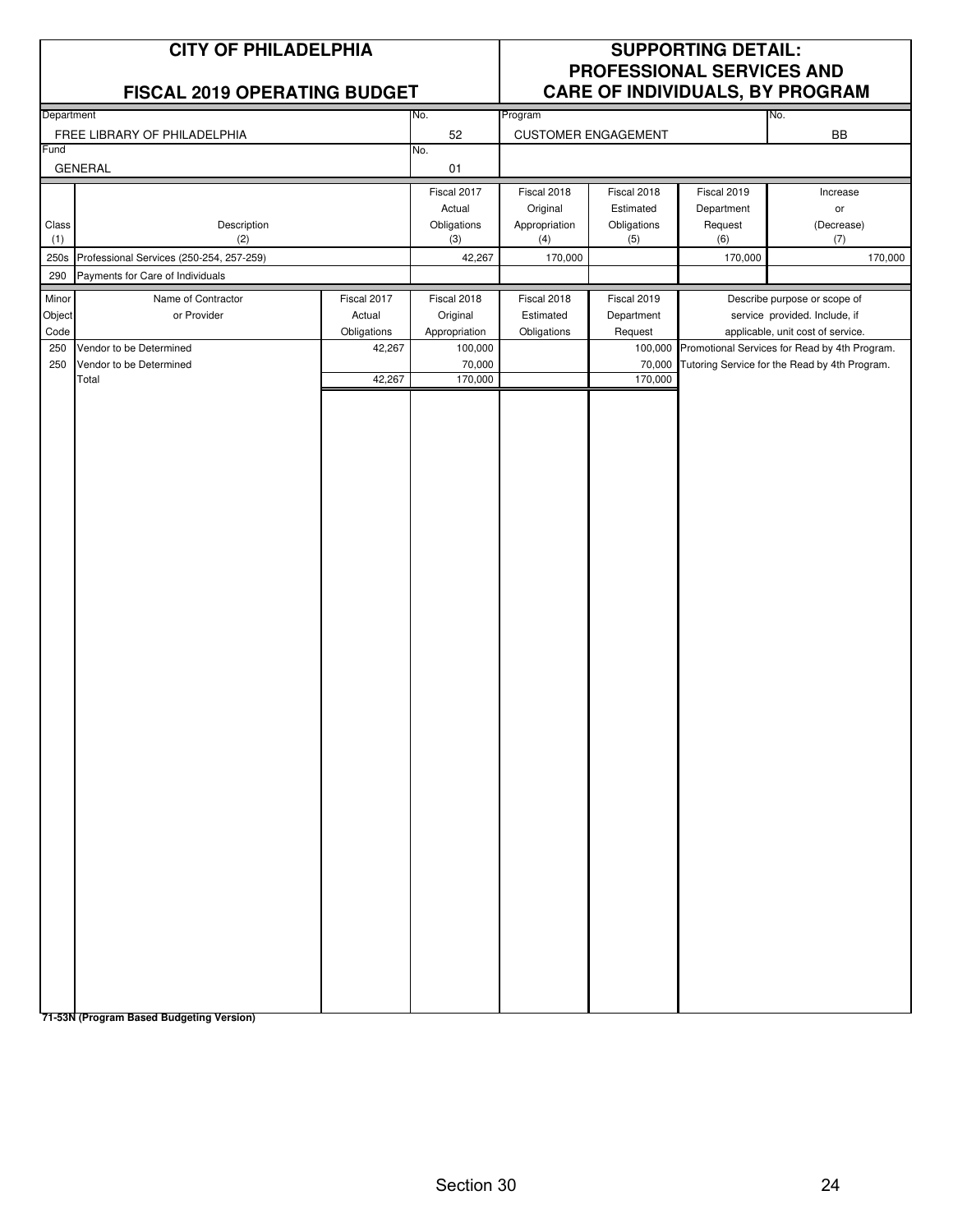|              | <b>CITY OF PHILADELPHIA</b><br>FISCAL 2019 OPERATING BUDGET |             |                    |                      |                            | <b>SUPPORTING DETAIL:</b><br>PROFESSIONAL SERVICES AND | CARE OF INDIVIDUALS, BY PROGRAM                                                                |
|--------------|-------------------------------------------------------------|-------------|--------------------|----------------------|----------------------------|--------------------------------------------------------|------------------------------------------------------------------------------------------------|
| Department   |                                                             |             | No.                | Program              |                            |                                                        | No.                                                                                            |
| Fund         | FREE LIBRARY OF PHILADELPHIA                                |             | 52                 |                      | <b>CUSTOMER ENGAGEMENT</b> |                                                        | <b>BB</b>                                                                                      |
|              | <b>GENERAL</b>                                              |             | No.<br>01          |                      |                            |                                                        |                                                                                                |
|              |                                                             |             | Fiscal 2017        | Fiscal 2018          | Fiscal 2018                | Fiscal 2019                                            | Increase                                                                                       |
|              |                                                             |             | Actual             | Original             | Estimated                  | Department                                             | or                                                                                             |
| Class<br>(1) | Description<br>(2)                                          |             | Obligations<br>(3) | Appropriation<br>(4) | Obligations<br>(5)         | Request<br>(6)                                         | (Decrease)<br>(7)                                                                              |
| 250s         | Professional Services (250-254, 257-259)                    |             | 42,267             | 170,000              |                            | 170,000                                                | 170,000                                                                                        |
| 290          | Payments for Care of Individuals                            |             |                    |                      |                            |                                                        |                                                                                                |
| Minor        | Name of Contractor                                          | Fiscal 2017 | Fiscal 2018        | Fiscal 2018          | Fiscal 2019                |                                                        | Describe purpose or scope of                                                                   |
| Object       | or Provider                                                 | Actual      | Original           | Estimated            | Department                 |                                                        | service provided. Include, if                                                                  |
| Code         |                                                             | Obligations | Appropriation      | Obligations          | Request                    |                                                        | applicable, unit cost of service.                                                              |
| 250<br>250   | Vendor to be Determined<br>Vendor to be Determined          | 42,267      | 100,000<br>70,000  |                      | 100,000<br>70,000          |                                                        | Promotional Services for Read by 4th Program.<br>Tutoring Service for the Read by 4th Program. |
|              | Total                                                       | 42,267      | 170,000            |                      | 170,000                    |                                                        |                                                                                                |
|              |                                                             |             |                    |                      |                            |                                                        |                                                                                                |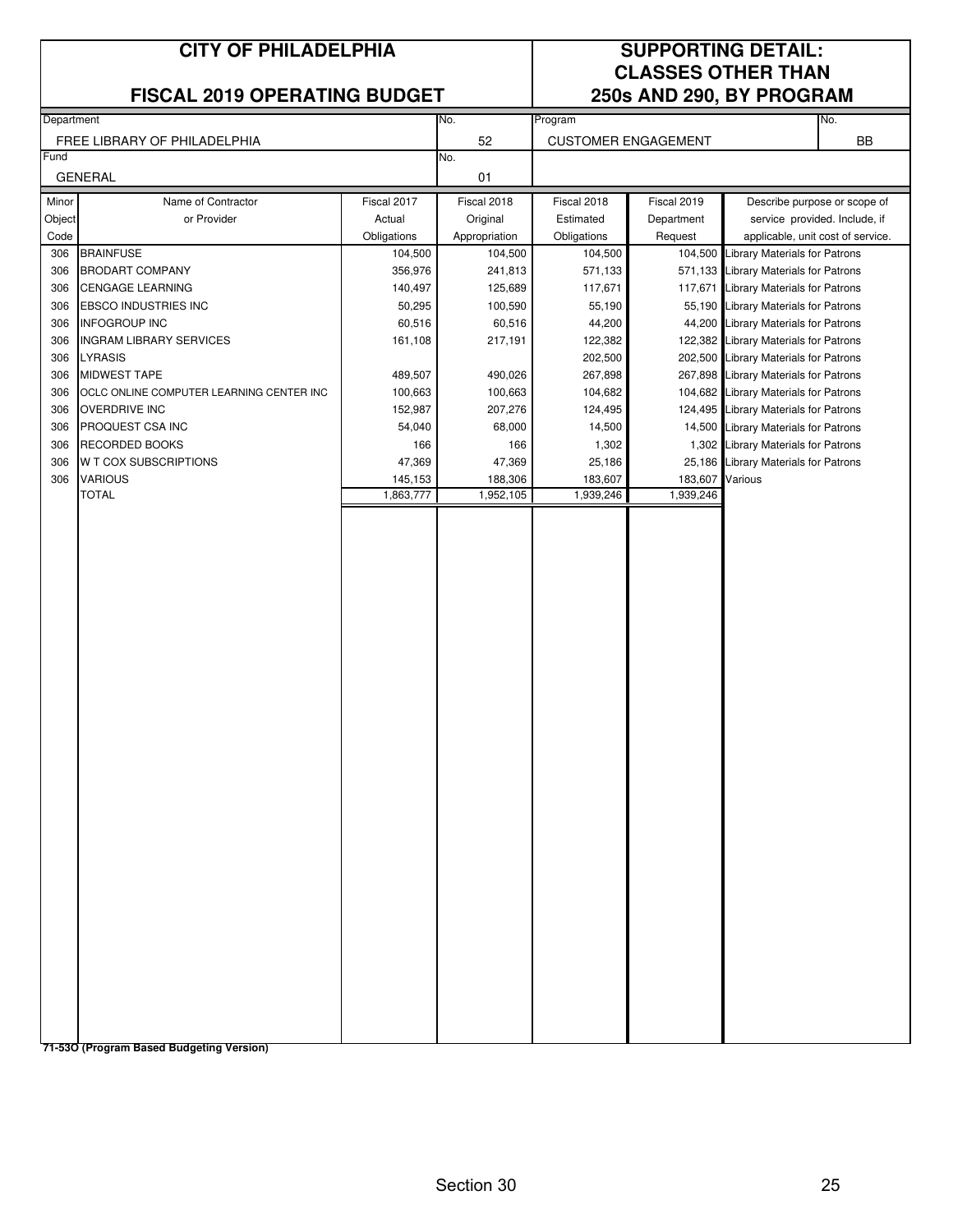#### **FISCAL 2019 OPERATING BUDGET 250s AND 290, BY PROGRAM**

## **CITY OF PHILADELPHIA SUPPORTING DETAIL: CLASSES OTHER THAN**

|            | Department                               |                    | No.                | Program            |                            |                                                                               | No.                           |
|------------|------------------------------------------|--------------------|--------------------|--------------------|----------------------------|-------------------------------------------------------------------------------|-------------------------------|
|            | FREE LIBRARY OF PHILADELPHIA             |                    | 52                 |                    | <b>CUSTOMER ENGAGEMENT</b> |                                                                               | BB                            |
| Fund       |                                          |                    | No.                |                    |                            |                                                                               |                               |
|            | <b>GENERAL</b>                           |                    | 01                 |                    |                            |                                                                               |                               |
| Minor      | Name of Contractor                       | Fiscal 2017        | Fiscal 2018        | Fiscal 2018        | Fiscal 2019                |                                                                               | Describe purpose or scope of  |
|            | or Provider                              | Actual             | Original           | Estimated          | Department                 |                                                                               | service provided. Include, if |
| Object     |                                          |                    |                    |                    |                            |                                                                               |                               |
| Code       | <b>BRAINFUSE</b>                         | Obligations        | Appropriation      | Obligations        | Request                    | applicable, unit cost of service.                                             |                               |
| 306<br>306 | <b>BRODART COMPANY</b>                   | 104,500<br>356,976 | 104,500<br>241,813 | 104,500<br>571,133 | 104,500                    | <b>Library Materials for Patrons</b><br>571,133 Library Materials for Patrons |                               |
| 306        | <b>CENGAGE LEARNING</b>                  | 140,497            | 125,689            | 117,671            | 117,671                    | <b>Library Materials for Patrons</b>                                          |                               |
| 306        | <b>EBSCO INDUSTRIES INC</b>              | 50,295             | 100,590            | 55,190             |                            | 55,190 Library Materials for Patrons                                          |                               |
|            | <b>INFOGROUP INC</b>                     | 60,516             | 60,516             | 44,200             | 44,200                     | <b>Library Materials for Patrons</b>                                          |                               |
| 306<br>306 | <b>INGRAM LIBRARY SERVICES</b>           | 161,108            | 217,191            | 122,382            |                            | 122,382 Library Materials for Patrons                                         |                               |
| 306        | <b>LYRASIS</b>                           |                    |                    | 202,500            |                            | 202,500 Library Materials for Patrons                                         |                               |
| 306        |                                          |                    |                    |                    |                            |                                                                               |                               |
|            | <b>MIDWEST TAPE</b>                      | 489,507            | 490,026            | 267,898            |                            | 267,898 Library Materials for Patrons                                         |                               |
| 306        | OCLC ONLINE COMPUTER LEARNING CENTER INC | 100,663            | 100,663            | 104,682            |                            | 104,682 Library Materials for Patrons                                         |                               |
| 306        | <b>OVERDRIVE INC</b>                     | 152,987            | 207,276            | 124,495            |                            | 124,495 Library Materials for Patrons                                         |                               |
| 306        | PROQUEST CSA INC                         | 54,040             | 68,000             | 14,500             |                            | 14,500 Library Materials for Patrons                                          |                               |
| 306        | <b>RECORDED BOOKS</b>                    | 166                | 166                | 1,302              |                            | 1,302 Library Materials for Patrons                                           |                               |
| 306        | <b>W T COX SUBSCRIPTIONS</b>             | 47,369             | 47,369             | 25,186             | 25,186                     | <b>Library Materials for Patrons</b>                                          |                               |
| 306        | <b>VARIOUS</b><br><b>TOTAL</b>           | 145,153            | 188,306            | 183,607            | 183,607<br>1,939,246       | Various                                                                       |                               |
|            |                                          | 1,863,777          | 1,952,105          | 1,939,246          |                            |                                                                               |                               |
|            |                                          |                    |                    |                    |                            |                                                                               |                               |
|            |                                          |                    |                    |                    |                            |                                                                               |                               |
|            |                                          |                    |                    |                    |                            |                                                                               |                               |
|            |                                          |                    |                    |                    |                            |                                                                               |                               |
|            |                                          |                    |                    |                    |                            |                                                                               |                               |
|            |                                          |                    |                    |                    |                            |                                                                               |                               |
|            |                                          |                    |                    |                    |                            |                                                                               |                               |
|            |                                          |                    |                    |                    |                            |                                                                               |                               |
|            |                                          |                    |                    |                    |                            |                                                                               |                               |
|            |                                          |                    |                    |                    |                            |                                                                               |                               |
|            |                                          |                    |                    |                    |                            |                                                                               |                               |
|            |                                          |                    |                    |                    |                            |                                                                               |                               |
|            |                                          |                    |                    |                    |                            |                                                                               |                               |
|            |                                          |                    |                    |                    |                            |                                                                               |                               |
|            |                                          |                    |                    |                    |                            |                                                                               |                               |
|            |                                          |                    |                    |                    |                            |                                                                               |                               |
|            |                                          |                    |                    |                    |                            |                                                                               |                               |
|            |                                          |                    |                    |                    |                            |                                                                               |                               |
|            |                                          |                    |                    |                    |                            |                                                                               |                               |
|            |                                          |                    |                    |                    |                            |                                                                               |                               |
|            |                                          |                    |                    |                    |                            |                                                                               |                               |
|            |                                          |                    |                    |                    |                            |                                                                               |                               |
|            |                                          |                    |                    |                    |                            |                                                                               |                               |
|            |                                          |                    |                    |                    |                            |                                                                               |                               |
|            |                                          |                    |                    |                    |                            |                                                                               |                               |
|            |                                          |                    |                    |                    |                            |                                                                               |                               |
|            |                                          |                    |                    |                    |                            |                                                                               |                               |
|            |                                          |                    |                    |                    |                            |                                                                               |                               |
|            |                                          |                    |                    |                    |                            |                                                                               |                               |
|            |                                          |                    |                    |                    |                            |                                                                               |                               |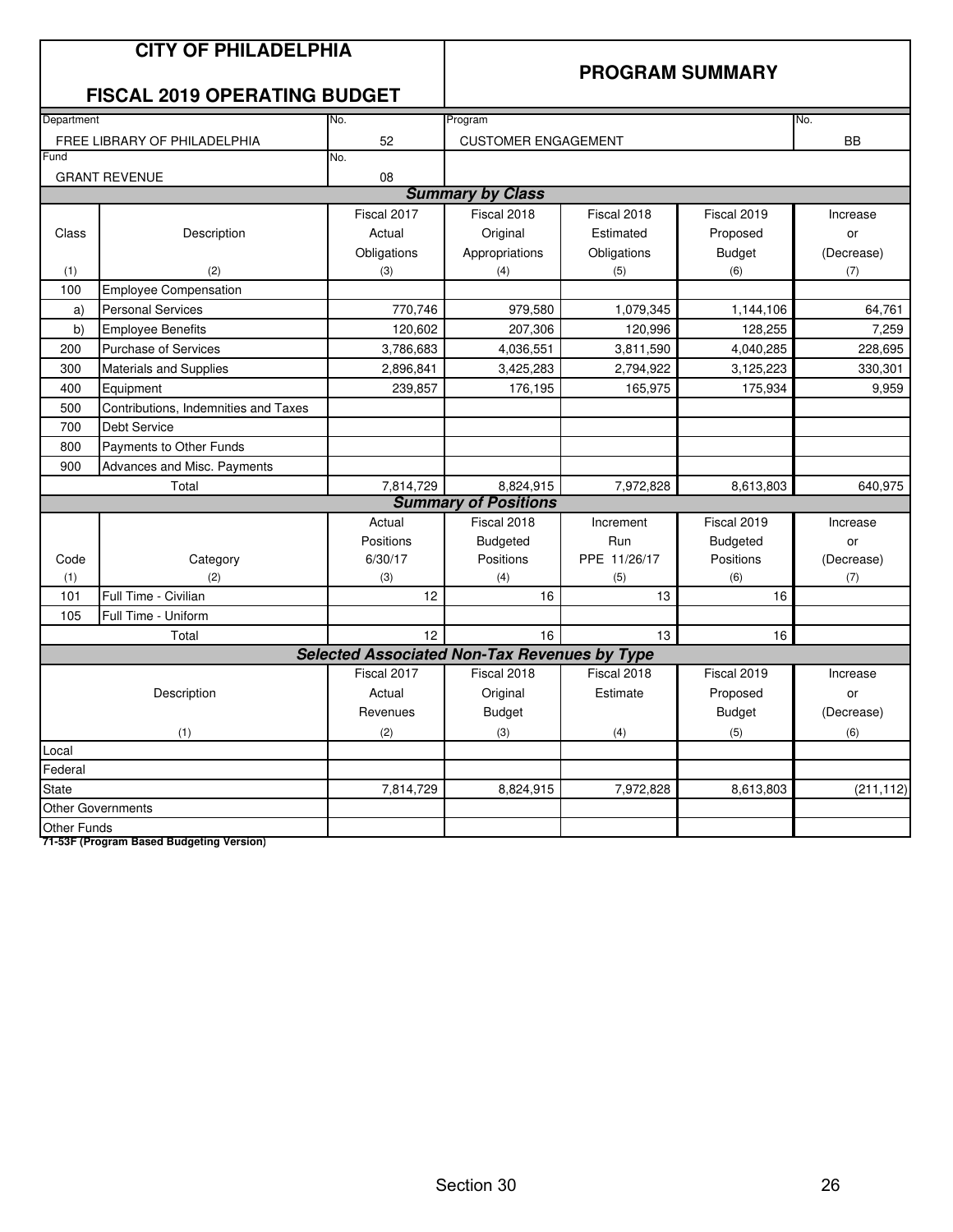|                    | <b>CITY OF PHILADELPHIA</b>          |                                                     |                             |              |                        |            |
|--------------------|--------------------------------------|-----------------------------------------------------|-----------------------------|--------------|------------------------|------------|
|                    |                                      |                                                     |                             |              | <b>PROGRAM SUMMARY</b> |            |
|                    | <b>FISCAL 2019 OPERATING BUDGET</b>  |                                                     |                             |              |                        |            |
| Department         |                                      | No.                                                 | Program                     |              |                        | No.        |
|                    | FREE LIBRARY OF PHILADELPHIA         | 52                                                  | <b>CUSTOMER ENGAGEMENT</b>  |              |                        | <b>BB</b>  |
| Fund               |                                      | No.                                                 |                             |              |                        |            |
|                    | <b>GRANT REVENUE</b>                 | 08                                                  |                             |              |                        |            |
|                    |                                      |                                                     | <b>Summary by Class</b>     |              |                        |            |
|                    |                                      | Fiscal 2017                                         | Fiscal 2018                 | Fiscal 2018  | Fiscal 2019            | Increase   |
| Class              | Description                          | Actual                                              | Original                    | Estimated    | Proposed               | or         |
|                    |                                      | Obligations                                         | Appropriations              | Obligations  | <b>Budget</b>          | (Decrease) |
| (1)                | (2)                                  | (3)                                                 | (4)                         | (5)          | (6)                    | (7)        |
| 100                | <b>Employee Compensation</b>         |                                                     |                             |              |                        |            |
| a)                 | <b>Personal Services</b>             | 770,746                                             | 979,580                     | 1,079,345    | 1,144,106              | 64,761     |
| b)                 | <b>Employee Benefits</b>             | 120,602                                             | 207,306                     | 120,996      | 128,255                | 7,259      |
| 200                | <b>Purchase of Services</b>          | 3,786,683                                           | 4,036,551                   | 3,811,590    | 4,040,285              | 228,695    |
| 300                | Materials and Supplies               | 2,896,841                                           | 3,425,283                   | 2,794,922    | 3,125,223              | 330,301    |
| 400                | Equipment                            | 239,857                                             | 176,195                     | 165,975      | 175,934                | 9,959      |
| 500                | Contributions, Indemnities and Taxes |                                                     |                             |              |                        |            |
| 700                | <b>Debt Service</b>                  |                                                     |                             |              |                        |            |
| 800                | Payments to Other Funds              |                                                     |                             |              |                        |            |
| 900                | Advances and Misc. Payments          |                                                     |                             |              |                        |            |
|                    | Total                                | 7,814,729                                           | 8,824,915                   | 7,972,828    | 8,613,803              | 640,975    |
|                    |                                      |                                                     | <b>Summary of Positions</b> |              |                        |            |
|                    |                                      | Actual                                              | Fiscal 2018                 | Increment    | Fiscal 2019            | Increase   |
|                    |                                      | Positions                                           | <b>Budgeted</b>             | Run          | <b>Budgeted</b>        | or         |
| Code               | Category                             | 6/30/17                                             | Positions                   | PPE 11/26/17 | Positions              | (Decrease) |
| (1)                | (2)                                  | (3)                                                 | (4)                         | (5)          | (6)                    | (7)        |
| 101                | Full Time - Civilian                 | 12                                                  | 16                          | 13           | 16                     |            |
| 105                | Full Time - Uniform                  |                                                     |                             |              |                        |            |
|                    | Total                                | 12                                                  | 16                          | 13           | 16                     |            |
|                    |                                      | <b>Selected Associated Non-Tax Revenues by Type</b> |                             |              |                        |            |
|                    |                                      | Fiscal 2017                                         | Fiscal 2018                 | Fiscal 2018  | Fiscal 2019            | Increase   |
|                    | Description                          | Actual                                              | Original                    | Estimate     | Proposed               | or         |
|                    |                                      | Revenues                                            | <b>Budget</b>               |              | <b>Budget</b>          | (Decrease) |
|                    | (1)                                  | (2)                                                 | (3)                         | (4)          | (5)                    | (6)        |
| Local              |                                      |                                                     |                             |              |                        |            |
| Federal            |                                      |                                                     |                             |              |                        |            |
| <b>State</b>       |                                      | 7,814,729                                           | 8,824,915                   | 7,972,828    | 8,613,803              | (211, 112) |
|                    | <b>Other Governments</b>             |                                                     |                             |              |                        |            |
| <b>Other Funds</b> |                                      |                                                     |                             |              |                        |            |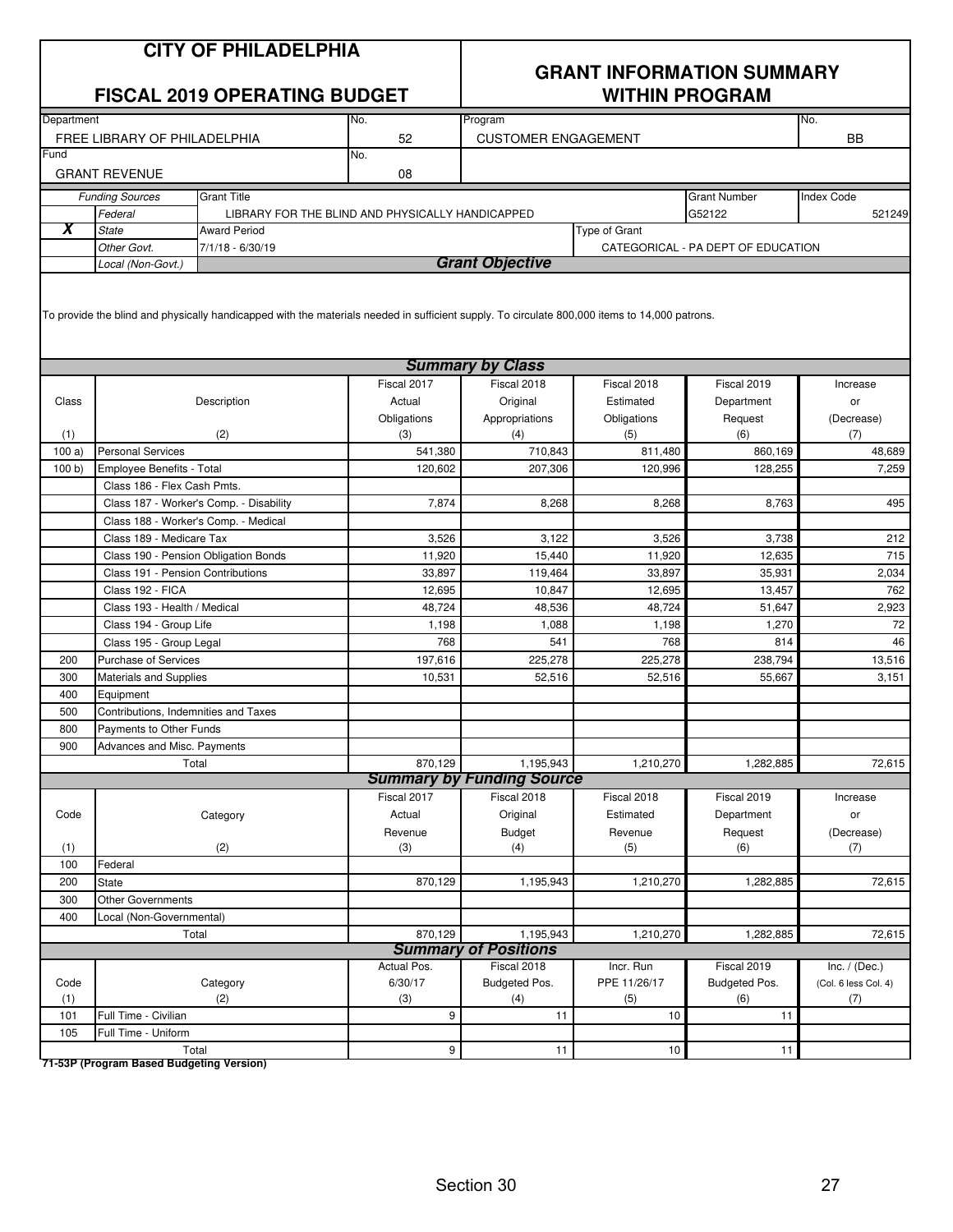|            | <b>CITY OF PHILADELPHIA</b><br><b>FISCAL 2019 OPERATING BUDGET</b><br>No.<br>52<br>FREE LIBRARY OF PHILADELPHIA                                                          |                                                  |                  |                                       | <b>GRANT INFORMATION SUMMARY</b> | <b>WITHIN PROGRAM</b>              |                      |  |  |
|------------|--------------------------------------------------------------------------------------------------------------------------------------------------------------------------|--------------------------------------------------|------------------|---------------------------------------|----------------------------------|------------------------------------|----------------------|--|--|
| Department |                                                                                                                                                                          |                                                  |                  | Program<br><b>CUSTOMER ENGAGEMENT</b> |                                  |                                    | No.<br>BB            |  |  |
| Fund       | <b>GRANT REVENUE</b>                                                                                                                                                     |                                                  | No.<br>08        |                                       |                                  |                                    |                      |  |  |
|            | <b>Funding Sources</b>                                                                                                                                                   | <b>Grant Title</b>                               |                  |                                       |                                  | <b>Grant Number</b>                | <b>Index Code</b>    |  |  |
|            | Federal                                                                                                                                                                  | LIBRARY FOR THE BLIND AND PHYSICALLY HANDICAPPED |                  |                                       |                                  | G52122                             | 521249               |  |  |
| X          | <b>State</b>                                                                                                                                                             | <b>Award Period</b>                              |                  |                                       | Type of Grant                    |                                    |                      |  |  |
|            | Other Govt.                                                                                                                                                              | 7/1/18 - 6/30/19                                 |                  |                                       |                                  | CATEGORICAL - PA DEPT OF EDUCATION |                      |  |  |
|            | Local (Non-Govt.)                                                                                                                                                        |                                                  |                  | <b>Grant Objective</b>                |                                  |                                    |                      |  |  |
|            | To provide the blind and physically handicapped with the materials needed in sufficient supply. To circulate 800,000 items to 14,000 patrons.<br><b>Summary by Class</b> |                                                  |                  |                                       |                                  |                                    |                      |  |  |
|            |                                                                                                                                                                          |                                                  | Fiscal 2017      | Fiscal 2018                           | Fiscal 2018                      | Fiscal 2019                        | Increase             |  |  |
| Class      |                                                                                                                                                                          | Description                                      | Actual           | Original                              | Estimated                        | Department                         | or                   |  |  |
|            |                                                                                                                                                                          |                                                  | Obligations      | Appropriations                        | Obligations                      | Request                            | (Decrease)           |  |  |
| (1)        |                                                                                                                                                                          | (2)                                              | (3)              | (4)                                   | (5)                              | (6)                                | (7)                  |  |  |
| 100a       | <b>Personal Services</b>                                                                                                                                                 |                                                  | 541.380          | 710,843                               | 811,480                          | 860.169                            | 48,689               |  |  |
| 100 b      | <b>Employee Benefits - Total</b>                                                                                                                                         |                                                  | 120,602          | 207,306                               | 120,996                          | 128,255                            | 7,259                |  |  |
|            | Class 186 - Flex Cash Pmts.                                                                                                                                              |                                                  |                  |                                       |                                  |                                    |                      |  |  |
|            |                                                                                                                                                                          | Class 187 - Worker's Comp. - Disability          | 7,874            | 8,268                                 | 8.268                            | 8,763                              | 495                  |  |  |
|            | Class 188 - Worker's Comp. - Medical                                                                                                                                     |                                                  |                  |                                       |                                  |                                    |                      |  |  |
|            | Class 189 - Medicare Tax                                                                                                                                                 |                                                  | 3,526            | 3,122                                 | 3,526                            | 3,738                              | 212                  |  |  |
|            | Class 190 - Pension Obligation Bonds                                                                                                                                     |                                                  | 11,920           | 15,440                                | 11,920                           | 12,635                             | 715                  |  |  |
|            | Class 191 - Pension Contributions                                                                                                                                        |                                                  | 33,897           | 119,464                               | 33,897                           | 35,931                             | 2,034                |  |  |
|            | Class 192 - FICA<br>Class 193 - Health / Medical                                                                                                                         |                                                  | 12,695<br>48,724 | 10,847<br>48,536                      | 12,695<br>48,724                 | 13,457                             | 762                  |  |  |
|            | Class 194 - Group Life                                                                                                                                                   |                                                  | 1,198            | 1,088                                 | 1,198                            | 51,647<br>1,270                    | 2,923<br>72          |  |  |
|            | Class 195 - Group Legal                                                                                                                                                  |                                                  | 768              | 541                                   | 768                              | 814                                | 46                   |  |  |
| 200        | <b>Purchase of Services</b>                                                                                                                                              |                                                  | 197,616          | 225,278                               | 225,278                          | 238,794                            | 13,516               |  |  |
| 300        | Materials and Supplies                                                                                                                                                   |                                                  | 10,531           | 52,516                                | 52,516                           | 55,667                             | 3,151                |  |  |
| 400        | Equipment                                                                                                                                                                |                                                  |                  |                                       |                                  |                                    |                      |  |  |
| 500        | Contributions, Indemnities and Taxes                                                                                                                                     |                                                  |                  |                                       |                                  |                                    |                      |  |  |
| 800        | Payments to Other Funds                                                                                                                                                  |                                                  |                  |                                       |                                  |                                    |                      |  |  |
| 900        | Advances and Misc. Payments                                                                                                                                              |                                                  |                  |                                       |                                  |                                    |                      |  |  |
|            | Total                                                                                                                                                                    |                                                  | 870,129          | 1,195,943                             | 1,210,270                        | 1,282,885                          | 72,615               |  |  |
|            |                                                                                                                                                                          |                                                  |                  | <b>Summary by Funding Source</b>      |                                  |                                    |                      |  |  |
|            |                                                                                                                                                                          |                                                  | Fiscal 2017      | Fiscal 2018                           | Fiscal 2018                      | Fiscal 2019                        | Increase             |  |  |
| Code       |                                                                                                                                                                          | Category                                         | Actual           | Original                              | Estimated                        | Department                         | or                   |  |  |
|            |                                                                                                                                                                          |                                                  | Revenue          | <b>Budget</b>                         | Revenue                          | Request                            | (Decrease)           |  |  |
| (1)<br>100 | Federal                                                                                                                                                                  | (2)                                              | (3)              | (4)                                   | (5)                              | (6)                                | (7)                  |  |  |
| 200        | State                                                                                                                                                                    |                                                  | 870,129          | 1,195,943                             | 1,210,270                        | 1,282,885                          | 72,615               |  |  |
| 300        | <b>Other Governments</b>                                                                                                                                                 |                                                  |                  |                                       |                                  |                                    |                      |  |  |
| 400        | Local (Non-Governmental)                                                                                                                                                 |                                                  |                  |                                       |                                  |                                    |                      |  |  |
|            | Total                                                                                                                                                                    |                                                  | 870,129          | 1,195,943                             | 1,210,270                        | 1,282,885                          | 72,615               |  |  |
|            |                                                                                                                                                                          |                                                  |                  | <b>Summary of Positions</b>           |                                  |                                    |                      |  |  |
|            |                                                                                                                                                                          |                                                  | Actual Pos.      | Fiscal 2018                           | Incr. Run                        | Fiscal 2019                        | Inc. $/$ (Dec.)      |  |  |
| Code       |                                                                                                                                                                          | Category                                         | 6/30/17          | Budgeted Pos.                         | PPE 11/26/17                     | Budgeted Pos.                      | (Col. 6 less Col. 4) |  |  |
| (1)        |                                                                                                                                                                          | (2)                                              | (3)              | (4)                                   | (5)                              | (6)                                | (7)                  |  |  |
| 101        | Full Time - Civilian                                                                                                                                                     |                                                  | 9                | 11                                    | 10                               | 11                                 |                      |  |  |
| 105        | Full Time - Uniform                                                                                                                                                      |                                                  |                  |                                       |                                  |                                    |                      |  |  |
|            | Total                                                                                                                                                                    |                                                  | 9                | 11                                    | 10                               | 11                                 |                      |  |  |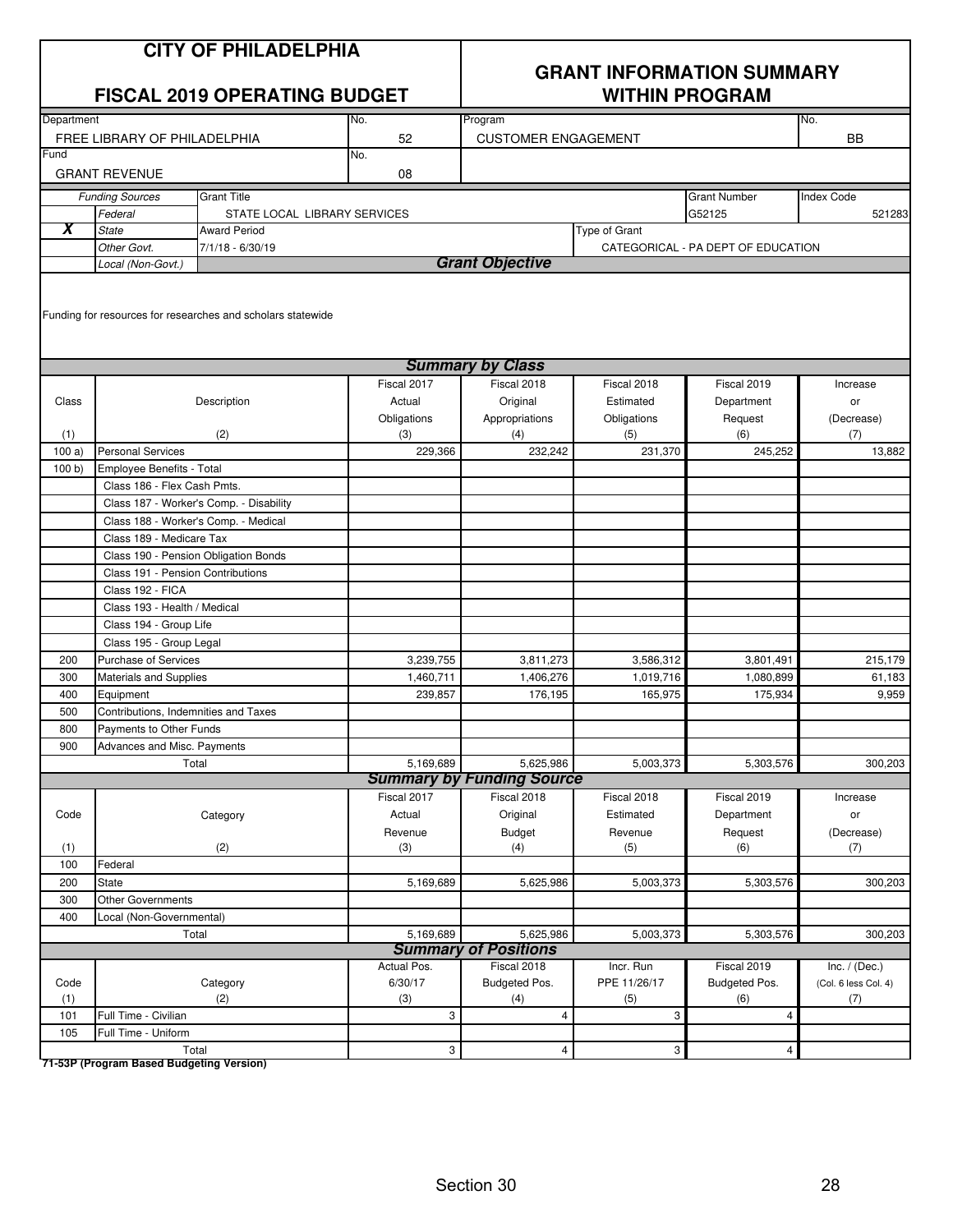|       | <b>CITY OF PHILADELPHIA</b><br><b>FISCAL 2019 OPERATING BUDGET</b><br>Department<br>No.<br>FREE LIBRARY OF PHILADELPHIA |                                                             |             | <b>GRANT INFORMATION SUMMARY</b><br><b>WITHIN PROGRAM</b> |                      |                                    |                      |  |  |
|-------|-------------------------------------------------------------------------------------------------------------------------|-------------------------------------------------------------|-------------|-----------------------------------------------------------|----------------------|------------------------------------|----------------------|--|--|
|       |                                                                                                                         |                                                             |             | Program                                                   |                      |                                    | No.                  |  |  |
|       |                                                                                                                         |                                                             | 52          | <b>CUSTOMER ENGAGEMENT</b>                                |                      |                                    | <b>BB</b>            |  |  |
| Fund  |                                                                                                                         |                                                             | No.         |                                                           |                      |                                    |                      |  |  |
|       | <b>GRANT REVENUE</b>                                                                                                    |                                                             | 08          |                                                           |                      |                                    |                      |  |  |
|       | <b>Funding Sources</b>                                                                                                  | <b>Grant Title</b>                                          |             |                                                           |                      | <b>Grant Number</b>                | <b>Index Code</b>    |  |  |
|       | Federal                                                                                                                 | STATE LOCAL LIBRARY SERVICES                                |             |                                                           |                      | G52125                             | 521283               |  |  |
| Х     | <b>State</b>                                                                                                            | <b>Award Period</b>                                         |             |                                                           | <b>Type of Grant</b> |                                    |                      |  |  |
|       | Other Govt.                                                                                                             | $7/1/18 - 6/30/19$                                          |             |                                                           |                      | CATEGORICAL - PA DEPT OF EDUCATION |                      |  |  |
|       | Local (Non-Govt.)                                                                                                       |                                                             |             | <b>Grant Objective</b>                                    |                      |                                    |                      |  |  |
|       |                                                                                                                         | Funding for resources for researches and scholars statewide |             | <b>Summary by Class</b>                                   |                      |                                    |                      |  |  |
|       |                                                                                                                         |                                                             | Fiscal 2017 | Fiscal 2018                                               | Fiscal 2018          | Fiscal 2019                        | Increase             |  |  |
| Class |                                                                                                                         | Description                                                 | Actual      | Original                                                  | Estimated            | Department                         | or                   |  |  |
|       |                                                                                                                         |                                                             | Obligations | Appropriations                                            | Obligations          | Request                            | (Decrease)           |  |  |
| (1)   |                                                                                                                         | (2)                                                         | (3)         | (4)                                                       | (5)                  | (6)                                | (7)                  |  |  |
| 100a  | <b>Personal Services</b>                                                                                                |                                                             | 229,366     | 232,242                                                   | 231,370              | 245,252                            | 13.882               |  |  |
| 100 b | Employee Benefits - Total                                                                                               |                                                             |             |                                                           |                      |                                    |                      |  |  |
|       | Class 186 - Flex Cash Pmts.                                                                                             |                                                             |             |                                                           |                      |                                    |                      |  |  |
|       |                                                                                                                         | Class 187 - Worker's Comp. - Disability                     |             |                                                           |                      |                                    |                      |  |  |
|       |                                                                                                                         | Class 188 - Worker's Comp. - Medical                        |             |                                                           |                      |                                    |                      |  |  |
|       | Class 189 - Medicare Tax                                                                                                |                                                             |             |                                                           |                      |                                    |                      |  |  |
|       |                                                                                                                         | Class 190 - Pension Obligation Bonds                        |             |                                                           |                      |                                    |                      |  |  |
|       | Class 191 - Pension Contributions                                                                                       |                                                             |             |                                                           |                      |                                    |                      |  |  |
|       | Class 192 - FICA                                                                                                        |                                                             |             |                                                           |                      |                                    |                      |  |  |
|       | Class 193 - Health / Medical                                                                                            |                                                             |             |                                                           |                      |                                    |                      |  |  |
|       | Class 194 - Group Life                                                                                                  |                                                             |             |                                                           |                      |                                    |                      |  |  |
|       | Class 195 - Group Legal                                                                                                 |                                                             |             |                                                           |                      |                                    |                      |  |  |
| 200   | <b>Purchase of Services</b>                                                                                             |                                                             | 3,239,755   | 3,811,273                                                 | 3,586,312            | 3,801,491                          | 215,179              |  |  |
| 300   | Materials and Supplies                                                                                                  |                                                             | 1,460,711   | 1,406,276                                                 | 1,019,716            | 1,080,899                          | 61,183               |  |  |
| 400   | Equipment                                                                                                               |                                                             | 239,857     | 176,195                                                   | 165,975              | 175,934                            | 9,959                |  |  |
| 500   | Contributions, Indemnities and Taxes                                                                                    |                                                             |             |                                                           |                      |                                    |                      |  |  |
| 800   | Payments to Other Funds                                                                                                 |                                                             |             |                                                           |                      |                                    |                      |  |  |
| 900   | Advances and Misc. Payments                                                                                             |                                                             |             |                                                           |                      |                                    |                      |  |  |
|       |                                                                                                                         | Total                                                       | 5,169,689   | 5,625,986<br><b>Summary by Funding Source</b>             | 5,003,373            | 5,303,576                          | 300,203              |  |  |
|       |                                                                                                                         |                                                             | Fiscal 2017 | Fiscal 2018                                               | Fiscal 2018          | Fiscal 2019                        | Increase             |  |  |
| Code  |                                                                                                                         | Category                                                    | Actual      | Original                                                  | Estimated            |                                    |                      |  |  |
|       |                                                                                                                         |                                                             | Revenue     | <b>Budget</b>                                             | Revenue              | Department<br>Request              | or<br>(Decrease)     |  |  |
| (1)   |                                                                                                                         | (2)                                                         | (3)         | (4)                                                       | (5)                  | (6)                                | (7)                  |  |  |
| 100   | Federal                                                                                                                 |                                                             |             |                                                           |                      |                                    |                      |  |  |
| 200   | <b>State</b>                                                                                                            |                                                             | 5,169,689   | 5,625,986                                                 | 5,003,373            | 5,303,576                          | 300,203              |  |  |
| 300   | <b>Other Governments</b>                                                                                                |                                                             |             |                                                           |                      |                                    |                      |  |  |
| 400   | Local (Non-Governmental)                                                                                                |                                                             |             |                                                           |                      |                                    |                      |  |  |
|       |                                                                                                                         | Total                                                       | 5,169,689   | 5,625,986                                                 | 5,003,373            | 5,303,576                          | 300,203              |  |  |
|       |                                                                                                                         |                                                             |             | <b>Summary of Positions</b>                               |                      |                                    |                      |  |  |
|       |                                                                                                                         |                                                             | Actual Pos. | Fiscal 2018                                               | Incr. Run            | Fiscal 2019                        | Inc. $/$ (Dec.)      |  |  |
| Code  |                                                                                                                         | Category                                                    | 6/30/17     | Budgeted Pos.                                             | PPE 11/26/17         | Budgeted Pos.                      | (Col. 6 less Col. 4) |  |  |
| (1)   |                                                                                                                         | (2)                                                         | (3)         | (4)                                                       | (5)                  | (6)                                | (7)                  |  |  |
| 101   | Full Time - Civilian                                                                                                    |                                                             | 3           | $\overline{4}$                                            | 3                    | $\overline{\mathbf{4}}$            |                      |  |  |
| 105   | Full Time - Uniform                                                                                                     |                                                             |             |                                                           |                      |                                    |                      |  |  |
|       |                                                                                                                         | Total                                                       | 3           | 4                                                         | 3                    | $\overline{4}$                     |                      |  |  |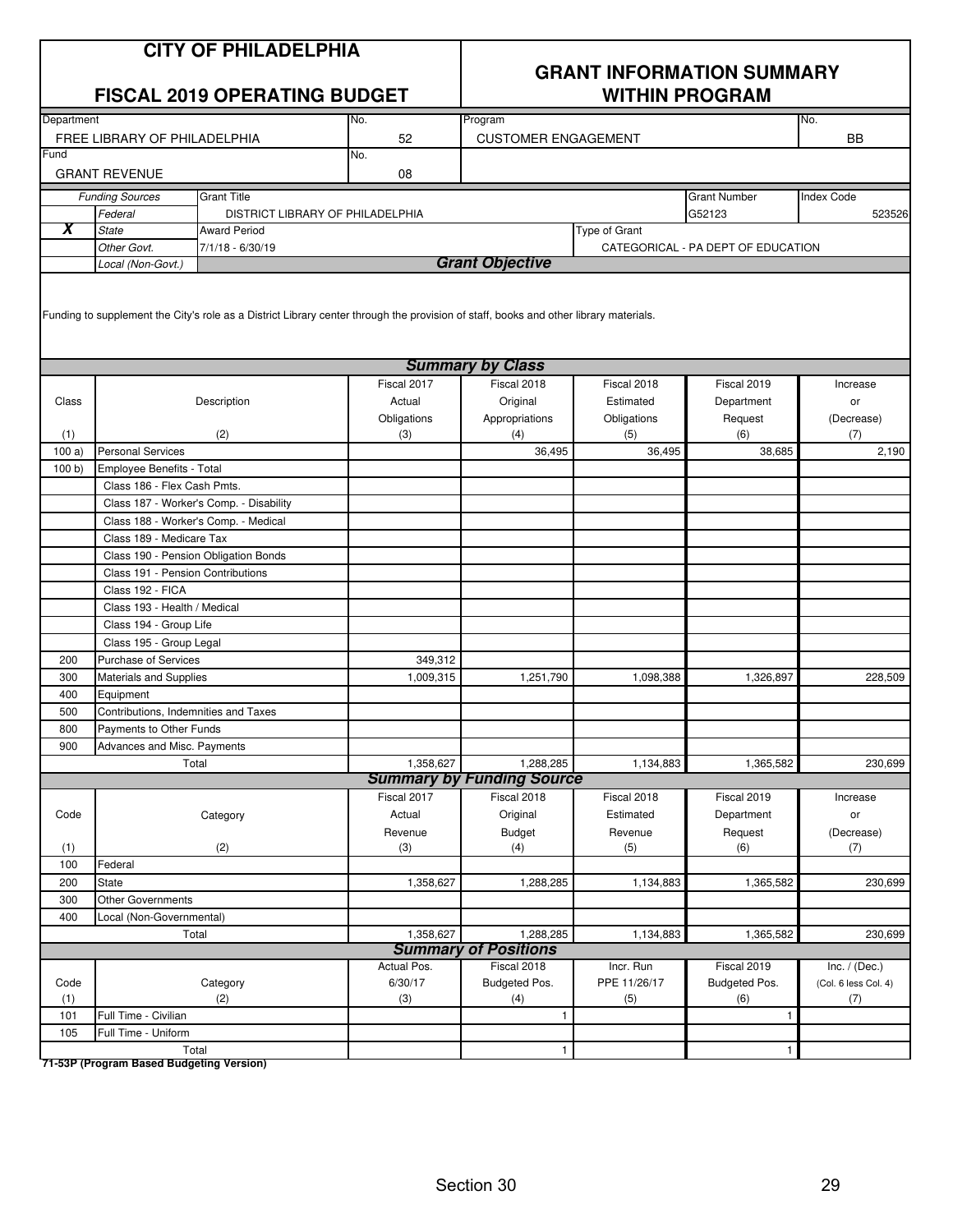|            |                                               | <b>CITY OF PHILADELPHIA</b><br><b>FISCAL 2019 OPERATING BUDGET</b>                                                                    |             | <b>GRANT INFORMATION SUMMARY</b><br><b>WITHIN PROGRAM</b><br>No.<br>Program |               |                                    |                      |
|------------|-----------------------------------------------|---------------------------------------------------------------------------------------------------------------------------------------|-------------|-----------------------------------------------------------------------------|---------------|------------------------------------|----------------------|
| Department |                                               |                                                                                                                                       | No.         |                                                                             |               |                                    |                      |
| Fund       | FREE LIBRARY OF PHILADELPHIA                  |                                                                                                                                       | 52<br>No.   | <b>CUSTOMER ENGAGEMENT</b>                                                  |               |                                    | <b>BB</b>            |
|            | <b>GRANT REVENUE</b>                          |                                                                                                                                       | 08          |                                                                             |               |                                    |                      |
|            | <b>Funding Sources</b>                        | <b>Grant Title</b>                                                                                                                    |             |                                                                             |               | <b>Grant Number</b>                | <b>Index Code</b>    |
|            | Federal                                       | DISTRICT LIBRARY OF PHILADELPHIA                                                                                                      |             |                                                                             |               | G52123                             | 523526               |
| X          | <b>State</b>                                  | <b>Award Period</b>                                                                                                                   |             |                                                                             | Type of Grant |                                    |                      |
|            | Other Govt.                                   | $7/1/18 - 6/30/19$                                                                                                                    |             | <b>Grant Objective</b>                                                      |               | CATEGORICAL - PA DEPT OF EDUCATION |                      |
|            | Local (Non-Govt.)                             | Funding to supplement the City's role as a District Library center through the provision of staff, books and other library materials. |             |                                                                             |               |                                    |                      |
|            |                                               |                                                                                                                                       |             | <b>Summary by Class</b>                                                     |               |                                    |                      |
|            |                                               |                                                                                                                                       | Fiscal 2017 | Fiscal 2018                                                                 | Fiscal 2018   | Fiscal 2019                        | Increase             |
| Class      |                                               | Description                                                                                                                           | Actual      | Original                                                                    | Estimated     | Department                         | or                   |
|            |                                               |                                                                                                                                       | Obligations | Appropriations                                                              | Obligations   | Request                            | (Decrease)           |
| (1)        |                                               | (2)                                                                                                                                   | (3)         | (4)                                                                         | (5)           | (6)                                | (7)                  |
| 100a       | <b>Personal Services</b>                      |                                                                                                                                       |             | 36,495                                                                      | 36,495        | 38,685                             | 2,190                |
| 100 b)     | Employee Benefits - Total                     |                                                                                                                                       |             |                                                                             |               |                                    |                      |
|            | Class 186 - Flex Cash Pmts.                   |                                                                                                                                       |             |                                                                             |               |                                    |                      |
|            |                                               | Class 187 - Worker's Comp. - Disability                                                                                               |             |                                                                             |               |                                    |                      |
|            |                                               | Class 188 - Worker's Comp. - Medical                                                                                                  |             |                                                                             |               |                                    |                      |
|            | Class 189 - Medicare Tax                      | Class 190 - Pension Obligation Bonds                                                                                                  |             |                                                                             |               |                                    |                      |
|            | Class 191 - Pension Contributions             |                                                                                                                                       |             |                                                                             |               |                                    |                      |
|            | Class 192 - FICA                              |                                                                                                                                       |             |                                                                             |               |                                    |                      |
|            | Class 193 - Health / Medical                  |                                                                                                                                       |             |                                                                             |               |                                    |                      |
|            | Class 194 - Group Life                        |                                                                                                                                       |             |                                                                             |               |                                    |                      |
|            | Class 195 - Group Legal                       |                                                                                                                                       |             |                                                                             |               |                                    |                      |
| 200        | <b>Purchase of Services</b>                   |                                                                                                                                       | 349,312     |                                                                             |               |                                    |                      |
| 300        | <b>Materials and Supplies</b>                 |                                                                                                                                       | 1,009,315   | 1,251,790                                                                   | 1,098,388     | 1,326,897                          | 228,509              |
| 400        | Equipment                                     |                                                                                                                                       |             |                                                                             |               |                                    |                      |
| 500        | Contributions, Indemnities and Taxes          |                                                                                                                                       |             |                                                                             |               |                                    |                      |
| 800        | Payments to Other Funds                       |                                                                                                                                       |             |                                                                             |               |                                    |                      |
| 900        | Advances and Misc. Payments                   | Total                                                                                                                                 | 1,358,627   | 1,288,285                                                                   | 1,134,883     | 1,365,582                          | 230,699              |
|            |                                               |                                                                                                                                       |             | <b>Summary by Funding Source</b>                                            |               |                                    |                      |
|            |                                               |                                                                                                                                       | Fiscal 2017 | Fiscal 2018                                                                 | Fiscal 2018   | Fiscal 2019                        | Increase             |
| Code       |                                               | Category                                                                                                                              | Actual      | Original                                                                    | Estimated     | Department                         | or                   |
|            |                                               |                                                                                                                                       | Revenue     | <b>Budget</b>                                                               | Revenue       | Request                            | (Decrease)           |
| (1)        |                                               | (2)                                                                                                                                   | (3)         | (4)                                                                         | (5)           | (6)                                | (7)                  |
| 100        | Federal                                       |                                                                                                                                       |             |                                                                             |               |                                    |                      |
| 200        | State                                         |                                                                                                                                       | 1,358,627   | 1,288,285                                                                   | 1,134,883     | 1,365,582                          | 230,699              |
| 300        | Other Governments<br>Local (Non-Governmental) |                                                                                                                                       |             |                                                                             |               |                                    |                      |
| 400        |                                               | Total                                                                                                                                 | 1,358,627   | 1,288,285                                                                   | 1,134,883     | 1,365,582                          | 230,699              |
|            |                                               |                                                                                                                                       |             | <b>Summary of Positions</b>                                                 |               |                                    |                      |
|            |                                               |                                                                                                                                       | Actual Pos. | Fiscal 2018                                                                 | Incr. Run     | Fiscal 2019                        | Inc. $/$ (Dec.)      |
| Code       |                                               | Category                                                                                                                              | 6/30/17     | Budgeted Pos.                                                               | PPE 11/26/17  | Budgeted Pos.                      | (Col. 6 less Col. 4) |
| (1)        |                                               | (2)                                                                                                                                   | (3)         | (4)                                                                         | (5)           | (6)                                | (7)                  |
| 101        | Full Time - Civilian                          |                                                                                                                                       |             | $\mathbf{1}$                                                                |               | 1                                  |                      |
| 105        | Full Time - Uniform                           |                                                                                                                                       |             |                                                                             |               |                                    |                      |
|            |                                               | Total                                                                                                                                 |             | $\mathbf{1}$                                                                |               | $\mathbf{1}$                       |                      |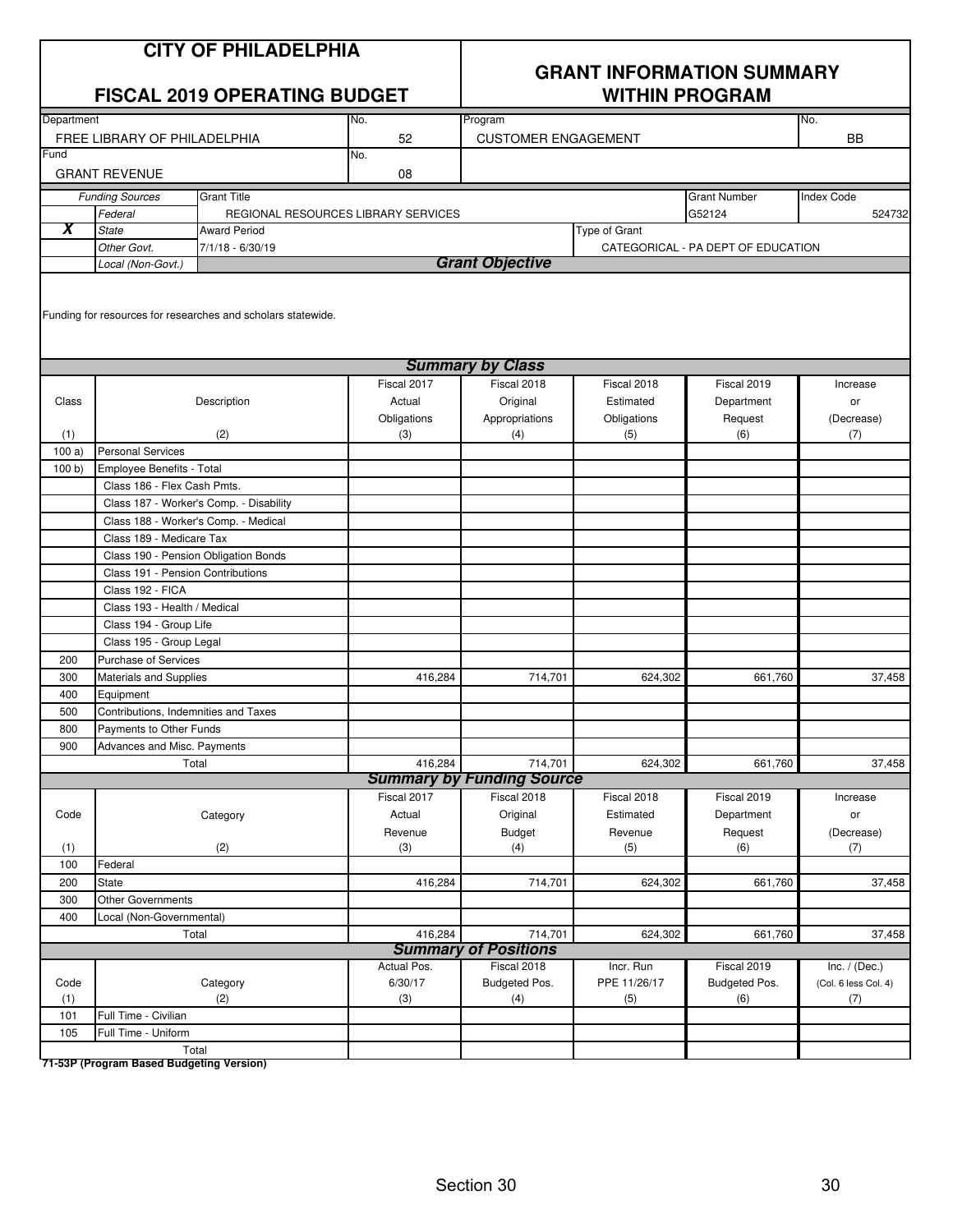|             |                                      | <b>CITY OF PHILADELPHIA</b><br><b>FISCAL 2019 OPERATING BUDGET</b> |                        |                                  | <b>GRANT INFORMATION SUMMARY</b><br><b>WITHIN PROGRAM</b> |                                    |                             |
|-------------|--------------------------------------|--------------------------------------------------------------------|------------------------|----------------------------------|-----------------------------------------------------------|------------------------------------|-----------------------------|
| Department  |                                      |                                                                    | No.                    | Program                          |                                                           |                                    | No.                         |
|             | FREE LIBRARY OF PHILADELPHIA         |                                                                    | 52                     | <b>CUSTOMER ENGAGEMENT</b>       |                                                           |                                    | <b>BB</b>                   |
| Fund        |                                      |                                                                    | No.                    |                                  |                                                           |                                    |                             |
|             | <b>GRANT REVENUE</b>                 |                                                                    | 08                     |                                  |                                                           |                                    |                             |
|             | <b>Funding Sources</b>               | <b>Grant Title</b>                                                 |                        |                                  |                                                           | <b>Grant Number</b>                | <b>Index Code</b>           |
|             | Federal                              | REGIONAL RESOURCES LIBRARY SERVICES                                |                        |                                  |                                                           | G52124                             | 524732                      |
| Х           | <b>State</b>                         | <b>Award Period</b>                                                |                        |                                  | Type of Grant                                             |                                    |                             |
|             | Other Govt.                          | 7/1/18 - 6/30/19                                                   |                        |                                  |                                                           | CATEGORICAL - PA DEPT OF EDUCATION |                             |
|             | Local (Non-Govt.)                    |                                                                    |                        | <b>Grant Objective</b>           |                                                           |                                    |                             |
|             |                                      | Funding for resources for researches and scholars statewide.       |                        | <b>Summary by Class</b>          |                                                           |                                    |                             |
|             |                                      |                                                                    | Fiscal 2017            | Fiscal 2018                      | Fiscal 2018                                               | Fiscal 2019                        | Increase                    |
| Class       |                                      | Description                                                        | Actual                 | Original                         | Estimated                                                 | Department                         | or                          |
|             |                                      |                                                                    | Obligations            | Appropriations                   | Obligations                                               | Request                            | (Decrease)                  |
| (1)         |                                      | (2)                                                                | (3)                    | (4)                              | (5)                                                       | (6)                                | (7)                         |
| 100a        | <b>Personal Services</b>             |                                                                    |                        |                                  |                                                           |                                    |                             |
| 100 b)      | Employee Benefits - Total            |                                                                    |                        |                                  |                                                           |                                    |                             |
|             | Class 186 - Flex Cash Pmts.          |                                                                    |                        |                                  |                                                           |                                    |                             |
|             |                                      | Class 187 - Worker's Comp. - Disability                            |                        |                                  |                                                           |                                    |                             |
|             | Class 188 - Worker's Comp. - Medical |                                                                    |                        |                                  |                                                           |                                    |                             |
|             | Class 189 - Medicare Tax             |                                                                    |                        |                                  |                                                           |                                    |                             |
|             |                                      | Class 190 - Pension Obligation Bonds                               |                        |                                  |                                                           |                                    |                             |
|             | Class 191 - Pension Contributions    |                                                                    |                        |                                  |                                                           |                                    |                             |
|             | Class 192 - FICA                     |                                                                    |                        |                                  |                                                           |                                    |                             |
|             | Class 193 - Health / Medical         |                                                                    |                        |                                  |                                                           |                                    |                             |
|             | Class 194 - Group Life               |                                                                    |                        |                                  |                                                           |                                    |                             |
|             | Class 195 - Group Legal              |                                                                    |                        |                                  |                                                           |                                    |                             |
| 200         | <b>Purchase of Services</b>          |                                                                    |                        |                                  |                                                           |                                    |                             |
| 300         | Materials and Supplies               |                                                                    | 416,284                | 714,701                          | 624,302                                                   | 661,760                            | 37,458                      |
| 400         | Equipment                            |                                                                    |                        |                                  |                                                           |                                    |                             |
| 500         | Contributions, Indemnities and Taxes |                                                                    |                        |                                  |                                                           |                                    |                             |
| 800         | Payments to Other Funds              |                                                                    |                        |                                  |                                                           |                                    |                             |
| 900         | Advances and Misc. Payments          |                                                                    |                        |                                  |                                                           |                                    |                             |
|             | Total                                |                                                                    | 416,284                | 714,701                          | 624,302                                                   | 661,760                            | 37,458                      |
|             |                                      |                                                                    |                        | <b>Summary by Funding Source</b> |                                                           |                                    |                             |
|             |                                      |                                                                    | Fiscal 2017            | Fiscal 2018                      | Fiscal 2018                                               | Fiscal 2019                        | Increase                    |
| Code        |                                      | Category                                                           | Actual                 | Original                         | Estimated                                                 | Department                         | or                          |
|             |                                      |                                                                    | Revenue                | <b>Budget</b>                    | Revenue                                                   | Request                            | (Decrease)                  |
| (1)         |                                      | (2)                                                                | (3)                    | (4)                              | (5)                                                       | (6)                                | (7)                         |
| 100         | Federal                              |                                                                    |                        |                                  |                                                           |                                    |                             |
| 200         | <b>State</b>                         |                                                                    | 416,284                | 714,701                          | 624,302                                                   | 661,760                            | 37,458                      |
| 300         | <b>Other Governments</b>             |                                                                    |                        |                                  |                                                           |                                    |                             |
| 400         | Local (Non-Governmental)             |                                                                    |                        |                                  |                                                           |                                    |                             |
|             | Total                                |                                                                    | 416,284                | 714,701                          | 624,302                                                   | 661,760                            | 37,458                      |
|             |                                      |                                                                    |                        | <b>Summary of Positions</b>      |                                                           |                                    |                             |
|             |                                      |                                                                    | Actual Pos.<br>6/30/17 | Fiscal 2018                      | Incr. Run<br>PPE 11/26/17                                 | Fiscal 2019                        | Inc. $/$ (Dec.)             |
| Code<br>(1) |                                      | Category<br>(2)                                                    | (3)                    | Budgeted Pos.                    | (5)                                                       | Budgeted Pos.<br>(6)               | (Col. 6 less Col. 4)<br>(7) |
| 101         | Full Time - Civilian                 |                                                                    |                        | (4)                              |                                                           |                                    |                             |
| 105         | Full Time - Uniform                  |                                                                    |                        |                                  |                                                           |                                    |                             |
|             | Total                                |                                                                    |                        |                                  |                                                           |                                    |                             |
|             |                                      |                                                                    |                        |                                  |                                                           |                                    |                             |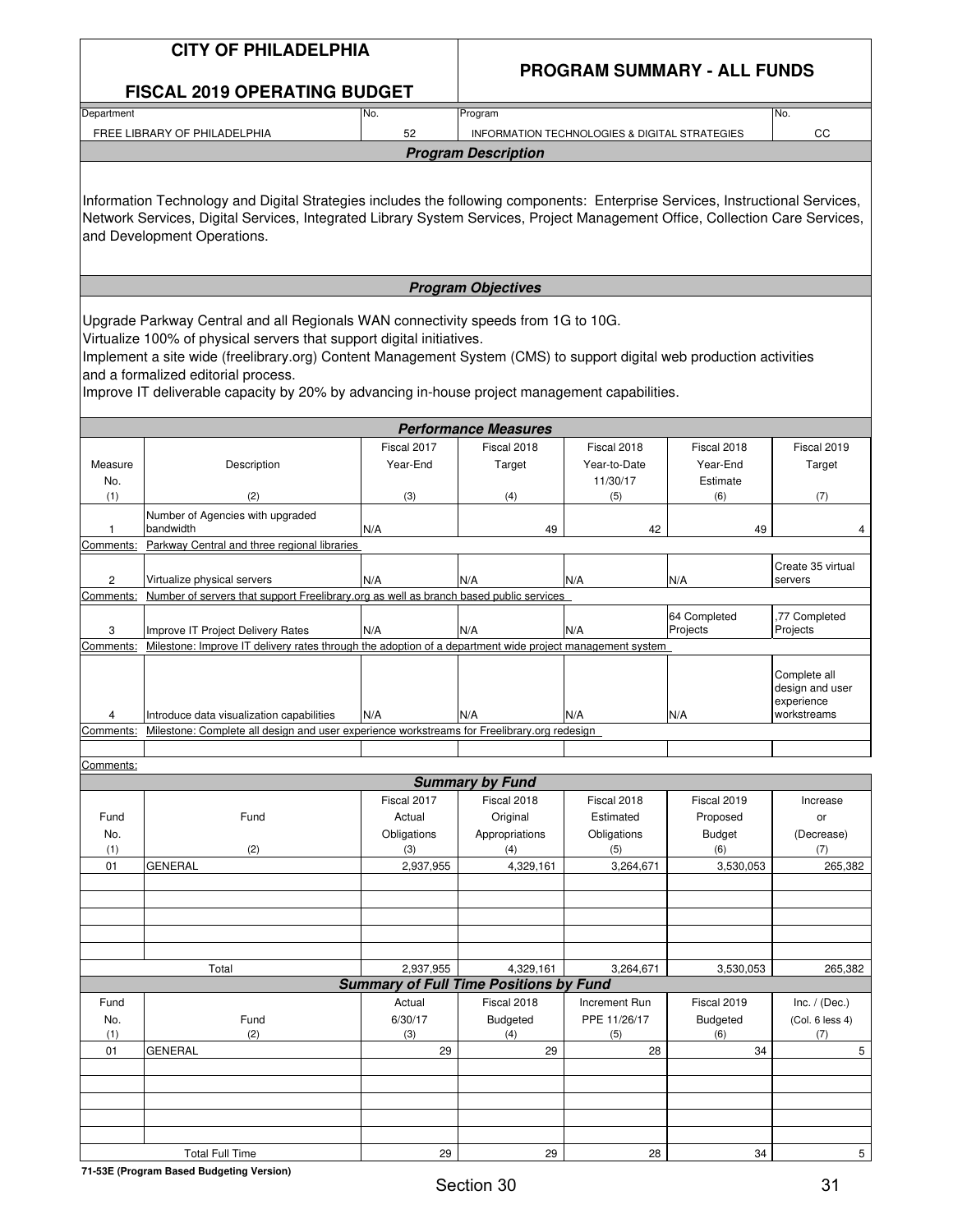#### **CITY OF PHILADELPHIA**

#### **PROGRAM SUMMARY - ALL FUNDS**

| <b>FISCAL 2019 OPERATING BUDGET</b> |  |
|-------------------------------------|--|
|                                     |  |

| Department                   | INo. | Program                                       | INo.        |  |  |  |  |  |  |
|------------------------------|------|-----------------------------------------------|-------------|--|--|--|--|--|--|
| FREE LIBRARY OF PHILADELPHIA | 52   | INFORMATION TECHNOLOGIES & DIGITAL STRATEGIES | $\sim$<br>◡ |  |  |  |  |  |  |
| <b>Program Description</b>   |      |                                               |             |  |  |  |  |  |  |

Information Technology and Digital Strategies includes the following components: Enterprise Services, Instructional Services, Network Services, Digital Services, Integrated Library System Services, Project Management Office, Collection Care Services, and Development Operations.

#### **Program Objectives**

Upgrade Parkway Central and all Regionals WAN connectivity speeds from 1G to 10G.

Virtualize 100% of physical servers that support digital initiatives.

Implement a site wide (freelibrary.org) Content Management System (CMS) to support digital web production activities and a formalized editorial process.

Improve IT deliverable capacity by 20% by advancing in-house project management capabilities.

|           |                                                                                                          |             | <b>Performance Measures</b> |              |                          |                                                              |  |  |  |  |
|-----------|----------------------------------------------------------------------------------------------------------|-------------|-----------------------------|--------------|--------------------------|--------------------------------------------------------------|--|--|--|--|
|           |                                                                                                          | Fiscal 2017 | Fiscal 2018                 | Fiscal 2018  | Fiscal 2018              | Fiscal 2019                                                  |  |  |  |  |
| Measure   | Description                                                                                              | Year-End    | Target                      | Year-to-Date | Year-End                 | Target                                                       |  |  |  |  |
| No.       |                                                                                                          |             |                             | 11/30/17     | Estimate                 |                                                              |  |  |  |  |
| (1)       | (2)                                                                                                      | (3)         | (4)                         | (5)          | (6)                      | (7)                                                          |  |  |  |  |
|           | Number of Agencies with upgraded<br>bandwidth                                                            | N/A         | 49                          | 42           | 49                       |                                                              |  |  |  |  |
| Comments: | Parkway Central and three regional libraries                                                             |             |                             |              |                          |                                                              |  |  |  |  |
| 2         | Virtualize physical servers                                                                              | N/A         | N/A                         | N/A          | N/A                      | Create 35 virtual<br>servers                                 |  |  |  |  |
| Comments: | Number of servers that support Freelibrary org as well as branch based public services                   |             |                             |              |                          |                                                              |  |  |  |  |
| 3         | Improve IT Project Delivery Rates                                                                        | N/A         | N/A                         | N/A          | 64 Completed<br>Projects | .77 Completed<br>Projects                                    |  |  |  |  |
| Comments: | Milestone: Improve IT delivery rates through the adoption of a department wide project management system |             |                             |              |                          |                                                              |  |  |  |  |
|           | Introduce data visualization capabilities                                                                | N/A         | N/A                         | N/A          | N/A                      | Complete all<br>design and user<br>experience<br>workstreams |  |  |  |  |
| Comments: | Milestone: Complete all design and user experience workstreams for Freelibrary.org redesign              |             |                             |              |                          |                                                              |  |  |  |  |
|           |                                                                                                          |             |                             |              |                          |                                                              |  |  |  |  |
| Comments: |                                                                                                          |             |                             |              |                          |                                                              |  |  |  |  |

|      |                        |             | <b>Summary by Fund</b>                        |               |             |                 |
|------|------------------------|-------------|-----------------------------------------------|---------------|-------------|-----------------|
|      |                        | Fiscal 2017 | Fiscal 2018                                   | Fiscal 2018   | Fiscal 2019 | Increase        |
| Fund | Fund                   | Actual      | Original                                      | Estimated     | Proposed    | or              |
| No.  |                        | Obligations | Appropriations                                | Obligations   | Budget      | (Decrease)      |
| (1)  | (2)                    | (3)         | (4)                                           | (5)           | (6)         | (7)             |
| 01   | <b>GENERAL</b>         | 2,937,955   | 4,329,161                                     | 3,264,671     | 3,530,053   | 265,382         |
|      |                        |             |                                               |               |             |                 |
|      |                        |             |                                               |               |             |                 |
|      |                        |             |                                               |               |             |                 |
|      |                        |             |                                               |               |             |                 |
|      |                        |             |                                               |               |             |                 |
|      | Total                  | 2,937,955   | 4,329,161                                     | 3,264,671     | 3,530,053   | 265,382         |
|      |                        |             | <b>Summary of Full Time Positions by Fund</b> |               |             |                 |
| Fund |                        | Actual      | Fiscal 2018                                   | Increment Run | Fiscal 2019 | Inc. $/$ (Dec.) |
| No.  | Fund                   | 6/30/17     | Budgeted                                      | PPE 11/26/17  | Budgeted    | (Col. 6 less 4) |
| (1)  | (2)                    | (3)         | (4)                                           | (5)           | (6)         | (7)             |
| 01   | <b>GENERAL</b>         | 29          | 29                                            | 28            | 34          | 5               |
|      |                        |             |                                               |               |             |                 |
|      |                        |             |                                               |               |             |                 |
|      |                        |             |                                               |               |             |                 |
|      |                        |             |                                               |               |             |                 |
|      |                        |             |                                               |               |             |                 |
|      | <b>Total Full Time</b> | 29          | 29                                            | 28            | 34          | 5               |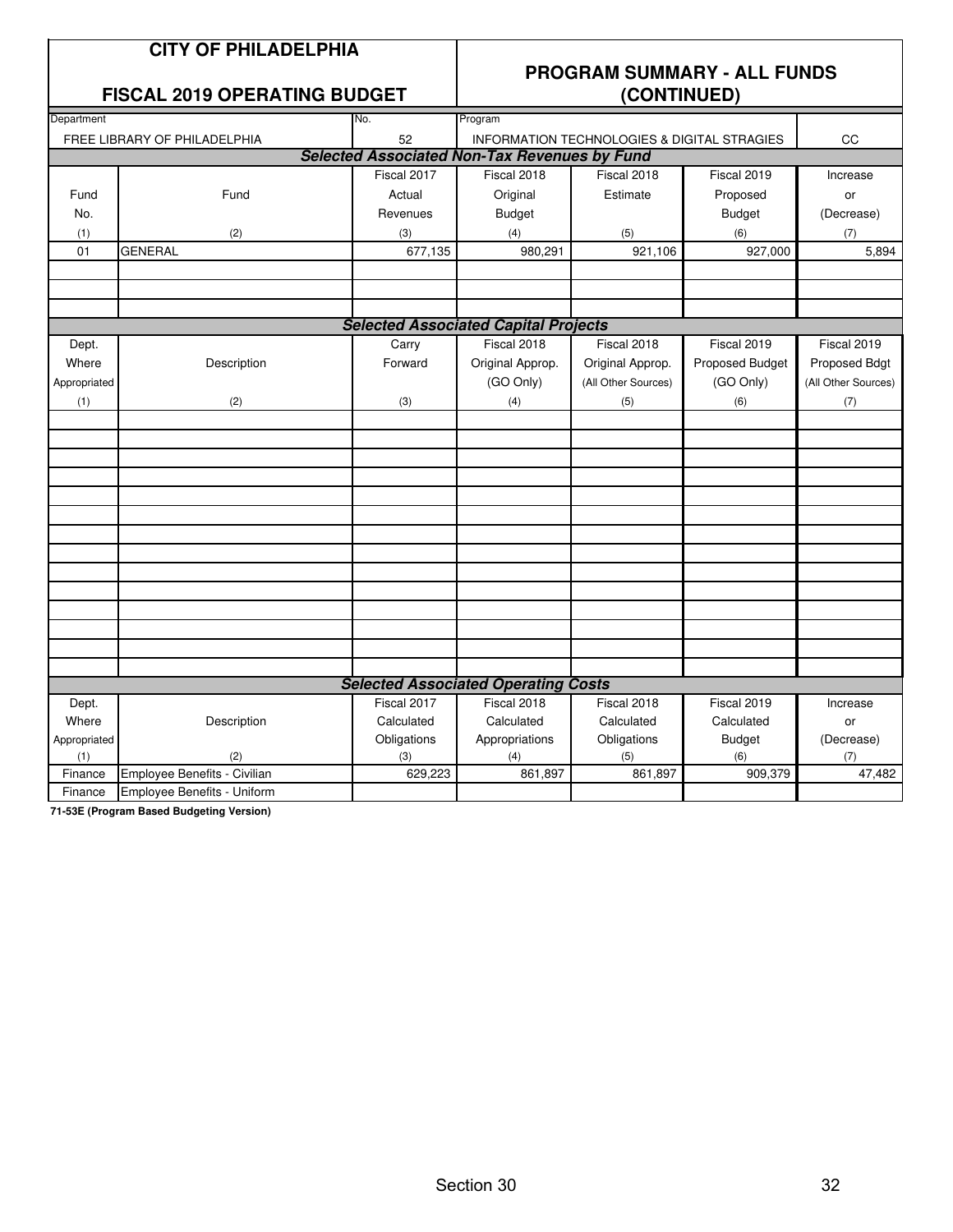|                                             | <b>CITY OF PHILADELPHIA</b>         |             | <b>PROGRAM SUMMARY - ALL FUNDS</b>                  |                                                        |                 |                     |  |  |
|---------------------------------------------|-------------------------------------|-------------|-----------------------------------------------------|--------------------------------------------------------|-----------------|---------------------|--|--|
|                                             | <b>FISCAL 2019 OPERATING BUDGET</b> |             |                                                     | (CONTINUED)                                            |                 |                     |  |  |
| Department                                  |                                     | No.         | Program                                             |                                                        |                 |                     |  |  |
|                                             | FREE LIBRARY OF PHILADELPHIA        | 52          |                                                     | <b>INFORMATION TECHNOLOGIES &amp; DIGITAL STRAGIES</b> |                 | CC                  |  |  |
|                                             |                                     |             | <b>Selected Associated Non-Tax Revenues by Fund</b> |                                                        |                 |                     |  |  |
|                                             |                                     | Fiscal 2017 | Fiscal 2018                                         | Fiscal 2018                                            | Fiscal 2019     | Increase            |  |  |
| Fund                                        | Fund                                | Actual      | Original                                            | Estimate                                               | Proposed        | or                  |  |  |
| No.                                         |                                     | Revenues    | <b>Budget</b>                                       |                                                        | <b>Budget</b>   | (Decrease)          |  |  |
| (1)                                         | (2)                                 | (3)         | (4)                                                 | (5)                                                    | (6)             | (7)                 |  |  |
| 01                                          | <b>GENERAL</b>                      | 677,135     | 980,291                                             | 921,106                                                | 927,000         | 5,894               |  |  |
|                                             |                                     |             |                                                     |                                                        |                 |                     |  |  |
|                                             |                                     |             |                                                     |                                                        |                 |                     |  |  |
| <b>Selected Associated Capital Projects</b> |                                     |             |                                                     |                                                        |                 |                     |  |  |
| Dept.                                       | Carry                               |             | Fiscal 2018                                         | Fiscal 2018                                            | Fiscal 2019     | Fiscal 2019         |  |  |
| Where                                       | Description<br>Forward              |             | Original Approp.                                    | Original Approp.                                       | Proposed Budget | Proposed Bdgt       |  |  |
| Appropriated                                |                                     |             | (GO Only)                                           | (All Other Sources)                                    | (GO Only)       | (All Other Sources) |  |  |
| (1)                                         | (2)                                 | (3)         | (4)                                                 | (5)                                                    | (6)             | (7)                 |  |  |
|                                             |                                     |             |                                                     |                                                        |                 |                     |  |  |
|                                             |                                     |             |                                                     |                                                        |                 |                     |  |  |
|                                             |                                     |             |                                                     |                                                        |                 |                     |  |  |
|                                             |                                     |             |                                                     |                                                        |                 |                     |  |  |
|                                             |                                     |             |                                                     |                                                        |                 |                     |  |  |
|                                             |                                     |             |                                                     |                                                        |                 |                     |  |  |
|                                             |                                     |             |                                                     |                                                        |                 |                     |  |  |
|                                             |                                     |             |                                                     |                                                        |                 |                     |  |  |
|                                             |                                     |             |                                                     |                                                        |                 |                     |  |  |
|                                             |                                     |             |                                                     |                                                        |                 |                     |  |  |
|                                             |                                     |             |                                                     |                                                        |                 |                     |  |  |
|                                             |                                     |             |                                                     |                                                        |                 |                     |  |  |
|                                             |                                     |             |                                                     |                                                        |                 |                     |  |  |
|                                             |                                     |             |                                                     |                                                        |                 |                     |  |  |
|                                             |                                     |             | <b>Selected Associated Operating Costs</b>          |                                                        |                 |                     |  |  |
| Dept.                                       |                                     | Fiscal 2017 | Fiscal 2018                                         | Fiscal 2018                                            | Fiscal 2019     | Increase            |  |  |
| Where                                       | Description                         | Calculated  | Calculated                                          | Calculated                                             | Calculated      | or                  |  |  |
| Appropriated                                |                                     | Obligations | Appropriations                                      | Obligations                                            | <b>Budget</b>   | (Decrease)          |  |  |
| (1)                                         | (2)                                 | (3)         | (4)                                                 | (5)                                                    | (6)             | (7)                 |  |  |
| Finance                                     | Employee Benefits - Civilian        | 629,223     | 861,897                                             | 861,897                                                | 909,379         | 47,482              |  |  |
| Finance                                     | Employee Benefits - Uniform         |             |                                                     |                                                        |                 |                     |  |  |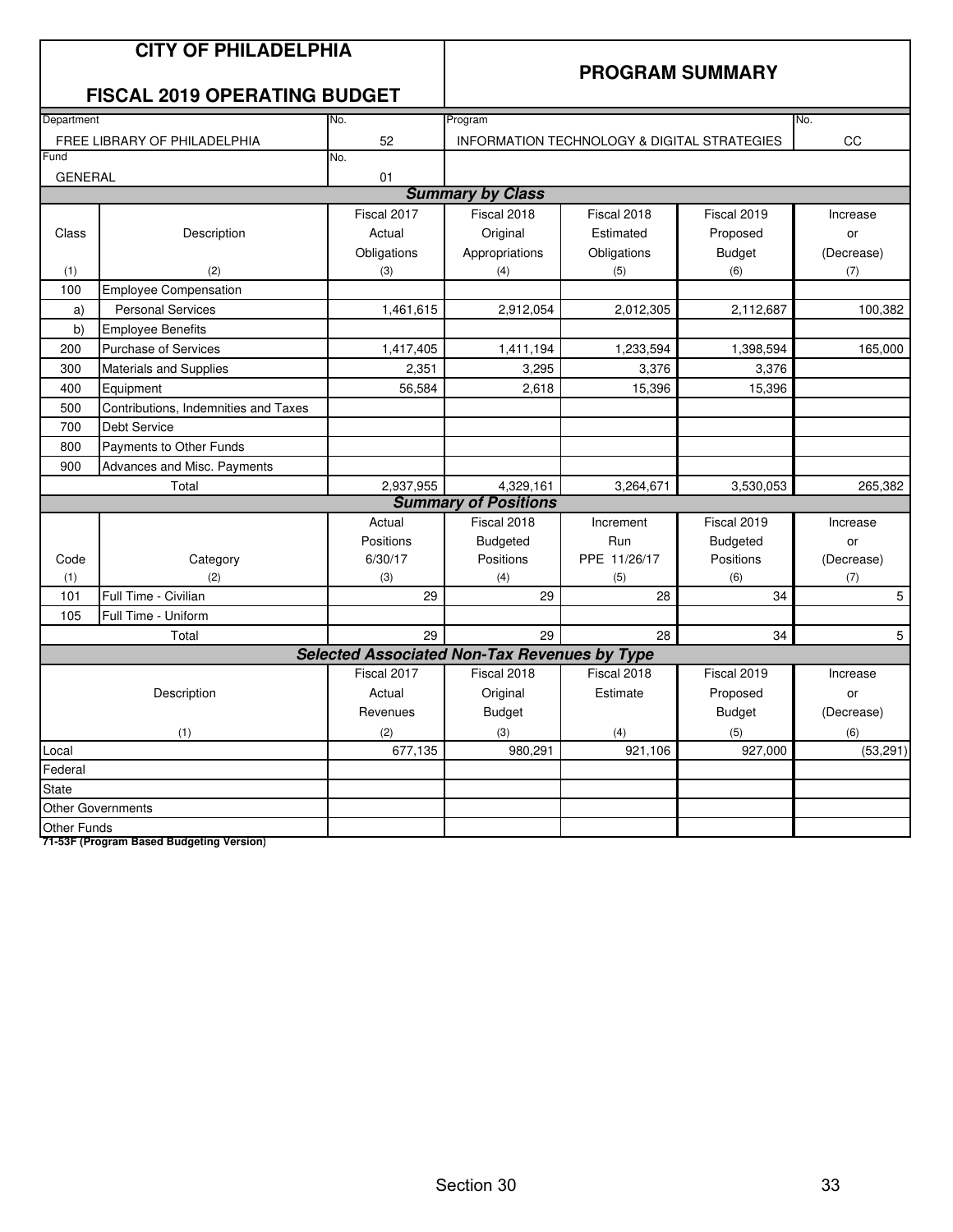|                    | <b>CITY OF PHILADELPHIA</b><br><b>FISCAL 2019 OPERATING BUDGET</b> |             | <b>PROGRAM SUMMARY</b>                              |                                                        |                 |            |  |  |
|--------------------|--------------------------------------------------------------------|-------------|-----------------------------------------------------|--------------------------------------------------------|-----------------|------------|--|--|
| Department         |                                                                    | No.         | Program                                             |                                                        |                 | No.        |  |  |
|                    | FREE LIBRARY OF PHILADELPHIA                                       | 52          |                                                     | <b>INFORMATION TECHNOLOGY &amp; DIGITAL STRATEGIES</b> |                 | CC         |  |  |
| Fund               |                                                                    | No.         |                                                     |                                                        |                 |            |  |  |
| <b>GENERAL</b>     |                                                                    | 01          |                                                     |                                                        |                 |            |  |  |
|                    |                                                                    |             | <b>Summary by Class</b>                             |                                                        |                 |            |  |  |
|                    |                                                                    | Fiscal 2017 | Fiscal 2018                                         | Fiscal 2018                                            | Fiscal 2019     | Increase   |  |  |
| Class              | Description                                                        | Actual      | Original                                            | Estimated                                              | Proposed        | or         |  |  |
|                    |                                                                    | Obligations | Appropriations                                      | Obligations                                            | <b>Budget</b>   | (Decrease) |  |  |
| (1)                | (2)                                                                | (3)         | (4)                                                 | (5)                                                    | (6)             | (7)        |  |  |
| 100                | <b>Employee Compensation</b>                                       |             |                                                     |                                                        |                 |            |  |  |
| a)                 | <b>Personal Services</b>                                           | 1,461,615   | 2,912,054                                           | 2,012,305                                              | 2,112,687       | 100,382    |  |  |
| b)                 | <b>Employee Benefits</b>                                           |             |                                                     |                                                        |                 |            |  |  |
| 200                | <b>Purchase of Services</b>                                        | 1,417,405   | 1,411,194                                           | 1,233,594                                              | 1,398,594       | 165,000    |  |  |
| 300                | Materials and Supplies                                             | 2,351       | 3,295                                               | 3,376                                                  | 3,376           |            |  |  |
| 400                | Equipment                                                          | 56,584      | 2,618                                               | 15,396                                                 | 15,396          |            |  |  |
| 500                | Contributions, Indemnities and Taxes                               |             |                                                     |                                                        |                 |            |  |  |
| 700                | <b>Debt Service</b>                                                |             |                                                     |                                                        |                 |            |  |  |
| 800                | Payments to Other Funds                                            |             |                                                     |                                                        |                 |            |  |  |
| 900                | Advances and Misc. Payments                                        |             |                                                     |                                                        |                 |            |  |  |
|                    | Total                                                              | 2,937,955   | 4,329,161                                           | 3,264,671                                              | 3,530,053       | 265,382    |  |  |
|                    |                                                                    |             | <b>Summary of Positions</b>                         |                                                        |                 |            |  |  |
|                    |                                                                    | Actual      | Fiscal 2018                                         | Increment                                              | Fiscal 2019     | Increase   |  |  |
|                    |                                                                    | Positions   | <b>Budgeted</b>                                     | Run                                                    | <b>Budgeted</b> | or         |  |  |
| Code               | Category                                                           | 6/30/17     | Positions                                           | PPE 11/26/17                                           | Positions       | (Decrease) |  |  |
| (1)                | (2)                                                                | (3)         | (4)                                                 | (5)                                                    | (6)             | (7)        |  |  |
| 101                | Full Time - Civilian                                               | 29          | 29                                                  | 28                                                     | 34              | 5          |  |  |
| 105                | Full Time - Uniform                                                |             |                                                     |                                                        |                 |            |  |  |
|                    | Total                                                              | 29          | 29                                                  | 28                                                     | 34              | 5          |  |  |
|                    |                                                                    |             | <b>Selected Associated Non-Tax Revenues by Type</b> |                                                        |                 |            |  |  |
|                    |                                                                    | Fiscal 2017 | Fiscal 2018                                         | Fiscal 2018                                            | Fiscal 2019     | Increase   |  |  |
|                    | Description                                                        | Actual      | Original                                            | Estimate                                               | Proposed        | or         |  |  |
|                    |                                                                    | Revenues    | <b>Budget</b>                                       |                                                        | <b>Budget</b>   | (Decrease) |  |  |
|                    | (1)                                                                | (2)         | (3)                                                 | (4)                                                    | (5)             | (6)        |  |  |
| Local              |                                                                    | 677,135     | 980,291                                             | 921,106                                                | 927,000         | (53, 291)  |  |  |
| Federal            |                                                                    |             |                                                     |                                                        |                 |            |  |  |
| <b>State</b>       |                                                                    |             |                                                     |                                                        |                 |            |  |  |
|                    | <b>Other Governments</b>                                           |             |                                                     |                                                        |                 |            |  |  |
| <b>Other Funds</b> |                                                                    |             |                                                     |                                                        |                 |            |  |  |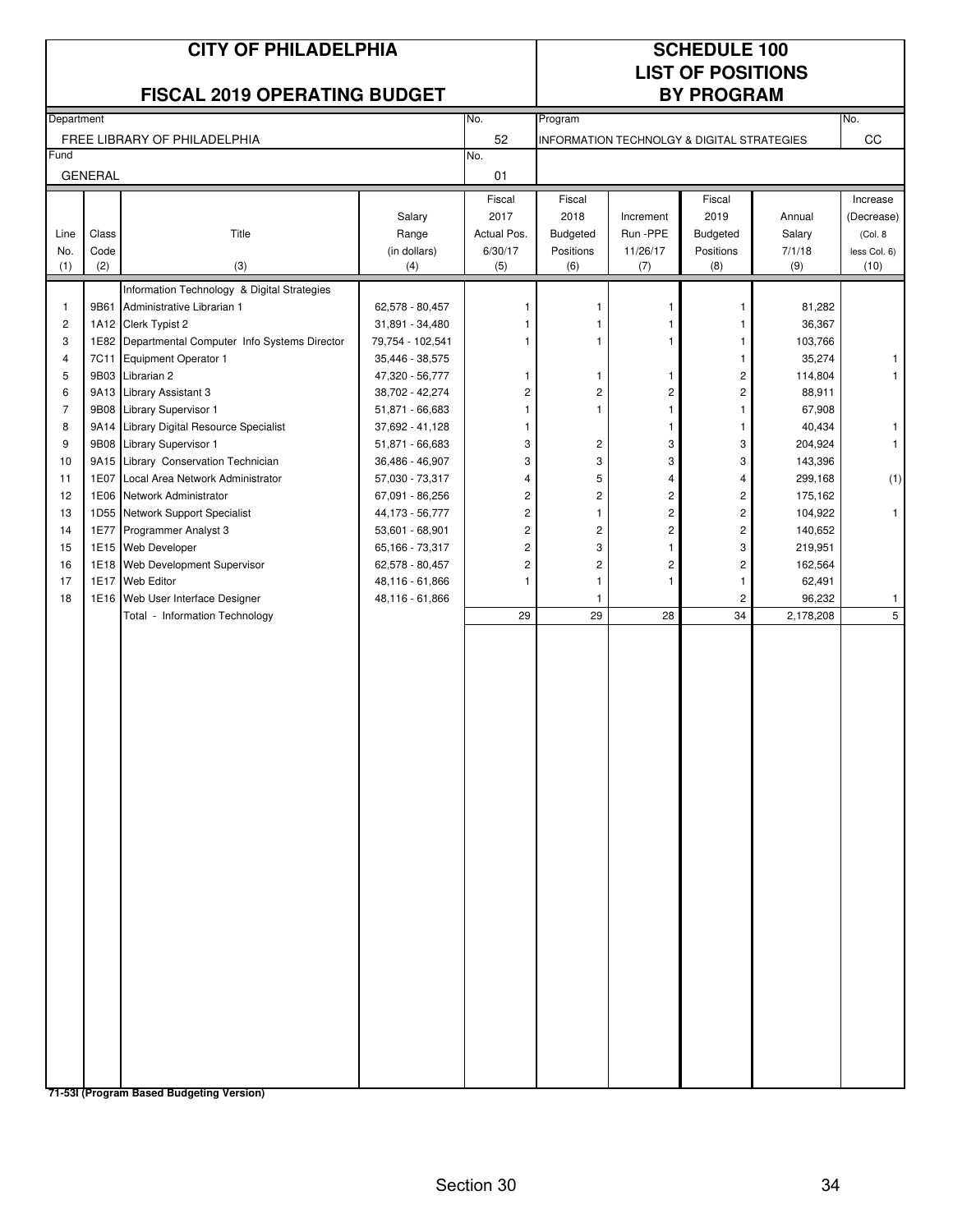|                | <b>CITY OF PHILADELPHIA</b><br><b>FISCAL 2019 OPERATING BUDGET</b><br>No.<br>Department |                                                                                 |                                     |                     |                              |                                | <b>SCHEDULE 100</b><br><b>LIST OF POSITIONS</b><br><b>BY PROGRAM</b> |                    |              |
|----------------|-----------------------------------------------------------------------------------------|---------------------------------------------------------------------------------|-------------------------------------|---------------------|------------------------------|--------------------------------|----------------------------------------------------------------------|--------------------|--------------|
|                |                                                                                         |                                                                                 |                                     |                     | Program                      |                                |                                                                      |                    | No.          |
|                |                                                                                         | FREE LIBRARY OF PHILADELPHIA                                                    |                                     | 52                  |                              |                                | <b>INFORMATION TECHNOLGY &amp; DIGITAL STRATEGIES</b>                |                    | CC           |
| Fund           | <b>GENERAL</b>                                                                          |                                                                                 |                                     | No.<br>01           |                              |                                |                                                                      |                    |              |
|                |                                                                                         |                                                                                 |                                     | Fiscal              | Fiscal                       |                                | Fiscal                                                               |                    | Increase     |
|                |                                                                                         |                                                                                 | Salary                              | 2017                | 2018                         | Increment                      | 2019                                                                 | Annual             | (Decrease)   |
| Line           | Class                                                                                   | Title                                                                           | Range                               | Actual Pos.         | <b>Budgeted</b>              | Run -PPE                       | <b>Budgeted</b>                                                      | Salary             | (Col. 8      |
| No.            | Code                                                                                    |                                                                                 | (in dollars)                        | 6/30/17             | Positions                    | 11/26/17                       | Positions                                                            | 7/1/18             | less Col. 6) |
| (1)            | (2)                                                                                     | (3)                                                                             | (4)                                 | (5)                 | (6)                          | (7)                            | (8)                                                                  | (9)                | (10)         |
|                |                                                                                         | Information Technology & Digital Strategies                                     |                                     |                     |                              |                                |                                                                      |                    |              |
| $\mathbf{1}$   | 9B61                                                                                    | Administrative Librarian 1                                                      | 62,578 - 80,457                     |                     | 1                            |                                | 1                                                                    | 81,282             |              |
| $\mathbf 2$    |                                                                                         | 1A12 Clerk Typist 2                                                             | 31,891 - 34,480                     | 1                   |                              |                                | 1                                                                    | 36,367             |              |
| 3<br>4         | 7C11                                                                                    | 1E82 Departmental Computer Info Systems Director<br><b>Equipment Operator 1</b> | 79,754 - 102,541<br>35,446 - 38,575 | 1                   | 1                            |                                | $\mathbf{1}$<br>$\mathbf{1}$                                         | 103,766<br>35,274  | 1            |
| 5              |                                                                                         | 9B03 Librarian 2                                                                | 47,320 - 56,777                     | 1                   | 1                            | 1                              | $\mathbf 2$                                                          | 114,804            |              |
| 6              |                                                                                         | 9A13 Library Assistant 3                                                        | 38,702 - 42,274                     | 2                   | $\overline{\mathbf{c}}$      | 2                              | $\overline{c}$                                                       | 88,911             |              |
| $\overline{7}$ |                                                                                         | 9B08 Library Supervisor 1                                                       | 51,871 - 66,683                     | 1                   | 1                            | $\mathbf{1}$                   | $\mathbf{1}$                                                         | 67,908             |              |
| 8              |                                                                                         | 9A14 Library Digital Resource Specialist                                        | 37,692 - 41,128                     | 1                   |                              | 1                              | $\mathbf{1}$                                                         | 40,434             | 1            |
| 9              |                                                                                         | 9B08 Library Supervisor 1                                                       | 51,871 - 66,683                     | 3                   | 2                            | 3                              | 3                                                                    | 204,924            | $\mathbf{1}$ |
| 10             |                                                                                         | 9A15 Library Conservation Technician                                            | 36,486 - 46,907                     | 3                   | 3                            | 3                              | 3                                                                    | 143,396            |              |
| 11             | 1E07                                                                                    | Local Area Network Administrator                                                | 57,030 - 73,317                     | 4                   | 5                            | $\overline{4}$                 | 4                                                                    | 299,168            | (1)          |
| 12             |                                                                                         | 1E06 Network Administrator                                                      | 67,091 - 86,256                     | 2                   | $\overline{c}$               | $\overline{c}$                 | $\sqrt{2}$                                                           | 175,162            |              |
| 13             |                                                                                         | 1D55 Network Support Specialist                                                 | 44,173 - 56,777                     | $\overline{c}$      | $\mathbf{1}$                 | $\overline{\mathbf{c}}$        | $\overline{c}$                                                       | 104,922            | $\mathbf{1}$ |
| 14             |                                                                                         | 1E77 Programmer Analyst 3                                                       | 53,601 - 68,901                     | 2                   | $\overline{\mathbf{c}}$      | $\overline{\mathbf{c}}$        | $\mathbf 2$                                                          | 140,652            |              |
| 15<br>16       |                                                                                         | 1E15 Web Developer<br>1E18 Web Development Supervisor                           | 65,166 - 73,317<br>62,578 - 80,457  | 2<br>$\overline{c}$ | 3<br>$\overline{\mathbf{c}}$ | $\mathbf{1}$<br>$\overline{c}$ | 3<br>$\sqrt{2}$                                                      | 219,951<br>162,564 |              |
| 17             |                                                                                         | 1E17 Web Editor                                                                 | 48,116 - 61,866                     | 1                   | 1                            | $\mathbf{1}$                   | $\mathbf{1}$                                                         | 62,491             |              |
| 18             |                                                                                         | 1E16 Web User Interface Designer                                                | 48,116 - 61,866                     |                     | 1                            |                                | $\overline{\mathbf{c}}$                                              | 96,232             | 1            |
|                |                                                                                         | Total - Information Technology                                                  |                                     | 29                  | 29                           | 28                             | 34                                                                   | 2,178,208          | 5            |
|                |                                                                                         |                                                                                 |                                     |                     |                              |                                |                                                                      |                    |              |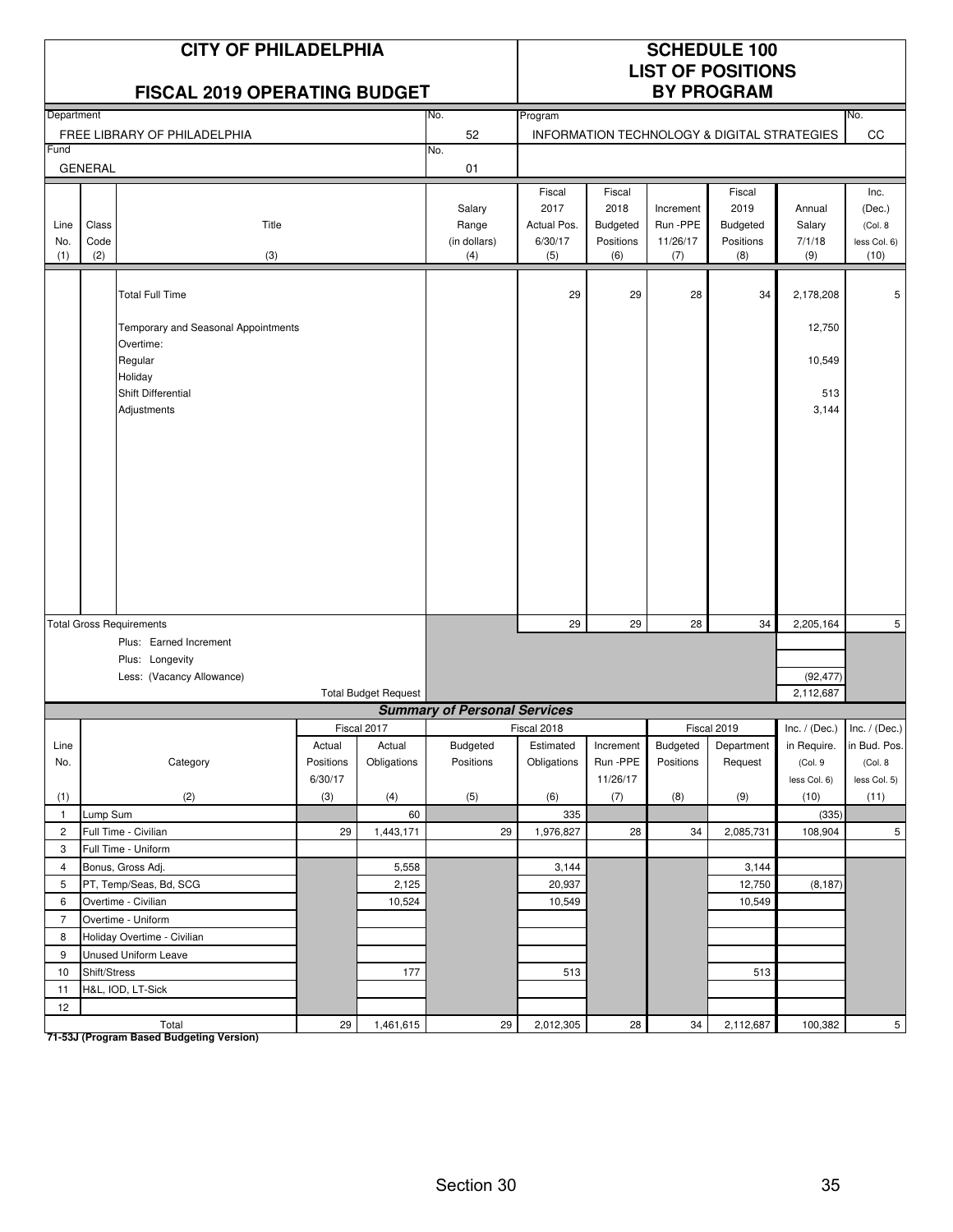|                     |                      | <b>CITY OF PHILADELPHIA</b><br><b>FISCAL 2019 OPERATING BUDGET</b> |           |                             |                                        | <b>SCHEDULE 100</b><br><b>LIST OF POSITIONS</b><br><b>BY PROGRAM</b> |                                                |                                          |                                                       |                                   |                                                    |
|---------------------|----------------------|--------------------------------------------------------------------|-----------|-----------------------------|----------------------------------------|----------------------------------------------------------------------|------------------------------------------------|------------------------------------------|-------------------------------------------------------|-----------------------------------|----------------------------------------------------|
| Department          |                      |                                                                    |           |                             | No.                                    | Program                                                              |                                                |                                          |                                                       |                                   | No.                                                |
|                     |                      | FREE LIBRARY OF PHILADELPHIA                                       |           |                             | 52                                     |                                                                      |                                                |                                          | INFORMATION TECHNOLOGY & DIGITAL STRATEGIES           |                                   | CC                                                 |
| Fund                |                      |                                                                    |           |                             | No.                                    |                                                                      |                                                |                                          |                                                       |                                   |                                                    |
|                     | <b>GENERAL</b>       |                                                                    |           |                             | 01                                     |                                                                      |                                                |                                          |                                                       |                                   |                                                    |
| Line<br>No.<br>(1)  | Class<br>Code<br>(2) | Title<br>(3)                                                       |           |                             | Salary<br>Range<br>(in dollars)<br>(4) | Fiscal<br>2017<br>Actual Pos.<br>6/30/17<br>(5)                      | Fiscal<br>2018<br>Budgeted<br>Positions<br>(6) | Increment<br>Run -PPE<br>11/26/17<br>(7) | Fiscal<br>2019<br><b>Budgeted</b><br>Positions<br>(8) | Annual<br>Salary<br>7/1/18<br>(9) | Inc.<br>(Dec.)<br>(Col. 8)<br>less Col. 6)<br>(10) |
|                     |                      | <b>Total Full Time</b>                                             |           |                             |                                        | 29                                                                   | 29                                             | 28                                       | 34                                                    | 2,178,208                         | 5                                                  |
|                     |                      | Temporary and Seasonal Appointments<br>Overtime:                   |           |                             |                                        |                                                                      |                                                |                                          |                                                       | 12,750                            |                                                    |
|                     |                      | Regular<br>Holiday                                                 |           |                             |                                        |                                                                      |                                                |                                          |                                                       | 10,549                            |                                                    |
|                     |                      | Shift Differential<br>Adjustments                                  |           |                             |                                        |                                                                      |                                                |                                          |                                                       | 513<br>3,144                      |                                                    |
|                     |                      |                                                                    |           |                             |                                        |                                                                      |                                                |                                          |                                                       |                                   |                                                    |
|                     |                      | <b>Total Gross Requirements</b>                                    |           |                             |                                        | 29                                                                   | 29                                             | 28                                       | 34                                                    | 2,205,164                         | 5                                                  |
|                     |                      | Plus: Earned Increment                                             |           |                             |                                        |                                                                      |                                                |                                          |                                                       |                                   |                                                    |
|                     |                      | Plus: Longevity                                                    |           |                             |                                        |                                                                      |                                                |                                          |                                                       |                                   |                                                    |
|                     |                      | Less: (Vacancy Allowance)                                          |           | <b>Total Budget Request</b> |                                        |                                                                      |                                                |                                          |                                                       | (92, 477)<br>2,112,687            |                                                    |
|                     |                      |                                                                    |           |                             | <b>Summary of Personal Services</b>    |                                                                      |                                                |                                          |                                                       |                                   |                                                    |
|                     |                      |                                                                    |           | Fiscal 2017                 |                                        | Fiscal 2018                                                          |                                                |                                          | <b>Fiscal 2019</b>                                    |                                   | Inc. / (Dec.) Inc. / (Dec.)                        |
| Line                |                      |                                                                    | Actual    | Actual                      | Budgeted                               | Estimated                                                            | Increment                                      | Budgeted                                 | Department                                            | in Require.                       | in Bud. Pos.                                       |
| No.                 |                      | Category                                                           | Positions | Obligations                 | Positions                              | Obligations                                                          | Run-PPE                                        | Positions                                | Request                                               | (Col. 9                           | (Col. 8                                            |
|                     |                      |                                                                    | 6/30/17   |                             |                                        |                                                                      | 11/26/17                                       |                                          |                                                       | less Col. 6)                      | less Col. 5)                                       |
| (1)                 |                      | (2)                                                                | (3)       | (4)                         | (5)                                    | (6)                                                                  | (7)                                            | (8)                                      | (9)                                                   | (10)                              | (11)                                               |
| $\mathbf{1}$        | Lump Sum             |                                                                    |           | 60                          |                                        | 335                                                                  |                                                |                                          |                                                       | (335)                             |                                                    |
| $\overline{2}$      |                      | Full Time - Civilian                                               | 29        | 1,443,171                   | 29                                     | 1,976,827                                                            | 28                                             | 34                                       | 2,085,731                                             | 108,904                           | 5                                                  |
| 3                   |                      | Full Time - Uniform                                                |           |                             |                                        |                                                                      |                                                |                                          |                                                       |                                   |                                                    |
| $\overline{4}$      |                      | Bonus, Gross Adj.                                                  |           | 5,558                       |                                        | 3,144                                                                |                                                |                                          | 3,144                                                 |                                   |                                                    |
| 5                   |                      | PT, Temp/Seas, Bd, SCG                                             |           | 2,125                       |                                        | 20,937                                                               |                                                |                                          | 12,750                                                | (8, 187)                          |                                                    |
| 6<br>$\overline{7}$ |                      | Overtime - Civilian                                                |           | 10,524                      |                                        | 10,549                                                               |                                                |                                          | 10,549                                                |                                   |                                                    |
|                     |                      | Overtime - Uniform                                                 |           |                             |                                        |                                                                      |                                                |                                          |                                                       |                                   |                                                    |
| 8<br>9              |                      | Holiday Overtime - Civilian                                        |           |                             |                                        |                                                                      |                                                |                                          |                                                       |                                   |                                                    |
| 10                  | Shift/Stress         | Unused Uniform Leave                                               |           | 177                         |                                        | 513                                                                  |                                                |                                          | 513                                                   |                                   |                                                    |
| 11                  |                      | H&L, IOD, LT-Sick                                                  |           |                             |                                        |                                                                      |                                                |                                          |                                                       |                                   |                                                    |
| 12                  |                      |                                                                    |           |                             |                                        |                                                                      |                                                |                                          |                                                       |                                   |                                                    |
|                     |                      | Total                                                              | 29        | 1,461,615                   | 29                                     | 2,012,305                                                            | 28                                             | 34                                       | 2,112,687                                             | 100,382                           | 5 <sub>5</sub>                                     |

Total<br>T1-53J (Program Based Budgeting Version)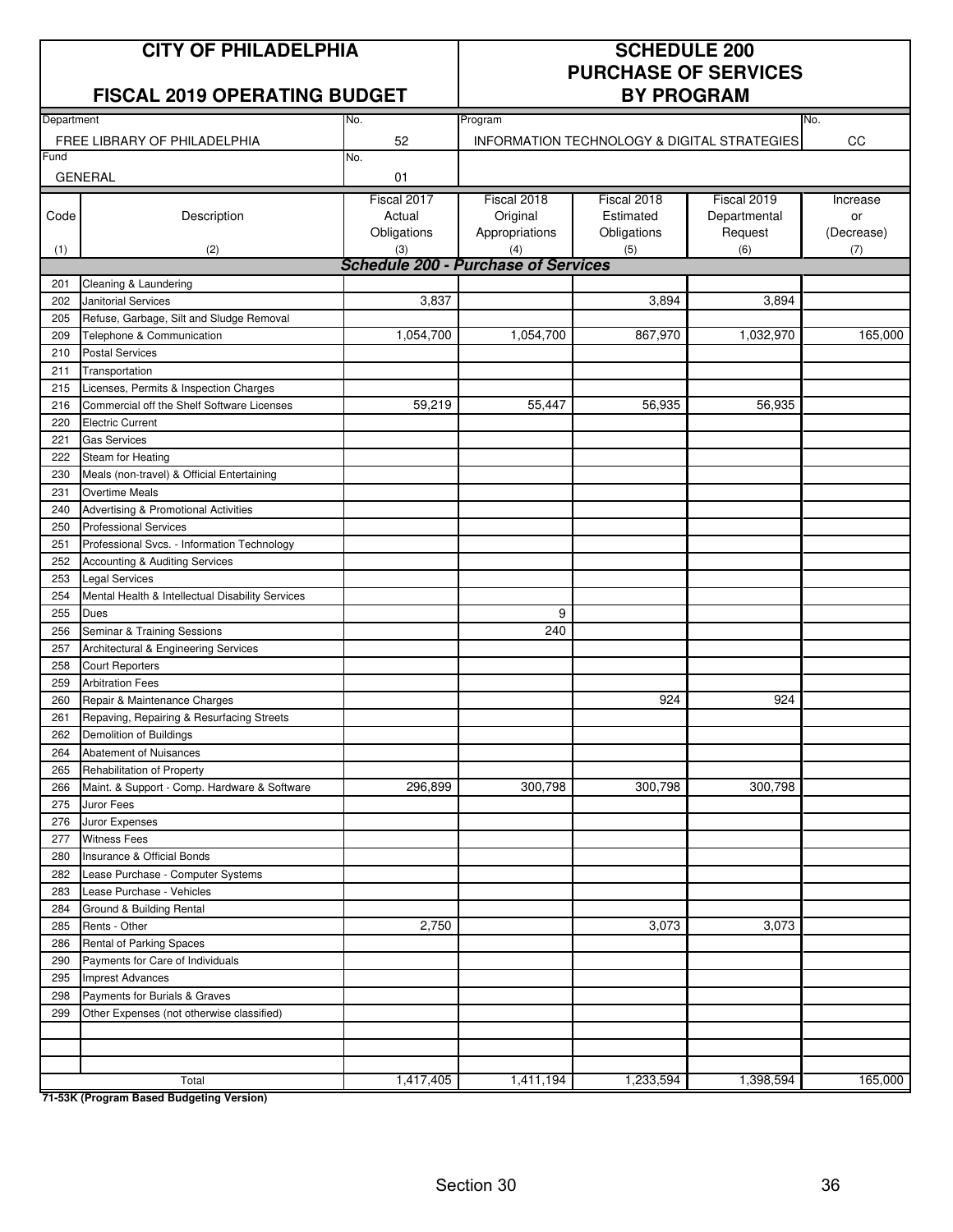## **CITY OF PHILADELPHIA SCHEDULE 200**

#### **FISCAL 2019 OPERATING BUDGET**

# **PURCHASE OF SERVICES**

|            | ו שטאב בטוט טו בונאוווע טטטעו                                              |                                            | 111VVIIMD              |                                             |              |            |  |  |
|------------|----------------------------------------------------------------------------|--------------------------------------------|------------------------|---------------------------------------------|--------------|------------|--|--|
| Department |                                                                            | No.                                        | Program                |                                             |              | No.        |  |  |
|            | FREE LIBRARY OF PHILADELPHIA                                               | 52                                         |                        | INFORMATION TECHNOLOGY & DIGITAL STRATEGIES |              | CC         |  |  |
| Fund       |                                                                            | No.                                        |                        |                                             |              |            |  |  |
|            | <b>GENERAL</b>                                                             | 01                                         |                        |                                             |              |            |  |  |
|            |                                                                            | Fiscal 2017                                | Fiscal 2018            | Fiscal 2018                                 | Fiscal 2019  | Increase   |  |  |
| Code       | Description                                                                | Actual                                     | Original               | Estimated                                   | Departmental | or         |  |  |
|            |                                                                            | Obligations                                | Appropriations         | Obligations                                 | Request      | (Decrease) |  |  |
| (1)        | (2)                                                                        | (3)                                        | (4)                    | (5)                                         | (6)          | (7)        |  |  |
|            |                                                                            | <b>Schedule 200 - Purchase of Services</b> |                        |                                             |              |            |  |  |
| 201        | Cleaning & Laundering                                                      |                                            |                        |                                             |              |            |  |  |
| 202        | <b>Janitorial Services</b>                                                 | 3,837                                      |                        | 3,894                                       | 3,894        |            |  |  |
| 205        | Refuse, Garbage, Silt and Sludge Removal                                   |                                            |                        |                                             |              |            |  |  |
| 209        | Telephone & Communication                                                  | 1,054,700                                  | $\overline{1,054,700}$ | 867,970                                     | 1,032,970    | 165,000    |  |  |
| 210        | <b>Postal Services</b>                                                     |                                            |                        |                                             |              |            |  |  |
| 211<br>215 | Transportation<br>Licenses, Permits & Inspection Charges                   |                                            |                        |                                             |              |            |  |  |
| 216        | Commercial off the Shelf Software Licenses                                 | 59,219                                     | 55,447                 | 56,935                                      | 56,935       |            |  |  |
| 220        | <b>Electric Current</b>                                                    |                                            |                        |                                             |              |            |  |  |
| 221        | <b>Gas Services</b>                                                        |                                            |                        |                                             |              |            |  |  |
| 222        | Steam for Heating                                                          |                                            |                        |                                             |              |            |  |  |
| 230        | Meals (non-travel) & Official Entertaining                                 |                                            |                        |                                             |              |            |  |  |
| 231        | <b>Overtime Meals</b>                                                      |                                            |                        |                                             |              |            |  |  |
| 240        | Advertising & Promotional Activities                                       |                                            |                        |                                             |              |            |  |  |
| 250        | <b>Professional Services</b>                                               |                                            |                        |                                             |              |            |  |  |
| 251        | Professional Svcs. - Information Technology                                |                                            |                        |                                             |              |            |  |  |
| 252        | Accounting & Auditing Services                                             |                                            |                        |                                             |              |            |  |  |
| 253        | <b>Legal Services</b>                                                      |                                            |                        |                                             |              |            |  |  |
| 254        | Mental Health & Intellectual Disability Services                           |                                            |                        |                                             |              |            |  |  |
| 255        | <b>Dues</b>                                                                |                                            | 9                      |                                             |              |            |  |  |
| 256        | Seminar & Training Sessions                                                |                                            | 240                    |                                             |              |            |  |  |
| 257        | Architectural & Engineering Services                                       |                                            |                        |                                             |              |            |  |  |
| 258        | <b>Court Reporters</b>                                                     |                                            |                        |                                             |              |            |  |  |
| 259        | <b>Arbitration Fees</b>                                                    |                                            |                        |                                             |              |            |  |  |
| 260        | Repair & Maintenance Charges                                               |                                            |                        | 924                                         | 924          |            |  |  |
| 261        | Repaving, Repairing & Resurfacing Streets                                  |                                            |                        |                                             |              |            |  |  |
| 262        | Demolition of Buildings                                                    |                                            |                        |                                             |              |            |  |  |
| 264        | Abatement of Nuisances                                                     |                                            |                        |                                             |              |            |  |  |
| 265        | Rehabilitation of Property                                                 |                                            |                        |                                             |              |            |  |  |
| 266        | Maint. & Support - Comp. Hardware & Software                               | 296,899                                    | 300,798                | 300,798                                     | 300,798      |            |  |  |
| 275        | Juror Fees                                                                 |                                            |                        |                                             |              |            |  |  |
| 276        | Juror Expenses                                                             |                                            |                        |                                             |              |            |  |  |
| 277        | <b>Witness Fees</b>                                                        |                                            |                        |                                             |              |            |  |  |
| 280        | Insurance & Official Bonds                                                 |                                            |                        |                                             |              |            |  |  |
| 282        | Lease Purchase - Computer Systems                                          |                                            |                        |                                             |              |            |  |  |
| 283        | Lease Purchase - Vehicles                                                  |                                            |                        |                                             |              |            |  |  |
| 284        | Ground & Building Rental                                                   |                                            |                        |                                             |              |            |  |  |
| 285        | Rents - Other                                                              | 2,750                                      |                        | 3,073                                       | 3,073        |            |  |  |
| 286        | Rental of Parking Spaces                                                   |                                            |                        |                                             |              |            |  |  |
| 290        | Payments for Care of Individuals<br><b>Imprest Advances</b>                |                                            |                        |                                             |              |            |  |  |
| 295        |                                                                            |                                            |                        |                                             |              |            |  |  |
| 298<br>299 | Payments for Burials & Graves<br>Other Expenses (not otherwise classified) |                                            |                        |                                             |              |            |  |  |
|            |                                                                            |                                            |                        |                                             |              |            |  |  |
|            |                                                                            |                                            |                        |                                             |              |            |  |  |
|            |                                                                            |                                            |                        |                                             |              |            |  |  |
|            | Total                                                                      | 1,417,405                                  | 1,411,194              | 1,233,594                                   | 1,398,594    | 165,000    |  |  |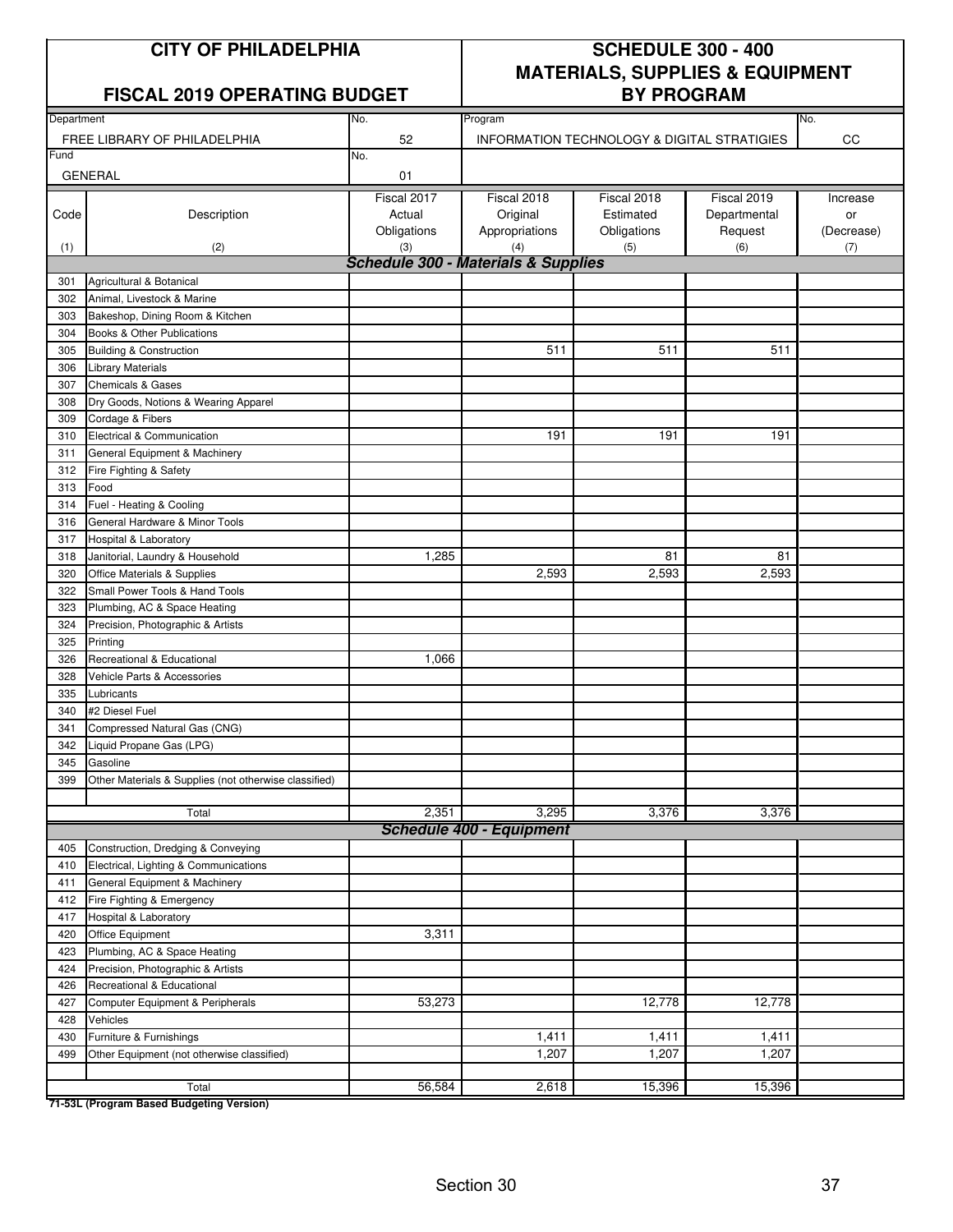#### **FISCAL 2019 OPERATING BUDGET**

## **CITY OF PHILADELPHIA SCHEDULE 300 - 400 MATERIALS, SUPPLIES & EQUIPMENT**

| Department |                                                       | No.         | Program                                        |                                             |              | No.        |
|------------|-------------------------------------------------------|-------------|------------------------------------------------|---------------------------------------------|--------------|------------|
|            | FREE LIBRARY OF PHILADELPHIA                          | 52          |                                                | INFORMATION TECHNOLOGY & DIGITAL STRATIGIES |              | CC         |
| Fund       |                                                       | No.         |                                                |                                             |              |            |
|            | <b>GENERAL</b>                                        | 01          |                                                |                                             |              |            |
|            |                                                       | Fiscal 2017 | Fiscal 2018                                    | Fiscal 2018                                 | Fiscal 2019  | Increase   |
| Code       | Description                                           | Actual      | Original                                       | Estimated                                   | Departmental | or         |
|            |                                                       | Obligations | Appropriations                                 | Obligations                                 | Request      | (Decrease) |
| (1)        | (2)                                                   | (3)         | (4)                                            | (5)                                         | (6)          | (7)        |
|            |                                                       |             | <b>Schedule 300 - Materials &amp; Supplies</b> |                                             |              |            |
| 301        | Agricultural & Botanical                              |             |                                                |                                             |              |            |
| 302        | Animal, Livestock & Marine                            |             |                                                |                                             |              |            |
| 303        | Bakeshop, Dining Room & Kitchen                       |             |                                                |                                             |              |            |
| 304        | Books & Other Publications                            |             |                                                |                                             |              |            |
| 305        | <b>Building &amp; Construction</b>                    |             | 511                                            | 511                                         | 511          |            |
| 306        | <b>Library Materials</b>                              |             |                                                |                                             |              |            |
| 307        | <b>Chemicals &amp; Gases</b>                          |             |                                                |                                             |              |            |
| 308        | Dry Goods, Notions & Wearing Apparel                  |             |                                                |                                             |              |            |
| 309        | Cordage & Fibers                                      |             |                                                |                                             |              |            |
| 310        | Electrical & Communication                            |             | 191                                            | 191                                         | 191          |            |
| 311        | General Equipment & Machinery                         |             |                                                |                                             |              |            |
| 312        | Fire Fighting & Safety                                |             |                                                |                                             |              |            |
| 313        | Food                                                  |             |                                                |                                             |              |            |
| 314        | Fuel - Heating & Cooling                              |             |                                                |                                             |              |            |
| 316        | General Hardware & Minor Tools                        |             |                                                |                                             |              |            |
| 317        | Hospital & Laboratory                                 |             |                                                |                                             |              |            |
| 318        | Janitorial, Laundry & Household                       | 1,285       |                                                | 81                                          | 81           |            |
| 320        | Office Materials & Supplies                           |             | 2,593                                          | 2,593                                       | 2,593        |            |
| 322        | Small Power Tools & Hand Tools                        |             |                                                |                                             |              |            |
| 323        | Plumbing, AC & Space Heating                          |             |                                                |                                             |              |            |
| 324        | Precision, Photographic & Artists                     |             |                                                |                                             |              |            |
| 325        | Printing                                              |             |                                                |                                             |              |            |
| 326        | Recreational & Educational                            | 1,066       |                                                |                                             |              |            |
| 328<br>335 | Vehicle Parts & Accessories<br>Lubricants             |             |                                                |                                             |              |            |
| 340        |                                                       |             |                                                |                                             |              |            |
| 341        | #2 Diesel Fuel<br>Compressed Natural Gas (CNG)        |             |                                                |                                             |              |            |
| 342        | Liquid Propane Gas (LPG)                              |             |                                                |                                             |              |            |
| 345        | Gasoline                                              |             |                                                |                                             |              |            |
| 399        | Other Materials & Supplies (not otherwise classified) |             |                                                |                                             |              |            |
|            |                                                       |             |                                                |                                             |              |            |
|            | Total                                                 | 2,351       | 3,295                                          | 3,376                                       | 3,376        |            |
|            |                                                       |             | <b>Schedule 400 - Equipment</b>                |                                             |              |            |
| 405        | Construction, Dredging & Conveying                    |             |                                                |                                             |              |            |
| 410        | Electrical, Lighting & Communications                 |             |                                                |                                             |              |            |
| 411        | General Equipment & Machinery                         |             |                                                |                                             |              |            |
| 412        | Fire Fighting & Emergency                             |             |                                                |                                             |              |            |
| 417        | Hospital & Laboratory                                 |             |                                                |                                             |              |            |
| 420        | Office Equipment                                      | 3,311       |                                                |                                             |              |            |
| 423        | Plumbing, AC & Space Heating                          |             |                                                |                                             |              |            |
| 424        | Precision, Photographic & Artists                     |             |                                                |                                             |              |            |
| 426        | Recreational & Educational                            |             |                                                |                                             |              |            |
| 427        | Computer Equipment & Peripherals                      | 53,273      |                                                | 12,778                                      | 12,778       |            |
| 428        | Vehicles                                              |             |                                                |                                             |              |            |
| 430        | Furniture & Furnishings                               |             | 1,411                                          | 1,411                                       | 1,411        |            |
| 499        | Other Equipment (not otherwise classified)            |             | 1,207                                          | 1,207                                       | 1,207        |            |
|            |                                                       |             |                                                |                                             |              |            |
|            | Total                                                 | 56,584      | 2,618                                          | 15,396                                      | 15,396       |            |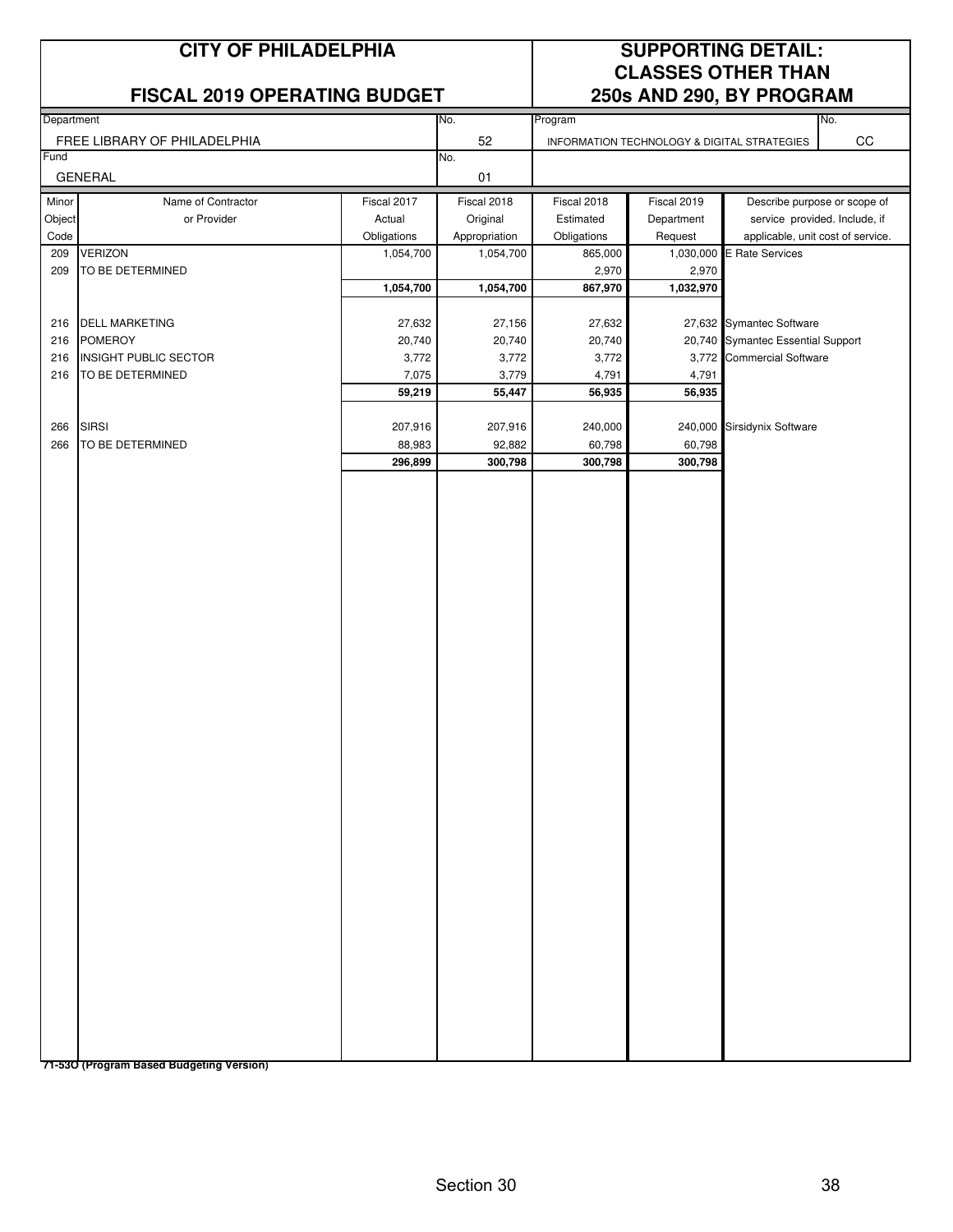|                          | <b>CITY OF PHILADELPHIA</b><br><b>FISCAL 2019 OPERATING BUDGET</b>                   |                                    |                                    |                                    |                                             | <b>SUPPORTING DETAIL:</b><br><b>CLASSES OTHER THAN</b><br>250s AND 290, BY PROGRAM         |
|--------------------------|--------------------------------------------------------------------------------------|------------------------------------|------------------------------------|------------------------------------|---------------------------------------------|--------------------------------------------------------------------------------------------|
| Department               |                                                                                      |                                    | No.                                | Program                            |                                             | No.                                                                                        |
|                          | FREE LIBRARY OF PHILADELPHIA                                                         |                                    | 52                                 |                                    | INFORMATION TECHNOLOGY & DIGITAL STRATEGIES | $_{\rm CC}$                                                                                |
| Fund                     | <b>GENERAL</b>                                                                       |                                    | No.<br>01                          |                                    |                                             |                                                                                            |
| Minor<br>Object          | Name of Contractor<br>or Provider                                                    | Fiscal 2017<br>Actual              | Fiscal 2018<br>Original            | Fiscal 2018<br>Estimated           | Fiscal 2019<br>Department                   | Describe purpose or scope of<br>service provided. Include, if                              |
| Code<br>209              | <b>VERIZON</b>                                                                       | Obligations<br>1,054,700           | Appropriation<br>1,054,700         | Obligations<br>865,000             | Request                                     | applicable, unit cost of service.<br>1,030,000 E Rate Services                             |
| 209                      | TO BE DETERMINED                                                                     | 1,054,700                          | 1,054,700                          | 2,970<br>867,970                   | 2,970<br>1,032,970                          |                                                                                            |
| 216<br>216<br>216<br>216 | <b>DELL MARKETING</b><br><b>POMEROY</b><br>INSIGHT PUBLIC SECTOR<br>TO BE DETERMINED | 27,632<br>20,740<br>3,772<br>7,075 | 27,156<br>20,740<br>3,772<br>3,779 | 27,632<br>20,740<br>3,772<br>4,791 | 4,791                                       | 27,632 Symantec Software<br>20,740 Symantec Essential Support<br>3,772 Commercial Software |
| 266                      | <b>SIRSI</b>                                                                         | 59,219<br>207,916                  | 55,447<br>207,916                  | 56,935<br>240,000                  | 56,935                                      | 240,000 Sirsidynix Software                                                                |
| 266                      | TO BE DETERMINED                                                                     | 88,983<br>296,899                  | 92,882<br>300,798                  | 60,798<br>300,798                  | 60,798<br>300,798                           |                                                                                            |
|                          |                                                                                      |                                    |                                    |                                    |                                             |                                                                                            |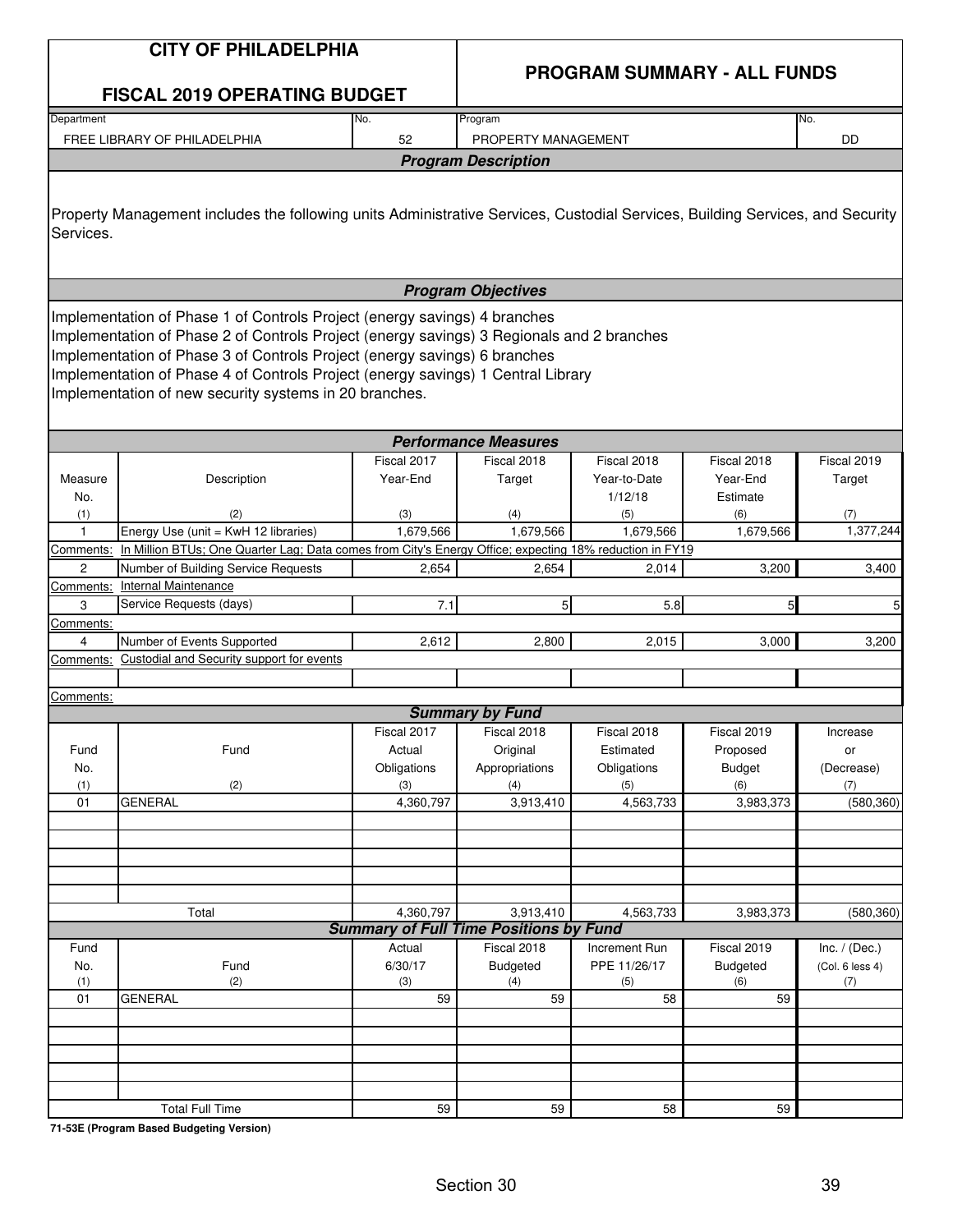|                  | <b>CITY OF PHILADELPHIA</b>                                                                                                                                                                                                                                                                                                                                                                       |                         | <b>PROGRAM SUMMARY - ALL FUNDS</b>                           |                                        |                                     |                       |  |  |
|------------------|---------------------------------------------------------------------------------------------------------------------------------------------------------------------------------------------------------------------------------------------------------------------------------------------------------------------------------------------------------------------------------------------------|-------------------------|--------------------------------------------------------------|----------------------------------------|-------------------------------------|-----------------------|--|--|
|                  | <b>FISCAL 2019 OPERATING BUDGET</b>                                                                                                                                                                                                                                                                                                                                                               |                         |                                                              |                                        |                                     |                       |  |  |
| Department       |                                                                                                                                                                                                                                                                                                                                                                                                   | No.<br>52               | Program                                                      |                                        |                                     | No.<br>DD             |  |  |
|                  | FREE LIBRARY OF PHILADELPHIA                                                                                                                                                                                                                                                                                                                                                                      |                         | PROPERTY MANAGEMENT<br><b>Program Description</b>            |                                        |                                     |                       |  |  |
|                  |                                                                                                                                                                                                                                                                                                                                                                                                   |                         |                                                              |                                        |                                     |                       |  |  |
| Services.        | Property Management includes the following units Administrative Services, Custodial Services, Building Services, and Security                                                                                                                                                                                                                                                                     |                         |                                                              |                                        |                                     |                       |  |  |
|                  |                                                                                                                                                                                                                                                                                                                                                                                                   |                         | <b>Program Objectives</b>                                    |                                        |                                     |                       |  |  |
|                  | Implementation of Phase 1 of Controls Project (energy savings) 4 branches<br>Implementation of Phase 2 of Controls Project (energy savings) 3 Regionals and 2 branches<br>Implementation of Phase 3 of Controls Project (energy savings) 6 branches<br>Implementation of Phase 4 of Controls Project (energy savings) 1 Central Library<br>Implementation of new security systems in 20 branches. |                         |                                                              |                                        |                                     |                       |  |  |
|                  |                                                                                                                                                                                                                                                                                                                                                                                                   |                         | <b>Performance Measures</b>                                  |                                        |                                     |                       |  |  |
| Measure<br>No.   | Description                                                                                                                                                                                                                                                                                                                                                                                       | Fiscal 2017<br>Year-End | Fiscal 2018<br>Target                                        | Fiscal 2018<br>Year-to-Date<br>1/12/18 | Fiscal 2018<br>Year-End<br>Estimate | Fiscal 2019<br>Target |  |  |
| (1)              | (2)                                                                                                                                                                                                                                                                                                                                                                                               | (3)                     | (4)                                                          | (5)                                    | (6)                                 | (7)                   |  |  |
| $\mathbf{1}$     | Energy Use (unit = KwH 12 libraries)                                                                                                                                                                                                                                                                                                                                                              | 1,679,566               | 1,679,566                                                    | 1,679,566                              | 1,679,566                           | 1,377,244             |  |  |
| Comments:        | In Million BTUs; One Quarter Lag; Data comes from City's Energy Office; expecting 18% reduction in FY19                                                                                                                                                                                                                                                                                           |                         |                                                              |                                        |                                     |                       |  |  |
| $\overline{2}$   | Number of Building Service Requests<br><b>Internal Maintenance</b>                                                                                                                                                                                                                                                                                                                                | 2,654                   | 2.654                                                        | 2,014                                  | 3,200                               | 3,400                 |  |  |
| Comments:<br>3   | Service Requests (days)                                                                                                                                                                                                                                                                                                                                                                           | 7.1                     | 5 <sub>l</sub>                                               | 5.8                                    | 5                                   | 5 <sub>l</sub>        |  |  |
| Comments:        |                                                                                                                                                                                                                                                                                                                                                                                                   |                         |                                                              |                                        |                                     |                       |  |  |
| 4                | Number of Events Supported                                                                                                                                                                                                                                                                                                                                                                        | 2,612                   | 2,800                                                        | 2,015                                  | 3,000                               | 3,200                 |  |  |
| Comments:        | Custodial and Security support for events                                                                                                                                                                                                                                                                                                                                                         |                         |                                                              |                                        |                                     |                       |  |  |
|                  |                                                                                                                                                                                                                                                                                                                                                                                                   |                         |                                                              |                                        |                                     |                       |  |  |
| <u>Comments:</u> |                                                                                                                                                                                                                                                                                                                                                                                                   |                         | <b>Summary by Fund</b>                                       |                                        |                                     |                       |  |  |
|                  |                                                                                                                                                                                                                                                                                                                                                                                                   | Fiscal 2017             | Fiscal 2018                                                  | Fiscal 2018                            | Fiscal 2019                         | Increase              |  |  |
| Fund             | Fund                                                                                                                                                                                                                                                                                                                                                                                              | Actual                  | Original                                                     | Estimated                              | Proposed                            | or                    |  |  |
| No.              |                                                                                                                                                                                                                                                                                                                                                                                                   | Obligations             | Appropriations                                               | Obligations                            | <b>Budget</b>                       | (Decrease)            |  |  |
| (1)              | (2)                                                                                                                                                                                                                                                                                                                                                                                               | (3)                     | (4)                                                          | (5)                                    | (6)                                 | (7)                   |  |  |
| 01               | <b>GENERAL</b>                                                                                                                                                                                                                                                                                                                                                                                    | 4,360,797               | 3,913,410                                                    | 4,563,733                              | 3,983,373                           | (580, 360)            |  |  |
|                  |                                                                                                                                                                                                                                                                                                                                                                                                   |                         |                                                              |                                        |                                     |                       |  |  |
|                  |                                                                                                                                                                                                                                                                                                                                                                                                   |                         |                                                              |                                        |                                     |                       |  |  |
|                  |                                                                                                                                                                                                                                                                                                                                                                                                   |                         |                                                              |                                        |                                     |                       |  |  |
|                  |                                                                                                                                                                                                                                                                                                                                                                                                   |                         |                                                              |                                        |                                     |                       |  |  |
|                  | Total                                                                                                                                                                                                                                                                                                                                                                                             | 4,360,797               | 3,913,410                                                    | 4,563,733                              | 3,983,373                           | (580, 360)            |  |  |
| Fund             |                                                                                                                                                                                                                                                                                                                                                                                                   | Actual                  | <b>Summary of Full Time Positions by Fund</b><br>Fiscal 2018 | Increment Run                          | Fiscal 2019                         | Inc. $/$ (Dec.)       |  |  |
| No.              | Fund                                                                                                                                                                                                                                                                                                                                                                                              | 6/30/17                 | <b>Budgeted</b>                                              | PPE 11/26/17                           | <b>Budgeted</b>                     | (Col. 6 less 4)       |  |  |
| (1)              | (2)                                                                                                                                                                                                                                                                                                                                                                                               | (3)                     | (4)                                                          | (5)                                    | (6)                                 | (7)                   |  |  |
| 01               | <b>GENERAL</b>                                                                                                                                                                                                                                                                                                                                                                                    | 59                      | 59                                                           | 58                                     | 59                                  |                       |  |  |
|                  |                                                                                                                                                                                                                                                                                                                                                                                                   |                         |                                                              |                                        |                                     |                       |  |  |
|                  |                                                                                                                                                                                                                                                                                                                                                                                                   |                         |                                                              |                                        |                                     |                       |  |  |
|                  |                                                                                                                                                                                                                                                                                                                                                                                                   |                         |                                                              |                                        |                                     |                       |  |  |
|                  |                                                                                                                                                                                                                                                                                                                                                                                                   |                         |                                                              |                                        |                                     |                       |  |  |
|                  | <b>Total Full Time</b>                                                                                                                                                                                                                                                                                                                                                                            | 59                      | 59                                                           | 58                                     | 59                                  |                       |  |  |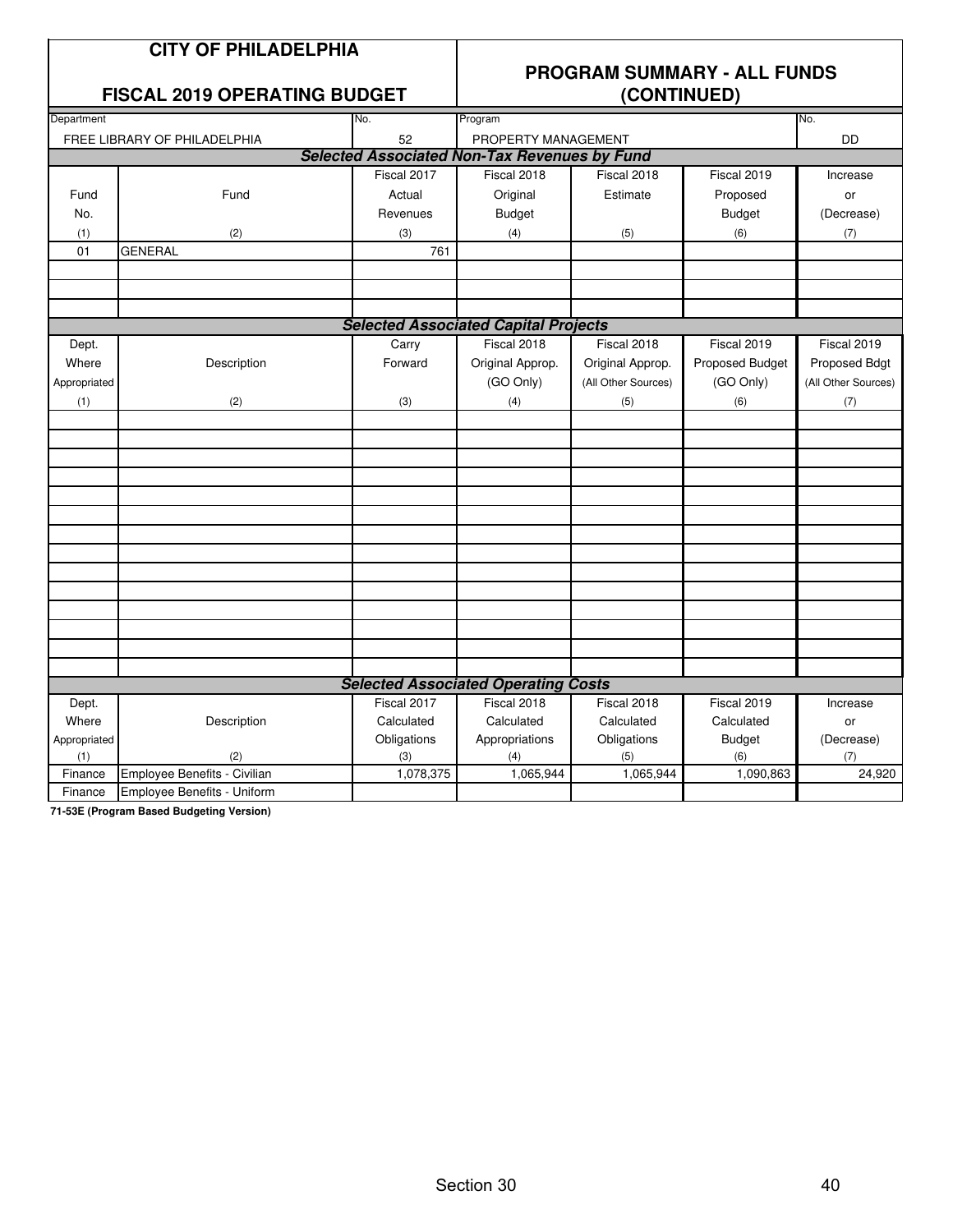|              | <b>CITY OF PHILADELPHIA</b>         |                                                     |                                                   |                     |                 |                     |  |  |
|--------------|-------------------------------------|-----------------------------------------------------|---------------------------------------------------|---------------------|-----------------|---------------------|--|--|
|              | <b>FISCAL 2019 OPERATING BUDGET</b> |                                                     | <b>PROGRAM SUMMARY - ALL FUNDS</b><br>(CONTINUED) |                     |                 |                     |  |  |
| Department   |                                     | No.                                                 | Program                                           |                     |                 | No.                 |  |  |
|              | FREE LIBRARY OF PHILADELPHIA        | 52                                                  | PROPERTY MANAGEMENT<br>DD                         |                     |                 |                     |  |  |
|              |                                     | <b>Selected Associated Non-Tax Revenues by Fund</b> |                                                   |                     |                 |                     |  |  |
|              |                                     | Fiscal 2017                                         | Fiscal 2018                                       | Fiscal 2018         | Fiscal 2019     | Increase            |  |  |
| Fund         | Fund                                | Actual                                              | Original                                          | Estimate            | Proposed        | or                  |  |  |
| No.          |                                     | Revenues                                            | <b>Budget</b>                                     |                     | <b>Budget</b>   | (Decrease)          |  |  |
| (1)          | (2)                                 | (3)                                                 | (4)                                               | (5)                 | (6)             | (7)                 |  |  |
| 01           | <b>GENERAL</b>                      | 761                                                 |                                                   |                     |                 |                     |  |  |
|              |                                     |                                                     |                                                   |                     |                 |                     |  |  |
|              |                                     |                                                     |                                                   |                     |                 |                     |  |  |
|              |                                     |                                                     |                                                   |                     |                 |                     |  |  |
|              |                                     | <b>Selected Associated Capital Projects</b>         |                                                   |                     |                 |                     |  |  |
| Dept.        |                                     | Carry                                               | Fiscal 2018                                       | Fiscal 2018         | Fiscal 2019     | Fiscal 2019         |  |  |
| Where        | Description                         | Forward                                             | Original Approp.                                  | Original Approp.    | Proposed Budget | Proposed Bdgt       |  |  |
| Appropriated |                                     |                                                     | (GO Only)                                         | (All Other Sources) | (GO Only)       | (All Other Sources) |  |  |
| (1)          | (2)                                 | (3)                                                 | (4)                                               | (5)                 | (6)             | (7)                 |  |  |
|              |                                     |                                                     |                                                   |                     |                 |                     |  |  |
|              |                                     |                                                     |                                                   |                     |                 |                     |  |  |
|              |                                     |                                                     |                                                   |                     |                 |                     |  |  |
|              |                                     |                                                     |                                                   |                     |                 |                     |  |  |
|              |                                     |                                                     |                                                   |                     |                 |                     |  |  |
|              |                                     |                                                     |                                                   |                     |                 |                     |  |  |
|              |                                     |                                                     |                                                   |                     |                 |                     |  |  |
|              |                                     |                                                     |                                                   |                     |                 |                     |  |  |
|              |                                     |                                                     |                                                   |                     |                 |                     |  |  |
|              |                                     |                                                     |                                                   |                     |                 |                     |  |  |
|              |                                     |                                                     |                                                   |                     |                 |                     |  |  |
|              |                                     |                                                     |                                                   |                     |                 |                     |  |  |
|              |                                     |                                                     |                                                   |                     |                 |                     |  |  |
|              |                                     |                                                     |                                                   |                     |                 |                     |  |  |
|              |                                     | <b>Selected Associated Operating Costs</b>          |                                                   |                     |                 |                     |  |  |
| Dept.        |                                     | Fiscal 2017                                         | Fiscal 2018                                       | Fiscal 2018         | Fiscal 2019     | Increase            |  |  |
| Where        | Description                         | Calculated                                          | Calculated                                        | Calculated          | Calculated      | or                  |  |  |
| Appropriated |                                     | Obligations                                         | Appropriations                                    | Obligations         | <b>Budget</b>   | (Decrease)          |  |  |
| (1)          | (2)                                 | (3)                                                 | (4)                                               | (5)                 | (6)             | (7)                 |  |  |
| Finance      | Employee Benefits - Civilian        | 1,078,375                                           | 1,065,944                                         | 1,065,944           | 1,090,863       | 24,920              |  |  |
| Finance      | Employee Benefits - Uniform         |                                                     |                                                   |                     |                 |                     |  |  |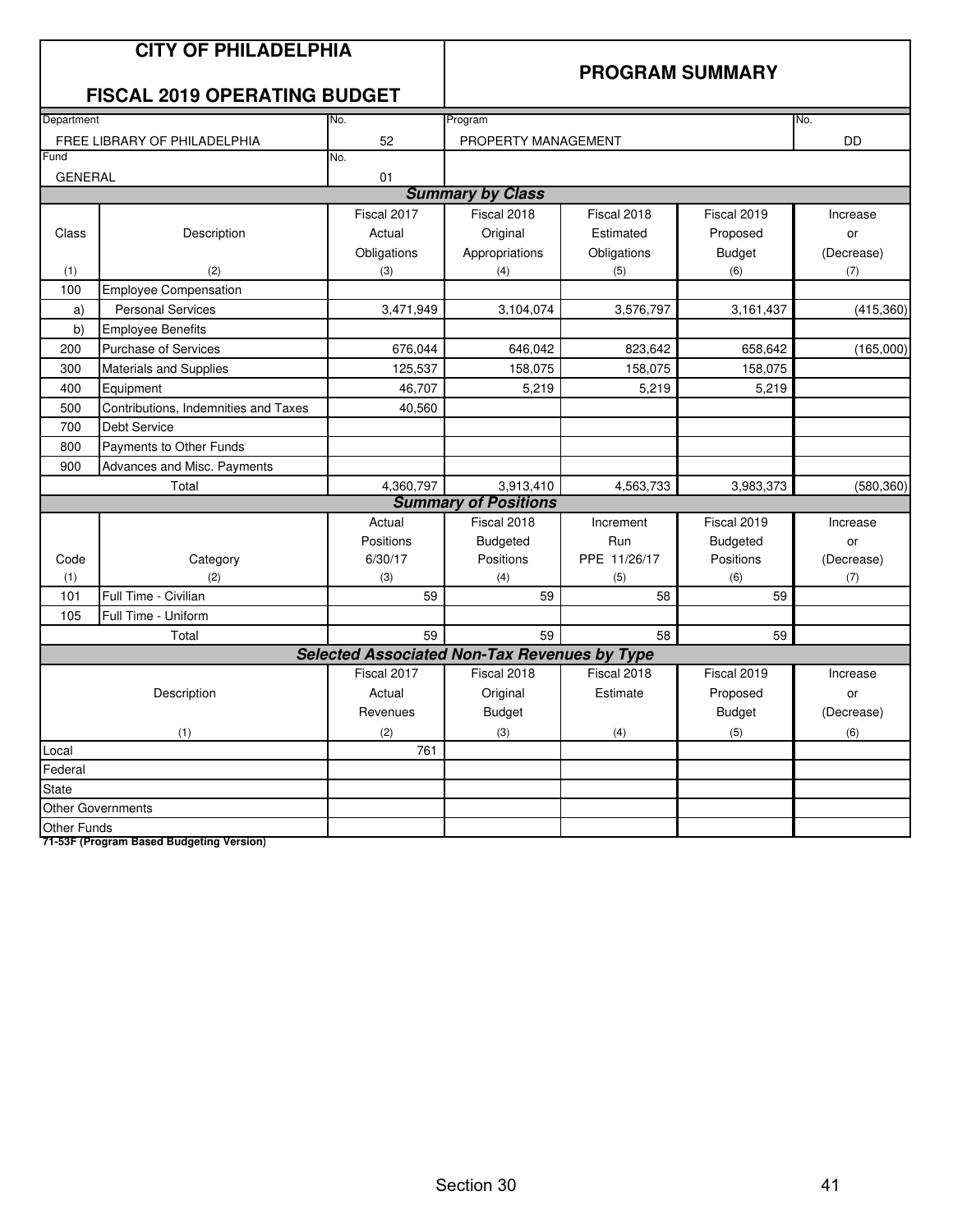|                    | <b>CITY OF PHILADELPHIA</b><br><b>FISCAL 2019 OPERATING BUDGET</b> |             | <b>PROGRAM SUMMARY</b>                              |              |                 |            |  |
|--------------------|--------------------------------------------------------------------|-------------|-----------------------------------------------------|--------------|-----------------|------------|--|
| Department         |                                                                    | No.         | Program                                             |              |                 | No.        |  |
|                    | FREE LIBRARY OF PHILADELPHIA                                       | 52          | PROPERTY MANAGEMENT                                 |              |                 | <b>DD</b>  |  |
| Fund               |                                                                    | No.         |                                                     |              |                 |            |  |
| <b>GENERAL</b>     |                                                                    | 01          |                                                     |              |                 |            |  |
|                    |                                                                    |             | <b>Summary by Class</b>                             |              |                 |            |  |
|                    |                                                                    | Fiscal 2017 | Fiscal 2018                                         | Fiscal 2018  | Fiscal 2019     | Increase   |  |
| Class              | Description                                                        | Actual      | Original                                            | Estimated    | Proposed        | or         |  |
|                    |                                                                    | Obligations | Appropriations                                      | Obligations  | <b>Budget</b>   | (Decrease) |  |
| (1)                | (2)                                                                | (3)         | (4)                                                 | (5)          | (6)             | (7)        |  |
| 100                | <b>Employee Compensation</b>                                       |             |                                                     |              |                 |            |  |
| a)                 | <b>Personal Services</b>                                           | 3,471,949   | 3,104,074                                           | 3,576,797    | 3,161,437       | (415, 360) |  |
| b)                 | <b>Employee Benefits</b>                                           |             |                                                     |              |                 |            |  |
| 200                | <b>Purchase of Services</b>                                        | 676,044     | 646,042                                             | 823,642      | 658,642         | (165,000)  |  |
| 300                | <b>Materials and Supplies</b>                                      | 125,537     | 158,075                                             | 158,075      | 158,075         |            |  |
| 400                | Equipment                                                          | 46,707      | 5,219                                               | 5,219        | 5,219           |            |  |
| 500                | Contributions, Indemnities and Taxes                               | 40,560      |                                                     |              |                 |            |  |
| 700                | <b>Debt Service</b>                                                |             |                                                     |              |                 |            |  |
| 800                | Payments to Other Funds                                            |             |                                                     |              |                 |            |  |
| 900                | Advances and Misc. Payments                                        |             |                                                     |              |                 |            |  |
|                    | Total                                                              | 4,360,797   | 3,913,410                                           | 4,563,733    | 3,983,373       | (580, 360) |  |
|                    |                                                                    |             | <b>Summary of Positions</b>                         |              |                 |            |  |
|                    |                                                                    | Actual      | Fiscal 2018                                         | Increment    | Fiscal 2019     | Increase   |  |
|                    |                                                                    | Positions   | <b>Budgeted</b>                                     | Run          | <b>Budgeted</b> | or         |  |
| Code               | Category                                                           | 6/30/17     | Positions                                           | PPE 11/26/17 | Positions       | (Decrease) |  |
| (1)                | (2)                                                                | (3)         | (4)                                                 | (5)          | (6)             | (7)        |  |
| 101                | Full Time - Civilian                                               | 59          | 59                                                  | 58           | 59              |            |  |
| 105                | Full Time - Uniform                                                |             |                                                     |              |                 |            |  |
|                    | Total                                                              | 59          | 59                                                  | 58           | 59              |            |  |
|                    |                                                                    |             | <b>Selected Associated Non-Tax Revenues by Type</b> |              |                 |            |  |
|                    |                                                                    | Fiscal 2017 | Fiscal 2018                                         | Fiscal 2018  | Fiscal 2019     | Increase   |  |
|                    | Description                                                        | Actual      | Original                                            | Estimate     | Proposed        | or         |  |
|                    |                                                                    | Revenues    | <b>Budget</b>                                       |              | <b>Budget</b>   | (Decrease) |  |
|                    | (1)                                                                | (2)         | (3)                                                 | (4)          | (5)             | (6)        |  |
| Local              |                                                                    | 761         |                                                     |              |                 |            |  |
| Federal            |                                                                    |             |                                                     |              |                 |            |  |
| <b>State</b>       |                                                                    |             |                                                     |              |                 |            |  |
|                    | <b>Other Governments</b>                                           |             |                                                     |              |                 |            |  |
| <b>Other Funds</b> |                                                                    |             |                                                     |              |                 |            |  |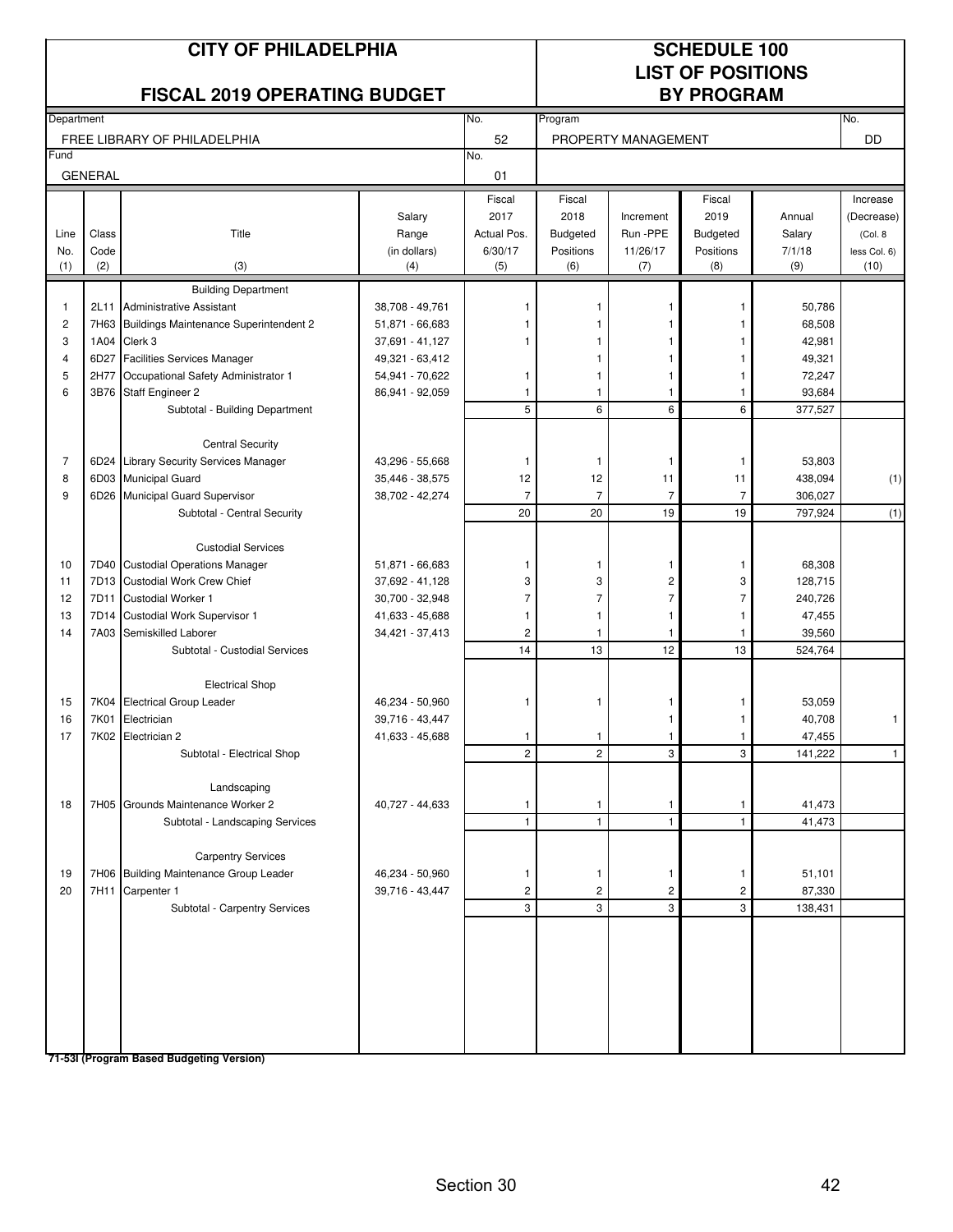|                         |                | <b>CITY OF PHILADELPHIA</b><br><b>FISCAL 2019 OPERATING BUDGET</b> |                     | <b>SCHEDULE 100</b><br><b>LIST OF POSITIONS</b><br><b>BY PROGRAM</b> |                  |                     |                  |               |                      |
|-------------------------|----------------|--------------------------------------------------------------------|---------------------|----------------------------------------------------------------------|------------------|---------------------|------------------|---------------|----------------------|
| Department              |                |                                                                    |                     | No.                                                                  | Program          | No.                 |                  |               |                      |
|                         |                | FREE LIBRARY OF PHILADELPHIA                                       |                     | 52                                                                   |                  | PROPERTY MANAGEMENT |                  |               | DD                   |
| Fund                    | <b>GENERAL</b> |                                                                    |                     | No.<br>01                                                            |                  |                     |                  |               |                      |
|                         |                |                                                                    |                     | Fiscal                                                               | Fiscal           |                     | Fiscal           |               | Increase             |
|                         |                |                                                                    | Salary              | 2017                                                                 | 2018             | Increment           | 2019             | Annual        | (Decrease)           |
| Line                    | Class          | Title                                                              | Range               | Actual Pos.                                                          | <b>Budgeted</b>  | Run -PPE            | <b>Budgeted</b>  | Salary        | (Col. 8)             |
| No.<br>(1)              | Code<br>(2)    | (3)                                                                | (in dollars)<br>(4) | 6/30/17<br>(5)                                                       | Positions<br>(6) | 11/26/17<br>(7)     | Positions<br>(8) | 7/1/18<br>(9) | less Col. 6)<br>(10) |
|                         |                | <b>Building Department</b>                                         |                     |                                                                      |                  |                     |                  |               |                      |
| $\mathbf{1}$            | 2L11           | <b>Administrative Assistant</b>                                    | 38,708 - 49,761     |                                                                      | 1                | 1                   | 1                | 50,786        |                      |
| $\overline{\mathbf{c}}$ |                | 7H63 Buildings Maintenance Superintendent 2                        | 51,871 - 66,683     |                                                                      |                  |                     |                  | 68,508        |                      |
| 3                       |                | 1A04 Clerk 3                                                       | 37,691 - 41,127     |                                                                      | 1                |                     |                  | 42,981        |                      |
| $\overline{\mathbf{4}}$ |                | 6D27 Facilities Services Manager                                   | 49,321 - 63,412     |                                                                      | 1                |                     |                  | 49,321        |                      |
| 5                       | 2H77           | Occupational Safety Administrator 1                                | 54,941 - 70,622     | 1                                                                    | $\mathbf{1}$     | 1                   | 1                | 72,247        |                      |
| 6                       |                | 3B76 Staff Engineer 2                                              | 86,941 - 92,059     | 1                                                                    | $\mathbf{1}$     | 1                   | 1                | 93,684        |                      |
|                         |                | Subtotal - Building Department                                     |                     | 5                                                                    | 6                | 6                   | 6                | 377,527       |                      |
|                         |                |                                                                    |                     |                                                                      |                  |                     |                  |               |                      |
|                         |                | <b>Central Security</b>                                            |                     |                                                                      |                  |                     |                  |               |                      |
| $\overline{7}$          |                | 6D24 Library Security Services Manager                             | 43,296 - 55,668     | $\mathbf{1}$                                                         | 1                | 1                   | $\mathbf{1}$     | 53,803        |                      |
| 8                       |                | 6D03 Municipal Guard                                               | 35,446 - 38,575     | 12                                                                   | 12               | 11                  | 11               | 438,094       | (1)                  |
| 9                       |                | 6D26 Municipal Guard Supervisor                                    | 38,702 - 42,274     | $\overline{7}$                                                       | 7                | $\overline{7}$      | $\overline{7}$   | 306,027       |                      |
|                         |                | Subtotal - Central Security                                        |                     | 20                                                                   | 20               | 19                  | 19               | 797,924       | (1)                  |
|                         |                |                                                                    |                     |                                                                      |                  |                     |                  |               |                      |
|                         |                | <b>Custodial Services</b>                                          |                     |                                                                      |                  |                     |                  |               |                      |
| 10                      |                | 7D40 Custodial Operations Manager                                  | 51,871 - 66,683     | $\mathbf{1}$                                                         | 1                | 1                   | 1                | 68,308        |                      |
| 11                      |                | 7D13 Custodial Work Crew Chief                                     | 37,692 - 41,128     | 3                                                                    | 3                | 2                   | 3                | 128,715       |                      |
| 12                      |                | 7D11 Custodial Worker 1                                            | 30,700 - 32,948     | 7                                                                    | $\overline{7}$   | $\overline{7}$      | $\overline{7}$   | 240,726       |                      |
| 13                      |                | 7D14 Custodial Work Supervisor 1                                   | 41,633 - 45,688     | $\mathbf{1}$                                                         | $\mathbf{1}$     | 1                   | $\mathbf{1}$     | 47,455        |                      |
| 14                      |                | 7A03 Semiskilled Laborer                                           | 34,421 - 37,413     | 2                                                                    | 1                | $\overline{1}$      | -1               | 39,560        |                      |
|                         |                | Subtotal - Custodial Services                                      |                     | 14                                                                   | 13               | 12                  | 13               | 524,764       |                      |
|                         |                | <b>Electrical Shop</b>                                             |                     |                                                                      |                  |                     |                  |               |                      |
| 15                      |                | 7K04 Electrical Group Leader                                       | 46,234 - 50,960     | 1                                                                    | 1                |                     | 1                | 53,059        |                      |
| 16                      |                | 7K01 Electrician                                                   | 39,716 - 43,447     |                                                                      |                  | 1                   | 1                | 40,708        | $\mathbf{1}$         |
| 17                      |                | 7K02 Electrician 2                                                 | 41,633 - 45,688     |                                                                      |                  |                     |                  | 47,455        |                      |
|                         |                | Subtotal - Electrical Shop                                         |                     | $\overline{2}$                                                       | $\overline{c}$   | 3                   | 3                | 141,222       | $\mathbf{1}$         |
|                         |                |                                                                    |                     |                                                                      |                  |                     |                  |               |                      |
|                         |                | Landscaping                                                        |                     |                                                                      |                  |                     |                  |               |                      |
| 18                      |                | 7H05 Grounds Maintenance Worker 2                                  | 40,727 - 44,633     | 1                                                                    | 1                | 1                   | $\mathbf{1}$     | 41,473        |                      |
|                         |                | Subtotal - Landscaping Services                                    |                     | $\mathbf{1}$                                                         | $\mathbf{1}$     | $\mathbf{1}$        | $\mathbf{1}$     | 41,473        |                      |
|                         |                |                                                                    |                     |                                                                      |                  |                     |                  |               |                      |
|                         |                | <b>Carpentry Services</b>                                          |                     |                                                                      |                  |                     |                  |               |                      |
| 19                      |                | 7H06 Building Maintenance Group Leader                             | 46,234 - 50,960     | 1                                                                    | 1                | 1                   | 1                | 51,101        |                      |
| 20                      |                | 7H11 Carpenter 1                                                   | 39,716 - 43,447     | 2                                                                    | 2                | 2                   | 2                | 87,330        |                      |
|                         |                | Subtotal - Carpentry Services                                      |                     | 3                                                                    | 3                | 3                   | 3                | 138,431       |                      |
|                         |                |                                                                    |                     |                                                                      |                  |                     |                  |               |                      |
|                         |                |                                                                    |                     |                                                                      |                  |                     |                  |               |                      |
|                         |                |                                                                    |                     |                                                                      |                  |                     |                  |               |                      |
|                         |                |                                                                    |                     |                                                                      |                  |                     |                  |               |                      |
|                         |                |                                                                    |                     |                                                                      |                  |                     |                  |               |                      |
|                         |                |                                                                    |                     |                                                                      |                  |                     |                  |               |                      |
|                         |                |                                                                    |                     |                                                                      |                  |                     |                  |               |                      |
|                         |                | 71-53I (Program Based Budgeting Version)                           |                     |                                                                      |                  |                     |                  |               |                      |

Section 30 42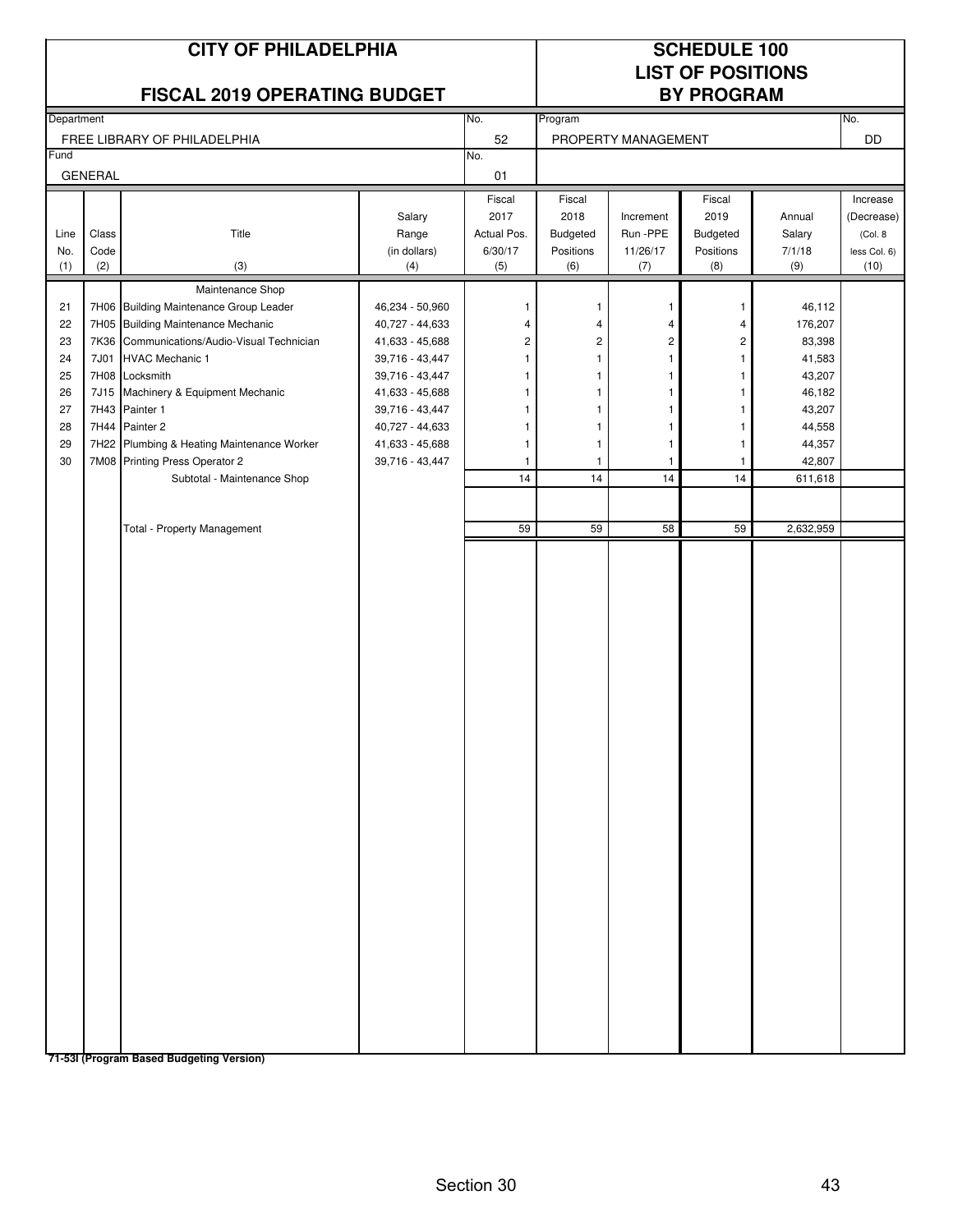|                                                          |                      | <b>CITY OF PHILADELPHIA</b><br><b>FISCAL 2019 OPERATING BUDGET</b>                                                                                                                                                                                                                                                                                                                                 |                                                                                                                                                                                            |                                                            | <b>SCHEDULE 100</b><br><b>LIST OF POSITIONS</b><br><b>BY PROGRAM</b> |                                                                                                           |                                                                                                                              |                                                                                                                           |                                                            |
|----------------------------------------------------------|----------------------|----------------------------------------------------------------------------------------------------------------------------------------------------------------------------------------------------------------------------------------------------------------------------------------------------------------------------------------------------------------------------------------------------|--------------------------------------------------------------------------------------------------------------------------------------------------------------------------------------------|------------------------------------------------------------|----------------------------------------------------------------------|-----------------------------------------------------------------------------------------------------------|------------------------------------------------------------------------------------------------------------------------------|---------------------------------------------------------------------------------------------------------------------------|------------------------------------------------------------|
| Department                                               |                      |                                                                                                                                                                                                                                                                                                                                                                                                    |                                                                                                                                                                                            | No.                                                        | Program                                                              |                                                                                                           |                                                                                                                              |                                                                                                                           | No.                                                        |
| Fund                                                     |                      | FREE LIBRARY OF PHILADELPHIA                                                                                                                                                                                                                                                                                                                                                                       |                                                                                                                                                                                            | 52<br>No.                                                  |                                                                      | PROPERTY MANAGEMENT                                                                                       |                                                                                                                              |                                                                                                                           | <b>DD</b>                                                  |
|                                                          | <b>GENERAL</b>       |                                                                                                                                                                                                                                                                                                                                                                                                    |                                                                                                                                                                                            | 01                                                         |                                                                      |                                                                                                           |                                                                                                                              |                                                                                                                           |                                                            |
| Line<br>No.<br>(1)                                       | Class<br>Code<br>(2) | Title<br>(3)<br>Maintenance Shop                                                                                                                                                                                                                                                                                                                                                                   | Salary<br>Range<br>(in dollars)<br>(4)                                                                                                                                                     | Fiscal<br>2017<br>Actual Pos.<br>6/30/17<br>(5)            | Fiscal<br>2018<br>Budgeted<br>Positions<br>(6)                       | Increment<br>Run -PPE<br>11/26/17<br>(7)                                                                  | Fiscal<br>2019<br><b>Budgeted</b><br>Positions<br>(8)                                                                        | Annual<br>Salary<br>7/1/18<br>(9)                                                                                         | Increase<br>(Decrease)<br>(Col. 8)<br>less Col. 6)<br>(10) |
| 21<br>22<br>23<br>24<br>25<br>26<br>27<br>28<br>29<br>30 | 7J01<br>7J15         | 7H06 Building Maintenance Group Leader<br>7H05 Building Maintenance Mechanic<br>7K36 Communications/Audio-Visual Technician<br><b>HVAC Mechanic 1</b><br>7H08 Locksmith<br>Machinery & Equipment Mechanic<br>7H43 Painter 1<br>7H44 Painter 2<br>7H22 Plumbing & Heating Maintenance Worker<br>7M08 Printing Press Operator 2<br>Subtotal - Maintenance Shop<br><b>Total - Property Management</b> | 46,234 - 50,960<br>40,727 - 44,633<br>41,633 - 45,688<br>39,716 - 43,447<br>39,716 - 43,447<br>41,633 - 45,688<br>39,716 - 43,447<br>40,727 - 44,633<br>41,633 - 45,688<br>39,716 - 43,447 | 1<br>4<br>2<br>1<br>1<br>1<br>1<br>1<br>1<br>1<br>14<br>59 | 1<br>4<br>2<br>1<br>1<br>1<br>1<br>1<br>1<br>14<br>59                | 1<br>4<br>$\overline{\mathbf{c}}$<br>$\mathbf{1}$<br>1<br>1<br>$\mathbf{1}$<br>$\overline{1}$<br>14<br>58 | $\mathbf{1}$<br>4<br>$\overline{\mathbf{c}}$<br>1<br>1<br>1<br>1<br>$\mathbf{1}$<br>$\mathbf{1}$<br>$\mathbf{1}$<br>14<br>59 | 46,112<br>176,207<br>83,398<br>41,583<br>43,207<br>46,182<br>43,207<br>44,558<br>44,357<br>42,807<br>611,618<br>2,632,959 |                                                            |
|                                                          |                      | 71-53I (Program Based Budgeting Version)                                                                                                                                                                                                                                                                                                                                                           |                                                                                                                                                                                            |                                                            |                                                                      |                                                                                                           |                                                                                                                              |                                                                                                                           |                                                            |

Section 30 43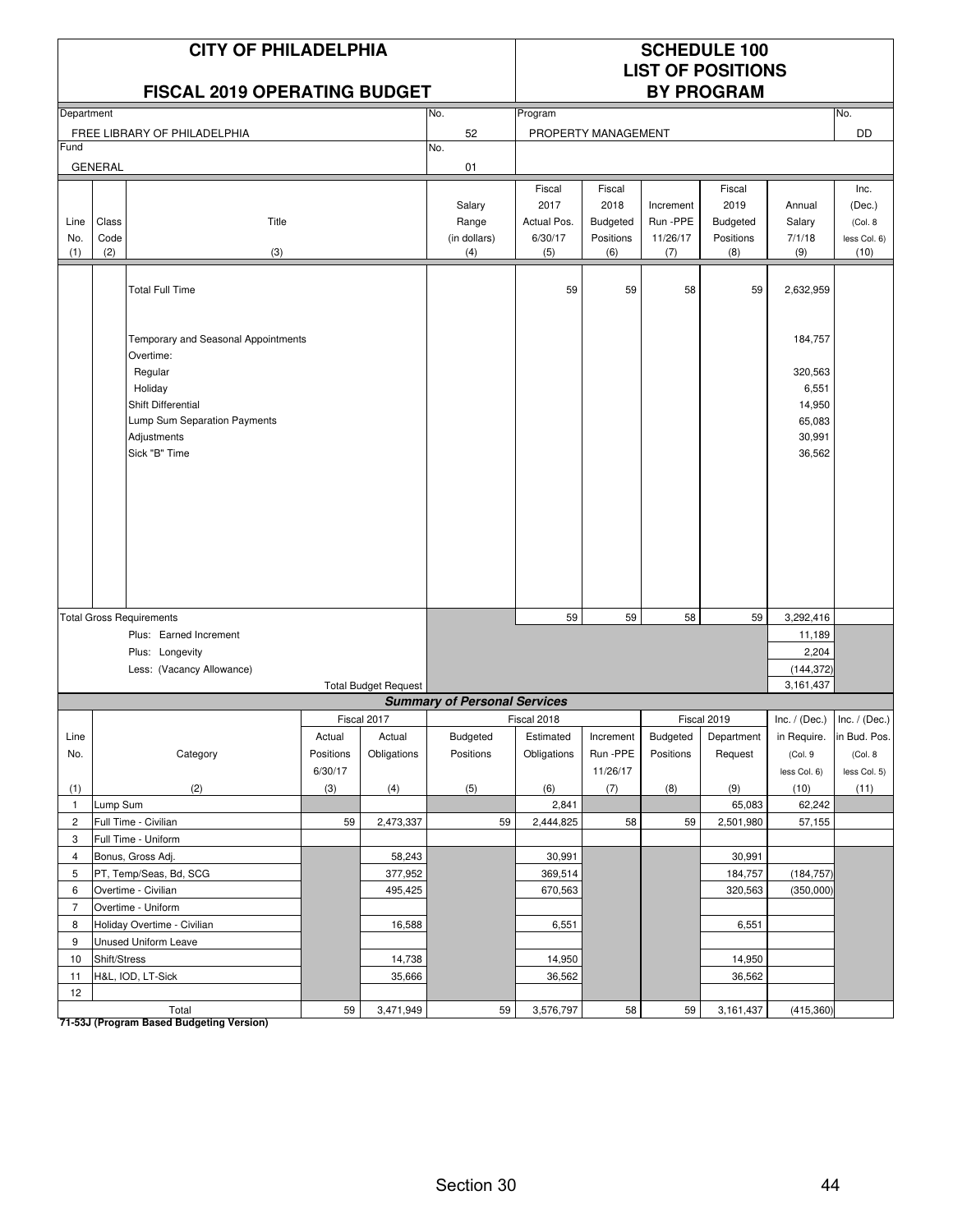### **CITY OF PHILADELPHIA** SCHEDULE 100

#### **FISCAL 2019 OPFRATING BUDGET**

# **LIST OF POSITIONS**

| Department     |                |                                     |           |                             | No.                                 | Program     |                     |           |             |                 | No.             |
|----------------|----------------|-------------------------------------|-----------|-----------------------------|-------------------------------------|-------------|---------------------|-----------|-------------|-----------------|-----------------|
|                |                | FREE LIBRARY OF PHILADELPHIA        |           |                             | 52                                  |             | PROPERTY MANAGEMENT |           |             |                 | DD              |
| Fund           |                |                                     |           |                             | No.                                 |             |                     |           |             |                 |                 |
|                | <b>GENERAL</b> |                                     |           |                             | 01                                  |             |                     |           |             |                 |                 |
|                |                |                                     |           |                             |                                     | Fiscal      | Fiscal              |           | Fiscal      |                 | Inc.            |
|                |                |                                     |           |                             | Salary                              | 2017        | 2018                | Increment | 2019        | Annual          | (Dec.)          |
| Line           | Class          | Title                               |           |                             | Range                               | Actual Pos. | Budgeted            | Run-PPE   | Budgeted    | Salary          | (Col. 8)        |
| No.            | Code           |                                     |           |                             | (in dollars)                        | 6/30/17     | Positions           | 11/26/17  | Positions   | 7/1/18          | less Col. 6)    |
| (1)            | (2)            | (3)                                 |           |                             | (4)                                 | (5)         | (6)                 | (7)       | (8)         | (9)             | (10)            |
|                |                |                                     |           |                             |                                     |             |                     |           |             |                 |                 |
|                |                | <b>Total Full Time</b>              |           |                             |                                     | 59          | 59                  | 58        | 59          | 2,632,959       |                 |
|                |                |                                     |           |                             |                                     |             |                     |           |             |                 |                 |
|                |                |                                     |           |                             |                                     |             |                     |           |             |                 |                 |
|                |                | Temporary and Seasonal Appointments |           |                             |                                     |             |                     |           |             | 184,757         |                 |
|                |                | Overtime:                           |           |                             |                                     |             |                     |           |             |                 |                 |
|                |                | Regular                             |           |                             |                                     |             |                     |           |             | 320,563         |                 |
|                |                | Holiday                             |           |                             |                                     |             |                     |           |             | 6,551           |                 |
|                |                | Shift Differential                  |           |                             |                                     |             |                     |           |             | 14,950          |                 |
|                |                | Lump Sum Separation Payments        |           |                             |                                     |             |                     |           |             | 65,083          |                 |
|                |                | Adjustments                         |           |                             |                                     |             |                     |           |             | 30,991          |                 |
|                |                | Sick "B" Time                       |           |                             |                                     |             |                     |           |             | 36,562          |                 |
|                |                |                                     |           |                             |                                     |             |                     |           |             |                 |                 |
|                |                |                                     |           |                             |                                     |             |                     |           |             |                 |                 |
|                |                |                                     |           |                             |                                     |             |                     |           |             |                 |                 |
|                |                |                                     |           |                             |                                     |             |                     |           |             |                 |                 |
|                |                |                                     |           |                             |                                     |             |                     |           |             |                 |                 |
|                |                |                                     |           |                             |                                     |             |                     |           |             |                 |                 |
|                |                |                                     |           |                             |                                     |             |                     |           |             |                 |                 |
|                |                |                                     |           |                             |                                     |             |                     |           |             |                 |                 |
|                |                |                                     |           |                             |                                     |             |                     |           |             |                 |                 |
|                |                | <b>Total Gross Requirements</b>     |           |                             |                                     | 59          | 59                  | 58        | 59          | 3,292,416       |                 |
|                |                | Plus: Earned Increment              |           |                             |                                     |             |                     |           |             | 11,189          |                 |
|                |                | Plus: Longevity                     |           |                             |                                     |             |                     |           |             | 2,204           |                 |
|                |                | Less: (Vacancy Allowance)           |           |                             |                                     |             |                     |           |             | (144, 372)      |                 |
|                |                |                                     |           | <b>Total Budget Request</b> |                                     |             |                     |           |             | 3,161,437       |                 |
|                |                |                                     |           |                             | <b>Summary of Personal Services</b> |             |                     |           |             |                 |                 |
|                |                |                                     |           | Fiscal 2017                 |                                     | Fiscal 2018 |                     |           | Fiscal 2019 | Inc. $/$ (Dec.) | Inc. $/$ (Dec.) |
| Line           |                |                                     | Actual    | Actual                      | <b>Budgeted</b>                     | Estimated   | Increment           | Budgeted  | Department  | in Require.     | in Bud. Pos.    |
| No.            |                | Category                            | Positions | Obligations                 | Positions                           | Obligations | Run - PPE           | Positions | Request     | (Col.9          | (Col. 8         |
|                |                |                                     | 6/30/17   |                             |                                     |             | 11/26/17            |           |             | less Col. 6)    | less Col. 5)    |
| (1)            |                | (2)                                 | (3)       | (4)                         | (5)                                 | (6)         | (7)                 | (8)       | (9)         | (10)            | (11)            |
| $\mathbf{1}$   | Lump Sum       |                                     |           |                             |                                     | 2,841       |                     |           | 65,083      | 62,242          |                 |
| $\overline{c}$ |                | Full Time - Civilian                | 59        | 2,473,337                   | 59                                  | 2,444,825   | 58                  | 59        | 2,501,980   | 57,155          |                 |
| 3              |                | Full Time - Uniform                 |           |                             |                                     |             |                     |           |             |                 |                 |
| $\overline{4}$ |                | Bonus, Gross Adj.                   |           | 58,243                      |                                     | 30,991      |                     |           | 30,991      |                 |                 |
| 5              |                | PT, Temp/Seas, Bd, SCG              |           | 377,952                     |                                     | 369,514     |                     |           | 184,757     | (184, 757)      |                 |
| 6              |                | Overtime - Civilian                 |           | 495,425                     |                                     | 670,563     |                     |           | 320,563     | (350,000)       |                 |
| $\overline{7}$ |                | Overtime - Uniform                  |           |                             |                                     |             |                     |           |             |                 |                 |
| 8              |                | Holiday Overtime - Civilian         |           | 16,588                      |                                     | 6,551       |                     |           | 6,551       |                 |                 |
| 9              |                | Unused Uniform Leave                |           |                             |                                     |             |                     |           |             |                 |                 |
| 10             | Shift/Stress   |                                     |           | 14,738                      |                                     | 14,950      |                     |           | 14,950      |                 |                 |
| 11             |                | H&L, IOD, LT-Sick                   |           | 35,666                      |                                     | 36,562      |                     |           | 36,562      |                 |                 |
| 12             |                |                                     |           |                             |                                     |             |                     |           |             |                 |                 |
|                |                | Total                               | 59        | 3,471,949                   | 59                                  | 3,576,797   | 58                  | 59        | 3,161,437   | (415, 360)      |                 |

Total<br><mark>71-53J (Program Based Budgeting Version)</mark>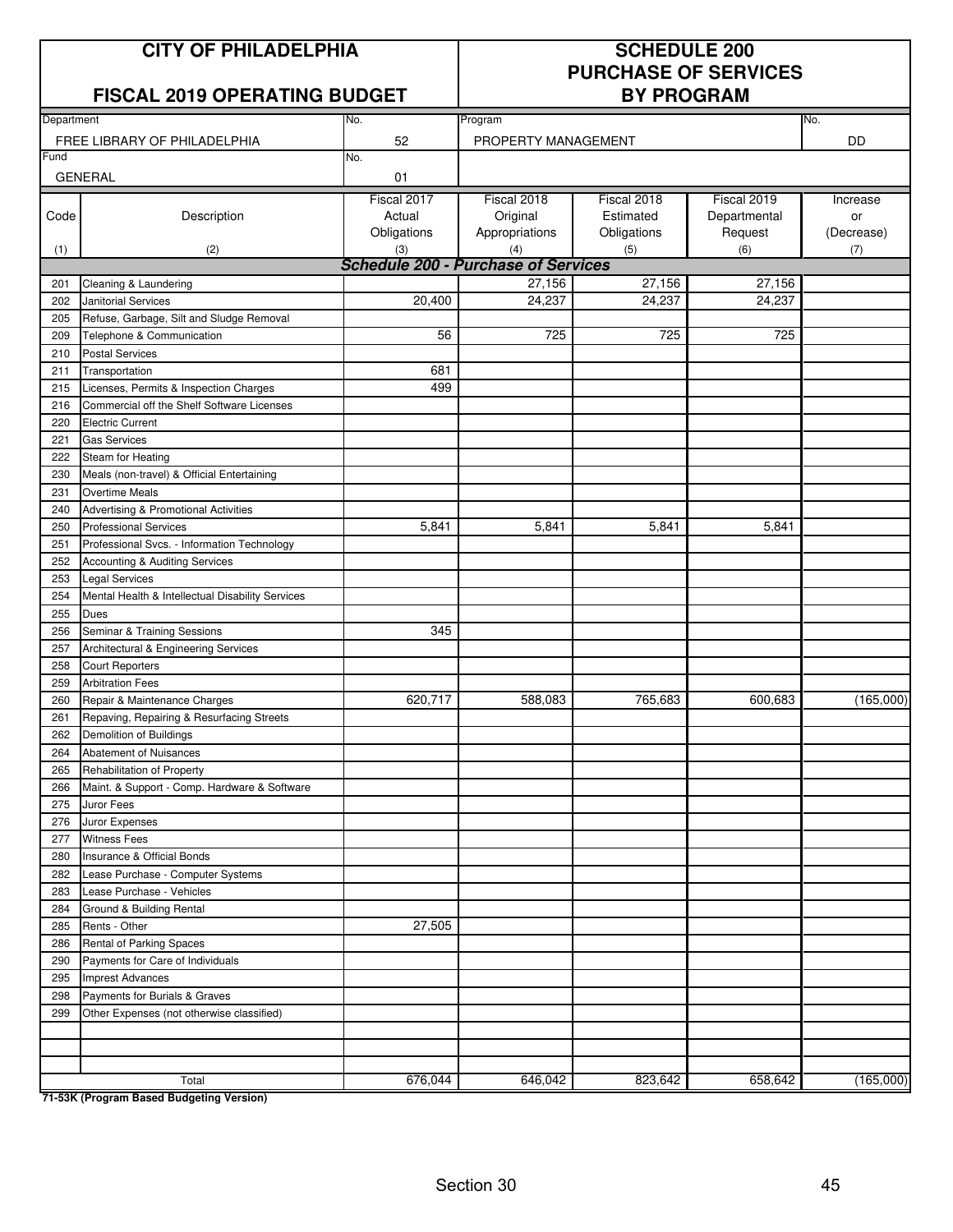## **CITY OF PHILADELPHIA SCHEDULE 200**

### **FISCAL 2019 OPERATING BUDGET BY PROGRAM**

# **PURCHASE OF SERVICES**

| Department<br>FREE LIBRARY OF PHILADELPHIA<br>52<br>PROPERTY MANAGEMENT<br>DD<br>Fund<br>No.<br><b>GENERAL</b><br>01<br>Fiscal 2017<br>Fiscal 2018<br>Fiscal 2018<br>Fiscal 2019<br>Increase<br>Original<br>Estimated<br>Departmental<br>Code<br>Description<br>Actual<br>or<br>Appropriations<br>Request<br>Obligations<br>Obligations<br>(Decrease)<br>(6)<br>(2)<br>(3)<br>(4)<br>(5)<br>(1)<br>(7)<br><b>Schedule 200 - Purchase of Services</b><br>27.156<br>27,156<br>27,156<br>Cleaning & Laundering<br>201<br>20,400<br>24,237<br>24,237<br>24,237<br><b>Janitorial Services</b><br>202<br>Refuse, Garbage, Silt and Sludge Removal<br>205<br>56<br>725<br>725<br>725<br>209<br>Telephone & Communication<br><b>Postal Services</b><br>210<br>681<br>211<br>Transportation<br>Licenses, Permits & Inspection Charges<br>499<br>215<br>216<br>Commercial off the Shelf Software Licenses<br>220<br><b>Electric Current</b><br>221<br><b>Gas Services</b><br>222<br>Steam for Heating<br>230<br>Meals (non-travel) & Official Entertaining<br>231<br>Overtime Meals<br>Advertising & Promotional Activities<br>240<br>5,841<br>5,841<br>5,841<br>5,841<br>250<br><b>Professional Services</b><br>251<br>Professional Svcs. - Information Technology<br>252<br>Accounting & Auditing Services<br><b>Legal Services</b><br>253<br>Mental Health & Intellectual Disability Services<br>254<br>255<br>Dues<br>345<br>Seminar & Training Sessions<br>256<br>257<br>Architectural & Engineering Services<br>258<br><b>Court Reporters</b><br><b>Arbitration Fees</b><br>259<br>Repair & Maintenance Charges<br>620,717<br>588,083<br>765,683<br>600,683<br>(165,000)<br>260<br>Repaving, Repairing & Resurfacing Streets<br>261<br>262<br>Demolition of Buildings<br>264<br>Abatement of Nuisances<br>265<br>Rehabilitation of Property<br>Maint. & Support - Comp. Hardware & Software<br>266<br>275<br>Juror Fees<br>276<br>Juror Expenses<br>277<br><b>Witness Fees</b><br>Insurance & Official Bonds<br>280<br>282<br>Lease Purchase - Computer Systems<br>Lease Purchase - Vehicles<br>283<br>284<br>Ground & Building Rental<br>27,505<br>285<br>Rents - Other<br>286<br>Rental of Parking Spaces<br>290<br>Payments for Care of Individuals<br>295<br>Imprest Advances<br>Payments for Burials & Graves<br>298<br>299<br>Other Expenses (not otherwise classified)<br>676,044<br>646,042<br>823,642<br>658,642<br>(165,000)<br>Total |  |     |         |  |  |     |  |  |
|---------------------------------------------------------------------------------------------------------------------------------------------------------------------------------------------------------------------------------------------------------------------------------------------------------------------------------------------------------------------------------------------------------------------------------------------------------------------------------------------------------------------------------------------------------------------------------------------------------------------------------------------------------------------------------------------------------------------------------------------------------------------------------------------------------------------------------------------------------------------------------------------------------------------------------------------------------------------------------------------------------------------------------------------------------------------------------------------------------------------------------------------------------------------------------------------------------------------------------------------------------------------------------------------------------------------------------------------------------------------------------------------------------------------------------------------------------------------------------------------------------------------------------------------------------------------------------------------------------------------------------------------------------------------------------------------------------------------------------------------------------------------------------------------------------------------------------------------------------------------------------------------------------------------------------------------------------------------------------------------------------------------------------------------------------------------------------------------------------------------------------------------------------------------------------------------------------------------------------------------------------------------------------------------------------------------------------------------------------------------------------------------------------------------------------------------|--|-----|---------|--|--|-----|--|--|
|                                                                                                                                                                                                                                                                                                                                                                                                                                                                                                                                                                                                                                                                                                                                                                                                                                                                                                                                                                                                                                                                                                                                                                                                                                                                                                                                                                                                                                                                                                                                                                                                                                                                                                                                                                                                                                                                                                                                                                                                                                                                                                                                                                                                                                                                                                                                                                                                                                             |  | No. | Program |  |  | No. |  |  |
|                                                                                                                                                                                                                                                                                                                                                                                                                                                                                                                                                                                                                                                                                                                                                                                                                                                                                                                                                                                                                                                                                                                                                                                                                                                                                                                                                                                                                                                                                                                                                                                                                                                                                                                                                                                                                                                                                                                                                                                                                                                                                                                                                                                                                                                                                                                                                                                                                                             |  |     |         |  |  |     |  |  |
|                                                                                                                                                                                                                                                                                                                                                                                                                                                                                                                                                                                                                                                                                                                                                                                                                                                                                                                                                                                                                                                                                                                                                                                                                                                                                                                                                                                                                                                                                                                                                                                                                                                                                                                                                                                                                                                                                                                                                                                                                                                                                                                                                                                                                                                                                                                                                                                                                                             |  |     |         |  |  |     |  |  |
|                                                                                                                                                                                                                                                                                                                                                                                                                                                                                                                                                                                                                                                                                                                                                                                                                                                                                                                                                                                                                                                                                                                                                                                                                                                                                                                                                                                                                                                                                                                                                                                                                                                                                                                                                                                                                                                                                                                                                                                                                                                                                                                                                                                                                                                                                                                                                                                                                                             |  |     |         |  |  |     |  |  |
|                                                                                                                                                                                                                                                                                                                                                                                                                                                                                                                                                                                                                                                                                                                                                                                                                                                                                                                                                                                                                                                                                                                                                                                                                                                                                                                                                                                                                                                                                                                                                                                                                                                                                                                                                                                                                                                                                                                                                                                                                                                                                                                                                                                                                                                                                                                                                                                                                                             |  |     |         |  |  |     |  |  |
|                                                                                                                                                                                                                                                                                                                                                                                                                                                                                                                                                                                                                                                                                                                                                                                                                                                                                                                                                                                                                                                                                                                                                                                                                                                                                                                                                                                                                                                                                                                                                                                                                                                                                                                                                                                                                                                                                                                                                                                                                                                                                                                                                                                                                                                                                                                                                                                                                                             |  |     |         |  |  |     |  |  |
|                                                                                                                                                                                                                                                                                                                                                                                                                                                                                                                                                                                                                                                                                                                                                                                                                                                                                                                                                                                                                                                                                                                                                                                                                                                                                                                                                                                                                                                                                                                                                                                                                                                                                                                                                                                                                                                                                                                                                                                                                                                                                                                                                                                                                                                                                                                                                                                                                                             |  |     |         |  |  |     |  |  |
|                                                                                                                                                                                                                                                                                                                                                                                                                                                                                                                                                                                                                                                                                                                                                                                                                                                                                                                                                                                                                                                                                                                                                                                                                                                                                                                                                                                                                                                                                                                                                                                                                                                                                                                                                                                                                                                                                                                                                                                                                                                                                                                                                                                                                                                                                                                                                                                                                                             |  |     |         |  |  |     |  |  |
|                                                                                                                                                                                                                                                                                                                                                                                                                                                                                                                                                                                                                                                                                                                                                                                                                                                                                                                                                                                                                                                                                                                                                                                                                                                                                                                                                                                                                                                                                                                                                                                                                                                                                                                                                                                                                                                                                                                                                                                                                                                                                                                                                                                                                                                                                                                                                                                                                                             |  |     |         |  |  |     |  |  |
|                                                                                                                                                                                                                                                                                                                                                                                                                                                                                                                                                                                                                                                                                                                                                                                                                                                                                                                                                                                                                                                                                                                                                                                                                                                                                                                                                                                                                                                                                                                                                                                                                                                                                                                                                                                                                                                                                                                                                                                                                                                                                                                                                                                                                                                                                                                                                                                                                                             |  |     |         |  |  |     |  |  |
|                                                                                                                                                                                                                                                                                                                                                                                                                                                                                                                                                                                                                                                                                                                                                                                                                                                                                                                                                                                                                                                                                                                                                                                                                                                                                                                                                                                                                                                                                                                                                                                                                                                                                                                                                                                                                                                                                                                                                                                                                                                                                                                                                                                                                                                                                                                                                                                                                                             |  |     |         |  |  |     |  |  |
|                                                                                                                                                                                                                                                                                                                                                                                                                                                                                                                                                                                                                                                                                                                                                                                                                                                                                                                                                                                                                                                                                                                                                                                                                                                                                                                                                                                                                                                                                                                                                                                                                                                                                                                                                                                                                                                                                                                                                                                                                                                                                                                                                                                                                                                                                                                                                                                                                                             |  |     |         |  |  |     |  |  |
|                                                                                                                                                                                                                                                                                                                                                                                                                                                                                                                                                                                                                                                                                                                                                                                                                                                                                                                                                                                                                                                                                                                                                                                                                                                                                                                                                                                                                                                                                                                                                                                                                                                                                                                                                                                                                                                                                                                                                                                                                                                                                                                                                                                                                                                                                                                                                                                                                                             |  |     |         |  |  |     |  |  |
|                                                                                                                                                                                                                                                                                                                                                                                                                                                                                                                                                                                                                                                                                                                                                                                                                                                                                                                                                                                                                                                                                                                                                                                                                                                                                                                                                                                                                                                                                                                                                                                                                                                                                                                                                                                                                                                                                                                                                                                                                                                                                                                                                                                                                                                                                                                                                                                                                                             |  |     |         |  |  |     |  |  |
|                                                                                                                                                                                                                                                                                                                                                                                                                                                                                                                                                                                                                                                                                                                                                                                                                                                                                                                                                                                                                                                                                                                                                                                                                                                                                                                                                                                                                                                                                                                                                                                                                                                                                                                                                                                                                                                                                                                                                                                                                                                                                                                                                                                                                                                                                                                                                                                                                                             |  |     |         |  |  |     |  |  |
|                                                                                                                                                                                                                                                                                                                                                                                                                                                                                                                                                                                                                                                                                                                                                                                                                                                                                                                                                                                                                                                                                                                                                                                                                                                                                                                                                                                                                                                                                                                                                                                                                                                                                                                                                                                                                                                                                                                                                                                                                                                                                                                                                                                                                                                                                                                                                                                                                                             |  |     |         |  |  |     |  |  |
|                                                                                                                                                                                                                                                                                                                                                                                                                                                                                                                                                                                                                                                                                                                                                                                                                                                                                                                                                                                                                                                                                                                                                                                                                                                                                                                                                                                                                                                                                                                                                                                                                                                                                                                                                                                                                                                                                                                                                                                                                                                                                                                                                                                                                                                                                                                                                                                                                                             |  |     |         |  |  |     |  |  |
|                                                                                                                                                                                                                                                                                                                                                                                                                                                                                                                                                                                                                                                                                                                                                                                                                                                                                                                                                                                                                                                                                                                                                                                                                                                                                                                                                                                                                                                                                                                                                                                                                                                                                                                                                                                                                                                                                                                                                                                                                                                                                                                                                                                                                                                                                                                                                                                                                                             |  |     |         |  |  |     |  |  |
|                                                                                                                                                                                                                                                                                                                                                                                                                                                                                                                                                                                                                                                                                                                                                                                                                                                                                                                                                                                                                                                                                                                                                                                                                                                                                                                                                                                                                                                                                                                                                                                                                                                                                                                                                                                                                                                                                                                                                                                                                                                                                                                                                                                                                                                                                                                                                                                                                                             |  |     |         |  |  |     |  |  |
|                                                                                                                                                                                                                                                                                                                                                                                                                                                                                                                                                                                                                                                                                                                                                                                                                                                                                                                                                                                                                                                                                                                                                                                                                                                                                                                                                                                                                                                                                                                                                                                                                                                                                                                                                                                                                                                                                                                                                                                                                                                                                                                                                                                                                                                                                                                                                                                                                                             |  |     |         |  |  |     |  |  |
|                                                                                                                                                                                                                                                                                                                                                                                                                                                                                                                                                                                                                                                                                                                                                                                                                                                                                                                                                                                                                                                                                                                                                                                                                                                                                                                                                                                                                                                                                                                                                                                                                                                                                                                                                                                                                                                                                                                                                                                                                                                                                                                                                                                                                                                                                                                                                                                                                                             |  |     |         |  |  |     |  |  |
|                                                                                                                                                                                                                                                                                                                                                                                                                                                                                                                                                                                                                                                                                                                                                                                                                                                                                                                                                                                                                                                                                                                                                                                                                                                                                                                                                                                                                                                                                                                                                                                                                                                                                                                                                                                                                                                                                                                                                                                                                                                                                                                                                                                                                                                                                                                                                                                                                                             |  |     |         |  |  |     |  |  |
|                                                                                                                                                                                                                                                                                                                                                                                                                                                                                                                                                                                                                                                                                                                                                                                                                                                                                                                                                                                                                                                                                                                                                                                                                                                                                                                                                                                                                                                                                                                                                                                                                                                                                                                                                                                                                                                                                                                                                                                                                                                                                                                                                                                                                                                                                                                                                                                                                                             |  |     |         |  |  |     |  |  |
|                                                                                                                                                                                                                                                                                                                                                                                                                                                                                                                                                                                                                                                                                                                                                                                                                                                                                                                                                                                                                                                                                                                                                                                                                                                                                                                                                                                                                                                                                                                                                                                                                                                                                                                                                                                                                                                                                                                                                                                                                                                                                                                                                                                                                                                                                                                                                                                                                                             |  |     |         |  |  |     |  |  |
|                                                                                                                                                                                                                                                                                                                                                                                                                                                                                                                                                                                                                                                                                                                                                                                                                                                                                                                                                                                                                                                                                                                                                                                                                                                                                                                                                                                                                                                                                                                                                                                                                                                                                                                                                                                                                                                                                                                                                                                                                                                                                                                                                                                                                                                                                                                                                                                                                                             |  |     |         |  |  |     |  |  |
|                                                                                                                                                                                                                                                                                                                                                                                                                                                                                                                                                                                                                                                                                                                                                                                                                                                                                                                                                                                                                                                                                                                                                                                                                                                                                                                                                                                                                                                                                                                                                                                                                                                                                                                                                                                                                                                                                                                                                                                                                                                                                                                                                                                                                                                                                                                                                                                                                                             |  |     |         |  |  |     |  |  |
|                                                                                                                                                                                                                                                                                                                                                                                                                                                                                                                                                                                                                                                                                                                                                                                                                                                                                                                                                                                                                                                                                                                                                                                                                                                                                                                                                                                                                                                                                                                                                                                                                                                                                                                                                                                                                                                                                                                                                                                                                                                                                                                                                                                                                                                                                                                                                                                                                                             |  |     |         |  |  |     |  |  |
|                                                                                                                                                                                                                                                                                                                                                                                                                                                                                                                                                                                                                                                                                                                                                                                                                                                                                                                                                                                                                                                                                                                                                                                                                                                                                                                                                                                                                                                                                                                                                                                                                                                                                                                                                                                                                                                                                                                                                                                                                                                                                                                                                                                                                                                                                                                                                                                                                                             |  |     |         |  |  |     |  |  |
|                                                                                                                                                                                                                                                                                                                                                                                                                                                                                                                                                                                                                                                                                                                                                                                                                                                                                                                                                                                                                                                                                                                                                                                                                                                                                                                                                                                                                                                                                                                                                                                                                                                                                                                                                                                                                                                                                                                                                                                                                                                                                                                                                                                                                                                                                                                                                                                                                                             |  |     |         |  |  |     |  |  |
|                                                                                                                                                                                                                                                                                                                                                                                                                                                                                                                                                                                                                                                                                                                                                                                                                                                                                                                                                                                                                                                                                                                                                                                                                                                                                                                                                                                                                                                                                                                                                                                                                                                                                                                                                                                                                                                                                                                                                                                                                                                                                                                                                                                                                                                                                                                                                                                                                                             |  |     |         |  |  |     |  |  |
|                                                                                                                                                                                                                                                                                                                                                                                                                                                                                                                                                                                                                                                                                                                                                                                                                                                                                                                                                                                                                                                                                                                                                                                                                                                                                                                                                                                                                                                                                                                                                                                                                                                                                                                                                                                                                                                                                                                                                                                                                                                                                                                                                                                                                                                                                                                                                                                                                                             |  |     |         |  |  |     |  |  |
|                                                                                                                                                                                                                                                                                                                                                                                                                                                                                                                                                                                                                                                                                                                                                                                                                                                                                                                                                                                                                                                                                                                                                                                                                                                                                                                                                                                                                                                                                                                                                                                                                                                                                                                                                                                                                                                                                                                                                                                                                                                                                                                                                                                                                                                                                                                                                                                                                                             |  |     |         |  |  |     |  |  |
|                                                                                                                                                                                                                                                                                                                                                                                                                                                                                                                                                                                                                                                                                                                                                                                                                                                                                                                                                                                                                                                                                                                                                                                                                                                                                                                                                                                                                                                                                                                                                                                                                                                                                                                                                                                                                                                                                                                                                                                                                                                                                                                                                                                                                                                                                                                                                                                                                                             |  |     |         |  |  |     |  |  |
|                                                                                                                                                                                                                                                                                                                                                                                                                                                                                                                                                                                                                                                                                                                                                                                                                                                                                                                                                                                                                                                                                                                                                                                                                                                                                                                                                                                                                                                                                                                                                                                                                                                                                                                                                                                                                                                                                                                                                                                                                                                                                                                                                                                                                                                                                                                                                                                                                                             |  |     |         |  |  |     |  |  |
|                                                                                                                                                                                                                                                                                                                                                                                                                                                                                                                                                                                                                                                                                                                                                                                                                                                                                                                                                                                                                                                                                                                                                                                                                                                                                                                                                                                                                                                                                                                                                                                                                                                                                                                                                                                                                                                                                                                                                                                                                                                                                                                                                                                                                                                                                                                                                                                                                                             |  |     |         |  |  |     |  |  |
|                                                                                                                                                                                                                                                                                                                                                                                                                                                                                                                                                                                                                                                                                                                                                                                                                                                                                                                                                                                                                                                                                                                                                                                                                                                                                                                                                                                                                                                                                                                                                                                                                                                                                                                                                                                                                                                                                                                                                                                                                                                                                                                                                                                                                                                                                                                                                                                                                                             |  |     |         |  |  |     |  |  |
|                                                                                                                                                                                                                                                                                                                                                                                                                                                                                                                                                                                                                                                                                                                                                                                                                                                                                                                                                                                                                                                                                                                                                                                                                                                                                                                                                                                                                                                                                                                                                                                                                                                                                                                                                                                                                                                                                                                                                                                                                                                                                                                                                                                                                                                                                                                                                                                                                                             |  |     |         |  |  |     |  |  |
|                                                                                                                                                                                                                                                                                                                                                                                                                                                                                                                                                                                                                                                                                                                                                                                                                                                                                                                                                                                                                                                                                                                                                                                                                                                                                                                                                                                                                                                                                                                                                                                                                                                                                                                                                                                                                                                                                                                                                                                                                                                                                                                                                                                                                                                                                                                                                                                                                                             |  |     |         |  |  |     |  |  |
|                                                                                                                                                                                                                                                                                                                                                                                                                                                                                                                                                                                                                                                                                                                                                                                                                                                                                                                                                                                                                                                                                                                                                                                                                                                                                                                                                                                                                                                                                                                                                                                                                                                                                                                                                                                                                                                                                                                                                                                                                                                                                                                                                                                                                                                                                                                                                                                                                                             |  |     |         |  |  |     |  |  |
|                                                                                                                                                                                                                                                                                                                                                                                                                                                                                                                                                                                                                                                                                                                                                                                                                                                                                                                                                                                                                                                                                                                                                                                                                                                                                                                                                                                                                                                                                                                                                                                                                                                                                                                                                                                                                                                                                                                                                                                                                                                                                                                                                                                                                                                                                                                                                                                                                                             |  |     |         |  |  |     |  |  |
|                                                                                                                                                                                                                                                                                                                                                                                                                                                                                                                                                                                                                                                                                                                                                                                                                                                                                                                                                                                                                                                                                                                                                                                                                                                                                                                                                                                                                                                                                                                                                                                                                                                                                                                                                                                                                                                                                                                                                                                                                                                                                                                                                                                                                                                                                                                                                                                                                                             |  |     |         |  |  |     |  |  |
|                                                                                                                                                                                                                                                                                                                                                                                                                                                                                                                                                                                                                                                                                                                                                                                                                                                                                                                                                                                                                                                                                                                                                                                                                                                                                                                                                                                                                                                                                                                                                                                                                                                                                                                                                                                                                                                                                                                                                                                                                                                                                                                                                                                                                                                                                                                                                                                                                                             |  |     |         |  |  |     |  |  |
|                                                                                                                                                                                                                                                                                                                                                                                                                                                                                                                                                                                                                                                                                                                                                                                                                                                                                                                                                                                                                                                                                                                                                                                                                                                                                                                                                                                                                                                                                                                                                                                                                                                                                                                                                                                                                                                                                                                                                                                                                                                                                                                                                                                                                                                                                                                                                                                                                                             |  |     |         |  |  |     |  |  |
|                                                                                                                                                                                                                                                                                                                                                                                                                                                                                                                                                                                                                                                                                                                                                                                                                                                                                                                                                                                                                                                                                                                                                                                                                                                                                                                                                                                                                                                                                                                                                                                                                                                                                                                                                                                                                                                                                                                                                                                                                                                                                                                                                                                                                                                                                                                                                                                                                                             |  |     |         |  |  |     |  |  |
|                                                                                                                                                                                                                                                                                                                                                                                                                                                                                                                                                                                                                                                                                                                                                                                                                                                                                                                                                                                                                                                                                                                                                                                                                                                                                                                                                                                                                                                                                                                                                                                                                                                                                                                                                                                                                                                                                                                                                                                                                                                                                                                                                                                                                                                                                                                                                                                                                                             |  |     |         |  |  |     |  |  |
|                                                                                                                                                                                                                                                                                                                                                                                                                                                                                                                                                                                                                                                                                                                                                                                                                                                                                                                                                                                                                                                                                                                                                                                                                                                                                                                                                                                                                                                                                                                                                                                                                                                                                                                                                                                                                                                                                                                                                                                                                                                                                                                                                                                                                                                                                                                                                                                                                                             |  |     |         |  |  |     |  |  |
|                                                                                                                                                                                                                                                                                                                                                                                                                                                                                                                                                                                                                                                                                                                                                                                                                                                                                                                                                                                                                                                                                                                                                                                                                                                                                                                                                                                                                                                                                                                                                                                                                                                                                                                                                                                                                                                                                                                                                                                                                                                                                                                                                                                                                                                                                                                                                                                                                                             |  |     |         |  |  |     |  |  |
|                                                                                                                                                                                                                                                                                                                                                                                                                                                                                                                                                                                                                                                                                                                                                                                                                                                                                                                                                                                                                                                                                                                                                                                                                                                                                                                                                                                                                                                                                                                                                                                                                                                                                                                                                                                                                                                                                                                                                                                                                                                                                                                                                                                                                                                                                                                                                                                                                                             |  |     |         |  |  |     |  |  |
|                                                                                                                                                                                                                                                                                                                                                                                                                                                                                                                                                                                                                                                                                                                                                                                                                                                                                                                                                                                                                                                                                                                                                                                                                                                                                                                                                                                                                                                                                                                                                                                                                                                                                                                                                                                                                                                                                                                                                                                                                                                                                                                                                                                                                                                                                                                                                                                                                                             |  |     |         |  |  |     |  |  |
|                                                                                                                                                                                                                                                                                                                                                                                                                                                                                                                                                                                                                                                                                                                                                                                                                                                                                                                                                                                                                                                                                                                                                                                                                                                                                                                                                                                                                                                                                                                                                                                                                                                                                                                                                                                                                                                                                                                                                                                                                                                                                                                                                                                                                                                                                                                                                                                                                                             |  |     |         |  |  |     |  |  |
|                                                                                                                                                                                                                                                                                                                                                                                                                                                                                                                                                                                                                                                                                                                                                                                                                                                                                                                                                                                                                                                                                                                                                                                                                                                                                                                                                                                                                                                                                                                                                                                                                                                                                                                                                                                                                                                                                                                                                                                                                                                                                                                                                                                                                                                                                                                                                                                                                                             |  |     |         |  |  |     |  |  |
|                                                                                                                                                                                                                                                                                                                                                                                                                                                                                                                                                                                                                                                                                                                                                                                                                                                                                                                                                                                                                                                                                                                                                                                                                                                                                                                                                                                                                                                                                                                                                                                                                                                                                                                                                                                                                                                                                                                                                                                                                                                                                                                                                                                                                                                                                                                                                                                                                                             |  |     |         |  |  |     |  |  |
|                                                                                                                                                                                                                                                                                                                                                                                                                                                                                                                                                                                                                                                                                                                                                                                                                                                                                                                                                                                                                                                                                                                                                                                                                                                                                                                                                                                                                                                                                                                                                                                                                                                                                                                                                                                                                                                                                                                                                                                                                                                                                                                                                                                                                                                                                                                                                                                                                                             |  |     |         |  |  |     |  |  |
|                                                                                                                                                                                                                                                                                                                                                                                                                                                                                                                                                                                                                                                                                                                                                                                                                                                                                                                                                                                                                                                                                                                                                                                                                                                                                                                                                                                                                                                                                                                                                                                                                                                                                                                                                                                                                                                                                                                                                                                                                                                                                                                                                                                                                                                                                                                                                                                                                                             |  |     |         |  |  |     |  |  |
|                                                                                                                                                                                                                                                                                                                                                                                                                                                                                                                                                                                                                                                                                                                                                                                                                                                                                                                                                                                                                                                                                                                                                                                                                                                                                                                                                                                                                                                                                                                                                                                                                                                                                                                                                                                                                                                                                                                                                                                                                                                                                                                                                                                                                                                                                                                                                                                                                                             |  |     |         |  |  |     |  |  |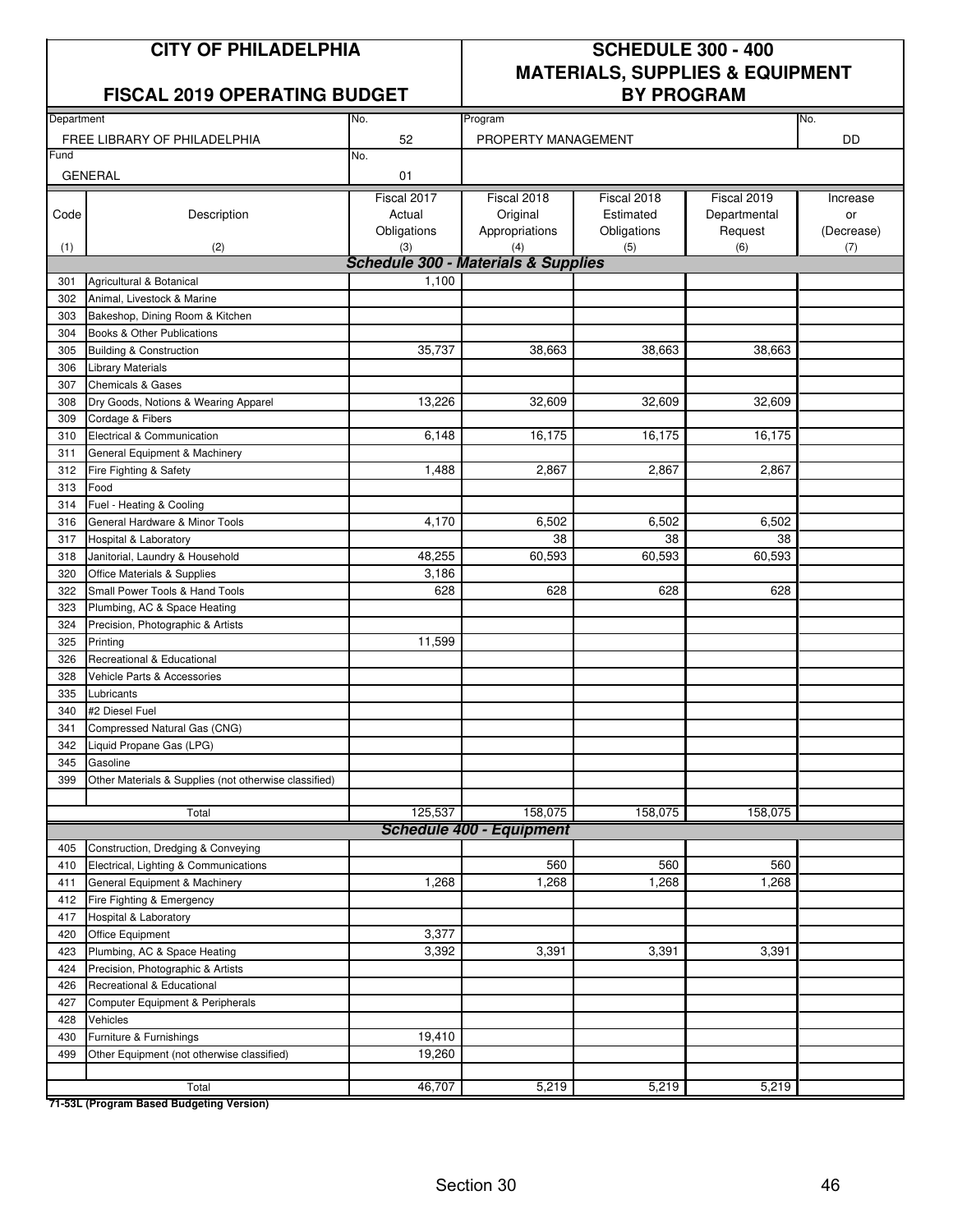#### FISCAL 2019 OPERATING BUDGET **BY PROGRAM**

# **CITY OF PHILADELPHIA SCHEDULE 300 - 400 MATERIALS, SUPPLIES & EQUIPMENT**

| Department |                                                       | No.                                            | Program                         |             |              | No.        |
|------------|-------------------------------------------------------|------------------------------------------------|---------------------------------|-------------|--------------|------------|
|            | FREE LIBRARY OF PHILADELPHIA                          | 52                                             | PROPERTY MANAGEMENT             |             |              | DD         |
| Fund       |                                                       | No.                                            |                                 |             |              |            |
|            | <b>GENERAL</b>                                        | 01                                             |                                 |             |              |            |
|            |                                                       | Fiscal 2017                                    | Fiscal 2018                     | Fiscal 2018 | Fiscal 2019  | Increase   |
| Code       | Description                                           | Actual                                         | Original                        | Estimated   | Departmental | or         |
|            |                                                       | Obligations                                    | Appropriations                  | Obligations | Request      | (Decrease) |
| (1)        | (2)                                                   | (3)                                            | (4)                             | (5)         | (6)          | (7)        |
|            |                                                       | <b>Schedule 300 - Materials &amp; Supplies</b> |                                 |             |              |            |
| 301        | Agricultural & Botanical                              | 1,100                                          |                                 |             |              |            |
| 302        | Animal, Livestock & Marine                            |                                                |                                 |             |              |            |
| 303        | Bakeshop, Dining Room & Kitchen                       |                                                |                                 |             |              |            |
| 304        | Books & Other Publications                            |                                                |                                 |             |              |            |
| 305        | <b>Building &amp; Construction</b>                    | 35,737                                         | 38,663                          | 38,663      | 38,663       |            |
| 306        | <b>Library Materials</b>                              |                                                |                                 |             |              |            |
| 307        | <b>Chemicals &amp; Gases</b>                          |                                                |                                 |             |              |            |
| 308        | Dry Goods, Notions & Wearing Apparel                  | 13,226                                         | 32,609                          | 32,609      | 32,609       |            |
| 309        | Cordage & Fibers                                      |                                                |                                 |             |              |            |
| 310        | Electrical & Communication                            | 6,148                                          | 16,175                          | 16,175      | 16,175       |            |
| 311        | General Equipment & Machinery                         |                                                |                                 |             |              |            |
| 312        | Fire Fighting & Safety                                | 1,488                                          | 2,867                           | 2,867       | 2,867        |            |
| 313        | Food                                                  |                                                |                                 |             |              |            |
| 314        | Fuel - Heating & Cooling                              |                                                |                                 |             |              |            |
| 316        | General Hardware & Minor Tools                        | 4,170                                          | 6,502                           | 6,502       | 6,502        |            |
| 317        | <b>Hospital &amp; Laboratory</b>                      |                                                | 38                              | 38          | 38           |            |
| 318        | Janitorial, Laundry & Household                       | 48,255                                         | 60,593                          | 60,593      | 60,593       |            |
| 320        | Office Materials & Supplies                           | 3,186                                          |                                 |             |              |            |
| 322        | Small Power Tools & Hand Tools                        | 628                                            | 628                             | 628         | 628          |            |
| 323        | Plumbing, AC & Space Heating                          |                                                |                                 |             |              |            |
| 324        | Precision, Photographic & Artists                     |                                                |                                 |             |              |            |
| 325        | Printing                                              | 11,599                                         |                                 |             |              |            |
| 326        | Recreational & Educational                            |                                                |                                 |             |              |            |
| 328        | Vehicle Parts & Accessories                           |                                                |                                 |             |              |            |
| 335        | Lubricants                                            |                                                |                                 |             |              |            |
| 340        | #2 Diesel Fuel                                        |                                                |                                 |             |              |            |
| 341        | Compressed Natural Gas (CNG)                          |                                                |                                 |             |              |            |
| 342        | Liquid Propane Gas (LPG)                              |                                                |                                 |             |              |            |
| 345        | Gasoline                                              |                                                |                                 |             |              |            |
| 399        | Other Materials & Supplies (not otherwise classified) |                                                |                                 |             |              |            |
|            |                                                       | 125,537                                        | 158,075                         | 158,075     | 158,075      |            |
|            | Total                                                 |                                                | <b>Schedule 400 - Equipment</b> |             |              |            |
|            | Construction, Dredging & Conveying                    |                                                |                                 |             |              |            |
| 405<br>410 | Electrical, Lighting & Communications                 |                                                | 560                             | 560         | 560          |            |
| 411        | General Equipment & Machinery                         | 1,268                                          | 1,268                           | 1,268       | 1,268        |            |
| 412        | Fire Fighting & Emergency                             |                                                |                                 |             |              |            |
| 417        | Hospital & Laboratory                                 |                                                |                                 |             |              |            |
| 420        | Office Equipment                                      | 3,377                                          |                                 |             |              |            |
| 423        | Plumbing, AC & Space Heating                          | 3,392                                          | 3,391                           | 3,391       | 3,391        |            |
| 424        | Precision, Photographic & Artists                     |                                                |                                 |             |              |            |
| 426        | Recreational & Educational                            |                                                |                                 |             |              |            |
| 427        | Computer Equipment & Peripherals                      |                                                |                                 |             |              |            |
| 428        | Vehicles                                              |                                                |                                 |             |              |            |
| 430        | Furniture & Furnishings                               | 19,410                                         |                                 |             |              |            |
| 499        | Other Equipment (not otherwise classified)            | 19,260                                         |                                 |             |              |            |
|            |                                                       |                                                |                                 |             |              |            |
|            | Total                                                 | 46,707                                         | 5,219                           | 5,219       | 5,219        |            |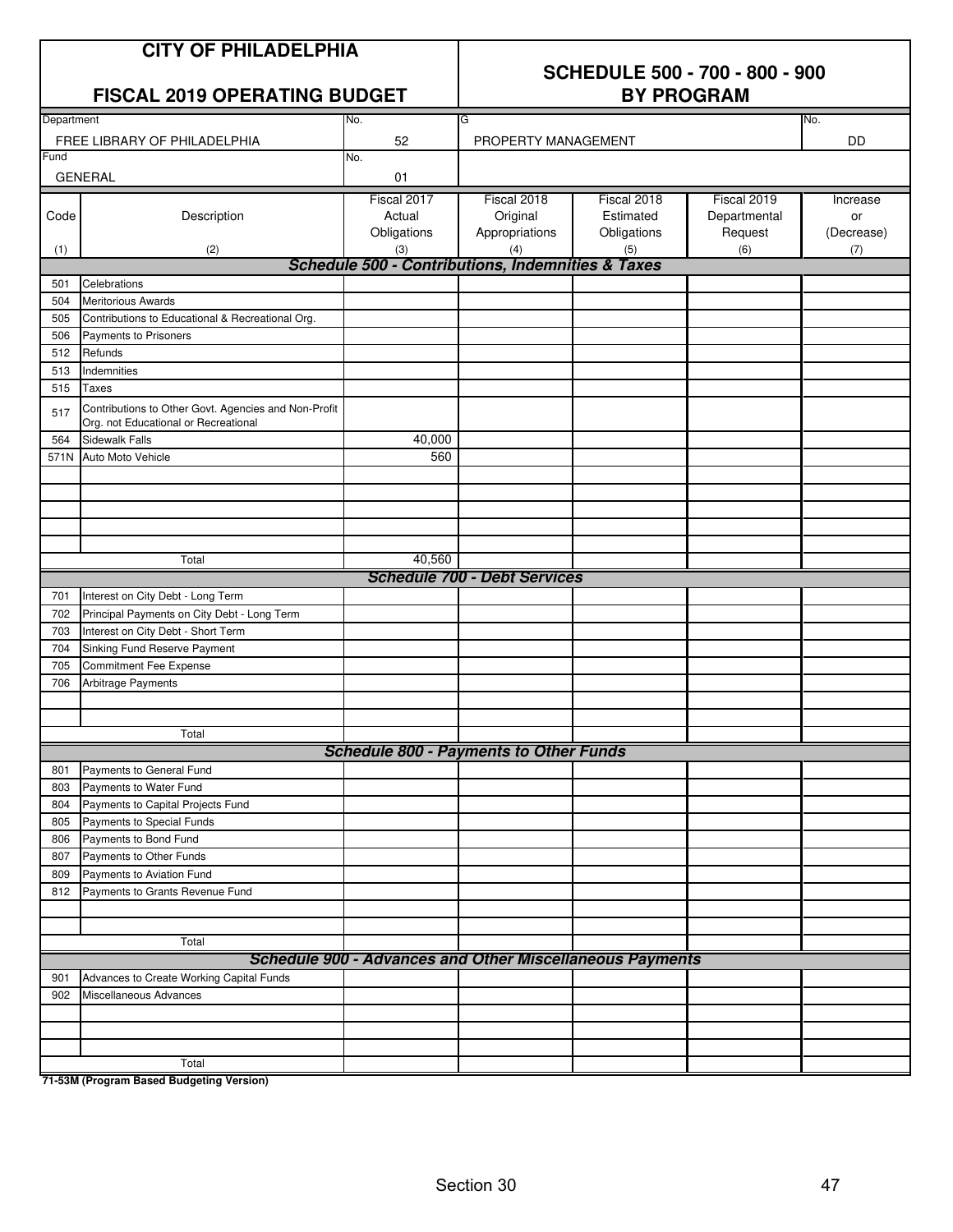|            | <b>CITY OF PHILADELPHIA</b><br><b>FISCAL 2019 OPERATING BUDGET</b>                           |                                                                     | <b>SCHEDULE 500 - 700 - 800 - 900</b><br><b>BY PROGRAM</b> |                                         |                                        |                              |  |
|------------|----------------------------------------------------------------------------------------------|---------------------------------------------------------------------|------------------------------------------------------------|-----------------------------------------|----------------------------------------|------------------------------|--|
| Department |                                                                                              | No.                                                                 | G                                                          |                                         |                                        | No.                          |  |
|            | FREE LIBRARY OF PHILADELPHIA                                                                 | 52                                                                  | PROPERTY MANAGEMENT                                        |                                         |                                        | DD                           |  |
| Fund       |                                                                                              | No.                                                                 |                                                            |                                         |                                        |                              |  |
|            | <b>GENERAL</b>                                                                               | 01                                                                  |                                                            |                                         |                                        |                              |  |
| Code       | Description                                                                                  | Fiscal 2017<br>Actual<br>Obligations                                | Fiscal 2018<br>Original<br>Appropriations                  | Fiscal 2018<br>Estimated<br>Obligations | Fiscal 2019<br>Departmental<br>Request | Increase<br>or<br>(Decrease) |  |
| (1)        | (2)                                                                                          | (3)<br><b>Schedule 500 - Contributions, Indemnities &amp; Taxes</b> | (4)                                                        | (5)                                     | (6)                                    | (7)                          |  |
| 501        | Celebrations                                                                                 |                                                                     |                                                            |                                         |                                        |                              |  |
| 504        | <b>Meritorious Awards</b>                                                                    |                                                                     |                                                            |                                         |                                        |                              |  |
| 505        | Contributions to Educational & Recreational Org.                                             |                                                                     |                                                            |                                         |                                        |                              |  |
| 506        | Payments to Prisoners                                                                        |                                                                     |                                                            |                                         |                                        |                              |  |
| 512        | Refunds                                                                                      |                                                                     |                                                            |                                         |                                        |                              |  |
| 513        | Indemnities                                                                                  |                                                                     |                                                            |                                         |                                        |                              |  |
| 515        | Taxes                                                                                        |                                                                     |                                                            |                                         |                                        |                              |  |
| 517        | Contributions to Other Govt. Agencies and Non-Profit<br>Org. not Educational or Recreational |                                                                     |                                                            |                                         |                                        |                              |  |
| 564        | <b>Sidewalk Falls</b>                                                                        | 40,000                                                              |                                                            |                                         |                                        |                              |  |
| 571N       | Auto Moto Vehicle                                                                            | 560                                                                 |                                                            |                                         |                                        |                              |  |
|            |                                                                                              |                                                                     |                                                            |                                         |                                        |                              |  |
|            | Total                                                                                        | 40,560                                                              |                                                            |                                         |                                        |                              |  |
|            |                                                                                              |                                                                     | <b>Schedule 700 - Debt Services</b>                        |                                         |                                        |                              |  |
| 701        | Interest on City Debt - Long Term                                                            |                                                                     |                                                            |                                         |                                        |                              |  |
| 702        | Principal Payments on City Debt - Long Term                                                  |                                                                     |                                                            |                                         |                                        |                              |  |
| 703        | Interest on City Debt - Short Term                                                           |                                                                     |                                                            |                                         |                                        |                              |  |
| 704        | Sinking Fund Reserve Payment                                                                 |                                                                     |                                                            |                                         |                                        |                              |  |
| 705        | Commitment Fee Expense                                                                       |                                                                     |                                                            |                                         |                                        |                              |  |
| 706        | Arbitrage Payments                                                                           |                                                                     |                                                            |                                         |                                        |                              |  |
|            |                                                                                              |                                                                     |                                                            |                                         |                                        |                              |  |
|            |                                                                                              |                                                                     |                                                            |                                         |                                        |                              |  |
|            | Total                                                                                        |                                                                     |                                                            |                                         |                                        |                              |  |
|            |                                                                                              | <b>Schedule 800 - Payments to Other Funds</b>                       |                                                            |                                         |                                        |                              |  |
| 801<br>803 | Payments to General Fund<br>Payments to Water Fund                                           |                                                                     |                                                            |                                         |                                        |                              |  |
| 804        | Payments to Capital Projects Fund                                                            |                                                                     |                                                            |                                         |                                        |                              |  |
| 805        | Payments to Special Funds                                                                    |                                                                     |                                                            |                                         |                                        |                              |  |
| 806        | Payments to Bond Fund                                                                        |                                                                     |                                                            |                                         |                                        |                              |  |
| 807        | Payments to Other Funds                                                                      |                                                                     |                                                            |                                         |                                        |                              |  |
| 809        | Payments to Aviation Fund                                                                    |                                                                     |                                                            |                                         |                                        |                              |  |
| 812        | Payments to Grants Revenue Fund                                                              |                                                                     |                                                            |                                         |                                        |                              |  |
|            |                                                                                              |                                                                     |                                                            |                                         |                                        |                              |  |
|            |                                                                                              |                                                                     |                                                            |                                         |                                        |                              |  |
|            | Total                                                                                        | <b>Schedule 900 - Advances and Other Miscellaneous Payments</b>     |                                                            |                                         |                                        |                              |  |
|            | Advances to Create Working Capital Funds                                                     |                                                                     |                                                            |                                         |                                        |                              |  |
| 901<br>902 | Miscellaneous Advances                                                                       |                                                                     |                                                            |                                         |                                        |                              |  |
|            |                                                                                              |                                                                     |                                                            |                                         |                                        |                              |  |
|            |                                                                                              |                                                                     |                                                            |                                         |                                        |                              |  |
|            |                                                                                              |                                                                     |                                                            |                                         |                                        |                              |  |
|            | Total                                                                                        |                                                                     |                                                            |                                         |                                        |                              |  |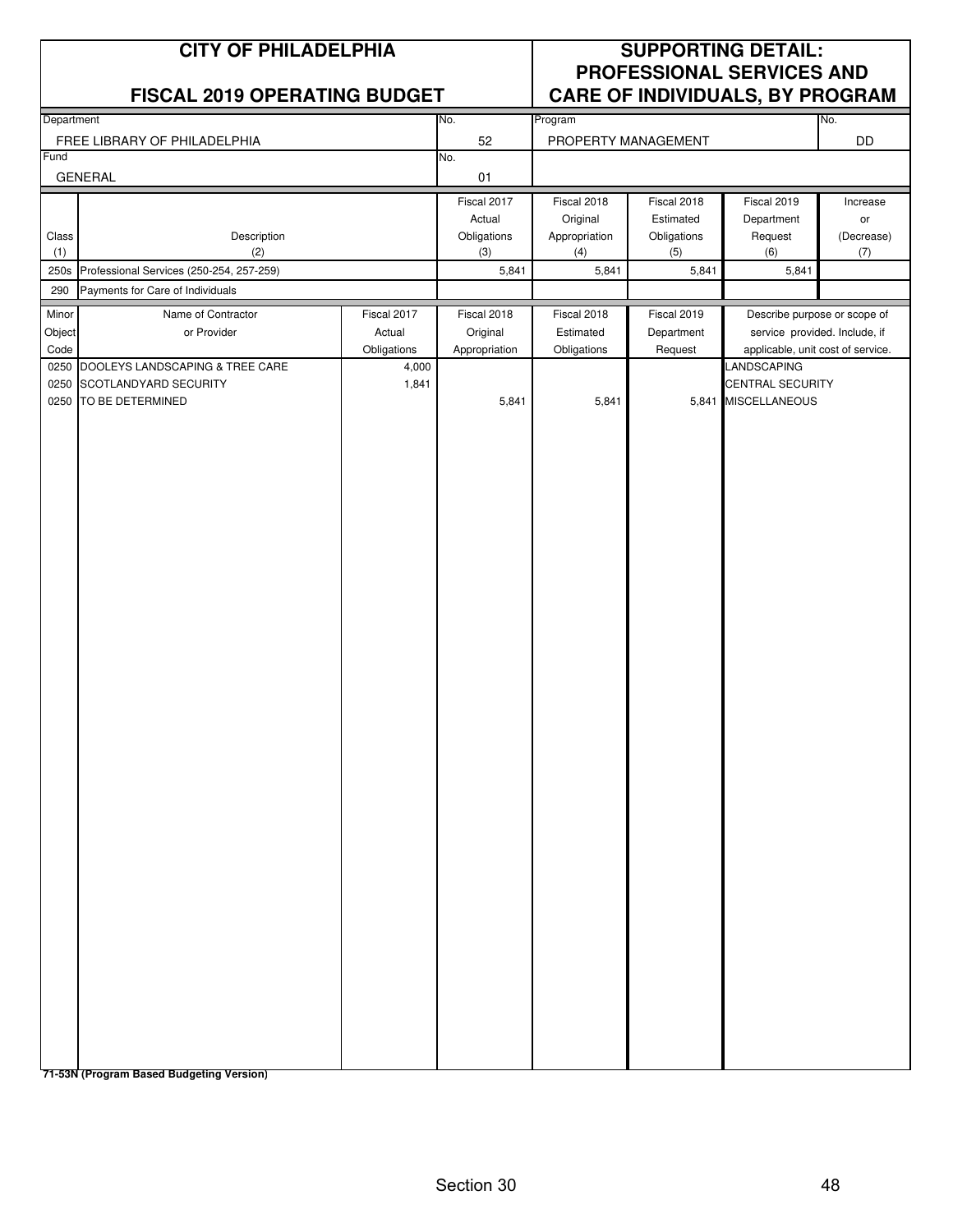| <b>CITY OF PHILADELPHIA</b><br><b>FISCAL 2019 OPERATING BUDGET</b> |                                          |                      |                    | <b>SUPPORTING DETAIL:</b><br>PROFESSIONAL SERVICES AND<br><b>CARE OF INDIVIDUALS, BY PROGRAM</b> |                     |                                                  |                   |
|--------------------------------------------------------------------|------------------------------------------|----------------------|--------------------|--------------------------------------------------------------------------------------------------|---------------------|--------------------------------------------------|-------------------|
|                                                                    |                                          | No.                  | Program            |                                                                                                  | No.                 |                                                  |                   |
| Department<br>FREE LIBRARY OF PHILADELPHIA                         |                                          |                      | 52                 |                                                                                                  | PROPERTY MANAGEMENT |                                                  |                   |
| Fund<br><b>GENERAL</b>                                             |                                          |                      | No.<br>01          |                                                                                                  |                     |                                                  |                   |
|                                                                    |                                          |                      | Fiscal 2017        | Fiscal 2018                                                                                      | Fiscal 2018         | Fiscal 2019                                      | Increase          |
|                                                                    |                                          |                      | Actual             | Original                                                                                         | Estimated           | Department                                       | or                |
| Class<br>(1)                                                       | Description<br>(2)                       |                      | Obligations<br>(3) | Appropriation<br>(4)                                                                             | Obligations<br>(5)  | Request<br>(6)                                   | (Decrease)<br>(7) |
| 250s                                                               | Professional Services (250-254, 257-259) |                      | 5,841              | 5,841                                                                                            | 5,841               | 5,841                                            |                   |
| 290                                                                | Payments for Care of Individuals         |                      |                    |                                                                                                  |                     |                                                  |                   |
| Minor                                                              | Name of Contractor                       | Fiscal 2017          | Fiscal 2018        | Fiscal 2018                                                                                      | Fiscal 2019         | Describe purpose or scope of                     |                   |
| Object                                                             | or Provider                              | Actual               | Original           | Estimated                                                                                        | Department          | service provided. Include, if                    |                   |
| Code<br>0250                                                       | DOOLEYS LANDSCAPING & TREE CARE          | Obligations<br>4,000 | Appropriation      | Obligations                                                                                      | Request             | applicable, unit cost of service.<br>LANDSCAPING |                   |
| 0250                                                               | SCOTLANDYARD SECURITY                    | 1,841                |                    |                                                                                                  |                     | CENTRAL SECURITY                                 |                   |
| 0250                                                               | TO BE DETERMINED                         |                      | 5,841              | 5,841                                                                                            |                     | 5,841 MISCELLANEOUS                              |                   |
|                                                                    | 71-53N (Program Based Budgeting Version) |                      |                    |                                                                                                  |                     |                                                  |                   |